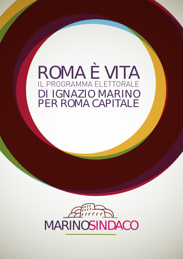ROMA È VITA IL PROGRAMMA ELETTORALE DI IGNAZIO MARINO PER ROMA CAPITALE

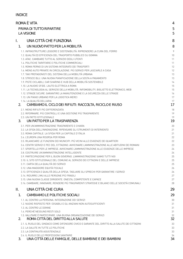## INDICE

| ROMA È VITA              |                                                                                                                                                                                     | 4        |
|--------------------------|-------------------------------------------------------------------------------------------------------------------------------------------------------------------------------------|----------|
| PRIMA DI TUTTO RIPARTIRE |                                                                                                                                                                                     | 5        |
| <b>LA VISIONE</b>        |                                                                                                                                                                                     | 5        |
| I.                       | UNA CITTÀ CHE FUNZIONA                                                                                                                                                              | 8        |
| 1.                       | UN NUOVO PATTO PER LA MOBILITÀ                                                                                                                                                      | 8        |
|                          | 1.1. INFRASTRUTTURE LEGGERE E SOSTENIBILITÀ: RIPRENDERE LA CURA DEL FERRO                                                                                                           | 9        |
|                          | 1.2. QUALITÀ ED EFFICIENZA DEL TRASPORTO PUBBLICO SU GOMMA                                                                                                                          | 10       |
|                          | 1.3. ATAC, CAMBIARE TUTTO AL SERVIZIO DEGLI UTENTI                                                                                                                                  | 11       |
|                          | 1.4. POLITICHE TARIFFARIE E POLITICHE COMMERCIALI                                                                                                                                   | 11       |
|                          | 1.5. ROMA PERNO DI UN SISTEMA INTEGRATO DEI TRASPORTI                                                                                                                               | 12       |
|                          | 1.6. MENO AUTO PRIVATE IN CIRCOLAZIONE. PIÙ SERVIZI PER LASCIARLE A CASA                                                                                                            | 12       |
|                          | 1.7. TAXI PROTAGONISTI DEL SISTEMA DELLA MOBILITÀ URBANA<br>1.8. STRISCE BLU. UNA NUOVA PIANIFICAZIONE DELLA SOSTA A PAGAMENTO                                                      | 13<br>13 |
|                          | 1.9. PISTE CICLABILI, CAR SHARING E HUB DELLA MOBILITÀ SOSTENIBILE                                                                                                                  | 14       |
|                          | 1.10. LA NUOVE SFIDE. L'AUTO ELETTRICA A ROMA                                                                                                                                       | 15       |
|                          | 1.11. LA TECNOLOGIA AL SERVIZIO DELLA MOBILITÀ. INFOMOBILITY. BIGLIETTO ELETTRONICO. WEB                                                                                            | 15       |
|                          | 1.12. STRADE SICURE, GARANTIRE LA MANUTENZIONE E LA SICUREZZA DELLE STRADE                                                                                                          | 16       |
|                          | 1.13. UN PIANO URBANO PER LA LOGISTICA MERCI                                                                                                                                        | 17       |
| 2 <sub>1</sub>           | 1.14. LA QUALITÀ DELL'ARIA<br>CAMBIAMO IL CICLO DEI RIFIUTI: RACCOLTA, RICICLO E RIUSO                                                                                              | 17<br>17 |
|                          | 2.1. MENO RIFIUTI PIÙ DIFFERENZIATA                                                                                                                                                 | 18       |
|                          | 2.2. RIFORMARE. PIÙ CONTROLLI E UNA GESTIONE PIÙ TRASPARENTE                                                                                                                        | 19       |
|                          | 2.3. UN PATTO ISTITUZIONALE                                                                                                                                                         | 19       |
| 3.                       | UN PATTO PER LA TRASPARENZA                                                                                                                                                         | 19       |
|                          | 3.1. PER UN'AMMINISTRAZIONE TRASPARENTE E CHIARA                                                                                                                                    | 20       |
|                          | 3.2. LA SFIDA DELL'INNOVAZIONE. RIPENSARE GLI STRUMENTI DI INTERVENTO                                                                                                               | 21       |
|                          | 3.3. ROMA CAPITALE, LA SFIDA PER LA CAPITALE D'ITALIA                                                                                                                               | 21       |
|                          | 3.4. L'EUROPA UNA RISORSA PER ROMA                                                                                                                                                  | 22       |
|                          | 3.5. RILANCIARE LE FUNZIONI DEI MUNICIPI. PIÙ VICINI ALLE ESIGENZE DEI QUARTIERI<br>3.6. CENTRI SERVIZI E PEC DEL CITTADINO, AVVICINARE L'AMMINISTRAZIONE ALLE ABITUDINI DEI ROMANI | 22<br>23 |
|                          | 3.7. SPORTELLO PER LE IMPRESE, AVVICINARE L'AMMINISTRAZIONE ALLE ESIGENZE DELLE IMPRESE                                                                                             | 24       |
|                          | 3.8. COSTRUIRE UN'AMMINISTRAZIONE INTELLIGENTE                                                                                                                                      | 24       |
|                          | 3.9. PARTECIPAZIONE PER IL BUON GOVERNO. L'AMMINISTRAZIONE SIAMO TUTTI NOI                                                                                                          | 25       |
|                          | 3.10. IL SITO ISTITUZIONALE DEL COMUNE AL SERVIZIO DEI CITTADINI E DELLE IMPRESE                                                                                                    | 25       |
|                          | 3.11. CARTA DELLA QUALITÀ DEI SERVIZI                                                                                                                                               | 25       |
|                          | 3.12. UNA MAGGIORE EQUITÀ FISCALE<br>3.13. EFFICIENZA E QUALITÀ DELLA SPESA. TAGLIARE GLI SPRECHI PER GARANTIRE I SERVIZI                                                           | 26       |
|                          | 3.14. RIDURRE L'IMU ALLE PERSONE PIÙ FRAGILI                                                                                                                                        | 26<br>27 |
|                          | 3.15. UNA NUOVA CLASSE DIRIGENTE. ONESTA, COMPETENTE E CAPACE                                                                                                                       | 27       |
|                          | 3.16. CAMBIARE, INNOVARE, RENDERE PIÙ TRASPARENTI STRATEGIE E BILANCI DELLE SOCIETÀ COMUNALI                                                                                        | 28       |
| ΙΙ.                      | UNA CITTÀ CHE CURA                                                                                                                                                                  | 29       |
| 1.                       | <b>CAMBIAMO LE POLITICHE SOCIALI</b>                                                                                                                                                | 29       |
|                          | 1.1. AL CENTRO LA PERSONA. INTEGRAZIONE DEI SERVIZI                                                                                                                                 | 30       |
|                          | 1.2. NUOVE RISPOSTE PER I DISABILI E GLI ANZIANI NON AUTOSUFFICIENTI                                                                                                                | 31       |
|                          | 1.3. AL CENTRO LE DONNE                                                                                                                                                             | 31       |
|                          | 1.4. PERCHÉ NESSUNO RESTI SOLO                                                                                                                                                      | 31       |
| $2_{-}$                  | 1.5. VALUTARE È PARTECIPARE. UNA BUONA ORGANIZZAZIONE DEI SERVIZI<br>ROMA CITTÀ DEL DIRITTO ALLA SALUTE                                                                             | 32<br>32 |
|                          | 2.1. IL RUOLO DEL SINDACO COME DIFENSORE CIVICO E GARANTE DEL DIRITTO ALLA SALUTE DEI CITTADINI                                                                                     | 33       |
|                          | 2.2. LA SALUTE IN TUTTE LE POLITICHE                                                                                                                                                | 33       |
|                          | 2.3. LA CONTINUITÀ ASSISTENZIALE                                                                                                                                                    | 33       |
|                          | 2.4. IL RUOLO DELLE PROFESSIONI SANITARIE                                                                                                                                           | 34       |

3. UNA CITTÀ DELLE FAMIGLIE, DELLE BAMBINE E DEI BAMBINI 34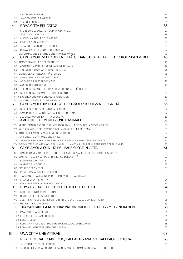| 3.1. LA CITTÀ DEI BAMBINI                                                                                | 34       |
|----------------------------------------------------------------------------------------------------------|----------|
| 3.2. UNA CITTÀ PER LE FAMIGLIE                                                                           | 35       |
| 3.3. GLI ADOLESCENTI<br>ROMA CITTÀ EDUCATIVA                                                             | 36       |
| 4.                                                                                                       | 36       |
| 4.1. ASILI NIDO E SCUOLA PER LA PRIMA INFANZIA                                                           | 37       |
| 4.2. L'EDILIZIA SCOLASTICA<br>4.3. LA SCUOLA A MISURA DI BAMBINO                                         | 38<br>38 |
| 4.4. LE MENSE SCOLASTICHE                                                                                | 39       |
| 4.5. UN PATTO TRA ROMA E LE SCUOLE                                                                       | 39       |
| 4.6. LOTTA ALLA DISPERSIONE SCOLASTICA                                                                   | 39       |
| 4.7. LA FORMAZIONE E L'ISTRUZIONE PROFESSIONALE                                                          | 40       |
| CAMBIAMO IL VOLTO DELLA CITTÀ. URBANISTICA, ABITARE, DECORO E SPAZI VERDI<br>5.                          | 40       |
| 5.1. TRASFORMARE LA CITTÀ ESISTENTE                                                                      | 41       |
| 5.2. LA STRATEGIA PER LA RIGENERAZIONE URBANA                                                            | 42       |
| 5.3. UNO SVILUPPO URBANO PIÙ CONCENTRATO                                                                 | 44       |
| 5.4. LA RESIDENZA NELLA CITTÀ STORICA                                                                    | 46       |
| 5.5. L'APPIA ANTICA E IL PROGETTO FORI                                                                   | 47       |
| 5.6. L'ABITARE E IL BISOGNO DI CASA                                                                      | 47       |
| 5.7. LA CITTÀ DEI QUARTIERI                                                                              | 49       |
| 5.8. IL DECORO URBANO. PER UNA CITTÀ ORDINATA E PIÙ BELLA<br>5.9. EDIFICI ENERGETICAMENTE PIÙ EFFICIENTI | 51<br>52 |
| 5.10. L'AGENDA URBANA EUROPEA E NAZIONALE                                                                | 53       |
| 5.11. GLI STRUMENTI DELL'URBANISTICA                                                                     | 53       |
| CAMBIAMO LE RISPOSTE AL BISOGNO DI SICUREZZA E LEGALITÀ<br>6.                                            | 56       |
| 6.1. PRESIDI DI SICUREZZA IN TUTTA LA CITTÀ                                                              | 57       |
| 6.2. ROMA PER LA LEGALITÀ, CAPITALE CONTRO LE MAFIE                                                      | 57       |
| 6.3. IL SOSTEGNO A CHI È VITTIMA DI USURA                                                                | 58       |
| AMBIENTE, ALIMENTAZIONE E ANIMALI<br>7.                                                                  | 58       |
| 7.1. VERDE, GRANDI PARCHI, ORTI METROPOLITANI. LA SFIDA DELLA SOSTENIBILITÀ                              | 58       |
| 7.2. VALORIZZAZIONE DEL TEVERE E DELL'ANIENE. I FIUMI DEI ROMANI                                         | 59       |
| 7.3. TUTELARE E VALORIZZARE IL VERDE URBANO                                                              | 59       |
| 7.4. RAFFORZARE LA PROTEZIONE CIVILE                                                                     | 60       |
| 7.5. CABINA DI REGIA PER LA PREVISIONE E LA GESTIONE DEGLI EVENTI CLIMATICI                              | 60       |
| 7.6. ROMA CITTÀ CHE AMA ANCHE GLI ANIMALI. UNA CONSULTA PER IL BENESSERE DEGLI ANIMALI                   | 60       |
| CAMBIAMO LA QUALITÀ DEL FARE SPORT IN CITTÀ<br>8.                                                        | 61       |
| 8.1. COME ORGANIZZARE LE POLITICHE PER LA VALORIZZAZIONE DELLE PRATICHE SPORTIVE                         | 61       |
| 8.2. LO SPORT E LO SVILUPPO URBANISTICO DELLA CITTÀ                                                      | 62       |
| 8.3. I LUOGHI DELLO SPORT<br>8.4. LO SPORT E LA SCUOLA                                                   | 62<br>63 |
| 8.5. SPORT E SPAZI VERDI                                                                                 | 63       |
| 8.6. SPORT E RISPARMIO ENERGETICO                                                                        | 63       |
| 8.7. UNA GRANDE CAMPAGNA PER PROMUOVERE IL CAMMINARE                                                     | 63       |
| 8.8. I GRANDI EVENTI SPORTIVI                                                                            | 64       |
| 8.9. LE RISORSE PER SOSTENERE LO SPORT                                                                   | 64       |
| ROMA CAPITALE DEI DIRITTI DI TUTTE E DI TUTTI<br>9.                                                      | 64       |
| 9.1. PIÙ OPPORTUNITÀ PER LE DONNE                                                                        | 64       |
| 9.2. I DIRITTI DELLE PERSONE LGBT                                                                        | 65       |
| 9.3. IL CERTIFICATO DI UNIONE PER I DIRITTI E I DOVERI DELLE COPPIE DI FATTO                             | 65       |
| 9.4. I DETENUTI E IL CARCERE                                                                             | 65       |
| TRAMANDARE LA MEMORIA: PATRIMONIO PER LE PROSSIME GENERAZIONI<br>10 <sub>1</sub>                         | 66       |
| 10.1. I VIAGGI DELLA MEMORIA                                                                             | 66       |
| 10.2. IL 25 APRILE IN CAMPIDOGLIO                                                                        | 66       |
| 10.3. L'ECO-MUSEO                                                                                        | 66       |
| 10.4. ROMA CAPITALE DELLA SOLIDARIETÀ E DELLA COOPERAZIONE<br>10.5. ROMA NEL MEDITERRANEO CHE CAMBIA     | 66<br>67 |
|                                                                                                          |          |
| UNA CITTÀ CHE ATTRAE<br>Ш.                                                                               | 67       |
| RIPARTIRE DAL COMMERCIO, DALL'ARTIGIANATO E DALLL'AGRICOLTURA<br>$\mathbf{1}$ .                          | 68       |
| 1.1. UN INTERVENTO SU PIÙ FRONTI                                                                         | 69       |
| 1.2. RISCOPRIRE I MERCATI RIONALI E VALORIZZARE IL COMMERCIO SU AREE PUBBLICHE                           | 70       |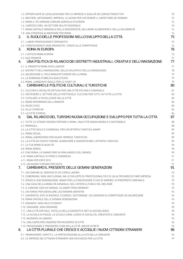| 1.3. OPPORTUNITÀ DI LOCALIZZAZIONE PER LE IMPRESE E QUALITÀ DEI SERVIZI PRODUTTIVI                   | 70       |
|------------------------------------------------------------------------------------------------------|----------|
| 1.4. MESTIERI, ARTIGIANATO, IMPRESA: LE AZIONI PER SOSTENERE IL SAPER FARE DEI ROMANI                | 72       |
| 1.5. ROMA IL PIÙ GRANDE COMUNE AGRICOLO D'EUROPA                                                     | 73       |
| 1.6. L'AGRICOLTURA: UN SETTORE MULTIFUNZIONALE                                                       | 73       |
| 1.7. ROMA CAPITALE MONDIALE DELLA BIODIVERSITÀ, DELL'AGRO-ALIMENTARE E DELLA SOLIDARIETÀ             | 74       |
| 1.8. UNA STRATEGIA ALIMENTARE PER ROMA                                                               | 74       |
| IL RUOLO DELLE PROFESSIONI NELLO SVILUPPO DELLA CITTÀ<br>2.                                          | 75       |
| 2.1. I LIBERI PROFESSIONISTI ORDINISTICI                                                             | 75       |
| 2.2. I PROFESSIONISTI NON ORDINISTICI. SPAZIO ALLE COMPETENZE                                        | 76       |
| <b>ROMA IN EUROPA</b><br>3.                                                                          | 76       |
| 3.1. L'UFFICIO ROMA EUROPA                                                                           | 76       |
| 3.2. DUE PRIORITÀ                                                                                    | 77       |
| UNA POLITICA DI RILANCIO DEI DISTRETTI INDUSTRIALI, CREATIVI E DELL'INNOVAZIONE<br>4.                | 77       |
|                                                                                                      |          |
| 4.1. IL PROGETTO ROMA INTELLIGENTE                                                                   | 77       |
| 4.2. DISTRETTI DELL'INNOVAZIONE, DELLO SVILUPPO E DELLA CONOSCENZA                                   | 78<br>79 |
| 4.3. VALORIZZARE IL POLO MANUFATTURIERO DELLA MODA                                                   | 79       |
| 4.4. LA DOMANDA PUBBLICA QUALIFICATA<br>4.5. ROMA, L'AMBIENTE IDEALE PER LE START UP                 | 79       |
| CAMBIAMO LE POLITICHE CULTURALI E TURISTICHE<br>5.                                                   | 80       |
|                                                                                                      |          |
| 5.1. CULTURA E SOCIALITÀ DIFFUSA PER UNA CITTÀ PIÙ VIVA E CONVIVIALE                                 | 81       |
| 5.2. SOSTENERE IL SETTORE DELLO SPETTACOLO: CULTURA PER TUTTI, IN TUTTA LA CITTÀ                     | 83       |
| 5.3. TUTELARE LE ECCELLENZE DELLA CITTÀ                                                              | 83       |
| 5.4. ROMA PATRIMONIO DELL'UMANITÀ                                                                    | 85       |
| 5.5. MUSEI CIVICI                                                                                    | 85       |
| 5.6. VILLE STORICHE                                                                                  | 86       |
| 5.7. LA CITTÀ STORICA                                                                                | 86       |
| DAL RILANCIO DEL TURISMO NUOVA OCCUPAZIONE E SVILUPPO PER TUTTA LA CITTÀ<br>6.                       | 87       |
| 6.1. TUTTE LE STRADE DEVONO PORTARE A ROMA, UNA CITTÀ RAGGIUNGIBILE E SOSTENIBILE                    | 88       |
| 6.2. ROMA4ALL                                                                                        | 88       |
| 6.3. LA CITTÀ FACILE E CONNESSA. PER UN'OFFERTA TURISTICA SMART                                      | 89       |
| 6.4. ROMA SOCIAL                                                                                     | 89       |
| 6.5. ROMA LABORATORIO PER NUOVE IMPRESE TURISTICHE                                                   | 89       |
| 6.6. LA CITTÀ DEI CENTO TURISMI. AUMENTARE E DIVERSIFICARE L'OFFERTA TURISTICA                       | 89       |
| 6.7. LA TUA ROMA DI QUALITÀ                                                                          | 90       |
| 6.8. ROMA GREEN                                                                                      | 90       |
| 6.9. CIAO ROMA: LO SANNO DIRE IN OGNI ANGOLO DEL MONDO                                               | 90       |
| 6.10. ROMA CAPITALE DI FIERE E CONGRESSI                                                             | 91       |
| 6.11, ROMA PER EXPO 2015                                                                             | 91       |
| 6.12. UN NUOVO TURISMO PER OSTIA                                                                     | 91       |
| CAMBIAMO IL PRESENTE DELLE GIOVANI GENERAZIONI<br>$7_{\odot}$                                        | 91       |
| 7.1. UN COMUNE AL SERVIZIO DI CHI CERCA LAVORO                                                       | 92       |
| 7.2. COWORKING. NON UNO SLOGAN, MA LO SVILUPPO DI PROFESSIONALITÀ E DI UN ALTRO MODO DI FARE IMPRESA | 92       |
| 7.3. SPAZIO A UNA GENERAZIONE. BANDI PER LA CONCESSIONE D'USO DI IMMOBILI DI PROPRIETÀ COMUNALE      | 93       |
| 7.4. UNA CASA DELLA MOBILITÀ GIOVANILE, DELL'INTERCULTURA E DEL WELFARE                              | 93       |
| 7.5. IL COMUNE CON CHI INNOVA. LO SMART PROCUREMENT                                                  | 93       |
| 7.6. UN FONDO PER AGEVOLARE L'AUTONOMIA ABITATIVA                                                    | 94       |
| 7.7. UNIVERSITÀ, ENTI DI RICERCA, STUDENTI, DOTTORANDI. UN UNIVERSO DI COMPETENZE DA VALORIZZARE     | 94       |
| 7.8. ROMA CAPITALE DELLE GIOVANI GENERAZIONI                                                         | 94       |
| 7.9. ERASMUS. NON SOLO STUDENTI                                                                      | 95       |
| 7.10. VIAGGIARE, NON EMIGRARE                                                                        | 95       |
| 7.11. UNA CITTÀ OSPITALE. OSTELLO DELLA GIOVENTÙ E RETI DI ACCOGLIENZA                               | 95       |
| 7.12. LA SCUOLA IN PIAZZA. LE SCUOLE COME LUOGHI DI SOCIALITÀ, CREATIVITÀ E COMUNITÀ                 | 95       |
| 7.13. MUOVERSI IN LIBERTÀ                                                                            | 95       |
| 7.14. UNA CARTA PER UNDER30 PER MUOVERSI IN CITTÀ                                                    | 96       |
| 7.15. PASSEGGIARE E PRENDERSI CURA DELLA CITTÀ. ANCHE IN RETE                                        | 96       |
| LA CITTÀ PLURALE CHE CRESCE E ACCOGLIE I NUOVI CITTADINI STRANIERI<br>8.                             | 96       |
| 8.1. PROMUOVERE I DIRITTI E LA PARTECIPAZIONE ALLA VITA DELLA COMUNITÀ                               | 96       |
| 8.2. LE IMPRESE DEI CITTADINI STRANIERI UNA RICCHEZZA PER LA CITTÀ                                   | 97       |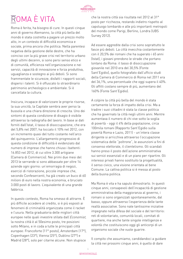

# ROMA È VITA

Roma è ferita, ha bisogno di cure. In questi cinque anni di governo Alemanno, la città più bella del mondo è stata costretta a pagare un prezzo molto alto, in un contesto di difficoltà economica e sociale, prima ancora che politica. Nella parentesi negativa della gestione delle destre, che ha coinciso con la più grave crisi nel territorio urbano degli ultimi decenni, si sono persi senso etico e di comunità, efficienza nell'organizzazione e nei servizi, capacità di innovazione e forza produttiva, uguaglianza e sostegno ai più deboli. Si sono frammentate le sicurezze, disfatti i rapporti sociali, dispersi i talenti. Si è offuscato lo straordinario patrimonio archeologico e ambientale. Si è cancellata la cultura.

Insicura, incapace di valorizzare le proprie risorse, la sua unicità, la Capitale sembra aver perso la bussola e una chiara direzione di crescita. Uno dei sintomi di questa condizione di disagio è visibile attraverso la radiografia del lavoro. In base ai dati forniti dall'Istat, il tasso di disoccupazione, che era del 5,8% nel 2007, ha toccato il 10% nel 2012, con un incremento quasi del tutto costante nell'arco del quinquennio. L'allargamento progressivo di questa condizione di difficoltà è evidenziato dal numero di imprese che hanno chiuso i battenti: 16.853 nel 2012, di cui oltre 3.300 artigiane (Camera di Commercio). Nei primi due mesi del 2013 le serrande si sono abbassate per oltre 14 aziende ogni giorno: un'emorragia di negozi, esercizi di ristorazione, piccole imprese che, secondo Confesercenti, ha già creato un buco di 60 milioni di euro nella nostra economia, e bruciato 3.000 posti di lavoro. L'equivalente di una grande fabbrica.

In questo contesto, Roma ha smesso di attrarre. È più difficile accedere al credito, si è più esposti ai fenomeni di criminalità organizzata come il racket e l'usura. Nella graduatoria delle migliori città europee nelle quali investire stilata dall'Economist, la nostra città è al 50esimo posto, tre posizioni sotto Milano, e in coda a tutte le principali città europee: Francoforte (11° posto), Amsterdam (17°), Copenhagen (23°), Vienna (25°), Dublino (27°) e Madrid (28°), solo per citarne alcune. Non stupisce

che la nostra città sia risultata nel 2012 al 31° posto per ricchezza, restando indietro rispetto al capoluogo lombardo e alle più importanti metropoli del mondo come Parigi, Berlino, Londra (UBS Survey 2012).

Ad essere aggredite dalla crisi sono soprattutto le fasce più deboli. La città invecchia costantemente con il 20,5% dei romani che ha superato i 65 anni (Istat), i giovani prendono le strade che portano lontano da Roma: il tasso di disoccupazione giovanile nel 2010 era del 30,5% (Fonte Sant'Egidio), quello fotografato dall'ufficio studi della Camera di Commercio di Roma nel 2011 era del 36,1%, una percentuale che oggi supera il 40%. Gli affitti costano sempre di più, aumentano del 160% (Fonte Sant'Egidio).

A colpire la città più bella del mondo è stata certamente la forza di impatto della crisi. Ma a tradire i suoi cittadini è stata la classe politica che ha governato la città negli ultimi anni. Mentre aumentava il numero di chi vive sotto la soglia di povertà - oggi il 4% della popolazione, circa 100mila romani (Rapporto Sant'Egidio sulla povertà Roma e Lazio, 2011) - un'intera classe dirigente si arricchiva attraverso l'occupazione sistematica delle "poltrone", le assunzioni a fini di consenso elettorale, il clientelismo. Gli scandali hanno preso il posto dell'azione amministrativa sui servizi essenziali e di un piano per ripartire. Gli interessi privati hanno sostituito la progettualità, il senso civico, una visione orientata al bene Comune. La cattiva politica si è messa al posto della buona politica.

Ma Roma è vita e ha saputo dimostrarlo. In questi cinque anni, consapevoli dell'incapacità di gestione amministrativa della maggioranza al governo, i romani si sono organizzati spontaneamente, dal basso, oppure attraverso l'esperienza delle tante realtà associative. Sono nate tantissime iniziative impegnate nella difesa del sociale e del territorio: reti di volontariato, comunità locali, comitati di quartiere, ma anche tante singole intelligenze e volontà che costituiscono oggi gli anticorpi di un organismo sociale che vuole guarire.

Il compito che assumiamo, candidandoci a guidare la città nei prossimi cinque anni, è quello di dare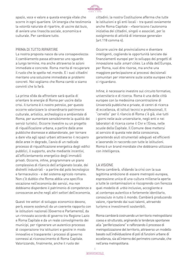

spazio, voce e valore a questa energia vitale che scorre in ogni quartiere. Un'energia che testimonia la volontà naturale di ripartire, di uscire dal buio, di avviare una rinascita sociale, economica e culturale. Per cambiare tutto.

#### PRIMA DI TUTTO RIPARTIRE

La nostra proposta nasce da una consapevolezza: il cambiamento passa attraverso uno sguardo a lungo termine, ma anche attraverso le azioni immediate e concrete. Roma merita di recuperare il ruolo che le spetta nel mondo. E i suoi cittadini meritano una soluzione immediata ai problemi concreti. Noi vogliamo che Roma cambi e siamo convinti che lo farà.

La prima sfida da affrontare sarà quella di orientare le energie di Roma per uscire dalla crisi. Il turismo è il nostro petrolio, per questo occorre valorizzare lo straordinario patrimonio culturale, artistico, archeologico e ambientale di Roma, per aumentare sensibilmente la qualità dei servizi turistici. Occorre investire su un progetto di riqualificazione urbana, a partire dalle aree pubbliche dismesse e abbandonate, per tornare a dare vita agli spazi urbani attraverso il recupero delle aree in degrado, l'avvio di un radicale processo di riqualificazione energetica degli edifici pubblici, il supporto, anche mediante incentivi, all'efficientamento energetico degli immobili privati. Occorre, infine, programmare un piano complessivo di rilancio dell'artigianato locale, dei distretti industriali - a partire dal polo tecnologico e farmaceutico - e del sistema agricolo romano. Non c'è dubbio che Roma abbia una specifica vocazione nell'economia dei servizi, ma non dobbiamo disperdere il patrimonio di competenze e conoscenze anche negli altri settori dell'economia.

Questi tre vettori di sviluppo economico devono, però, essere sostenuti da un coerente rapporto con le istituzioni nazionali (Governo e Parlamento), da un rinnovato accordo di governo tra Regione Lazio e Roma Capitale e da un reale coinvolgimento dei municipi, per rigenerare un autentico processo di cooperazione tra istituzioni e gestire in modo innovativo e trasparente i processi di governo connessi al riconoscimento di Roma Capitale. Valorizzando, finalmente, anche il ruolo dei

cittadini: la nostra Costituzione afferma che tutte le istituzioni e gli enti locali - tra questi ovviamente anche Roma Capitale - «favoriscono l'autonoma iniziativa dei cittadini, singoli e associati, per lo svolgimento di attività di interesse generale» (art.118 comma 4).

Occorre uscire dal provincialismo e diventare intelligenti, cogliendo le opportunità lanciate dai finanziamenti europei per lo sviluppo dei progetti di innovazione sulle smart cities. La sfida dell'Europa, per Roma, vuol dire risorse, ma anche una maggiore partecipazione ai processi decisionali comunitari per intervenire sulle scelte europee che ci riguardano.

Infine, è necessario investire sul circuito formativo, universitario e di ricerca. Roma è una delle città europee con la medesima concentrazione di Università pubbliche e private, di centri di ricerca di eccellenza, di istituti tecnici e professionali. Il "cervello" per il rilancio di Roma c'è già, vive tutti i giorni nelle aule universitarie, negli enti e nei laboratori di ricerca come il Cnr e l'Enea, nelle scuole della Capitale. Il Comune deve mettersi al servizio di questa rete della conoscenza, garantendo aiuti strumentali adeguati ed efficienti e lavorando in raccordo con tutte le istituzioni. Roma è un brand mondiale che dobbiamo utilizzare con intelligenza.

#### LA VISIONE

Roma cambierà, sfidando la crisi con la sua legittima ambizione di essere metropoli europea, espressione unica di una cultura millenaria aperta a tutte le contaminazioni e riscoprendo con fierezza quel modello di *urbis* inclusivo, accogliente e al contempo autentico e fortemente identitario, conosciuto in tutto il mondo. Cambierà producendo valore, ripartendo dai suoi talenti, attraendo turismo e investimenti sostenibili.

Roma cambierà costruendo un territorio metropolitano coeso e strutturato, arginando le tendenze spontanee alla "periferizzazione" e rafforzando il processo di metropolizzazione del territorio, attraverso un modello basato sull'individuazione di poli di funzioni urbane di eccellenza, sia all'interno del perimetro comunale, che nell'area metropolitana.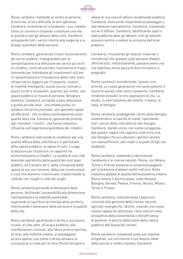

Roma cambierà, mettendo al centro le persone, le loro vite, le loro difficoltà, le loro speranze. Cambierà, smettendo di considerare i suoi cittadini come un numero e iniziando a restituire una vita di qualità a tutti gli abitanti della città. Cambierà sviluppando tutti i servizi intorno alle esigenze e ai bisogni quotidiani delle persone.

Roma cambierà, garantendo il buon funzionamento dei servizi pubblici, impegnandosi per la semplificazione e la diffusione dei servizi più vicini al cittadino, come ad esempio l'assistenza ai fragili, lavorando per individuare gli investimenti utili per la riqualificazione e l'innovazione della città: tram, infrastrutture leggere per il trasporto, sistemi di mobilità intelligente, scuole sicure, mercati e piazze curati e accessibili, quartieri più vivibili, uno spazio pubblico a misura di persona, famiglia e bambino. Cambierà, tornando a dare attenzione a quelle piccole cose - una strada pulita, un autobus che arriva puntuale, uno sportello rapido ed efficiente - che incidono profondamente sulla qualità della vita. Cambierà, garantendo priorità agli interventi "minimi", che hanno massima influenza sull'esperienza quotidiana dei cittadini.

Roma cambierà costruendo le condizioni per una qualità diffusa della città fisica e in particolare dello spazio pubblico: lo spazio di tutti, il luogo di elezione per ricostruire un rapporto tra amministrazione e cittadini. La qualità di una città discende soprattutto dalla qualità dei suoi spazi pubblici, ed è proprio da lì, dalla riconquista dello spazio al suo uso comune, dalla sua ricostruzione e cura che dovremo ricominciare, trasformando la città dei non-luoghi in città dei luoghi.

Roma cambierà pensando al benessere delle persone, facilitando l'accessibilità alla dimensione metropolitana e la mobilità sostenibile, superando lo squilibrio territoriale delle periferie, monitorando il benessere delle persone e la qualità della vita.

Roma cambierà, garantendo il diritto a una buona scuola, al cibo sano, all'acqua pubblica, alle manifestazioni culturali, alla libera pratica sportiva, all'arte, alla mobilità urbana, al passeggiare all'aria aperta, così come il diritto ad avere la sicurezza di un tetto per le oltre 29mila famiglie in

attesa di una casa di edilizia residenziale pubblica. Cambierà, restituendo importanza al paesaggio e alle bellezze naturalistiche. Cambierà, investendo sul wi-fi diffuso. Cambierà, identificando spazi e sedi pubbliche dove gli abitanti, tutti gli abitanti, possano sentire e vedere la vicinanza dell'ente pubblico.

Cambierà, rimuovendo gli ostacoli materiali e immateriali che gravano sulle persone disabili, affinché tutti, indistintamente, possano avere una vita dignitosa senza paura di discriminazioni e pregiudizi.

Roma cambierà, considerando i giovani una priorità. Le nuove generazioni non sono soltanto il futuro di questa città: sono il presente. Cambierà, rendendo possibili le loro aspirazioni di vita. Lo studio, la valorizzazione del talento, il lavoro, la casa, la famiglia.

Roma cambierà, proteggendo i diritti delle famiglie, sostenendone la nascita di nuove, ripensando tutti i servizi della città attorno alle famiglie. Cambierà, stando vicino, con scelte coraggiose, alle giovani coppie che vogliono costruirne una, alle famiglie che accudiscono i genitori anziani non autosufficienti, alle madri e ai padri di figli con disabilità.

Roma cambierà, tutelando e valorizzando l'ambiente e le risorse naturali. Roma, con Milano, Torino e Firenze presenta la situazione peggiore per la presenza di polveri sottili nell'aria. Nella classifica globale di qualità dell'ecosistema urbano, Roma ottiene il decimo posto, sotto Venezia, Bologna, Genova, Padova, Firenze, Verona, Milano, Torino e Trieste.

Roma cambierà, rivoluzionando l'approccio culturale alla gestione delle risorse naturali, agricole, energetiche, idriche, creando una nuova visione capace di valorizzare i beni comuni nella prospettiva della sostenibilità e dell'efficienza di gestione. A partire dalla tutela della natura pubblica dell'acqua dei romani.

Roma cambierà, investendo sulle sue imprese artigianali, sul commercio e sul tessuto vitale delle piccole e medie imprese. Cambierà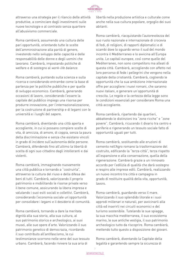

attraverso una strategia per il rilancio delle attività produttive, a cominciare dagli investimenti sulle nuove tecnologie e al contrasto senza quartiere all'abusivismo commerciale.

Roma cambierà, assumendo una cultura delle pari opportunità, orientando tutte le scelte dell'amministrazione alla parità di genere, investendo nello sviluppo delle capacità e delle responsabilità delle donne e degli uomini che lavorano. Cambierà, impostando politiche di welfare e di sostegno al work-life balance.

Roma cambierà, puntando sulla scienza e sulla ricerca e considerando entrambe come la base di partenza per le politiche pubbliche e per quelle di sviluppo economico. Cambierà, generando occasioni di lavoro, considerando l'essere la capitale del pubblico impiego una risorsa per produrre innovazione, per l'internazionalizzazione, per la costruzione di partnership e di legami con le università e i luoghi del sapere.

Roma cambierà, diventando una città aperta e accogliente, in cui si possano compiere scelte di vita, di amicizia, di amore, di coppia, senza la paura della discriminazione e senza che esistano vincoli in grado di incidere sull'autonomia delle persone. Cambierà, difendendo fino all'ultimo la libertà di scelta di ogni suo cittadino dagli intolleranti e dai violenti.

Roma cambierà, immaginando nuovamente una città pubblica e tornando a "costruirla", attraverso la cultura del riuso e della difesa dei beni di tutti. Cambierà, valorizzando il proprio patrimonio e mobilitando le risorse private verso il bene comune, assicurando la libera impresa e valutando i suoi esiti sociali e collettivi. Cambierà, considerando l'economia sociale un'opportunità per consolidare i legami e il desiderio di comunità.

Roma cambierà, tornando a dare la meritata dignità alla sua storia, alla sua cultura, al suo patrimonio storico e archeologico, ai suoi musei, alle sue opere d'arte. Valorizzando il suo patrimonio genetico di democrazia, ricordando il suo contributo all'antifascismo, le cui testimonianze scorrono nelle vene del suo tessuto urbano. Cambierà, facendo rivivere la sua aria di

libertà nella produzione artistica e culturale come anche nella sua cultura popolare, orgoglio dei suoi abitanti.

Roma cambierà, riacquistando l'autorevolezza del suo ruolo nazionale e internazionale di crocevia di fedi, di religioni, di rapporti diplomatici e di scambi dove lo sguardo verso il sud del mondo incontra il Mediterraneo e lo avvicina all'Europa unita. Le capitali europee, così come quelle del Mediterraneo, non sono competitors ma alleati di questa città. Cambierà, accogliendo con affetto nel loro percorso di fede i pellegrini che vengono nella capitale della cristianità. Cambierà, cogliendo le opportunità che la sua ambizione internazionale offre per accogliere i nuovi romani, che saranno nuovi italiani, e generare un'opportunità di crescita. Le regole e la certezza della legge sono le condizioni essenziali per considerare Roma una città accogliente.

Roma cambierà, ripartendo dai quartieri, abbattendo le distinzioni tra "zone ricche" e "zone povere". Cambierà, ricucendo il divario tra centro e periferie e rigenerando un tessuto sociale fatto di opportunità uguali per tutti.

Roma cambierà, sostituendo alle eruzioni di cemento nell'Agro romano la trasformazione del costruito, edificando la "terza città", terza rispetto all'espansione e alla conservazione, quella della rigenerazione. Cambierà grazie a un rinnovato accordo per l'edilizia di qualità che darà sostegno e respiro alle imprese edili. Cambierà, realizzando un nuovo incontro tra città e campagna in grado di restituire qualità della vita, opportunità, lavoro.

Roma cambierà, guardando verso il mare. Valorizzando il suo splendido litorale e i suoi approdi millenari e naturali, per avvicinarli alla città ed inserirli nei circuiti economici e del turismo sostenibile. Tutelando le sue spiagge, la sua macchia mediterranea, il suo ecosistema marino, le sue antiche vestigia, il suo patrimonio archeologico tutto da riscoprire. Roma cambierà, mettendo tutto questo a disposizione dei giovani.

Roma cambierà, diventando la Capitale della legalità e garantendo sempre la sicurezza di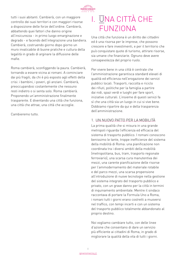

tutti i suoi abitanti. Cambierà, con un maggiore controllo dei suoi territori e con maggiori risorse a disposizione delle forze dell'ordine. Cambierà, abbattendo quei fattori che danno origine all'insicurezza - in primo luogo emarginazione e degrado - e facendo dell'integrazione una bandiera. Cambierà, costruendo giorno dopo giorno un muro invalicabile di buone pratiche e cultura della legalità in grado di arginare la diffusione delle mafie.

Roma cambierà, sconfiggendo la paura. Cambierà, tornando a essere vicina ai romani. A cominciare dai più fragili, da chi è più esposto agli effetti della crisi: i bambini, i poveri, gli anziani. Cambierà, preoccupandosi costantemente che nessuno resti indietro o si senta solo. Roma cambierà. Proponendo un'amministrazione finalmente trasparente. E diventando una città che funziona, una città che attrae, una città che accoglie.

Cambieremo tutto.

## I. UNA CITTÀ CHE FUNZIONA

Una città che funziona è un diritto dei cittadini ed è una risorsa per le imprese, che possono crescere e fare investimenti, e per il territorio che può conquistare quote di turismo, attirare risorse, sia umane che finanziarie. Ognuno deve avere consapevolezza del proprio ruolo.

Per vivere bene in una città è centrale che l'amministrazione garantisca standard elevati di qualità ed efficienza nell'erogazione dei servizi pubblici locali. Trasporti, raccolta e riciclo dei rifiuti, politiche per la famiglia a partire dai nidi, spazi verdi e luoghi per fare sport, iniziative culturali. L'insieme di questi servizi fa sì che una città sia un luogo in cui si vive bene. Dobbiamo ripartire da qui e della trasparenza dell'amministrazione.

## 1. UN NUOVO PATTO PER LA MOBILITà

La prima qualità che si misura in una grande metropoli riguarda l'efficienza ed efficacia del sistema di trasporto pubblico. I romani conoscono benissimo le tante, troppe inefficienze del sistema della mobilità di Roma: una pianificazione non coordinata tra i diversi ambiti della mobilità (metropolitana, bus, tram, trasporto regionale ferroviario), una scarsa cura manutentiva dei mezzi, una carente pianificazione delle risorse per l'ammodernamento del materiale rotabile e del parco mezzi, una scarsa propensione all'introduzione di nuove tecnologie nella gestione del sistema integrato del trasporto pubblico e privato, con un grave danno per la città in termini di inquinamento ambientale. Mentre il sindaco raccontava di portare la Formula Uno a Roma, i romani tutti i giorni erano costretti a muoversi nel traffico, con tempi incerti e con un sistema del trasporto pubblico totalmente abbandonato al proprio destino.

Noi vogliamo cambiare tutto, con delle linee d'azione che consentano di dare un servizio più efficiente ai cittadini di Roma, in grado di migliorare la qualità della vita di tutti i giorni.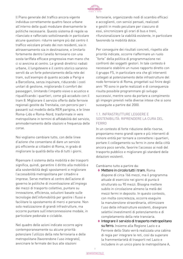

ll Piano generale del traffico ancora vigente individua correttamente quattro fasce urbane all'interno delle quali modulare diversamente le politiche necessarie. Questo sistema di regole va rilanciato e rafforzato sottolineando in particolare alcune questioni: ridurre sempre più dal centro il traffico veicolare privato dei non residenti, sia in attraversamento sia in destinazione, e limitarlo fortemente dentro l'anello ferroviario con una sosta tariffata efficace progressiva man mano che ci si avvicina al centro. Le grandi direttrici radiali urbane, il lungotevere e il centro storico saranno serviti da un forte potenziamento della rete dei tram, sull'esempio di quanto accade a Parigi e a Barcellona, senza inquinare, riducendo i costi unitari di gestione, migliorando il comfort dei passeggeri, limitando l'impatto visivo o acustico e riqualificando i quartieri, come già accaduto con il tram 8. Migliorare il servizio offerto dalle ferrovie regionali gestite da Trenitalia, con percorsi per i passanti sul modello della RER parigina, e le linee Roma-Lido e Roma-Nord, trasformate in vere metropolitane in termini di affidabilità del servizio, ammodernamento delle stazioni e frequenza delle corse.

Noi vogliamo cambiare tutto, con delle linee d'azione che consentano di dare un servizio più efficiente ai cittadini di Roma, in grado di migliorare la qualità della vita di tutti i giorni.

Ripensare il sistema della mobilità e dei trasporti significa, quindi, garantire il diritto alla mobilità e alla sostenibilità degli spostamenti e migliorare l'accessibilità metropolitana per cittadini e imprese. Serve mettere al centro dell'azione di governo le politiche di incentivazione all'impiego dei mezzi di trasporto collettivo, puntare su innovazione, efficienza, soluzioni basate sulle tecnologie dell'infomobilità per gestire i flussi e facilitare lo spostamento di merci e persone. Non solo realizzazione di grandi infrastrutture, ma occorre puntare sull'interconnessione modale, in particolare pedonale e ciclabile.

Nel quadro delle azioni indicate occorre agire contemporaneamente su alcune priorità: potenziare l'utilizzo della rete ferroviaria e delle metropolitane (favorendone l'uso integrato), avvicinare le fermate dei bus alle stazioni

ferroviarie, organizzando nodi di scambio efficaci e accoglienti, con servizi pensati, realizzati e gestiti in modo peculiare per ciascuno di essi, sincronizzare gli orari di bus e treni, rifunzionalizzare la viabilità esistente, in particolare favorendo la mobilità dolce.

Per conseguire dei risultati concreti, rispetto alle priorità indicate, occorre riaffermare un ruolo "forte" della politica di programmazione nei confronti dei soggetti gestori. In tale contesto è necessario stabilire un nuovo rapporto diretto con il gruppo FS, in particolare ora che gli interventi collegati al potenziamento delle infrastrutture del nodo ferroviario di Roma, progettati sul finire degli anni '90 sono in parte realizzati e di conseguenza risulta possibile programmare gli sviluppi successivi, mentre sono da portare a compimento gli impegni previsti nelle diverse intese che si sono susseguite a partire dal 2000.

## 1.1. INFRASTRUTTURE LEGGERE E SOSTENIBILITÀ: RIPRENDERE LA CURA DEL FERRO

In un contesto di forte riduzione delle risorse, proponiamo meno grandi opere e più interventi di minore entità per tornare a connettere i quartieri, portare il collegamento su ferro in zone della città ancora poco servite, favorire l'accesso ai nodi del trasporto pubblico e migliorare gli standard delle dotazioni esistenti.

- **◊**  Mettere in circolo tutti i tram. Roma dispone di circa 166 mezzi, ma il programma attuale di esercizio nei giorni di punta è strutturato su 90 mezzi. Bisogna mettere subito in circolazione almeno la metà dei mezzi fermi in deposito. In questo contesto, con molta concretezza, occorre eseguire la manutenzione straordinaria, ottimizzare l'uso delle infrastrutture esistenti, disegnare selettivi investimenti di potenziamento e di completamento della rete tranviaria.
- **◊**  Integrare il servizio di trasporto metropolitano su ferro. Insieme alla Regione Lazio e a Ferrovie dello Stato verrà realizzata una cabina di regia per integrare le reti, così da superare la frammentarietà di trasporti nel Lazio e includere in un unico piano le metropolitane A,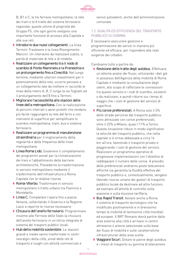

B, B1 e C, le tre ferrovie metropolitane, la rete dei tram e le 8 tratte del sistema ferroviario regionale, queste ultime di proprietà del Gruppo FS, che ogni giorno svolgono una importante funzione di accesso alla Capitale e alle sue reti.

- ◆ Introdurre due nuovi collegamenti. La linea Termini-Trastevere e la linea Risorgimento-Mancini. Un intervento da realizzare subito, a parità di materiale di rete e di rotabile.
- **◊** Realizzare un collegamento tra il nodo di scambio di Ponte Mammolo e la Prenestina e un prolungamento fino a Cinecittà. Nel lungo termine, mediante ulteriori investimenti per il potenziamento della rete, occorre pensare a un collegamento tale da mettere in raccordo le linee della metro A, B, C lungo la via Togliatti ed il prolungamento dell'8 fino a Termini.
- **◊**  Migliorare l'accessibilità alle stazioni delle linee della metropolitana. Con la realizzazione di percorsi interrati o aerei protetti che rendano più facile raggiungere la rete del ferro e con interventi di superficie per semplificare lo scambio metropolitana, tram, bus e sistema ferroviario.
- **◊** Realizzare un programma di manutenzione straordinaria per il miglioramento della regolarità e delle frequenza delle linee metropolitane.
- **◊**  Linea Roma Lido. Sostenere il completamento dei programmi avviati per la climatizzazione dei treni e l'abbattimento delle barriere architettoniche. Prevederne la trasformazione in servizio metropolitano mediante il trasferimento dell'infrastruttura a Roma Capitale con le relative risorse.
- **◊** Roma-Viterbo. Trasformare in servizio metropolitano il tratto urbano tra Flaminio e Montebello.
- **◊**  Linea C. Completare l'opera fino a piazza Venezia, sollecitando il Governo e la Regione Lazio a reperire le risorse necessarie.
- **◊**  Chiusura dell'anello ferroviario. Programmare insieme alle Ferrovie dello Stato la chiusura dell'anello ferroviario in un'ottica integrata di sistema dei trasporti pubblici locali.
- ◆ Hub della mobilità sostenibile. Le stazioni grandi e medie vanno trasformate in centri nevralgici della città, snodi delle reti di trasporto e luoghi con attività commerciali e

servizi polivalenti, anche dell'amministrazione comunale.

## 1.2. QUALITÀ ED EFFICIENZA DEL TRASPORTO PUBBLICO SU GOMMA

È necessario assicurare gestione e programmazione dei servizi in maniera più efficiente ed efficace, per rispondere alle reali esigenze dei cittadini.

- **◊** Revisione delle tratte degli autobus. Effettuare un'attenta analisi dei flussi, utilizzando i dati già in possesso dell'Agenzia della mobilità di Roma Capitale e mediante la consultazione degli utenti, allo scopo di rafforzare le connessioni tra questo servizio e i nodi di scambio, esistenti o da realizzare, e quindi ridurre sia i tempi di viaggio che i costi di gestione del servizio di superficie.
- **◊**  Più corsie preferenziali. A Roma solo il 5% delle strade percorse dal trasporto pubblico sono attrezzate con corsie preferenziali, oltre il 22% a Milano, quasi l'11% a Torino. Questa situazione riduce in modo significativo la velocità del trasporto pubblico, che nella capitale si è ormai abbassata a circa 14 km all'ora, favorendo il trasporto privato e peggiorando i costi di gestione del servizio. Realizzare un programma operativo di progressive implementazioni con l'obiettivo di raddoppiare il numero delle corsie. A presidio delle preferenziali andranno poste telecamere affinché sia garantita la fluidità effettiva del trasporto pubblico e, contestualmente, vengano liberate risorse umane dei gestori di trasporto pubblico locale da destinare ad altre funzioni, ad esempio all'attività di controllo sulla evasione e sulla elusione tariffaria.
- ◆ Bus Rapid Transit. Avviare anche a Roma il sistema di trasporto tecnologico che ha modificato positivamente e in brevissimo tempo la mobilità di tantissime città mondiali ed europee. Il BRT Romano dovrà partire dalle aree esterne alla città e arrivare in centro attraverso 4 arterie selezionate sulla base dei flussi di mobilità e sulle caratteristiche infrastrutturali delle aree scelte.
- **◊**  Viaggiare Sicuri. Dotare le paline degli autobus e i mezzi di trasporto su gomma di telecamere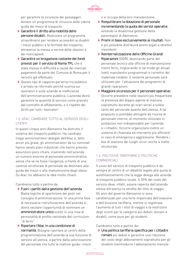

per garantire la sicurezza dei passeggeri. Avviare un programma di chiusura delle cabine guida dei mezzi di trasporto.

- **◊**  Garantire il diritto alla mobilità delle persone disabili. Realizzare un programma straordinario per rendere accessibili ai disabili i mezzi pubblici e le fermate del trasporto, attraverso la messa a norma delle stazioni e dei marciapiedi.
- **◊**  Garantire un'erogazione costante dei fondi previsti per il servizio di Roma TPL che è stata messa in difficoltà a causa dei mancati pagamenti da parte del Comune di Roma per il servizio già effettuato.
- ◆ Questo tipo di rapporto perverso tra pubblico e privato va riformato perché scarica sui lavoratori e sulle aziende le inefficienze dell'amministrazione pubblica. L'azienda dovrà garantire la quantità di servizio come previsto dal contratto di affidamento, e il rispetto dei diritti per tutti i lavoratori.

## 1.3. ATAC. CAMBIARE TUTTO AL SERVIZIO DEGLI UTENTI

In questi cinque anni Alemanno ha distrutto il sistema del trasporto pubblico. Ha cambiato troppi amministratori delegati dell'Atac e, fatto ancor più grave, gli amministratori da lui nominati hanno varato piani industriali che hanno previsto assunzioni poco chiare, inserendo nell'azienda un numero enorme di personale amministrativo, senza che ve ne fosse l'esigenza, a fronte di una carenza strutturale di personale da destinare alla guida dei mezzi e alla manutenzione degli stessi. Su Atac noi abbiamo le idee molto chiare.

#### Cambiamo tutto a partire da:

- **◊**  Fuori i partiti dalla gestione dell'azienda. Basta logiche di spartizione dei posti nel consiglio d'amministrazione. In una prima fase di necessaria ristrutturazione dell'azienda si dovrà valutare l'opportunità di nominare un amministratore unico scelto in una rosa di personalità di profilo nazionale dal curriculum "di ferro".
- **◊** Riportare l'Atac in una condizione di normalità. Bisogna riportare al centro della programmazione dell'azienda la sua funzione di servizio all'utenza, a partire dalla valorizzazione del personale che tutte le mattine guida i mezzi

o si occupa della loro manutenzione.

- **◊** Riequilibrare la dotazione di personale incrementando la quota dei servizi operativi. evitando la disastrosa gestione della parentopoli di Alemanno.
- **◊**  Premi in base esclusivamente ai risultati. Non è più possibile distribuire premi legati a obiettivi inesistenti.
- **◊** Reinternalizzazione delle Officine Grandi Riparazioni (OGR), destinando parte del personale tecnico alle officine di manutenzione metro ferro, migliorando in tal modo gli attuali livelli manutentivi programmati e correttivi del materiale rotabile. Il restante personale sarà utilizzato per l'attuazione dei programmi di grandi riparazioni.
- ◆ Maggiore sicurezza per il personale operativo. Occorre prevedere nelle stazioni più frequentate la presenza del doppio agente di stazione soprattutto durante gli orari serali a tutela tanto del personale quanto dell'utenza. A tal proposito si potrebbe attingere da risorse di personale interno, al momento utilizzato in postazioni non indispensabili per l'azienda e i cittadini. Occorre organizzare inoltre un sistema di chiamata ed intervento più efficienti in caso di emergenza e aggressione. Rendere i box di stazione dei luoghi sicuri anche a livello strutturale.

## 1.4. POLITICHE TARIFFARIE E POLITICHE COMMERCIALI

Il costo del servizio di trasporto pubblico è da sempre al centro di un dibattito legato alla quota di autofinanziamento che la legge delega alle aziende di trasporto pubblico locale. Il 35% del costo del servizio deve, infatti, essere reperito dall'azienda stessa attraverso la vendita dei titoli di viaggio. Gli anni del governo Alemanno si sono caratterizzati per una forte impennata dell'evasione e dell'elusione tariffaria, mentre si registrava l'aumento di tutti i titoli di viaggio e la restrizioni degli sconti per le categorie più deboli, anziani e disabili, come pure per gli studenti.

#### Cambiamo tutto a partire da:

**◊** Una politica tariffaria specifica per i cittadini romani più deboli e garantire una riduzione del costo degli abbonamenti soprattutto per gli studenti (reintrodurre l'abbonamento mensile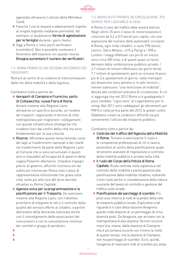

agevolato attraverso l'utilizzo della Metrebus Card).

- **◊**  Favorire l'uso di tessere e abbonamenti rispetto al singolo biglietto mediante premialità. Ad esempio, si studieranno forme di agevolazione per le famiglie durante i giorni festivi.
- **◊**  Oggi a Roma ci sono pochi verificatori (controllori). Non è possibile contenere il fenomeno dell'evasione con queste risorse. Bisogna aumentare il numero dei verificatori.

## 1.5. ROMA PERNO DI UN SISTEMA INTEGRATO DEI **TRASPORTI**

Roma è al centro di un sistema di interconnessioni delle reti della mobilità e della logistica.

Cambiamo tutto a partire da:

- **◊**  Aeroporti di Ciampino e Fiumicino, porto di Civitavecchia, nuova Fiera di Roma. Avviare insieme alla Regione Lazio, attraverso un specifico accordo, un riordino dei trasporti, ragionando in termini di città metropolitana per migliorare i collegamenti con queste infrastrutture strategiche che ricadono fuori dai confini della città ma sono fondamentali per la sua crescita.
- ◆ Risorse. Affrontare questo tema tenendo conto dei tagli ai trasferimenti nazionali e dei ritardi nei trasferimenti da parte della Regione Lazio al Comune che si sono accumulati in questi anni e imputabili all'incapacità di governo della coppia Polverini-Alemanno. Chiedere impegni precisi al governo, affinché riconosca sin da subito più risorse per Roma visto il peso di rappresentanza istituzionale che grava sulla città, tanto più alla luce del terzo decreto attuativo su Roma Capitale.
- **◊**  Agenzia unica per la programmazione e la pianificazione per il Trasporto. Da realizzare insieme alla Regione Lazio, con l'obiettivo prioritario di integrare le reti e il controllo della qualità del servizio offerto ai cittadini, a partire dall'analisi della domanda realizzata anche con il coinvolgimento delle associazioni dei consumatori e con la consultazione continua dei comitati e gruppi di pendolari.

## **◊**

- **◊**
- **◊**

## 1.6. MENO AUTO PRIVATE IN CIRCOLAZIONE. PIÙ SERVIZI PER LASCIARLE A CASA

A Roma il caos del traffico deve essere battuto. Negli ultimi 35 anni il tasso di motorizzazione è cresciuto da 0,2 a 0,9 veicoli pro-capite, con una esplosione del numero delle automobili circolanti. A Roma, ogni mille cittadini, ci sono 978 veicoli, contro i 540 a Milano, i 415 a Parigi e i 398 a Londra. I viaggi effettuati con più di un mezzo, sono circa 500 mila, e di questi quasi un terzo derivano dalla combinazione pubblico-privato. I 2,7 milioni di romani effettuano nei giorni feriali 7,1 milioni di spostamenti, però un romano fa poco più di 2,4 spostamenti al giorno: nelle metropoli più dinamiche sono almeno 4. In altri termini, i romani subiscono "una restrizione di mobilità", dovuta alle condizioni precarie di circolazione. A ciò si aggiunga che nel 2012 Roma si è guadagnata il poco invidiato "cigno nero" di Legambiente per lo smog. Nel 2011 sono raddoppiati gli sforamenti per PM10 e nella prima parte del 2012 le polveri sottili. Dobbiamo creare le condizioni affinché sia più conveniente l'utilizzo del trasporto pubblico.

- **◊**  Centrale del traffico dell'Agenzia della Mobilità di Roma. Tornare a valorizzarne il ruolo e le competenze professionali di chi vi lavora, ponendolo al centro della pianificazione quale strumento avanzato di regolazione e controllo della mobilità pubblica e privata nella città.
- **◊**  Il ruolo del Corpo della Polizia di Roma Capitale. Ruolo centrale nella vigilanza e nel controllo della mobilità e partecipazione alla pianificazione della mobilità cittadina, tutelando il loro ruolo anche in considerazione della natura usurante del lavoro di controllo e gestione del traffico sulle strade.
- **◊**  Pianificazione dei parcheggi di scambio. Più posti auto intorno ai nodi di scambio della rete di trasporto pubblico locale. Esplicativo a tal riguardo è il caso della stazione Anagnina: questo nodo dispone di un parcheggio di circa duemila posti. Da Anagnina, per arrivare con la metropolitana A alla stazione Termini occorre mezz'ora; invece, dalla stazione di Ciampino che è più lontana occorre con il treno la metà di questo tempo, ma la stazione di Ciampino non ha parcheggio di scambio. Ecco, quindi, l'esigenza di realizzare nodi di scambio più ampi,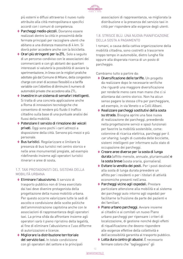

più esterni e diffusi attraverso il nuovo ruolo attribuito alla città metropolitana e specifici accordi con i comuni di competenza.

- **◊**  Parcheggi medio-piccoli. Dovranno essere realizzati dentro la città in prossimità delle fermate principali per raccogliere utenti che abitano a una distanza massima di 4 km. Si dovrà poter accedere anche con la bicicletta.
- **◊**  Orari più stringenti per la ZTL. Solo a seguito di un percorso condiviso con le associazioni dei commercianti e con gli abitanti dei quartieri interessati si valuterà la possibilità di avviare la sperimentazione, in linea con le migliori pratiche adottate già dal Comune di Milano, della congestion charge con orari di accesso flessibili e a tariffa variabile con l'obiettivo di diminuire il numero di automobili private che accedono alla ZTL.
- **◊**  Investire in un sistema di semafori intelligenti. Si tratta di una concreta applicazione anche a Roma di innovazioni tecnologiche che consentono di rendere più fluido il traffico cittadino sulla base di una puntuale analisi dei flussi della mobilità.
- **◊**  Potenziare il servizio di rimozione dei veicoli privati. Oggi sono pochi i carri attrezzi a disposizione della città. Servono più mezzi e più personale.
- **◊** Bus turistici. Regolarizzare e limitare la presenza di bus turistici nel centro storico e nelle aree monumentali pregiate, ad esempio ridefinendo insieme agli operatori turistici itinerari e aree di sosta.

## 1.7. TAXI PROTAGONISTI DEL SISTEMA DELLA MOBILITÀ URBANA

- **◊**  Eliminare l'abusivismo. Il servizio di trasporto pubblico non di linea esercitato dai taxi deve divenire protagonista della progettazione della nuova mobilità urbana. Per questo occorre valorizzare tutte le sedi di ascolto e condivisione delle scelte politiche dell'amministrazione capitolina anche con le associazioni di rappresentanza degli operatori taxi. La prima sfida da affrontare insieme agli operatori sarà il pieno ripristino della legalità, al fine di eliminare l'abusivismo e l'uso difforme di autorizzazioni e licenze.
- **◊**  Migliorare la distribuzione territoriale del servizio taxi. In totale condivisione con gli operatori del settore e le principali

associazioni di rappresentanza, va migliorata la distribuzione e la presenza del servizio taxi in città per rispondere alle esigenze degli utenti.

## 1.8. STRISCE BLU. UNA NUOVA PIANIFICAZIONE DELLA SOSTA A PAGAMENTO

I romani, a causa della cattiva organizzazione della mobilità cittadina, sono costretti a trascorrere troppo tempo in automobile, dietro lunghe file oppure alla disperata ricerca di un posto di parcheggio.

- **◊** Diversificazione delle tariffe. Un progetto da realizzare dopo le necessarie verifiche che riguardi una maggiore diversificazione per renderle meno care man mano che ci si allontana dal centro storico. Non ha alcun senso pagare la stessa cifra per parcheggiare, ad esempio, in via Veneto o a Colli Albani.
- **◊** Realizzare parcheggi sostitutivi della sosta su strada. Bisogna aprire una fase nuova di realizzazione dei parcheggi, prevedendo nella progettazione servizi e spazi funzionali per favorire la mobilità sostenibile, come: colonnine di ricarica elettrica, parcheggi per il car sharing, luoghi di custodia delle biciclette, sistemi intelligenti per informare sullo stato di occupazione dei parcheggi.
- **◊**  Creare aree diverse per la sosta di lunga durata (affitto mensile, annuale, pluriannuale) e la sosta breve (sosta oraria, giornaliera).
- **◊**  Evitare la vendita dei posti. Per i posti destinati alla sosta di lunga durata prevedere un affitto per i residenti o per i titolari di attività economiche presenti nell'area.
- **◊**  Parcheggi vicino agli ospedali. Prestare particolare attenzione alla mobilità e al sistema dei parcheggi auto intorno agli ospedali per facilitarne la fruizione da parte dei pazienti e dei familiari.
- **◊**  Piano urbano parcheggi. Avviare insieme ai cittadini e ai comitati un nuovo Piano urbano parcheggi per ripensare i criteri di localizzazione, di gestione nonché degli effetti di riqualificazione che devono rispondere alle esigenze effettive della collettività e dell'accessibilità garantita al trasporto pubblico.
- **◊**  Lotta dura contro gli abusivi. È necessario fermare coloro che "taglieggiano" gli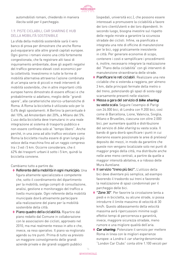

automobilisti romani, chiedendo in maniera illecita soldi per il parcheggio.

## 1.9. PISTE CICLABILI, CAR SHARING E HUB DELLA MOBILITÀ SOSTENIBILE

La sfida della mobilità sostenibile sarà il vero banco di prova per dimostrare che anche Roma può equipararsi alle altre grandi capitali europee. Ogni giorno i romani vivono una città fortemente congestionata, che fa registrare alti tassi di inquinamento ambientale, dove gli aspetti negativi del traffico generano elevati costi economici per la collettività. Investiremo in tutte le forme di mobilità alternativa attraverso l'azione combinata di un'ampia serie di piccoli e medi interventi di mobilità sostenibile, che in altre importanti città europee hanno dimostrato di essere efficaci e che probabilmente si adattano, meglio delle "grandi opere", alle caratteristiche storico-urbanistiche di Roma. A Roma la bicicletta è utilizzata solo per lo 0,4% degli spostamenti. A Berlino la percentuale è del 10%, ad Amsterdam del 20%, a Milano del 5%. L'uso della bicicletta deve tramutarsi in una reale integrazione al sistema di trasporto pubblico e non essere confinata solo al "tempo libero". Anche perché, in una zona ad alto traffico veicolare come Roma la bicicletta risulta essere di gran lunga più veloce della macchina fino ad un raggio compreso tra i 3 ed i 5 km. Occorre considerare, che il 62% dei trasporti urbani è sotto i 5 km, quindi la bicicletta conviene.

Cambiamo tutto a partire da:

- **◊** Referente della mobilità in ogni municipio. Una figura altamente specializzata e competente che, sotto il coordinamento del dipartimento per la mobilità, svolga compiti di consultazione, analisi, gestione e monitoraggio del traffico a livello municipale. Ogni referente della mobilità municipale dovrà attivamente partecipare alla realizzazione del piano per la mobilità sostenibile della città.
- **◊**  Piano quadro della ciclabilità. Ripartire dal piano redatto dal Comune in collaborazione con le associazioni dei ciclisti, approvato nel 2010, ma mai realmente messo in atto e che, invece, va reso operativo. Il piano va migliorato agendo su tre punti. Prima di tutto va previsto un maggiore coinvolgimento delle grandi aziende private e dei grandi soggetti pubblici

(ospedali, università ecc.), che possono essere interessati a promuovere la ciclabilità a favore dei loro clienti/utenti e dei loro dipendenti. In secondo luogo, bisogna investire sul rispetto delle regole mirate a garantire la sicurezza stradale dei ciclisti. Infine, va pianificata e integrata una rete di officine di manutenzione per le bici, oggi praticamente inesistente in città. Per generare economie di scopo, contenere i costi e semplificare i procedimenti è, inoltre, necessario integrare la realizzazione del "Piano della ciclabilità" con gli interventi di manutenzione straordinaria delle strade.

- **◊**  Pianificare le reti ciclabili. Realizzare una rete ciclabile che si estenda a raggiera, per almeno 3 km, dalle principali fermate della metro o del treno, potenziando gli spazi di sosta oggi scarsamente presenti nelle stazioni.
- **◊**  Messa a gara del servizio di *bike sharing* su vasta scala. Seguire l'esempio di Parigi con 24.000 bici, di Londra con 9.200 bici, così come di Barcellona, Lione, Valencia, Siviglia, Milano e Bruxelles, ciascuna con oltre 2.000 bici, per aumentare qualità e distribuzione del servizio di *bike sharing* su vasta scala. Il bando di gara dovrà specificare i punti in cui dovranno essere posizionate le aree di prelievo/ deposito dei mezzi, in modo da garantire che queste non vengano localizzate solo nei punti di maggior pregio della città, ma distribuite anche nelle aree meno centrali, a partire da quelle a maggior intensità abitativa, e a ridosso delle Mura Aureliane.
- **◊**  Il servizio "treno più bici". L'utilizzo della bici deve diventare più semplice, ad esempio favorendo il trasbordo sui treni e favorendo la realizzazione di spazi condominali per il parcheggio delle bici.
- **◊**  "Zone 30". Per favorire la circolazione lenta a piedi e in bicicletta, su alcune strade, si possa introdurre il limite massimo di velocità di 30 km/h. Questo abbassamento della velocità massima avrà ripercussioni minime sugli effettivi tempi di percorrenza e garantirà, invece, maggiore sicurezza stradale, meno rumore e una migliore qualità dell'aria.
- **◊**  *Car sharing*. Potenziare il servizio per mettere Roma in linea con le migliori esperienze europee: a Londra il car sharing denominato "London Car Clubs" conta oltre 1.100 veicoli per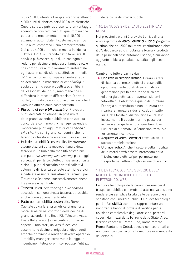

più di 60.000 utenti, a Parigi si stanno istallando 6.600 punti di ricarica per 3.000 auto elettriche. Questo servizio può rappresentare un vantaggio economico concreto per tutti quei romani che percorrono mediamente meno di 10.000 km all'anno in automobile. Il costo medio annuo di un'auto, compreso il suo ammortamento, è di circa 4.500 euro, che in media incide tra il 12% e il 25% sul reddito netto familiare. Il servizio può essere, quindi, un sostegno al reddito per decine di migliaia di famiglie oltre che contribuire al miglioramento ambientale: ogni auto in condivisione sostituisce in media 8-14 veicoli privati. Gli spazi a bordo strada da dedicare alle macchine di car sharing in sosta potranno essere quelli lasciati liberi dai cassonetti dei rifiuti, man mano che si diffonderà la raccolta differenziata "porta a porta", in modo da non ridurre gli incassi che il Comune ottiene dalla sosta tariffata.

- **◊**  Più punti di *car e bike sharing*. Prevedere punti dedicati, posizionati in prossimità delle grandi aziende pubbliche e private, da concordare con i mobility manager aziendali. Concordare punti aggiuntivi di car sharing o bike sharing con i grandi condomini che ne faranno richiesta e ne avranno l'uso esclusivo.
- ◆ Hub della mobilità sostenibile. Trasformare alcune stazioni della metropolitana e della ferrovia in un hub della mobilità sostenibile con punti car sharing, bike sharing, parcheggi sorvegliati per le biciclette, un sistema di piste ciclabili, punti di raccolta per taxi collettivi, colonnine di ricarica per auto elettriche e bici a pedalata assistita. Inizialmente Termini, poi Tiburtina e Ostiense, successivamente anche Trastevere e San Pietro.
- **◊**  Tessera unica. Car sharing e bike sharing accessibili con una stessa tessera, utilizzabile anche come abbonamento Atac.
- **◊**  Patto per la mobilità sostenibile. Roma Capitale dovrà farsi promotrice di una forte moral suasion nei confronti delle decine di grandi aziende (Eni, Enel, FS, Telecom, Acea, Poste Italiane ecc.) e dei centri commerciali, ospedali, ministeri, università ecc. che assommano decine di migliaia di dipendenti, affinché nominino e rendano davvero operativo il mobility manager (come vuole la legge) e incentivino il telelavoro, il car pooling, l'utilizzo

della bici e dei mezzi pubblici.

#### 1.10. LA NUOVE SFIDE. L'AUTO ELETTRICA A ROMA

Nei prossimi tre anni è previsto l'arrivo di una ampia gamma di veicoli elettrici e ibridi *plug-in* – si stima che nel 2020 tali mezzi costituiranno circa il 5% del parco auto circolante a Roma – prodotti dalle principali case automobilistiche, a cui vanno aggiunte le bici a pedalata assistita e gli scooter elettrici.

Cambiamo tutto a partire da:

- **◊** Una rete di ricarica diffusa. Creare centrali di ricarica dei mezzi elettrici presso edifici opportunamente dotati di sistemi di cogenerazione per la produzione di calore ed energia elettrica, attraverso i sistemi fotovoltaici. L'obiettivo è quello di utilizzare l'energia autoprodotta e non utilizzata per ricaricare i mezzi e ridurre, così, l'impatto sulla rete locale di distribuzione e i relativi investimenti. È questo il primo passo per arrivare a progettare nuovi quartieri dove l'utilizzo di automobili a "emissioni zero" sia fortemente incentivato.
- **◊**  Acquisto di veicoli elettrici effettuati dalla stessa amministrazione.
- **◊** Ultimo miglio. Anche il settore della mobilità delle merci dovrà essere interessato dalla "rivoluzione elettrica"per permetterne il trasporto nell'ultimo miglio su veicoli elettrici.

## 1.11. LA TECNOLOGIA AL SERVIZIO DELLA MOBILITÀ. INFOMOBILITY, BIGLIETTO ELETTRONICO, WEB

Le nuove tecnologie della comunicazione per il trasporto pubblico e la mobilità alternativa possono rendere più semplice la vita delle persone che si spostano con i mezzi pubblici. Le nuove tecnologie per l'infomobilità dovranno rappresentare un importante banco di prova e di verifica per la revisione complessiva degli orari e dei percorsi coperti dai mezzi delle Ferrovie dello Stato, Atac, ferrovie concesse (Roma-Lido, Roma-Viterbo, Roma-Pantano) e Cotral, spesso non coordinati e non pianificati per favorire la migliore intermodalità dei cittadini.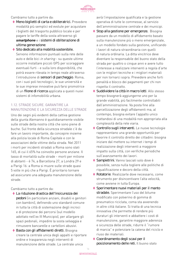

Cambiamo tutto a partire da:

- **◊**  Meno biglietti di carta e obliteratrici. Prevedere modalità più semplici ed evolute per acquistare i biglietti del trasporto pubblico locale e per pagare le tariffe della sosta attraverso gli *smartphone* e i sistemi di obliterazione di ultima generazione.
- **◊**  Sito dedicato alla mobilità sostenibile. Servono informazioni puntuali sulla rete delle auto e delle bici in sharing - su queste ultime occorre installare piccoli GPS per scoraggiare eventuali furti - e sulla loro disponibilità, che potrà essere rilevata in tempo reale attraverso l'introduzione di sensori di parcheggio. Roma, con i suoi poli tecnologici, le sue università e le sue imprese innovative può farsi promotrice di un filone di ricerca applicata a questi nuovi sistemi di infomobilità urbana.

## 1.12. STRADE SICURE. GARANTIRE LA MANUTENZIONE E LA SICUREZZA DELLE STRADE

Uno dei segni più evidenti della cattiva gestione della giunta Alemanno è quotidianamente visibile sulle strade della nostra città che sono piene di buche. Sul fronte della sicurezza stradale c'è da fare un lavoro importante, da concepire insieme alla polizia locale di Roma Capitale e con le associazioni delle vittime della strada. Nel 2011 i morti per incidenti stradali a Roma sono stati 165, di cui il 65% ha coinvolto persone anziane. Il tasso di mortalità sulle strade - morti per milione di abitanti - è 74, a Barcellona 27, a Londra 29 e a Parigi 16: a Roma si muore sulle strade quasi 5 volte in più che a Parigi. È prioritario tornare ad assicurare una adeguata manutenzione delle strade.

Cambiamo tutto a partire da:

- **◊**  La riduzione drastica dell'insicurezza dei pedoni (in particolare anziani, disabili e genitori con bambini), definendo uno standard comune in tutta la città di sistemazione degli incroci e di protezione dei percorsi (sul modello adottato nell'ex III Municipio), per allargare gli spazi pedonali, impedire la sosta selvaggia e rimuovere bancarelle e cartelloni abusivi.
- ◆ Basta con gli affidamenti diretti. Bisogna creare la centrale unica degli appalti e riportare ordine e trasparenza negli interventi di manutenzione delle strade. La centrale unica

avrà l'impostazione qualificata e la gestione operativa di tutte le commesse, al servizio dell'amministrazione centrale e dei municipi.

- ◆ Stop alla gestione per emergenze. Bisogna passare da un modello di affidamento basato sulla manutenzione più o meno emergenziale, a un modello fondato sulla gestione, unificando i lavori di natura straordinaria con quelli di natura ordinaria. La ditta vincitrice deve diventare la responsabile del buono stato della strada per quattro o cinque anni e avere tutto l'interesse a realizzare interventi a regola d'arte con le migliori tecniche e i migliori materiali per non tornarci sopra. Prevedere anche forti penalità e blocco dei pagamenti per chi non rispetta il contratto.
- **◊**  Suddividere la città in macro lotti. Allo stesso tempo bisognerà aggiungerne uno per la grande viabilità, più facilmente controllabili dall'amministrazione. Va posta fine alla parcellizzazione degli affidamenti ma, al contempo, bisogna evitare l'appalto unico trattandosi di una modalità non appropriata alla complessità della rete viaria.
- ◆ Controllo sugli interventi. Le nuove tecnologie rappresentano una grande opportunità per favorire il controllo diretto dei cittadini: bisogna iniziare dal mettere su internet i tempi di realizzazione degli interventi a maggiore impatto sulla città, con verifiche periodiche sull'avanzamento dei lavori.
- ◆ Sampietrini. Vanno lasciati solo dove è possibile, senza nulla togliere alle politiche di riqualificazione e decoro della città.
- ◆ Rotatorie. Realizzarle dove necessario, come strumento per disincentivare l'alta velocità, come avviene in tutta Europa.
- **◊**  Sperimentare nuovi materiali per il manto stradale. Sperimentare l'uso del bitume modificato con polverino di gomma di pneumatico riciclata, coma sta avvenendo in altre città italiane. Si tratta di una tecnica innovativa che permette di rendere più duraturi gli interventi e abbattere i costi di manutenzione, garantire maggiore aderenza e sicurezza delle strade, ridurre il "rumore di marcia" e potenziare la catena del riciclo e riuso dei materiali.
- **◊**  Coordinamento degli scavi per il posizionamento delle reti. Il buono stato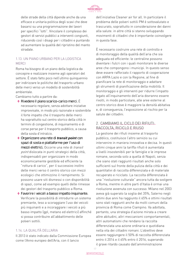

delle strade della città dipende anche da una efficace e unitaria politica degli scavi che deve basarsi su una programmazione dei lavori per specifici "lotti". Vincolare il complesso dei gestori di servizi pubblici a interventi congiunti, riducendo così i disagi per i cittadini e puntando ad aumentare la qualità del ripristino del manto stradale.

## 1.13. UN PIANO URBANO PER LA LOGISTICA MERCI

Roma ha bisogno di un piano della logistica da concepire e realizzare insieme agli operatori del settore. È stato fatto poco nell'ultimo quinquennio per indirizzare le politiche del trasporto urbano delle merci verso un modello di sostenibilità ambientale.

Cambiamo tutto a partire da:

- **◊**  Rivedere il piano scarico-carico merci. È necessario regolare, senza adottare iniziative improvvisate, in modo più razionale e sostenibile il forte impatto che il trasporto delle merci ha soprattutto sul centro storico della città in termini di congestione, di inquinamento e di corse perse per il trasporto pubblico, a causa della sosta d'intralcio.
- **◊**  Organizzare una rete di *transit point* con spazi di sosta e piattaforme per l'uso di mezzi elettrici*.* Occorre una rete di transit point dislocata in punti strategici della città, indispensabili per organizzare in modo economicamente gestibile ed efficiente la "rottura di carico", per il successivo inoltro delle merci verso il centro storico con mezzi ecologici che ottimizzino il riempimento. Si possono usare siti dismessi o con disponibilità di spazi, come ad esempio quelli delle rimesse dei gestori del trasporto pubblico a Roma.
- **◊**  Favorire i veicoli a basso impatto inquinante. Verificare la possibilità di introdurre un sistema premiante, teso a scoraggiare l'uso dei veicoli più inquinanti e a incoraggiare i veicoli a più basso impatto (gpl, metano ed elettrici) affinché si possa contribuire all'abbattimento delle polveri sottili.

## 1.14. LA QUALITÀ DELL'ARIA

Il 2013 è stato indicato dalla Commissione Europea come l'Anno europeo dell'Aria, con il lancio

dell'iniziativa Cleaner air for all. In particolare il problema delle polveri sottili PM è sottovalutato e trascurato, soprattutto in considerazione dei danni alla salute. in altre città si stanno sviluppando movimenti di cittadini che è importante coinvolgere in questa fase.

È necessario costruire una rete di controllo e di monitoraggio della qualità dell'aria che sia adeguata ed efficiente: le centraline possono diventare i fulcri con i quali monitorare le diverse aree che compongono i municipi. In questo senso deve essere rafforzato il rapporto di cooperazione con ARPA Lazio e con la Regione, al fine di pianificare la rete di monitoraggio e adattare gli strumenti di pianificazione della mobilità. Il monitoraggio e gli interventi per ridurre l'impatto legato all'inquinamento dell'aria dovranno essere rivolti, in modo particolare, alle aree esterne al centro storico dove è maggiore la densità abitativa e, di conseguenza, l'esposizione al rischio per la salute dei cittadini.

## 2. CAMBIAMO IL CICLO DEI RIFIUTI: RACCOLTA, RICICLO E RIUSO

La gestione dei rifiuti insieme al trasporto pubblico, costituisce l'altro servizio su cui intervenire in maniera innovativa e decisa. In questi ultimi cinque anni la tariffa rifiuti è aumentata a livelli insostenibili per le famiglie e le imprese romane, seconda solo a quella di Napoli, senza che siano stati raggiunti risultati anche solo sufficienti sul fronte della pulizia della città e dei quantitativi di raccolta differenziata e di materiale recuperato e riciclato. La raccolta differenziata è una "rivoluzione culturale" ancora tutta da svolgere a Roma, mentre in altre parti d'Italia è ormai una rivoluzione avvenuta con successo. Milano nel 2003 aveva già superato la soglia del 35%, Salerno negli ultimi due anni ha raggiunto il 65% e ottimi risultati sono stati raggiunti anche da molti comuni della provincia di Roma come Ciampino. Va adottata, pertanto, una strategia d'azione mirata a creare altre abitudini, altri meccanismi comportamentali, altri automatismi che rendano la raccolta differenziata una azione ordinaria e quotidiana nella vita dei cittadini romani. L'obiettivo deve essere raggiungere il 50% di raccolta differenziata entro il 2014 e il 65% entro il 2016, superando il grave ritardo causato dall'amministrazione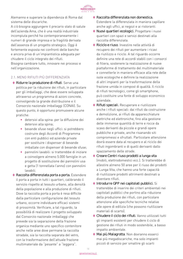

Alemanno e superare la dipendenza di Roma dal sistema delle discariche.

A ciò bisogna aggiungere il precario stato di salute dell'azienda Ama, che è una realtà industriale incompiuta perché ha contemporaneamente i numeri di grande impresa e la fragilità derivata dall'assenza di un progetto strategico. Oggi è fortemente esposta nei confronti delle banche e ancora priva di un'impiantistica adeguata per chiudere il ciclo integrato dei rifiuti.

Bisogna cambiare tutto, innovare nei processi e nell'organizzazione.

## 2.1. MENO RIFIUTI PIù DIFFERENZIATA

- ◆ Ridurre la produzione di rifiuti. Serve una politica per la riduzione dei rifiuti, in particolare per gli imballaggi, che deve essere sviluppata attraverso un programma di azioni concrete, coinvolgendo la grande distribuzione e il Consorzio nazionale imballaggi (CONAI). Su questo punto, è opportuno promuovere alcune pratiche:
	- **•**  detersivi alla spina: per la diffusione dei detersivi alla spina;
	- **•**  bevande sfuse negli uffici: si potrebbero costruire degli Accordi di Programma con enti pubblici ed aziende private per sostituire i dispenser di bevande imballate con dispenser di bevande sfuse;
	- **•**  pannolini lavabili: si tratterebbe di iniziare a coinvolgere almeno 5.000 famiglie in un progetto di sostituzione dei pannolini usa e getta (1 tonnellata l'anno) con pannolini lavabili.
- ◆ Raccolta differenziata porta a porta. Estendere il porta a porta in tutti i quartieri, calibrando il servizio rispetto al tessuto urbano, alla densità della popolazione e alla produzione di rifiuti. Dove la raccolta porta a porta è resa difficile dalla particolare configurazione del tessuto urbano, occorre individuare efficaci sistemi di prossimità. Verificare, a tal riguardo, la possibilità di realizzare il progetto sviluppato dal Consorzio nazionale imballaggi che prevede sia la separazione della frazione organica mediante uno specifico contenitore anche nelle aree dove permane la raccolta stradale, sia la raccolta separata del vetro, con la trasformazione dell'attuale frazione multimateriale da "pesante" a "leggera".
- **◊** Raccolta differenziata non domestica. Estendere la differenziata in maniera capillare anche agli uffici, ai negozi e ai ristoranti.
- **◊**  Nuovi quartieri ecologici. Progettare i nuovi quartieri con spazi e servizi destinati alla raccolta differenziata.
- **◊** Riciclo e riuso. Investire nelle attività di recupero dei rifiuti per aumentare i ricavi da riutilizzo e riciclo. A tal riguardo occorre definire una rete di accordi stabili con i consorzi di filiera, sostenere la realizzazione di nuove piattaforme di trattamento del multimateriale e connetterle in maniera efficace alla rete delle isole ecologiche e definire la realizzazione di altri impianti per la trasformazione della frazione umida in compost di qualità. Il riciclo di rifiuti tecnologici, come gli smartphone, può costituire una fonte di sviluppo economico aziendale.
- **◊** Rifiuti speciali. Recuperare e riutilizzare anche i rifiuti speciali: dai rifiuti da costruzione e demolizione, ai rifiuti da apparecchiature elettriche ed elettroniche, fino alla gestione delle immense quantità di terre e rocce da scavo derivanti da piccole e grandi opere pubbliche e private, anche risanando siti compromessi e sfruttati. Particolare attenzione dovrà essere data al recupero e al riciclo dei rifiuti ingombranti e di quelli derivanti dallo spazzamento delle strade.
- **◊**  Creare Centri riuso prodotti a lunga vita (mobili, elettrodomestici ecc.). Si tratterebbe di allestire almeno 50 aree per il riuso dei prodotti a Lunga Vita, che hanno una forte capacità di riutilizzare prodotti altrimenti destinati a diventare rifiuti.
- **◊**  Introdurre GPP nei capitolati pubblici. Si tratterebbe di inserire dei criteri ambientali nei capitolati pubblici che portino alla riduzione della produzione dei rifiuti, con particolare attenzione alle specifiche tecniche relative alle opere di edilizia (che possono riutilizzare materiali di scarto).
- **◊**  Chiudere il ciclo dei rifiuti. Vanno utilizzati tutti gli impianti esistenti per chiudere il ciclo di gestione dei rifiuti in modo sostenibile, a basso impatto ambientale.
- **◊**  Mai più Malagrotta. Non dovranno esserci mai più megadiscariche, ma solo impianti piccoli di servizio per smaltire gli scarti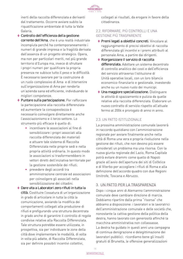

inerti della raccolta differenziata e derivanti dal trattamento. Occorre avviare subito la riqualificazione ambientale di tutta la Valle Galeria.

- **◊**  Controllo dell'efficienza della gestione corrente dell'Ama, che è una realtà industriale incompiuta perché ha contemporaneamente i numeri di grande impresa e la fragilità derivata dall'assenza di un progetto strategico. Opera, ma non per particolari meriti, nel più grande territorio d'Europa ma, invece di sfruttare i propri numeri per qualificare la propria presenza ne subisce tutto il peso e le difficoltà. È necessario lavorare per la costruzione di un ruolo complessivo di Ama e di intervenire sull'organizzazione di Ama per renderla un'azienda sana ed efficiente, individuando le migliori competenze.
- **◊**  Puntare sulla partecipazione. Per rafforzare la partecipazione alla raccolta differenziata ed aumentare la consapevolezza è necessario coinvolgere direttamente anche l'associazionismo e il terzo settore. Lo strumento più efficace è quello di:
	- **•**  incentivare le associazioni al fine di sensibilizzare i propri associati alla raccolta differenziata dei materiali e attuare tale sistema di Raccolta Differenziata nelle proprie sedi e nella propria attività ordinaria. In questo modo le associazioni si trasformerebbero in vettori diretti dell'iniziativa territoriale per la gestione sostenibile dei rifiuti;
	- **•**  prevedere degli accordi tra amministrazione centrale ed associazioni per coinvolgere gli associati nella sensibilizzazione dei cittadini.
- **◊** Dare vita a Laboratori zero rifiuti in tutta la città. Costituire l'ossatura di un'organizzazione in grado di articolare in tutta la città la comunicazione, avviando la modifica dei comportamenti collegati alla produzione di rifiuti e prefigurando una struttura decentrata in grado anche di garantire il controllo di regole condivise relative alla Raccolta Differenziata. Tale struttura potrebbe essere utilizzata, in prospettiva, sia per individuare le zone della città dove implementare le modalità, di volta in volta più adatte, di Raccolta Differenziata, sia per definire possibili incentivi collettivi,

collegati ai risultati, da erogare in favore della cittadinanza.

## 2.2. RIFORMARE. PIÙ CONTROLLI E UNA GESTIONE PIÙ TRASPARENTE

- ◆ Premi legati a obiettivi concreti. Vincolare al raggiungimento di precisi obiettivi di raccolta differenziata gli incentivi e i premi attribuiti al personale Ama, a partire dai dirigenti.
- **◊** Riorganizzare il servizio di raccolta differenziata. Adottare un sistema decentrato di controllo analitico dei costi e dell'efficienza del servizio attraverso l'istituzione di Unità operative locali, con un loro bilancio economico-finanziario e gestionale, investendo anche su un nuovo ruolo dei municipi.
- **◊** Una maggiore specializzazione. Distinguere le attività di spazzamento e pulizia da quelle relative alla raccolta differenziata. Elaborare un nuovo contratto di servizio rispetto all'attuale fermo al 2004 e prorogato di anno in anno.

## 2.3. UN PATTO ISTITUZIONALE

La prossima amministrazione comunale lavorerà in raccordo quotidiano con l'amministrazione regionale per avviare finalmente anche nella città di Roma una vera e propria rivoluzione nella gestione dei rifiuti, che non devono più essere considerati un problema ma una risorsa. Con la nuova giunta regionale del Lazio, Roma Capitale potrà evitare drammi come quello di Napoli grazie all'avvio dell'apertura dei siti di Colfelice e di Viterbo per accogliere i rifiuti di Roma e alla definizione dell'accordo quadro con due Regioni limitrofe, Toscana e Abruzzo.

## 3. UN PATTO PER LA TRASPARENZA

Dopo i cinque anni di Alemanno l'amministrazione comunale deve cambiare direzione di marcia. Dobbiamo ripartire dalla prima "risorsa" che abbiamo a disposizione: i lavoratori e le lavoratrici dell'amministrazione comunale e delle società che, nonostante la cattiva gestione della politica della destra, hanno lavorato con generosità affinché la macchina amministrativa non collassasse. La destra ha guidato in questi anni una campagna di continua denigrazione e delegittimazione dei lavoratori pubblici: ricordiamo bene gli insulti gratuiti di Brunetta, le offensive generalizzazioni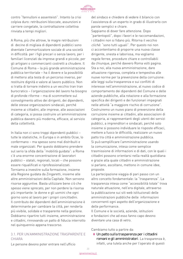

contro "fannulloni e assenteisti". Intanto la crisi colpiva duro: retribuzioni bloccate, assunzioni e carriere congelate, la contrattazione collettiva rinviata a tempi migliori.

A Roma, più che altrove, le magre retribuzioni di decine di migliaia di dipendenti pubblici sono diventate l'ammortizzatore sociale di una società in difficoltà: per i figli precari o senza lavoro, per i familiari licenziati da imprese grandi e piccole, per gli artigiani o commercianti costretti a chiudere. Il Comune di Roma – la più grande amministrazione pubblica territoriale – ha il dovere e la possibilità di mettersi alla testa di un percorso inverso, per restituire dignità e valore al lavoro pubblico. Non si tratta di tornare indietro a un vecchio tran tran burocratico – l'organizzazione del lavoro ha bisogno di profonde riforme – ma di scommettere sul coinvolgimento attivo dei dirigenti, dei dipendenti, delle stesse organizzazioni sindacali, perché insieme ai cittadini, alle imprese, alle associazioni di categoria, si possa costruire un'amministrazione pubblica davvero più moderna, efficace, al servizio della collettività.

In Italia non ci sono troppi dipendenti pubblici – tutte le statistiche, in Europa o in ambito Ocse, lo confermano – ma spesso sono mal distribuiti e male organizzati. Per questo dobbiamo prendere sul serio la sfida della "mobilità guidata": a Roma c'è una enorme concentrazione di lavoratori pubblici – statali, regionali, locali – che possono essere riqualificati e riprofessionalizzati. Torniamo a investire sulla formazione, insieme alla Regione guidata da Zingaretti, insieme alle altre amministrazioni della Capitale. Non servono risorse aggiuntive. Basta utilizzare bene ciò che spesso viene sprecato, per non perdere la risorsa più importante: le donne e gli uomini che ogni giorno sono al lavoro per i propri concittadini. Il contributo dei dipendenti dell'amministrazione è determinante per cambiare la città, per renderla più vivibile, solidale e trasparente nella gestione. Dobbiamo ripartire tutti insieme, amministrazione e cittadini, rinnovando un patto di fiducia interrotto nel quinquennio appena trascorso.

#### 3.1. PER UN'AMMINISTRAZIONE TRASPARENTE E CHIARA

del sindaco e chiedere di vedere il bilancio con l'assistenza di un esperto in grado di illustrarlo con parole semplici e chiare.

Sappiamo di dover fare attenzione. Dopo "partentopoli", dopo i favori e le raccomandazioni, i cittadini non si fidano più. Ritorna il vecchio clichè: "sono tutti uguali". Per questo noi non ci accontentiamo di proporre una nuova classe dirigente, onesta e laboriosa, ma vogliamo regole ferree, procedure chiare e controllabili da chiunque, perché davvero Roma volti pagina. Sta a noi, alla nuova amministrazione, dare attuazione rigorosa, completa e tempestiva alle nuove norme per la prevenzione della corruzione: alle leggi sulla trasparenza e sui conflitti di interesse nell'amministrazione, al nuovo codice di comportamento dei dipendenti del Comune e delle aziende pubbliche, alla rotazione e alla formazione specifica dei dirigenti e dei funzionari impegnati nelle attività "a maggiore rischio di corruzione". Costruiremo un nuovo piano di prevenzione della corruzione insieme ai cittadini, alle associazioni di categoria, ai rappresentanti degli utenti dei servizi pubblici, a imprenditori e sindacati, perché solo insieme si possono individuare le risposte efficaci, mettere a fuoco le difficoltà, realizzare un nuovo patto tra città e amministrazione pubblica. Si può semplificare l'amministrazione usando la comunicazione, intesa come semplice trasmissione di informazioni e di dati, con le quali i cittadini possono orientarsi nella realtà quotidiana e grazie alla quale cittadini e amministrazione si parlano, ascoltano, mettono in comune idee, proposte.

La partecipazione viaggia di pari passo con un altro concetto fondamentale: la "trasparenza". La trasparenza intesa come "accessibilità totale" trova naturale attuazione, nell'era digitale, attraverso la pubblicazione sui siti web istituzionali delle amministrazioni pubbliche delle informazioni concernenti ogni aspetto dell'organizzazione e delle performance.

Il Comune e le società, aziende, istituzioni e fondazioni che ad esso fanno capo devono diventare una casa di vetro.

Cambiamo tutto a partire da:

**◊** Un patto sulla trasparenza per i cittadini romani e gli amministratori. La trasparenza è, infatti, una tutela anche per l'operato di questi

Le persone devono poter entrare nell'ufficio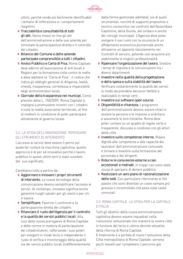

ultimi, perché rende più facilmente identificabili i tentativi di infiltrazione e i comportamenti illegittimi.

- **◊**  Tracciabilità e consultabilità di tutti gli atti. Vanno messi on line gli atti dell'amministrazione e delle sue aziende per stimolare la partecipazione diretta e il controllo dei cittadini.
- **◊** Bilancio del Comune e delle aziende partecipate comprensibile a tutti i cittadini.
- **◊**  Avviso Pubblico e Carta di Pisa. Roma Capitale deve aderire all'associazione di enti locali e Regioni per la formazione civile contro le mafie e deve adottare la "Carta di Pisa", il codice che indica gli obblighi generali di diligenza, lealtà, onestà, trasparenza, correttezza e imparzialità degli amministratori locali.
- **◊**  Giornate della trasparenza nei municipi. Come previsto dalla L. 150/2009, Roma Capitale si impegna a promuovere incontri con i cittadini e tutte le realtà associative territoriali, al fine di metterli in condizione di poter partecipare attivamente al governo locale.

## 3.2. LA SFIDA DELL'INNOVAZIONE. RIPENSARE GLI STRUMENTI DI INTERVENTO

L'accesso ai servizi deve essere il perno sul quale far ruotare la macchina capitolina, questo approccio è di per sé innovativo perché il lavoro pubblico in questi ultimi anni è stato svuotato del suo significato.

Cambiamo tutto a partire da:

- **◊**  Aggiornare e innovare i propri strumenti di intervento. Le nuove tecnologie della comunicazione devono semplificare l'accesso ai servizi. Al contempo, innovare significa anche garantire luoghi salubri per gli utenti e per chi vi lavora.
- **◊**  Semplificare. Favorire il confronto e la partecipazione diretta dei cittadini.
- **◊** Rilanciare il ruolo dell'Agenzia per il controllo e la qualità dei servizi pubblici locali. Alla luce delle nuove prerogative di Roma Capitale e delle norme in materia di partecipazione dei cittadini/utenti, rafforzando i suoi poteri per svolgere in modo terzo e indipendente il ruolo di verifica e monitoraggio della qualità sia dei servizi pubblici locali (indifferentemente

dalla forma gestionale adottata), sia di quelli strumentali, nonché di supporto propositivo e tecnico-conoscitivo nei confronti dell'Assemblea Capitolina, della Giunta, del sindaco e anche dei consigli municipali. L'Agenzia deve poter svolgere il suo ruolo con la sicurezza di un affidamento economico pluriennale anche attraverso un apposito stanziamento nei Contratti di servizio, potendo così acquisire più stabilmente le migliori professionalità.

- **◊** Ripensare l'organizzazione del lavoro. Snellire i tempi di risposta e le comunicazioni tra i diversi dipartimenti.
- **◊**  Investire nella qualità della progettazione e della spesa e sulla stabilità del lavoro. Verificare costantemente la qualità dei servizi in modo da prendere decisioni fattibili e realizzabili in tempi certi.
- **◊**  Investire sui software open source.
- **◊** Disponibilità e chiarezza. I programmi dell'amministrazione devono essere chiari e aiutare le persone e le imprese a orientarsi e assumere le loro iniziative. Roma deve poter contare su un quadro di regole certo e trasparente, discusso e condiviso con gli attori della città.
- **◊**  Investire sulle competenze interne. Ridare dignità alle competenze e alle capacità dei lavoratori dell'amministrazione comunale e tornare a investire sulla formazione del personale e dei dirigenti.
- **◊** Ridurre le consulenze esterne a casi eccezionali e motivati. In troppi casi sono state causa di sperpero di denaro pubblico.
- **◊** Realizzare un vero piano di razionalizzazione delle sedi. Con particolare riferimento ai fitti passivi che sono diventati un costo sempre più gravoso e incontrollato che pesa sulle casse comunali.

## 3.3. ROMA CAPITALE. LA SFIDA PER LA CAPITALE D'ITALIA

Tutti gli obiettivi della nuova amministrazione capitolina devono essere inquadrati nella rivoluzione istituzionale che investirà la nostra città in funzione del terzo e ultimo decreto attuativo della riforma di Roma Capitale.

E finalmente è a portata di mano l'istituzione della Città metropolitana di Roma Capitale: servono pochi tasselli per completare il percorso già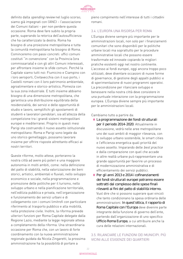

definito dalla *spending review* nel luglio scorso; siamo già impegnati con l'ANCI – l'associazione dei Comuni italiani – per non perdere questa occasione. Roma deve fare subito la propria parte, superando la retorica dell'autosufficienza che ha caratterizzato la destra. Roma ha bisogno di una proiezione metropolitana e tutta la comunità metropolitana ha bisogno di Roma. Cominceremo con passi concreti: uffici comuni costituti "in convenzione" con la Provincia (ora commissariata) e con gli altri Comuni interessati, per affrontare insieme le sfide comuni. Perché la Capitale siamo tutti noi: Fiumicino e Ciampino con i loro aeroporti, Civitavecchia con il suo porto, i Castelli romani con il loro patrimonio ambientale, agroalimentare e storico-artistico, Pomezia con la sua zona industriale. E tutti insieme abbiamo bisogno di una dimensione metropolitana, che garantisca una distribuzione equilibrata della residenzialità, dei servizi e delle opportunità di studio e lavoro, semplifichi gli spostamenti di studenti e lavoratori pendolari, sia all'altezza della competizione tra i grandi sistemi metropolitani europei e mediterranei. Proprio in questi mesi Parigi sta costruendo il nuovo assetto istituzionale metropolitano: Roma e Parigi sono legate da uno storico gemellaggio; possiamo lavorare insieme per offrire risposte altrettanto efficaci ai nostri territori.

Queste riforme, molto attese, porteranno la nostra città ad avere più poteri e una maggiore autonomia in molti ambiti, come: nella definizione del patto di stabilità, nella valorizzazione dei beni storici, artistici, ambientali e fluviali, nello sviluppo economico e sociale, nella programmazione e promozione delle politiche per il turismo, nello sviluppo urbano e nella pianificazione territoriale, nell'edilizia pubblica e privata, nell'organizzazione e funzionamento dei servizi urbani e di collegamento con i comuni limitrofi con particolare riferimento al trasporto pubblico e alla mobilità, nella protezione civile. Inoltre, la riforma prevede ulteriori funzioni per Roma Capitale delegate dalla Regione Lazio, mediante la legge regionale attesa a completamento della riforma. Una straordinaria occasione per Roma che, con un lavoro di forte coordinamento con la nuova amministrazione regionale guidata da Nicola Zingaretti, la prossima amministrazione ha la possibilità di portare a

pieno compimento nell'interesse di tutti i cittadini romani.

## 3.4. L'EUROPA UNA RISORSA PER ROMA

L'Europa diviene sempre più importante per le amministrazioni locali, non solo per i finanziamenti comunitari che sono disponibili per le politiche urbane locali ma soprattutto per le procedure amministrative locali che possono essere trasformate ed innovate copiando le migliori pratiche esistenti oggi nel nostro continente. L'accesso ai fondi europei, oggi ancora troppo poco utilizzati, deve diventare occasioni di nuove forme di governance, di gestione degli appalti pubblici e di sperimentazione di nuovi programmi operativi. La precondizione per rilanciare sviluppo e benessere nella nostra città deve consistere in una puntuale interazione con la programmazione europea. L'Europa diviene sempre più importante per le amministrazioni locali.

#### Cambiamo tutto a partire da:

- **◊**  La programmazione dei fondi strutturali per il periodo 2014-2020. Attualmente in discussione, vedrà nelle aree metropolitane uno dei suoi ambiti di maggior rilevanza, con lo sviluppo urbano sostenibile, le smart cities e l'efficienza energetica quali priorità del nuovo assetto. Imparando delle best practice e dalla comparazione con quel che accade in altre realtà urbane può rappresentare una grande opportunità per favorire un processo di modernizzazione amministrativa e di efficientamento dei servizi pubblici.
- **◊**  Per gli anni 2013 e 2014 i cofinanziamenti dei fondi strutturali europei potranno essere sottratti dal complesso delle spese finali rilevanti ai fini del patto di stabilità interno. Vuol dire che si possono superare quei vincoli che tanto condizionano la spesa ordinaria delle amministrazioni. In quest'ottica, il rapporto di Roma Capitale con l'Europa deve divenire parte integrante della funzione di governo dell'ente, partendo dall'organizzazione di uno specifico Ufficio Roma Europa, a cui attribuire anche la cura delle relazioni internazionali.

#### 3.5. RILANCIARE LE FUNZIONI DEI MUNICIPI. PIÙ VICINI ALLE ESIGENZE DEI QUARTIERI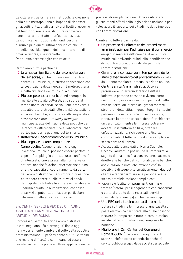

La città si è trasformata in metropoli, la creazione della città metropolitana ci impone di ripensare gli assetti istituzionali tra i diversi livelli di governo del territorio, ma le sue strutture di governo sono ancora proiettate in un'epoca passata. La significativa riduzione dei fondi destinati ai municipi in questi ultimi anni indica che un modello possibile, quello del decentramento di poteri e risorse, si è interrotto. Per questo occorre agire con velocità.

Cambiamo tutto a partire da:

- **◊** Una nuova ripartizione delle competenze e delle risorse, anche professionali, tra gli uffici centrali e i municipi, in stretta connessione con la costituzione della nuova città metropolitana e della riduzione dei municipi a quindici.
- **◊**  Più competenze ai municipi. Ad esempio, in merito alle attività culturali, allo sport e al tempo libero, ai servizi sociali, alle aree verdi e alle alberature stradali, alle attività scolastiche e parascolastiche, al traffico e alla segnaletica stradale mediante il mobility manager municipale, alla definizione delle politiche per la raccolta differenziata fino ai laboratori urbani partecipati per la gestione del territorio.
- **◊** Rafforzare il decentramento verso i municipi.
- **◊** Riassegnare alcune competenze al Campidoglio. Alcune funzioni che oggi investono i municipi possono essere portate in capo al Campidoglio per assicurare uniformità di interpretazione e prassi alla normativa di settore, nonché favorire l'affermazione di una effettiva capacità di coordinamento da parte dell'amministrazione. Le funzioni in questione potrebbero essere quelle relative ai servizi demografici, i tributi e le entrate extratributarie, l'edilizia privata, le autorizzazioni connesse ai servizi di pubblica utilità, con particolare riferimento alle autorizzazioni scavi.

## 3.6. CENTRI SERVIZI E PEC DEL CITTADINO. AVVICINARE L'AMMINISTRAZIONE ALLE ABITUDINI DEI ROMANI

I processi di semplificazione amministrativa iniziati negli anni '90 e proseguiti fino a oggi hanno certamente cambiato il volto della pubblica amministrazione. È però evidente a tutti i cittadini che restano difficoltà e continuano ad esserci resistenze per una piena e diffusa applicazione dei

processi di semplificazione. Occorre utilizzare tutti gli strumenti offerti dalla legislazione nazionale per velocizzare il rapporto dei cittadini e delle imprese con l'amministrazione.

- **◊** Un processo di uniformità dei procedimenti amministrativi per l'edilizia e per il commercio erogati in maniera difforme nei diversi uffici municipali arrivando quindi alla identificazione di moduli e procedure unificate per tutta l'amministrazione.
- **◊**  Garantire la conoscenza in tempo reale dello stato d'avanzamento del procedimento avviato dall'utente mediante la visualizzazione on line.
- **◊**  Centri Servizi Amministrativi. Occorre promuovere un'amministrazione diffusa laddove le persone passano e vivono, come nei municipi, in alcuni dei principali nodi della rete del ferro, all'interno dei grandi mercati strutturati della città. In questi luoghi i cittadini potranno presentare un'autocertificazione, rinnovare la propria carta d'identità, richiedere un certificato, mentre le imprese potranno avviare un'istruttoria edilizia, ottenere un'autorizzazione, richiedere una licenza commerciale. Il tutto nel modo più semplice e senza perdite di tempo.
- **◊**  Accesso alla banca dati di Roma Capitale. Occorre valutare la possibilità di introdurre, a seguito di una specifica convenzione, l'accesso diretto alle banche dati comunali per le banche, assicurazioni e notai che avranno così la possibilità di leggere telematicamente i dati del cliente e far risparmiare alle persone e alla stessa amministrazione tempi e costi.
- **◊**  Favorire e facilitare i pagamenti on line o tramite "totem" per il pagamento con bancomat o carta di credito delle reversali (servizi rilasciati dai municipi) anche nei municipi.
- **◊** Una PEC del cittadino per tutti i romani. Dotare i cittadini e le imprese di una casella di posta elettronica certificata alla quale possono ricevere in tempo reale tutte le comunicazioni inviate dall'amministrazione, comprese le notifiche.
- **◊**  Migliorare il Call Center del Comune di Roma 060606. È necessario migliorare il servizio telefonico ed estenderlo anche ai servizi pubblici erogati dalle società partecipate,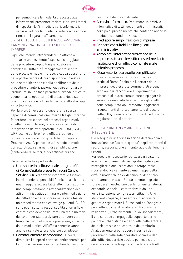

per semplificare le modalità di accesso alle informazioni, presentare reclami e ridurre i tempi di risposta. Nell'immediato va riconfermato il servizio, laddove la Giunta uscente non ha ancora rinnovato la gara di affidamento.

## 3.7. SPORTELLO PER LE IMPRESE. AVVICINARE L'AMMINISTRAZIONE ALLE ESIGENZE DELLE IMPRESE

Oggi, chi intende intraprendere un'attività o ampliarne una esistente è spesso scoraggiato dalle procedure troppo lunghe, costose e complesse. Tutto ciò è maggiormente sentito dalle piccole e medie imprese, a causa soprattutto delle poche risorse di cui dispongono. Investire nella semplificazione e nello snellimento delle procedure di autorizzazione vuol dire ampliare e irrobustire, in una fase peraltro di grande difficoltà economica, le opportunità di crescita del sistema produttivo locale e ridurre le barriere allo start-up delle imprese.

Per fare ciò è necessario superare la scarsa capacità di comunicazione interna tra gli uffici che fa perdere l'efficienza dei processi organizzativi e delle prassi di lavoro, la scarsa capacità di integrazione dei vari sportelli unici (SUAP, SUE, URP ecc.) e dei loro front-office, creando un più solido raccordo con gli enti terzi (Regione, Provincia, Asl, Arpa ecc.) e utilizzando in modo corretto gli altri strumenti di semplificazione (conferenza di servizi, autocertificazioni ecc.).

Cambiamo tutto a partire da:

- **◊** Uno sportello polifunzionale integrato SPI di Roma Capitale presente in ogni Centro Servizio. Gli SPI devono integrare le funzioni. individuando responsabilità uniche, assicurare una maggiore accessibilità alle informazioni e una semplificazione e razionalizzazione degli atti amministrativi, eliminare l'intermediazione del cittadino e dell'impresa nelle varie fasi di un procedimento che coinvolge più enti. Gli SPI sono posti sotto la responsabilità di un ufficio centrale che deve assicurare una regia unitaria dei lavori per standardizzare e rendere certi i tempi, le metodologie e le procedure, a partire dalla modulistica. All'ufficio centrale vanno anche riservate le pratiche più complesse.
- **◊** Dematerializzare le procedure. Occorre diminuire i supporti cartacei, antieconomici per l'amministrazione e incrementare la gestione

documentale informatizzata.

- **◊**  Archivio informatico. Realizzare un archivio informatico di tutti i documenti amministrativi per tipo di procedimento che contenga anche la modulistica standardizzata.
- **◊**  Predisporre singoli fascicoli d'impresa.
- **◊** Rendere consultabili on line gli atti amministrativi.
- **◊**  Agevolare l'internazionalizzazione delle imprese e attrarre investitori esteri mediante l'istituzione di un ufficio comunale a tale obiettivo preposto.
- **◊**  Osservatorio locale sulle semplificazioni. Creare un osservatorio che riunisca i vertici di Roma Capitale e il settore delle imprese, degli esercizi commerciali e degli artigiani per raccogliere suggerimenti e proposte di lavoro, comunicare e spiegare le semplificazioni adottate, valutare gli effetti delle semplificazioni introdotte, aggiornare i regolamenti di funzionamento e di decoro della città, prevedere l'adozione di codici unici regolamentari di settore.

## 3.8. COSTRUIRE UN'AMMINISTRAZIONE INTELLIGENTE

C'è bisogno di una forte iniezione di tecnologia e innovazione, un "salto di qualità" negli strumenti di raccolta, elaborazione e monitoraggio dei fenomeni urbani.

Per questo è necessario realizzare un sistema avanzato e dinamico di cartografia digitale per raccogliere e analizzare dati in tempo reale, riportandoli visivamente su una mappa della città in modo tale da evidenziare e identificare i cambiamenti in atto. Uno strumento in grado di "prevedere" l'evoluzione dei fenomeni territoriali, economici e sociali, caratterizzato da una forte interazione con gli stessi cittadini. Uno strumento capace, ad esempio, di acquisire, gestire e organizzare il flusso dati dell'anagrafe permettendo così di analizzare gli spostamenti residenziali, i trasferimenti, i nuovi insediamenti, il che sarebbe di impagabile supporto per le politiche urbanistiche e per quelle delle entrate, della sicurezza e del controllo del territorio. Analogamente si potrebbero inserire i dati provenienti dalla sala operativa sociale e dagli altri uffici del servizio sociale per realizzare un'anagrafe delle fragilità, considerata a livello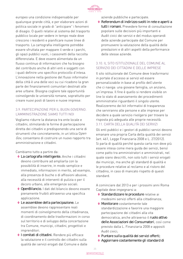

europeo una condizione indispensabile per qualunque grande città, e per elaborare azioni di politica sociale in grado di "anticipare" i fenomeni di disagio. O quelli relativi al sistema del trasporto pubblico locale per vedere in tempo reale dove crescono i residenti e pianificare nuove linee di trasporto. La cartografia intelligente potrebbe essere sfruttata per mappare il verde e i parchi, gli spazi pubblici vuoti, i cassonetti della raccolta differenziata. E deve essere alimentata da un flusso continuo di informazioni che ha bisogno del contributo anche di altri enti e soggetti con i quali definire uno specifico protocollo d'intesa. L'innovazione nella gestione del flussi informativi della città è una delle voci su cui ricadono la gran parte dei finanziamenti comunitari destinati alle aree urbane. Bisogna cogliere tale opportunità coinvolgendo le università romane, soprattutto per creare nuovi posti di lavoro e nuove imprese.

## 3.9. PARTECIPAZIONE PER IL BUON GOVERNO. L'AMMINISTRAZIONE SIAMO TUTTI NOI

Vogliamo ridurre la distanza tra ente locale e cittadini, stimolando le forme di partecipazione diretta dei cittadini e predisponendo una serie di strumenti che concretamente, in un'ottica Open Gov, consentano di costruire un nuovo rapporto tra amministrazione e cittadini.

Cambiamo tutto a partire da:

- **◊**  La cartografia intelligente. Anche i cittadini devono contribuire ad ampliarla con la possibilità di inserire, in modo semplice e immediato, informazioni in merito, ad esempio, alla presenza di buche o di affissioni abusive, alla necessità di interventi di pulizia o per il decoro urbano, alle emergenze sociali.
- **◊**  OpenBilancio. I dati del bilancio devono essere pienamente fruibili attraverso una specifica applicazione.
- **◊**  Le assemblee della partecipazione. Le assemblee devono rappresentare reali momenti di coinvolgimento della cittadinanza, di coordinamento delle trasformazioni in corso sul territorio e di sviluppo della concertazione tra Comune, municipi, cittadini, progettisti e imprenditori.
- **◊**  I comitati di cittadini. Rendere più efficace la valutazione e il controllo dei cittadini sulla qualità dei servizi erogati dal Comune e dalle

aziende pubbliche e partecipate.

**◊** Referendum di indirizzo svolti in rete e aperti a tutti i romani. Prevedere forme di consultazione popolare sulle decisioni più importanti e Audit civici dei servizi e del modus operandi delle aziende partecipate dal Comune per promuovere la valutazione della qualità delle prestazioni e di altri aspetti della performance delle stesse aziende.

## 3.10. IL SITO ISTITUZIONALE DEL COMUNE AL SERVIZIO DEI CITTADINI E DELLE IMPRESE

Il sito istituzionale del Comune deve trasformarsi in portale d'accesso ai servizi ed essere personalizzabile in base al profilo dell'utente che ci naviga: una giovane famiglia, un anziano, un'impresa. Il fine è quello si rendere visibile on line lo stato di avanzamento dei procedimenti amministrativi riguardanti il singolo utente. Realizzeremo dei kit informativi di trasparenza che serviranno alle persone e alle imprese per decidere a quale servizio rivolgersi per trovare la risposta più adeguata alle proprie necessità. 3.11. CARTA DELLA QUALITÀ DEI SERVIZI

Gli enti pubblici e i gestori di pubblici servizi devono emanare una propria Carta della qualità dei servizi (art. 461, Legge Finanziaria 2008 e L. 27/2012). Si parla di qualità perché questa carta non deve più essere intesa come mera guida dei servizi, bensì come patto tra amministratori e amministrati, nel quale siano descritti, non solo tutti i servizi erogati dai municipi, ma anche gli standard di qualità e le procedure relative al reclamo e al ristoro del cittadino, in caso di mancato rispetto di questi standard.

A cominciare dal 2013 e per i prossimi anni Roma Capitale deve impegnarsi a:

- ◆ Standardizzare le procedure relative ai medesimi servizi offerti alla cittadinanza;
- **◊**  Monitorare costantemente tale standardizzazione e favorire una maggiore partecipazione dei cittadini alla vita democratica, anche attraverso il ruolo attivo delle Associazioni dei Consumatori, così come previsto dalla L. Finanziaria 2008 e appositi Audit civici;
- **◊**  Puntare sulla qualità dei servizi offerti;
- **◊**  Aggiornare costantemente gli standard di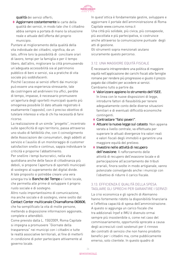

qualità dei servizi offerti;

**◊**  Aggiornare costantemente le carte della qualità dei servizi, in modo tale che il cittadino abbia sempre a portata di mano la situazione reale e attuale dell'offerta del proprio municipio.

Puntare al miglioramento della qualità della vita individuale dei cittadini, significa, da un lato, offrire loro la possibilità di conciliare orari di lavoro, tempi per la famiglia e per il tempo libero, dall'altro, migliorare la città promuovendo un'adeguata accessibilità sia al patrimonio pubblico di beni e servizi, sia a pratiche di vita sociale più soddisfacenti.

Poiché l'accesso ai servizi offerti dai municipi può essere una esperienza stressante, tale da costringere ad andirivieni tra uffici, perdite di tempo, impasse, è necessario promuovere un'apertura degli sportelli municipali quanto più omogenea possibile (il dato attuale registrato è esattamente l'opposto), con il preciso obiettivo di tutelare interessi e vita di chi ha necessità di farvi ricorso.

La realizzazione di un simile "progetto", incentrato sulle specificità di ogni territorio, passa attraverso uno studio di fattibilità che, con il coinvolgimento delle Associazioni dei consumatori, degli addetti al servizio e l'ausilio di un monitoraggio di customer satisfaction snello e continuo, sappia individuare le criticità e proporne l'abbattimento.

Per snellire i tempi burocratici, nella vita quotidiana anche delle fasce di cittadinanza più deboli, si propone l'apertura di sportelli municipali di sostegno al superamento del digital divide. A tale proposito si potrebbe creare una vera sinergia tra le Banche del Tempo e l'ente locale, che permetta alle prime di sviluppare il proprio ruolo sociale e di sostegno.

Altro ruolo importantissimo di comunicazione, ma anche sociale e di sostegno, viene svolto dal Contact Center multicanale ChiamaRoma 060606, che ha semplificato la vita di molte persone, mettendo a disposizione informazioni aggionate,

complete e attendibili. Come previsto dalla L. 150/2009, Roma Capitale si impegna a promuovere "Giornate della trasparenza" nei municipi con i cittadini e tutte le realtà associative territoriali, al fine di metterli in condizione di poter partecipare attivamente al governo locale.

In quest'ottica è fondamentale gestire, sviluppare e aggiornare il portale dell'amministrazione di Roma Capitale www.comune.roma.it

Una città più solidale, più civica, più consapevole, più ascoltata e più partecipativa, si costruisce anche attraverso la comunicazione puntuale degli atti di gestione.

Gli strumenti sopra menzionati aiutano sicuramente questo percorso.

## 3.12. UNA MAGGIORE EQUITÀ FISCALE

È necessario intraprendere una politica di maggiore equità nell'applicazione dei carichi fiscali alle famiglie romane per rendere più progressivo e giusto il prezzo pagato dai cittadini per accedere ai servizi. Cambiamo tutto a partire da:

- **◊**  Valorizzare appieno lo strumento dell'ISEE. In linea con le nuove disposizioni di legge, introdurre fattori di flessibilità per tenere adeguatamente conto delle diverse situazioni familiari e di eventuali difficoltà economiche contingenti.
- **◊**  Contrastare "falsi poveri".
- ◆ Attuare la nuova legge sul catasto. Non appena varata a livello centrale, va effettuata per superare le attuali divergenze tra valori reali e valori fiscali degli immobili e garantire una maggiore equità del prelievo.
- **◊**  Investire nelle attività di recupero dell'evasione. Il rafforzamento delle attività di recupero dell'evasione locale e di partecipazione all'accertamento dei tributi erariali, finora svolte in modo artigianale, vanno potenziate coinvolgendo anche i municipi con l'obiettivo di ridurre il carico fiscale.

#### 3.13. EFFICIENZA E QUALITÀ DELLA SPESA. TAGLIARE GLI SPRECHI PER GARANTIRE I SERVIZI

La crisi economica e gli sprechi di Alemanno hanno fortemente ridotto la disponibilità finanziaria e l'effettiva capacità di spesa dell'amministrazione. A questo si aggiunga un carico fiscale che tra addizionali Irpef e IMU è divenuto ormai sempre più insostenibile o, come nel caso del commissariamento, opportunità sprecate a causa degli accresciuti costi sostenuti per il rinnovo dei contratti di servizio che non hanno prodotto benefici per i cittadini ma, come pubblicamente emerso, solo clientele. In questo quadro di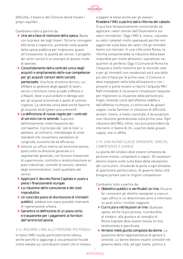

difficoltà, il bilancio del Comune dovrà trovare i propri equilibri.

Cambiamo tutto a partire da:

- **◊** Una vera fase di revisione della spesa. Basta con la prassi dei tagli lineari. Occorre coniugare efficienza e risparmio, puntando sulla qualità della spesa pubblica per migliorare, grazie all'innovazione, la qualità dei servizi: il progetto dei centri servizi è un esempio di questo modo di operare.
- **◊**  Consolidamento della centrale unica degli acquisti e ampliamento delle sue competenze per gli acquisti comuni delle società partecipate. Una forte struttura tecnica, cui affidare la gestione degli appalti di lavori, servizi e forniture come accade a Milano e a Napoli, dove si può andare in deroga solo per gli acquisti economali e quelli di somma urgenza. La centrale unica deve anche favorire gli acquisti verdi (*green procurement*).
- **◊**  La definizione di nuove regole per i contratti di servizio con le aziende. Superare definitivamente, nella fissazione dei corrispettivi, il principio del "piè di lista" e adottare, al contrario, metodologie di costo standard che consentano valutazioni di congruità, economicità ed efficienza.
- **◊**  Istituire un ufficio interno all'amministrazione, posto sotto la direzione generale o il segretariato generale, con funzioni trasversali di supervisione, controllo e rendicontanzione su piani industriali, contratti di servizio, obiettivi degli amministratori, livelli qualitativi dei servizi.
- **◊**  Applicare il decreto Roma Capitale e usare a pieno i finanziamenti europei.
- **◊**  La riduzione delle consulenze e dei costi improduttivi.
- **◊** Un concreto piano di dismissione di immobili pubblici, laddove non siano possibili interventi di rigenerazione urbana.
- **◊**  Garantire la definizione di un piano certo e trasparente per i pagamenti ai fornitori dell'amministrazione.

## 3.14. RIDURRE L'IMU ALLE PERSONE PIÙ FRAGILI

In Italia l'IMU risulta particolarmente odiosa, anche perché si aggiunge a una pressione fiscale molto elevata sui contribuenti onesti che si trovano

a pagare le tasse anche per gli evasori. Rivedere l'IMU a partire dalla riforma del catasto. Si può fare tempestivamente cominciando ad applicare i valori stimati dall'Osservatorio sui valori immobiliari. Oggi l'IMU è, invece, calcolata su valori catastali molto sperequati perché non aggiornati sulla base dei valori che gli immobili hanno sul mercato. In una città come Roma, la riforma comporterebbe la riduzione della base imponibile per molte abitazioni, soprattutto nei quartieri di periferia. Oggi il Comune di Roma ha l'aliquota a livello massimo per le seconde case e per gli immobili non residenziali ed è una delle più alte d'Italia per le prime case. Il Comune si deve impegnare nella lotta all'evasione e con i proventi si potrà iniziare a ridurre l'aliquota IMU. Nell'immediato è necessario rimodulare l'aliquota per migliorare la situazione delle persone più fragili, tenendo conto dell'effettivo reddito e dell'effettiva ricchezza, a cominciare da giovani coppie, nuclei familiari in situazioni di difficoltà, anziani. Invece, a livello nazionale, è da auspicare una riduzione generalizzata sulla prima casa. Ogni riduzione dell'IMU, infine, non può prescindere da interventi in favore di chi, a partire dalle giovani coppie, vive in affitto.

## 3.15. UNA NUOVA CLASSE DIRIGENTE. ONESTA, COMPETENTE E CAPACE

La giunta del sindaco deve essere composta da persone oneste, competenti e capaci. Gli assessori devono essere scelti sulla base della valutazione del curriculum, chiudendo le porte a ogni tentativo di spartizione partitocratica. Al governo della città bisogna portare solo le migliori competenze.

- **◊**  Obbiettivi pubblici e verificabili on line. Occorre far conoscere gli obiettivi assegnati a ciascun capo ufficio in un determinato anno e informare su quali sono i risultati raggiunti.
- **◊**  Curricula e retribuzioni on line. Qualsiasi spesa, anche la più piccola, riconducibile al sindaco, alla giunta e al consiglio di Roma Capitale deve essere messa on line, rendicontata e specificata.
- **◊**  Almeno metà giunta composta da donne. La questione della rappresentanza di genere è centrale. Le donne devono essere coinvolte nel governo della città, ad ogni livello, politico e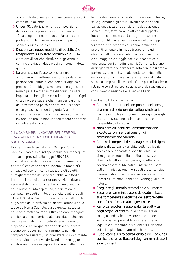

amministrativo, nella macchina comunale così come nelle aziende.

- **◊** Under 40. Valorizzare nella composizione della giunta la presenza di giovani under 40 da scegliere nel mondo del lavoro, delle professioni, dell'università e dell'impegno sociale, civico e politico.
- **◊** Disciplinare nuove modalità di pubblicità e trasparenza sullo stato patrimoniale di chi è titolare di cariche elettive e di governo, a cominciare dal sindaco e dai componenti della giunta.
- **◊**  La giornata dell'ascolto. Fissare un appuntamento settimanale con il sindaco per parlare con i cittadini che non si svolga solo presso il Campidoglio, ma anche in ogni sede municipale. La medesima disponibilità sarà imposta anche agli assessori della giunta. Ogni cittadino deve sapere che in un certo giorno della settimana potrà parlare con il sindaco o con gli assessori della giunta. Via i filtri classici della vecchia politica, sarà sufficiente inviare una mail o fare una telefonata per poter incontrare il sindaco.

## 3.16. CAMBIARE, INNOVARE, RENDERE PIÙ TRASPARENTI STRATEGIE E BILANCI DELLE SOCIETÀ COMUNALI

Riorganizzare le società del "Gruppo Roma Capitale" non è solo indispensabile per conseguire i risparmi previsti dalla legge 135/2012, la cosiddetta spending review, ma è fondamentale per far sì che esse contribuiscano, in modo più efficace ed economico, a realizzare gli obiettivi di miglioramento dei servizi pubblici ai cittadini. I criteri e i metodi della riorganizzazione devono essere stabiliti con una deliberazione di indirizzi della nuova giunta capitolina, a partire dalle competenze degli enti locali sancite dagli articoli 117 e 118 della Costituzione e dai poteri attribuiti al governo della città sia dai decreti attuativi della legge su Roma Capitale, sia da quella istitutiva delle aree metropolitane. Oltre che dare maggiore efficienza ed economicità alle società, anche con vertici aziendali più competenti, snelli e meno dispendiosi, la riorganizzazione dovrà superare alcune sovrapposizioni e frammentazioni di competenze esistenti, razionalizzare lo svolgimento delle attività innovative, derivanti dalle maggiori attribuzioni messe in capo al Comune dalle nuove

leggi, valorizzare le capacità professionali interne, salvaguardando gli attuali livelli occupazionali. La razionalizzazione del sistema delle aziende sarà attuato, fatte salve le attività di supporto inerenti e connesse con la programmazione dei servizi pubblici e la pianificazione dello sviluppo territoriale ed economico urbano, definendo preventivamente e in modo trasparente gli obiettivi dell'interesse pubblico da conseguire e del maggior vantaggio sociale, economico e funzionale per i cittadini e per il Comune. Il piano di riorganizzazione sarà formulato con la più ampia partecipazione istituzionale, delle aziende, delle organizzazioni sindacali e dei cittadini e attuato secondo tempi stabiliti e modalità trasparenti, anche in relazione con gli indispensabili accordi da raggiungere con il governo nazionale e la Regione Lazio.

- **◊** Ridurre il numero dei componenti dei consigli di amministrazione e dei collegi sindacali. Uno o al massimo tre componenti per ogni consiglio di amministrazione e sindaco unico dove consentito dalla legge.
- **◊**  Nominare dirigenti dell'amministrazione a costo zero in seno ai consigli di amministrazione aziendali.
- **◊** Ridurre i compensi dei manager e dei dirigenti aziendali. La parte variabile delle retribuzioni deve essere ancorata a specifici obiettivi di miglioramento della qualità dei servizi offerti alla città e di efficienza, obiettivi che devono essere pubblicati su internet e fissati dall'amministrazione, non dagli stessi consigli d'amministrazione come invece avviene oggi. Occorre eliminare i benefit o i vantaggi di altra natura.
- **◊**  Scegliere gli amministratori solo sul merito.
- **◊**  Scegliere l'amministratore delegato in base alle competenze specifiche del settore della società che è chiamato a governare.
- **◊** Rafforzare poteri, responsabilità e attività degli organi di controllo. A cominciare da collegio sindacale e revisore dei conti delle società partecipate, al fine di garantire la legalità e aumentare la vigilanza sul rispetto dei principi di buona amministrazione.
- **◊**  Pubblicare sul sito dell'azienda e del Comune i curricula e le retribuzioni degli amministratori e dei dirigenti.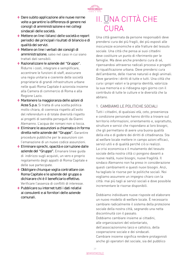

- **◊** Dare subito applicazione alle nuove norme volte a garantire la differenza di genere nei consigli di amministrazione e nei collegi sindacali delle società.
- **◊**  Mettere on line i bilanci delle società e report periodici dei principali risultati di bilancio e di qualità dei servizi.
- **◊**  Mettere on line i verbali dei consigli di amministrazione, salvo nel caso in cui siano trattati dati sensibili.
- **◊** Razionalizzare le aziende del "Gruppo". Ridurre i costi, integrare e semplificare, accentrare le funzioni di staff, assicurare una regia unitaria e coerente delle società proprietarie di grandi infrastrutture urbane nelle quali Roma Capitale è azionista insieme alla Camera di commercio di Roma e alla Regione Lazio.
- **◊**  Mantenere la maggioranza delle azioni di Acea S.p.a. Si tratta di una scelta politica molto chiara, di coerenza rispetto all'esito del referendum e di totale diversità rispetto ai progetti di svendita perseguiti da Gianni Alemanno. L'acqua dei romani non si tocca.
- **◊**  Eliminare le assunzioni a chiamata o in forma diretta nelle aziende del "Gruppo". Garantire procedure pubbliche per le assunzioni con l'emanazione di un nuovo codice assunzioni.
- **◊**  Eliminare sprechi, opacità e corruzione dalle aziende del "Gruppo". Emanare linee guida di indirizzo sugli acquisti, un vero e proprio regolamento degli appalti di Roma Capitale e delle sue partecipate.
- **◊**  Obbligare chiunque voglia contrattare con Roma Capitale e le aziende del gruppo a dichiarare chi è il beneficiario effettivo. Verificare l'assenza di conflitti di interesse.
- **◊**  Pubblicare su internet tutti i dati relativi ai consulenti e ai fornitori delle aziende comunali.

## II. UNA CITTÀ CHE CURA

Una città governata da persone responsabili deve prendersi cura dei più fragili, dei più esposti alle insicurezze economiche e alle fratture del tessuto sociale. Una città che pensa ai suoi cittadini deve costituire un punto di riferimento per le famiglie. Ma deve anche prendersi cura di sé, ripensandosi attraverso radicali processi e progetti di riqualificazione urbana. Deve prendersi cura dell'ambiente, delle riserve naturali e degli animali. Deve garantire i diritti di tutte e tutti. Una città che cura i propri valori e la propria identità, valorizza la sua memoria e si ridisegna ogni giorno con il contributo di tutte le culture e le diversità che la abitano.

## 1. CAMBIAMO LE POLITICHE SOCIALI

Tutti i cittadini, di qualsiasi età, ceto, provenienza e condizione personale hanno diritto a trovare sul territorio informazioni, orientamento e, soprattutto, strutture e servizi che rispondano ai loro bisogni, che gli permettano di avere una buona qualità della vita e di godere dei diritti di cittadinanza. Sta al welfare locale mettere in campo azioni efficaci, servizi utili e di qualità perché ciò si realizzi. La crisi economica e il mutamento del tessuto sociale della nostra città ci pongono davanti a nuove realtà, nuovi bisogni, nuove fragilità. Il sindaco Alemanno non ha preso in considerazione questi cambiamenti e questi nuovi bisogni. Anzi, ha tagliato le risorse per le politiche sociali. Noi vogliamo assumere un impegno chiaro con la città: mai più tagli ai servizi sociali e dove possibile incrementare le risorse disponibili.

Dobbiamo individuare nuove risposte ed elaborare un nuovo modello di welfare locale. È necessario cambiare radicalmente il sistema della protezione sociale della nostra città, segnando una netta discontinuità con il passato. Dobbiamo cambiare insieme ai cittadini, alle organizzazioni del volontariato, dell'associazionismo laico e cattolico, della cooperazione sociale e dei sindacati. Cambiare insieme significa rendere protagonisti anche gli operatori del sociale, sia del pubblico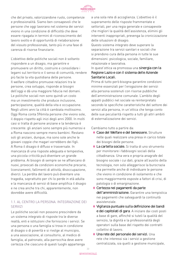

che del privato, valorizzandone ruolo, competenze e professionalità. Siamo ben consapevoli che le persone che oggi lavorano nel sistema dei servizi vivono in una condizione di difficoltà che deve essere ripagata in termini di riconoscimento del lavoro svolto e di opportunità di rielaborazione del vissuto professionale, tanto più in una fase di carenza di risorse finanziarie.

L'obiettivo delle politiche sociali non è soltanto rispondere a un disagio, ma garantire e promuovere un diritto, costruire e consolidare i legami sul territorio e il senso di comunità, rendere più facile la vita quotidiana delle persone. Il welfare cittadino promuove relazioni tra le persone, crea sviluppo, risponde ai bisogni dell'oggi e dà una maggiore fiducia nel domani. Le politiche sociali non sono quindi un costo ma un investimento che produce inclusione, partecipazione, qualità della vita e occupazione. Negli ultimi anni la città è cambiata moltissimo. Oggi Roma conta 596mila persone che vivono sole, il doppio rispetto agli inizi degli anni 2000. In molti casi si tratta di persone anziane e la tendenza è crescente: gli anziani sono sempre più numerosi e a Roma nascono sempre meno bambini. Restano soli gli anziani, dunque, ma sono sole anche le giovani coppie che magari vorrebbero dei figli. A Roma il disagio è diffuso e trasversale. In mancanza di una risposte adeguata e tempestiva, una piccola criticità può diventare un grande problema. Ai bisogni di sempre se ne affiancano di nuovi, provocati da condizioni economiche precarie, licenziamenti, fallimenti di attività, disoccupazione, divorzi. La perdita del lavoro può diventare una tragedia, soprattutto per chi lo perde in età adulta e la mancanza di servizi di base amplifica il disagio e ne crea anche tra chi, apparentemente, non dovrebbe avere difficoltà.

## 1.1. AL CENTRO LA PERSONA. INTEGRAZIONE DEI **SERVIZI**

Le politiche sociali non possono prescindere da un sistema integrato di risposte tra le diverse realtà, enti e istituzioni che forniscono i servizi. Se una persona o una famiglia si trova in condizione di disagio o di povertà e si rivolge al municipio, a una associazione, al consultorio, al medico di famiglia, al patronato, alla parrocchia deve avere certezza che ciascuno di questi luoghi appartenga

a una sola rete di accoglienza. L'obiettivo è il superamento delle risposte frammentate e settoriali, per una regia generale e consapevole che migliori la qualità dell'assistenza, elimini gli interventi inappropriati, prevenga la cronicizzazione delle situazioni di disagio.

Questo sistema integrato deve superare la separazione tra servizi sanitari e sociali che si prendono cura della persona in tutte le sue dimensioni: psicologica, sociale, familiare, relazionale e lavorativa.

In quest'ottica va promossa una sinergia con la Regione Lazio e con il sistema delle Aziende Sanitarie Locali.

Prima di tutto però bisogna garantire condizioni minime essenziali per l'erogazione dei servizi alla persona sostenuti con risorse pubbliche dell'amministrazione comunale. L'ambito degli appalti pubblici nel sociale va reinterpretato secondo le specifiche caratteristiche del settore dei servizi alla persona, in un'ottica che tenga conto delle sue peculiarità rispetto a tutti gli altri ambiti di esternalizzazione dei servizi.

- **◊**  Case del Welfare e del benessere. Strutture nelle quali realizzare una presa in carico totale dei bisogni delle persone.
- **◊**  La cartella sociale. Si tratta di uno strumento per monitorare i fabbisogni sociali della cittadinanza. Una vera e propria anagrafe del bisogno sociale i cui dati, grazie all'ausilio della tecnologia, non solo alleggerisce la burocrazia ma permette anche di individuare le persone che vivono in condizione di isolamento e che sono maggiormente esposte a fattori di crisi, di patologia o di emarginazione.
- **◊**  Certezza nei pagamenti da parte dell'amministrazione. Garantire una tempistica nei pagamenti che salvaguardi la continuità assistenziale.
- **◊**  Vigilanza puntuale sulla definizione dei bandi e dei capitolati di gara. A iniziare dai costi posti a base di gare, affinché si tuteli la qualità del servizio, la dignità e la professionalità degli operatori sulla base del rispetto dei contratti collettivi di lavoro.
- **◊** Una rete del personale dei servizi. Una rete che interessi sia i servizi a gestione centralizzata, sia quelli a gestione municipale,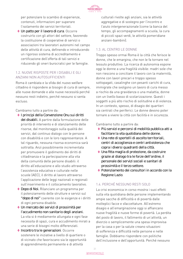

per potenziare lo scambio di esperienze, contenuti, informazioni per superare l'isolamento dei servizi territoriali.

**◊** Un patto per il lavoro di cura. Occorre costruirlo con gli attori del settore, favorendo la costituzione di cooperative di servizi o associazioni tra lavoratori autonomi nel campo delle attività di cura, definendo e introducendo un rigoroso sistema di accreditamento e certificazione dell'offerta di tali servizi e riducendo gli oneri burocratici per le famiglie.

## 1.2. NUOVE RISPOSTE PER I DISABILI E GLI ANZIANI NON AUTOSUFFICIENTI

Roma è cambiata e la sfida del nuovo welfare cittadino è rispondere ai bisogni di cura di sempre, alle nuove domande e alle nuove necessità perché nessuno resti indietro, perché nessuno si senta escluso.

Cambiamo tutto a partire da:

- **◊**  I principi della Convenzione Onu sui diritti dei disabili. A partire dalla formulazione delle priorità di intervento e di stanziamento delle risorse, dal monitoraggio sulla qualità dei servizi, dal continuo dialogo con le persone con disabilità e con le loro rappresentanze. A tal riguardo, nessuna risorsa economica sarà sottratta. Anzi possibilmente incrementata per promuovere il godimento dei diritti di cittadinanza e la partecipazione alla vita della comunità delle persone disabili: il diritto all'educazione e allo studio attraverso l'assistenza educativa e culturale nelle scuole (AEC), il diritto al lavoro attraverso l'applicazione delle leggi nazionali e regionali sull'inserimento e il collocamento lavorativo.
- **◊** Dopo di Noi. Rilanciare un programma per il potenziamento delle strutture e servizi sul "dopo di noi" coerente con le esigenze e i diritti di ogni persona disabile.
- **◊** Un mercato dei servizi di prossimità per l'accudimento non sanitario degli anziani. La vita si è mediamente allungata e ogni fase necessita di spazi, cura e accudimento mirati a una serie di bisogni molto differenziati.
- **◊**  Incontro tra le generazioni. Occorre sostenere le iniziative a livello di quartiere o di vicinato che favoriscano sia le opportunità di apprendimento permanente e di attività

culturali rivolte agli anziani, sia le attività aggregative e di sostegno per l'incontro e l'aiuto intergenerazionale (come la banca del tempo, gli accompagnamenti a scuola, la cura di piccoli spazi verdi, le attività pomeridiane anziani-bambini).

## 1.3. AL CENTRO LE DONNE

Troppo spesso ormai Roma è la città che ferisce le donne, che le emargina, che non le fa tornare nel tessuto produttivo. La ricerca di autonomia espone oggi le donne a una fragilità visibile: madri sole che non riescono a conciliare il lavoro con la maternità, donne con lavori precari e troppo spesso sottopagati, casalinghe con pesanti carichi di cura, immigrate che svolgono un lavoro di cura messo a rischio da una gravidanza o una malattia, donne con un livello basso di scolarizzazione. Questi i soggetti a più alto rischio di solitudine e di violenza. In un contesto, spesso, di disagio dei quartieri sia centrali che periferici. Le donne devono poter tornare a vivere la città con facilità e in sicurezza.

Cambiamo tutto a partire da:

- **◊**  Più servizi e percorsi di mobilità pubblica atti a facilitare la vita quotidiana delle donne.
- **◊** Una rete di sportelli di ascolto territoriali, centri di accoglienza e centri antiviolenza che copra i diversi quadranti della città.
- **◊** Una fitta maglia di protezione, da costruire grazie al dialogo tra le forze dell'ordine, il personale dei servizi sociali e sanitari di prossimità e il terzo settore.
- **◊**  Potenziamento dei consultori in accordo con la Regione Lazio.

## 1.4. PERCHÉ NESSUNO RESTI SOLO

La crisi economica in corso mostra i suoi effetti sulla vita quotidiana delle persone implementando ampie sacche di difficoltà e di povertà dalle molteplici facce e sfaccettature. All'estremo disagio e all'emarginazione oggi si affiancano nuove fragilità e nuove forme di povertà. La perdita del posto di lavoro, il fallimento di un'attività, un divorzio o semplicemente una spesa improvvisa per la casa o per la salute creano situazioni di sofferenza e difficoltà nelle persone e nelle famiglie. Dobbiamo rispondere con politiche dell'inclusione e dell'opportunità. Perché nessuno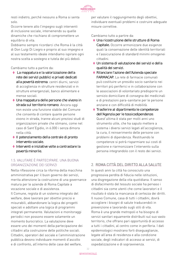

resti indietro, perché nessuno a Roma si senta solo.

Occorre tenere alto l'impegno sugli interventi di inclusione sociale, intervenendo su quelle dinamiche che rischiano di compromettere un equilibrio di vita.

Dobbiamo sempre ricordarci che Roma è la città di Don Luigi Di Liegro e proprio al suo impegno e al suo testamento ideale intendiamo ispirare ogni nostra scelta a sostegno e tutela dei più deboli.

Cambiamo tutto a partire da:

- **◊**  La mappatura e la valorizzazione della rete dei servizi pubblici e privati dedicati alla povertà estrema: centri diurni, servizi di accoglienza in strutture residenziali e in strutture emergenziali, banco alimentare e mense sociali.
- **◊** Una mappatura delle persone che vivono in strada sul territorio romano. Ancora oggi non esiste una funzione stabile del Comune che consenta di contare quante persone vivono in strada, tranne alcuni preziosi studi di organizzazioni private che stimano, come nel caso di Sant'Egidio, in 6.000 i senza dimora nella città.
- **◊**  Il potenziamento della centrale di pronto intervento sociale.
- **◊**  Interventi e iniziative volte a contrastare la povertà minorile.

## 1.5. VALUTARE È PARTECIPARE. UNA BUONA ORGANIZZAZIONE DEI SERVIZI

Nella riflessione circa la riforma della macchina amministrativa per il buon governo dei servizi, merita attenzione la costruzione di una governance matura per le aziende di Roma Capitale a vocazione sociale e di assistenza. Il Comune, regista di un sistema integrato del welfare, deve lavorare per obiettivi precisi e misurabili, abbandonare la logica dei progetti speciali e adottare una logica di programmi integrati permanente. Valutazioni e monitoraggi periodici non possono essere solamente un momento burocratico. La valutazione deve essere uno dei momenti della partecipazione dei cittadini alla costruzione delle politiche sociali. Cittadini, operatori del sociale e l'amministrazione pubblica devono individuare momenti d'ascolto e di confronto, all'interno delle case del welfare,

per valutare il raggiungimento degli obiettivi, individuare eventuali problemi e costruire adeguate misure correttive.

Cambiamo tutto a partire da:

- **◊** Una ricostruzione delle strutture di Roma Capitale. Occorre armonizzare due esigenze quali la conservazione delle identità territoriali e l'assicurazione di standard minimi omogenei cittadini.
- **◊** Un sistema di valutazione dei servizi e della qualità dei servizi.
- **◊** Rilanciare l'azione dell'Azienda speciale FARMACAP. La rete di farmacie comunali può costituire un presidio socio-sanitario nei territori più periferici e in collaborazione con le associazioni di volontariato predisporre un servizio domiciliare di consegna dei medicinali e di prestazioni para-sanitarie per le persone anziane e con difficoltà di mobilità.
- **◊**  Trasferire al dipartimento le competenze dell'Agenzia per le tossicodipendenze. Quest'ultima è stata per molti anni uno strumento utile, che ha saputo mettere a sistema i diversi servizi legati all'accoglienza, la cura, il reinserimento delle persone con problemi di dipendenza. Restituendo le competenze si potrà risparmiare sui costi di gestione e riarmonizzare l'intervento sulla persona integrandolo con il resto dei servizi.

## 2. ROMA CITTÀ DEL DIRITTO ALLA SALUTE

In questi anni la città ha conosciuto una progressiva perdita di fiducia nelle istituzioni, una disgregazione della vita quotidiana. Il senso di disfacimento del tessuto sociale ha pervaso i cittadini sia come utenti che come lavoratori e il risultato è stata la mancanza di certezza dei diritti. Il nuovo Comune, casa di tutti i cittadini, dovrà accogliere i bisogni di salute traducendoli in prevenzione e lavorando sugli stili di vita. Roma è una grande metropoli e ha bisogno di servizi sanitari equamente distribuiti sul suo vasto territorio, che offrano pari opportunità di accesso a tutti i cittadini, al centro come in periferia. I dati epidemiologici mostrano forti diseguaglianze, legate all'area di residenza e alla condizione sociale, degli indicatori di accesso ai servizi, di ospedalizzazione e di sopravvivenza.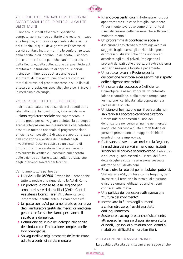

## 2.1. IL RUOLO DEL SINDACO COME DIFENSORE CIVICO E GARANTE DEL DIRITTO ALLA SALUTE DEI CITTADINI

Il sindaco, pur nell'assenza di specifiche competenze in campo sanitario che restano in capo alla Regione, è tuttavia responsabile della salute dei cittadini, ai quali deve garantire l'accesso ai servizi sanitari. Inoltre, tramite le conferenze locali della sanità in cui nomina un delegato, il sindaco può esprimersi sulle politiche sanitarie praticate dalla Regione, dalla collocazione dei posti letto sul territorio alla funzionalità di ospedali e servizi. Il sindaco, infine, può adottare anche altri strumenti di intervento: può chiedere conto sui tempi di attesa nei pronto soccorso o sulle liste di attesa per prestazioni specialistiche e per i ricoveri in medicina e chirurgia.

## 2.2. LA SALUTE IN TUTTE LE POLITICHE

Il diritto alla salute incide sui diversi aspetti della vita della città. In quest'ottica, è da rivitalizzare il piano regolatore sociale che rappresenta un ottimo modo per convogliare a sintesi la purtroppo scarsa integrazione socio-sanitaria e che potrebbe essere un metodo razionale di programmazione efficiente con possibilità di vagliare appropriatezza dell'erogazione e verifica dei risultati degli investimenti. Occorre costruire un sistema di programmazione sanitaria che possa davvero assicurare la verifica e il controllo sull'operato delle aziende sanitarie locali, sulla realizzazione degli interventi sanitari nei territori.

Cambiamo tutto a partire da:

- **◊**  I servizi dello 060606. Devono includere anche tutte le notizie che riguardano le Asl di Roma.
- **◊** Un protocollo con le Asl e la Regione per ampliare i servizi domiciliari (CAD - Centri Assistenza Domiciliare). Attualmente sono largamente insufficienti alle reali necessità.
- **◊** Un patto con le Asl per ampliare le esperienze degli ambulatori gestiti dai medici di medicina generale e far sì che siano aperti anche il sabato e la domenica.
- **◊** Definizione del ruolo dei delegati alla sanità del sindaco con l'indicazione completa delle loro prerogative.
- **◊**  Salvaguardia e miglioramento delle strutture adibite a centri di salute mentale.
- **◊** Rilancio dei centri diurni. Potenziare i gruppi appartamento e le case famiglia, sostenere l'inserimento lavorativo come strumento di risocializzazione delle persone che soffrono di malattie mentali.
- **◊** Un programma di odontoiatria sociale. Assicurare l'assistenza a tariffe agevolate ai soggetti fragili (come gli anziani bisognosi di protesi o i disabili) che non riescono ad accedere agli studi privati, impiegando i proventi derivati dalle prestazioni extra sistema sanitario nazionale fornite a pagamento.
- **◊** Un protocollo con la Regione per la dislocazione territoriale dei servizi nel rispetto delle esigenze territoriali.
- **◊** Una catena del soccorso più efficiente. Coinvolgere le associazioni del volontariato, laiche e cattoliche, e allo stesso tempo, fare formazione "certificata" alla popolazione a partire dalle scuole.
- **◊** Un piano di formazione per il personale non sanitario sul soccorso cardiorespiratorio. Creare nuclei addestrati all'uso del defibrillatore nei centri anziani e nei mercati, luoghi che per fascia di età e moltitudine di persone presentano un maggior rischio di eventi di morte improvvisa.
- **◊** Riattivare, attraverso accordi con la Regione, la medicina dei servizi almeno negli istituti secondari di primo e secondo grado. L'obiettivo è educare gli adolescenti sui rischi del fumo, delle droghe e sulla trasmissione sessuale adottando stili di vita sani.
- **◊** Ricostruire la rete dei poliambulatori pubblici. Stimolare le ASL, d'intesa con la Regione, per investire sul territorio in termini di strutture e risorse umane, utilizzando anche i beni confiscati alla mafia.
- **◊** Una politica del benessere attraverso una "cultura del movimento".
- **◊**  Incentivare la filiera degli alimenti a chilometro zero, freschi e protetti dall'inquinamento.
- **◊**  Sostenere e accogliere, anche fisicamente, attraverso la messa a disposizione gratuita di locali, i gruppi di auto aiuto per i cittadini malati o in difficoltà e i loro familiari.

## 2.3. LA CONTINUITÀ ASSISTENZIALE

La qualità della vita dei cittadini si persegue anche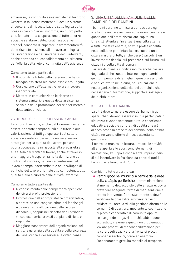

attraverso, la continuità assistenziale nel territorio. Occorre in tal senso mettere a fuoco un sistema di percorsi e di risposte basato sulla logica della presa in carico. Serve, insomma, un nuovo patto che, fondato sulla cooperazione di tutte le forze sociali e sanitarie (istituzionali, associative, civiche), consenta di superare la frammentarietà delle risposte assistenziali attraverso la logica dell'integrazione e dell'unitarietà degli interventi, anche partendo dal consolidamento del sistema dell'offerta della rete di continuità dell'assistenza.

Cambiamo tutto a partire da:

- **◊**  Il nodo della tutela della persona che ha un bisogno assistenziale complesso e prolungato.
- **◊**  Costruzione dell'alternativa vera al ricovero inappropriato.
- **◊**  Mettere in comunicazione le risorse del sistema sanitario e quelle della assistenza sociale e della promozione del reinserimento e della autosufficienza.

#### 2.4. IL RUOLO DELLE PROFESSIONI SANITARIE

Le azioni di sistema, anche del Comune, dovranno essere orientate sempre di più alla tutela e alla valorizzazione di tutti gli operatori del settore sociale e sanitario. Serve una nuova alleanza strategica per la qualità del lavoro, per una buona occupazione in risposta alla precarietà e alla tutela dei diritti del lavoro, anche attraverso una maggiore trasparenza nella definizione dei contratti d'impresa, nell'implementazione del lavoro a tempo indeterminato e nello sviluppo di politiche del lavoro orientate alla competenza, alla qualità e alla sicurezza delle attività lavorative.

Cambiamo tutto a partire da:

- **◊** Riconoscimento delle competenza specifiche dei diversi profili professionali.
- **◊**  Promozione dell'appropriatezza organizzativa, a partire da una congrua stima dei fabbisogni e da un'attenta allocazione delle risorse disponibili, seppur nel rispetto degli stringenti vincoli economici previsti dal piano di rientro regionale.
- **◊**  Maggiore trasparenza dell'organizzazione dei servizi a garanzia della qualità e della sicurezza dell'assistenza e dei servizi alla cittadinanza.

## 3. UNA CITTÀ DELLE FAMIGLIE, DELLE BAMBINE E DEI BAMBINI

I bambini saranno la misura per decidere ogni scelta che andrà a incidere sulle azioni concrete e quotidiane dell'amministrazione capitolina. Una città attenta all'infanzia è una città attenta a tutti. Investire energie, spazi e professionalità nelle politiche per l'infanzia, costruendo una città a misura di tutti, anche dei più piccoli, è un investimento doppio, sul presente e sul futuro, sui cittadini e sulla città di domani.

Parlare di infanzia significa inoltre anche parlare degli adulti che ruotano intorno a ogni bambino: genitori, persone di famiglia, figure professionali e non, coinvolte nella cura, nell'educazione e nell'organizzazione della vita dei bambini e che necessitano di formazione, supporto e sostegno della città intera.

#### 3.1. LA CITTÀ DEI BAMBINI

La città deve tornare a essere dei bambini: gli spazi urbani devono essere vissuti e partecipati in sicurezza e vanno sostenute tutte le esperienze educative, sociali e culturali di qualità che già arricchiscono la crescita dei bambini della nostra città e ne vanno offerte di nuove altrettanto qualificate.

Il teatro, la musica, la lettura, i musei, le attività all'aria aperta e lo sport sono elementi di formazione, sviluppo e conoscenza imprescindibili di cui incentivare la fruizione da parte di tutti i bambini e le famiglie di Roma.

Cambiamo tutto a partire da:

**◊**  Parchi gioco nei municipi a partire dalle aree della città più periferiche. L'amministrazione, al momento dell'acquisto delle strutture, dovrà prevedere adeguate forme di manutenzione e pronto intervento. Contestualmente si dovrà verificare la possibilità amministrativa di affidare tali aree verdi alla gestione diretta delle comunità di quartiere, mediante la costituzione di piccole cooperative di comunità oppure coinvolgendo i ragazzi a rischio abbandono scolastico, insieme a quelli non problematici. Avviare progetti di responsabilizzazione per la cura degli spazi verdi a fronte di piccoli compensi simbolici, come ad esempio l'abbonamento gratuito mensile al trasporto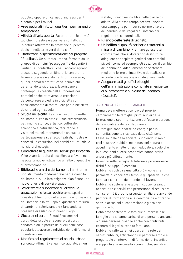

pubblico oppure un carnet di ingressi per il cinema o per i musei.

- **◊**  Aree pedonali in tutti i quartieri, permanenti o temporanee.
- **◊**  Attività all'aria aperta. Favorire tutte le attività ludiche, ricreative e sportive a contatto con la natura attraverso la creazione di percorsi dedicati nelle aree verdi della città.
- **◊**  Rafforzare la sperimentazione del progetto "Piedibus". Un autobus umano, formato da un gruppo di bambini "passeggeri" e da genitori "autisti" e "controllori", che li accompagnano a scuola seguendo un itinerario con orari e fermate precise e stabilite. Promuoveremo, quindi, percorsi protetti casa–scuola che, garantendo la sicurezza, favoriscano al contempo la crescita dell'autonomia dei bambini anche attraverso la creazione da percorrere a piedi e in bicicletta con posizionamento di rastrelliere per le biciclette davanti ad ogni scuola.
- **◊**  Scuola nella città. Favorire l'incontro diretto dei bambini con la città e il suo straordinario patrimonio storico, artistico, culturale, scientifico e naturalistico, facilitando le visite nei musei, monumenti e chiese, la partecipazione a spettacoli teatrali, mostre e concerti, le escursioni nei parchi naturalistici e nei siti archeologici.
- **◊**  Controllare la qualità dei servizi per l'infanzia. Valorizzare le realtà di eccellenza e favorirne la nascita di nuove, istituendo un albo di qualità e di professionalità.
- **◊** Biblioteche amiche dei bambini. La lettura è uno strumento fondamentale per la crescita dei bambini sulle loro esigenze pianificare una nuova offerta di servizi e spazi.
- **◊**  Valorizzare e supportare gli oratori, le associazioni e le parrocchie come spazi e presidi sul territorio nella crescita e formazione dell'infanzia e lo sviluppo di quartieri a misura di bambino, valorizzando e rilanciando la presenza di asili nido in questi luoghi.
- **◊**  Giocare nei cortili. Riqualificazione dei cortili delle scuole e recupero dei cortili condominiali, a partire da quelli delle case popolari, attraverso l'individuazione di forme di incentivazione.
- **◊**  Modifica del regolamento di polizia urbana sul gioco. Affinché venga incoraggiato, e non

vietato, il gioco nei cortili e nelle piazze più adatte. Allo stesso tempo occorre lanciare una campagna per inserire norme a favore dei bambini e dei ragazzi all'interno dei regolamenti condominiali.

- **◊** Rilancio delle feste di vicinato.
- **◊** Un bollino di qualità per bar e ristoranti a misura di bambino. Premiare gli esercizi commerciali che si doteranno di strutture adeguate per ospitare genitori con bambini piccoli, come ad esempio gli spazi per il cambio del pannolino. Adeguamenti da sostenere mediante forme di incentivo e da realizzare in accordo con le associazioni degli esercenti
- **◊**  Adeguare tutti gli uffici e luoghi dell'amministrazione comunale all'esigenze di allattamento e alla cura del neonato (fasciatoi).

## 3.2. UNA CITTÀ PER LE FAMIGLIE

Roma deve mettere al centro del proprio cambiamento le famiglie, primi nuclei della formazione e sperimentazione dell'essere persona, della socialità e della cittadinanza. Le famiglie sono risorse ed energia per la comunità, sono la ricchezza della città, sono l'asse solidale della società, supplendo in molti casi ai servizi pubblici nelle funzioni di cura e

accudimento e nelle funzioni educative, ruolo che in questi anni di crisi economica hanno svolto ancora più diffusamente.

Investire sulle famiglie, tutelarne e promuoverne i diritti è sviluppo. È crescita.

Dobbiamo costruire una città più vivibile che permetta di conciliare i tempi e gli spazi della vita familiare con ritmi del mondo del lavoro.

Dobbiamo sostenere le giovani coppie, creando opportunità e servizi che permettano di realizzare con serenità il proprio progetto familiare e avviando percorsi di formazione alla genitorialità e offrendo spazi e occasioni di condivisione e gioco per genitori e figli.

Dobbiamo sostenere le famiglie numerose e le famiglie che si fanno carico di una persona anziana o di una persona disabile anche con contributi economici legati al reddito familiare. Dobbiamo rafforzare nei quartieri la rete dei servizi pubblici, articolando un percorso ampio e progettuale di interventi di formazione, incentivo e supporto alle necessità economiche, sociali e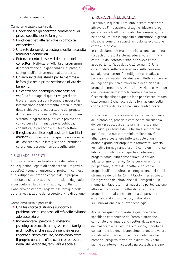

culturali delle famiglie.

Cambiamo tutto a partire da:

- **◊**  L'adozione tra gli operatori commerciali di prezzi specifici per le famiglie.
- **◊**  Fondi destinati alle famiglie in difficoltà economiche.
- **◊** Una rete dei servizi a sostegno delle necessità familiari e genitoriali.
- **◊**  Potenziamento dei servizi della rete dei consultori. Rafforzare l'offerta di programmi di preparazione alla gravidanza e al parto, di sostegno all'allattamento e al puerperio.
- **◊** Un servizio di assistenza per le mamme e le famiglie nelle prime settimane di vita del bambino.
- **◊** Un centro per la famiglia nelle case del welfare. Un luogo al quale rivolgersi per trovare risposte a ogni bisogno e necessità: informazione e orientamento, presa in carico delle richieste e di elaborazione dei progetti d'intervento. Le case del Welfare saranno un sistema integrato tra pubblico e privato che coinvolgerà l'amministrazione pubblica, i consultori, le parrocchie e il terzo settore.
- **◊**  Il registro pubblico degli assistenti familiari (badanti). Offrire garanzie, qualità e sicurezza dell'assistenza alle famiglie che si prendono cura di una persona non autosufficiente.

#### 3.3. GLI ADOLESCENTI

È importante non sottovalutare la delicatezza delle questioni legate all'adolescenza. I ragazzi a quest'età vivono un universo di problemi connessi allo sviluppo del proprio corpo e della propria identità: l'insicurezza, l'incomprensione degli adulti e dei coetanei, la discriminazione, il bullismo. Dobbiamo sostenere i ragazzi e le famiglie nella serena realizzazione del progetto di vita di ognuno.

Cambiamo tutto a partire da:

- **◊** Una task force di studio e supporto ai problemi sociali connessi all'età dello sviluppo adolescenziale.
- **◊**  Incrementare i percorsi di sostegno psicologico e sociale ai ragazzi e alle famiglie in difficoltà, anche a scuola perché nessun ragazzo si senta escluso, possa completare il proprio percorso d'istruzione e realizzarsi nella vita personale, familiare e sociale.

# 4. ROMA CITTÀ EDUCATIVA

La scuola in questi ultimi anni è stata martoriata attraverso l'imposizione di tagli e riduzioni di ogni genere, sia a livello nazionale che comunale, che ne hanno limitato la capacità di affrontare le grandi sfide che pone una società in costante evoluzione come è la nostra.

In particolare, l'ultima amministrazione capitolina ha destrutturato il sistema educativo e culturale costruito dal centrosinistra, che aveva come asse portante l'idea della città comunità. Una città fondata sulla conoscenza e sulla coesione sociale, una comunità intelligente e creativa che ponesse la crescita individuale e collettiva al centro dell'agenda politica attraverso la definizione di progetti di modernizzazione, innovazione e sviluppo che unissero la metropoli, centro e periferie. Occorre ripartire da queste idee per ricostruire una città comunità che faccia della formazione, della conoscenza e della cultura i suoi punti di forza.

Roma deve tornare a essere la città dei bambini e delle bambine, proprio a cominciare dal rilancio dei servizi educativi per la prima infanzia: più asili nido, più scuole dell'infanzia e sempre più qualificati. La nuova amministrazione dovrà affiancare e sostenere tutte le scuole di ogni ordine e grado per ampliare e rafforzare l'offerta formativa immaginando la città come un immenso laboratorio didattico all'aperto e potenziando progetti come: città come scuola, la scuola adotta un monumento, Roma per vivere, Roma per pensare, la rete della fattorie educative, i progetti sull'intercultura e l'integrazione dei bimbi stranieri e dei bimbi Rom, il tavolo interreligioso, l'integrazione dei bimbi disabili, i progetti sulla memoria, i laboratori nei musei e la partecipazione attiva ai grandi eventi culturali della città, i progetti mirati al contrasto della dispersione e dell'abbandono scolastico, i laboratori sull'innovazione e le nuove tecnologie.

Anche per quanto riguarda la gestione delle specifiche competenze dell'amministrazione comunale che riguardano i settori delle mense, del trasporto e dell'edilizia scolastica, il punto da cui partire è il pieno riconoscimento del loro valore sociale ed educativo. Il pasto a scuola deve far parte del progetto formativo e didattico. Anche i piani e gli interventi sull'edilizia scolastica, sia per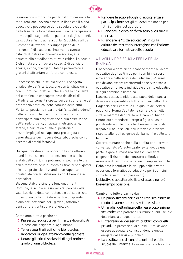

le nuove costruzioni che per le ristrutturazioni e la manutenzione, devono essere in linea con il piano educativo e pedagogico della scuola prevedendo, nella fase della loro definizione, una partecipazione attiva degli insegnanti, dei genitori e degli studenti. La scuola è l'istituzione a cui la Repubblica affida il compito di favorire lo sviluppo pieno della personalità di ciascuno, rimuovendo eventuali ostacoli di natura economica e sociale, e di educare alla cittadinanza attiva e critica. La scuola è chiamata a promuovere capacità di pensiero aperte, ricche, divergenti, tali da permettere ai giovani di affrontare un futuro complesso.

È necessario che la scuola diventi il soggetto privilegiato dell'interlocuzione con le istituzioni e con il Comune. Infatti è li che si crea la coscienza del cittadino, la consapevolezza dei diritti di cittadinanza come il rispetto dei beni culturali e del patrimonio artistico, bene comune della città. Pertanto, possiamo ripartire dai "cittadini studenti" delle tante scuole che potranno utilmente partecipare alla progettazione e alla costruzione dell'arredo urbano, di piazze, metropolitane, strade, a partire da quelle di periferia o essere impiegati nell'apertura prolungata e generalizzata dei musei e delle biblioteche con un sistema di crediti formativi.

Bisogna investire sulle opportunità che offrono i tanti istituti secondari professionali e tecnici statali della città, che potranno impegnare le ore dell'alternanza scuola-lavoro o i tirocini obbligatori e le aree professionalizzanti in un rapporto privilegiato con le istituzioni e con il Comune in particolare.

Bisogna stabilire sinergie funzionali tra il Comune, le scuole e le università, perché dalla valorizzazione delle competenze e dei saperi che provengono dalla città deve partire un grande piano occupazionale per i giovani, attorno ai beni culturali, artistici e archeologici.

Cambiamo tutto a partire da:

- **◊**  Più servizi educativi per l'infanzia diversificati in base alle esigenze di ogni bimbo.
- **◊**  Tenere aperti gli edifici, le biblioteche, i laboratori lungo tutto l'arco della giornata.
- **◊** Dotare gli istituti scolastici di ogni ordine e grado di una biblioteca.
- **◊** Rendere le scuole luoghi di accoglienza e partecipazione per gli studenti ma anche per tutti i cittadini del quartiere.
- **◊** Rilanciare la circolarità fra scuola, cultura e ricerca.
- **◊** Rilanciare le "Città educative" in cui la cultura del territorio interagisce con l'azione educativa e formativa delle scuole.

#### 4.1. ASILI NIDO E SCUOLA PER LA PRIMA INFANZIA

È necessario dare pieno riconoscimento al valore educativo degli asili nido per i bambini da zero a tre anni e delle scuole dell'infanzia (3-6 anni), che devono essere trasformati da servizio socioeducativo a richiesta individuale a diritto educativo di ogni bambino e bambina.

L'accesso all'asilo nido e alla suola dell'infanzia deve essere garantito a tutti i bambini della città. L'Agenzia per il controllo e la qualità dei servizi pubblici di Roma Capitale ha stimato che nella città le mamme di oltre 16mila bambini hanno rinunciato a mandare il proprio figlio all'asilo pur desiderandolo. E anche il numero dei posti disponibili nelle scuole dell'infanzia è inferiore rispetto alle reali esigenze dei bambini e delle loro famiglie.

Occorre puntare anche sulla qualità per il privato convenzionato e/o autorizzato, evitando, da una parte le gare al massimo ribasso, dall'altra esigendo il rispetto del contratto collettivo nazionale di lavoro come requisito imprescindibile. Dobbiamo incentivare lo sviluppo delle diverse esperienze formative ed educative per i bambini come le tagesmutter (case-nido).

L'obiettivo è abbattere le liste di attesa nel più breve tempo possibile.

Cambiamo tutto a partire da:

- **◊** Un piano straordinario di edilizia scolastica in modo da aumentare le strutture esistenti.
- **◊** Un'analisi dettagliata della reale popolazione scolastica che potrebbe usufruire di nidi ,scuole dell'infanzia e tagesmutter.
- **◊**  L'integrazione, dei servizi pubblici con quelli privati. Le prestazioni di questi ultimi devono essere adeguate e corrispondenti a quelle erogate dal servizio pubblico.
- **◊**  La costituzione di consulte dei nidi e delle scuole dell'infanzia. Favorire una rete tra i due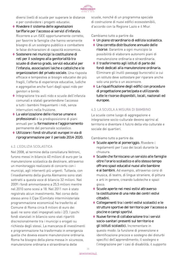

diversi livelli di scuole per superare le distanze e per condividere i progetti educativi.

- **◊** Rivedere il sistema delle agevolazioni tariffarie per l'accesso ai servizi d'infanzia. Ricorrere a un ISEE opportunamente corretto, per favorire le famiglie che hanno veramente bisogno di un sostegno pubblico e combattere le false dichiarazioni di capacità economica.
- **◊**  Sostenere nei municipi la costituzione di reti per il sostegno alla genitorialità tra scuole di diverso grado, servizi educativi per l'infanzia, associazioni laiche e cattoliche e le organizzazioni del privato sociale. Una risposta efficace e tempestiva ai bisogni educativi dei più fragili, l'offerta di esperienze educative, ludiche e aggregative anche fuori dagli spazi nido per genitori e bimbi.
- **◊**  Integrazione tra asili nido e scuole dell'infanzia comunali e statali garantendone l'accesso a tutti i bambini frequentanti i nidi, senza interruzioni nella fruizione.
- **◊**  La valorizzazione delle risorse umane e professionali e la predisposizione di piani annuali per la formazione e l'aggiornamento permanente del personale scolastico.
- **◊** Utilizzare i fondi strutturali europei in via di riprogrammazione per il periodo 2014-2020.

#### 4.2. L'EDILIZIA SCOLASTICA

Nel 2008, al termine della consiliatura Veltroni, furono messi in bilancio 40 milioni di euro per la manutenzione scolastica da destinare, attraverso un monitoraggio realizzato di concerto con i municipi, agli interventi più urgenti. Tuttavia, con l'insediamento della giunta Alemanno sono stati sottratti a questa voce di bilancio 32 milioni. Nel 2009 i fondi ammontavano a 25,5 milioni mentre nel 2010 sono scesi a 18. Nel 2011 non è stato registrato alcun investimento. Nel corso dello stesso anno il Cipe (Comitato interministeriale programmazione economica) ha trasferito al Comune di Roma circa 8 milioni di euro dei quali ne sono stati impegnati solo i 2/3. I pochi fondi stanziati in bilancio sono stati ripartiti discrezionalmente tra i municipi o erogati su richiesta degli stessi. La mancanza di investimenti e programmazione ha trasformato in emergenza quella che doveva essere manutenzione ordinaria. Roma ha bisogno della piena messa in sicurezza, manutenzione ordinaria e straordinaria delle

scuole, nonché di un programma speciale di costruzione di nuovi edifici ecosostenibili, d'accordo con la Regione Lazio e il Miur.

#### Cambiamo tutto a partire da:

- **◊** Un piano straordinario di edilizia scolastica.
- **◊** Una corretta distribuzione annuale delle risorse. Garantire a ogni municipio la possibilità di elaborare autonomi piani di manutenzione ordinaria e straordinaria.
- **◊**  Il trasferimento agli istituti di parte dei fondi dedicati alla manutenzione ordinaria. Eliminare gli inutili passaggi burocratici a cui un istituto deve sottostare per riparare anche solo una porta o un ascensore.
- **◊**  La riqualificazione degli edifici con procedure di progettazione partecipata e utilizzando tutte le risorse disponibili, locali, nazionali ed europee.

#### 4.3. LA SCUOLA A MISURA DI BAMBINO

Le scuole come luogo di aggregazione e integrazione socio-culturale devono aprirsi al territorio e diventare il fulcro della vita culturale e sociale dei quartieri.

Cambiamo tutto a partire da:

- **◊**  Scuole aperte al pomeriggio. Rivedere i regolamenti per l'uso dei locali durante la chiusura.
- **◊**  Scuole che forniscano un servizio alle famiglie oltre l'orario scolastico e allo stesso tempo offrano spazi educativi nuovi alle bambine e ai bambini. Ad esempio, attraverso corsi di musica, di teatro, di lingue straniere, di pittura e arti in genere, creando ludoteche e spazi gioco.
- **◊**  Scuole aperte nei mesi estivi attraverso la costituzione di una rete dei centri estivi cittadini.
- **◊**  Collegamenti tra i centri estivi scolastici e le strutture sportive del territorio per l'accesso a piscine e campi sportivi.
- **◊**  Nuove forme di collaborazione tra i servizi socio-sanitari presenti sul territorio e gli istituti scolastici. Incrementare in questo modo: la funzione di prevenzione e identificazione precoce e sostegno dei disturbi specifici dell'apprendimento; il sostegno e l'integrazione per i casi di disabilità; il supporto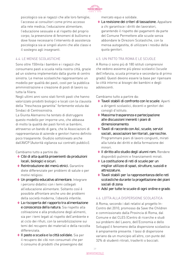

psicologico sia ai ragazzi che alle loro famiglie; l'accesso ai consultori come primo accesso alla rete medica; l'educazione alimentare; l'educazione sessuale e al rispetto del proprio corpo; la prevenzione di fenomeni di bullismo e dove fosse necessario l'intervento di assistenza psicologica sia ai singoli alunni che alle classi e il sostegno agli insegnanti.

# 4.4. LE MENSE SCOLASTICHE

Sono oltre 150mila i bambini e i ragazzi che consumano pasti a scuola nella nostra città, grazie ad un sistema implementato dalla giunte di centro sinistra. Le mense scolastiche rappresentano un modello per qualità dei pasti, costi per la pubblica amministrazione e creazione di posti di lavoro su tutta la filiera.

Negli ultimi anni sono stati forniti pasti che hanno valorizzato prodotti biologici e locali con la clausola della "freschezza garantita" fortemente voluta dai Sindaci di Centrosinistra.

La Giunta Alemanno ha tentato di distruggere questo modello per imporne uno, che abbassa di molto la qualità dei pasti forniti ai bambini, attraverso un bando di gara, che le Associazioni di rappresentanza di aziende e genitori hanno definito poco trasparente. Giudizio sottolineato anche dall'AVCP (Autorità vigilanza sui contratti pubblici).

Cambiamo tutto a partire da:

- **◊**  Cibi di alta qualità provenienti da produzioni locali, biologici e sicuri.
- **◊** Reintroduzione dei menù etnici. Garantire diete differenziate per problemi di salute o per motivi religiosi.
- **◊** Un progetto educativo alimentare. Integrare i percorsi didattici con i temi collegati all'educazione alimentare. Soltanto così è possibile affrontare anche uno dei problemi della società moderna, l'obesità infantile.
- **◊**  La riscoperta del rapporto tra alimentazione e conoscenza della natura. Sia rispetto alla coltivazione e alla produzione degli alimenti, sia per i temi legati al rispetto dell'ambiente e al ciclo dei rifiuti, con la sensibilizzazione sui temi del recupero dei materiali e della raccolta differenziata.
- **◊**  Il pasto a scuola e la città solidale. Sia per il recupero dei cibi non consumati che per il consumo di prodotti che provengono dal

mercato equo e solidale.

**◊**  La revisione dei criteri di tassazione. Appaltare a chi garantisce i diritti dei lavoratori, garantendo il rispetto dei pagamenti da parte del Comune Permettere alle scuole senza abbondare le Direzioni Scolastiche, con la mensa autogestita, di utilizzare i residui della quota genitori.

#### 4.5. UN PATTO TRA ROMA E LE SCUOLE

A Roma ci sono più di 180 istituti comprensivi che vedono assieme più plessi scolastici (scuole dell'infanzia, scuola primaria e secondaria di primo grado). Questi devono essere la base per ripensare la città intorno ai bisogni dei bambini e degli adolescenti.

Cambiamo tutto a partire da:

- **◊**  Tavoli stabili di confronto con le scuole. Aperti a dirigenti scolastici, docenti e genitori dei consigli d'istituto.
- **◊**  Massima trasparenza e partecipazione alle discussioni inerenti i piani di dimensionamento.
- **◊**  Tavoli di raccordo con Asl, scuole, servizi sociali, associazioni territoriali, parrocchie. Programmare piani di lavoro congiunti, mirati alla tutela dei diritti e della formazione dei minori.
- **◊**  Il diritto allo studio degli alunni rom. Rendere disponibili pulmini e finanziamenti mirati.
- **◊**  La costituzione di reti di scuole per un miglior utilizzo di spazi, strutture, sussidi e attrezzature.
- **◊**  Tavoli stabili per la rappresentanza delle reti scolastiche durante la progettazione dei piani sociali di zona.
- ◆ AdsI per tutte le scuole di ogni ordine e grado.

#### 4.6. LOTTA ALLA DISPERSIONE SCOLASTICA

A Roma, secondo i dati relativi al progetto In-Contro del 2010, promosso da Save the Children e commissionato dalla Provincia di Roma, dal Comune e dal CLES (Centro di ricerche e studi sui problemi del Lavoro, dell'Economia e dello Sviluppo) il fenomeno della dispersione scolastica è ampiamente presente. I tassi di dispersione variano da un municipio all'altro, con punte del 32% di studenti ritirati, trasferiti o bocciati.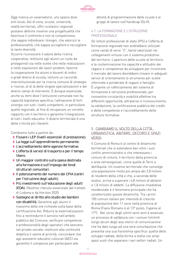

Oggi manca un osservatorio, uno spazio dove enti locali, Asl di zona, scuole, università, realtà territoriali, uffici scolastici regionali possano definire insieme una progettualità che favorisca il confronto e non la competizione, che sappia individuare i bisogni, che valorizzi le professionalità, che sappia accogliere e raccogliere le tante diversità.

Occorre riconoscere il valore della ricerca cooperativa, restituire agli alunni un ruolo da protagonisti sia nelle scelte che nelle realizzazioni e nelle esposizioni dei lavori prodotti, favorire la cooperazione fra alunni e docenti di ordini e gradi diversi di scuola, istituire un raccordo interistituzionale per la ricerca comune di strategie e risorse, al di là delle singole specializzazioni e dei diversi campi di intervento. È dunque essenziale anche su temi dove l'istituzione comunale non ha capacità legislativa specifica, l'attivazione di forti sinergie con tutti i livelli competenti, in particolare quello regionale, al fine di recuperare un corretto rapporto con il territorio e garantire l'integrazione di tutti i livelli educativi. Il divario territoriale è una delle criticità più rilevanti.

Cambiamo tutto a partire da:

- **◊**  Fissare i LEP (livelli essenziali di prestazione).
- **◊**  La legge sull'apprendimento permanente.
- **◊**  L'accreditamento delle agenzie formative.
- **◊**  L'offerta di servizi di trasporto e per il tempo libero.
- **◊** Un maggior controllo sulla spesa destinata alla formazione e sull'impiego dei fondi strutturali comunitari.
- **◊**  Il potenziamento del numero dei CPIA (centri per l'istruzione degli adulti).
- **◊**  Più investimenti sull'educazione degli adulti (EDA). Obiettivo ritenuto essenziale dal trattato di Lisbona e da Horizon 2020.
- **◊**  Sostegno al diritto allo studio dei bambini con disabilità. Garantire agli alunni il massimo delle ore richieste sulla base della certificazione Asl. Ridurre le esternalizzazioni fino a reintrodurre il servizio nell'ambito pubblico del Comune; verificare competenze e professionalità degli operatori che lavorano nel privato sociale; restituire alla continuità didattica il valore di priorità; concordare che agli assistenti educativi culturali (AEC) sia garantito il compenso per partecipare alle

attività di programmazione delle scuole e ai gruppi di lavoro sull'handicap (GLH).

# 4.7. LA FORMAZIONE E L'ISTRUZIONE PROFESSIONALE

Gli istituti professionali di stato (IPS) e l'offerta di formazione regionale non andrebbero utilizzati come canali di serie "C", bensì valorizzati nei collegamenti virtuosi con il sistema produttivo del territorio. L'apertura delle scuole al territorio e la contaminazione tra capacità e attitudini dei ragazzi e competenze da sviluppare per incontrare il mercato del lavoro dovrebbero trovare in adeguati servizi di orientamento lo strumento per scelte informate e ponderate di ragazzi e famiglie. È urgente un rafforzamento del sistema di formazione e istruzione professionale, per consentire circolarità e mobilità effettive tra differenti opportunità, attraverso il riconoscimento, la validazione, la certificazione pubblica dei crediti e delle competenze e l'accreditamento delle strutture formative.

# 5. CAMBIAMO IL VOLTO DELLA CITTÀ. URBANISTICA, ABITARE, DECORO E SPAZI VERDI

Il Comune di Roma è al centro di dinamiche territoriali che si estendono ben oltre i suoi confini amministrativi e che interessano i comuni di cintura, il territorio della provincia e aree extraregionali, come quelle di Terni e dell'Aquila. Un insieme territoriale che coinvolge una popolazione molto più ampia dei 2,8 milioni di residenti della città e che, a seconda delle analisi, arriva a superare i 4,8 milioni di abitanti e 1,8 milioni di addetti. La diffusione insediativa residenziale è il fenomeno principale che ha caratterizzato queste dinamiche. Tra i primi 100 comuni italiani per intensità di crescita di popolazione ben 11 sono nella provincia di Roma (Fiano Romano è al 13° posto, Capena al 17°). Nel corso degli ultimi venti anni è avvenuto un processo di saldatura con i comuni limitrofi lungo alcuni degli assi storici di comunicazione che ha dato luogo ad una vera conurbazione che presenta una sua fisionomia specifica: quella dello sviluppo radiale, della forma a stella con ampi spazi vuoti che separano i vari settori radiali. Un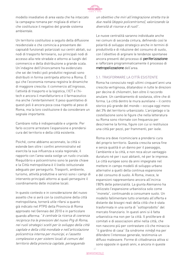

modello insediativo di area vasta che ha intaccato la campagna romana per migliaia di ettari e che costituisce il negativo del grande sistema ambientale.

Un territorio costituitosi a seguito della diffusione residenziale e che comincia a presentare dei capisaldi funzionali polarizzati sui centri abitati, sui nodi di trasporto ferroviario, sui principali nodi di accesso alla rete stradale e attorno ai luoghi del commercio e della distribuzione a grande scala. Un'indagine dell'Unioncamere ha evidenziato che sei dei tredici poli produttivi regionali sono distribuiti in forma centripeta attorno a Roma. È qui che l'economia romana registra le dinamiche di maggiore crescita: il commercio all'ingrosso, l'attività di trasporto e la logistica, l'ICT e l'hitech e ancora il manifatturiero e il farmaceutico ma anche l'entertainment. Il peso quantitativo di questi poli è ancora poca cosa rispetto al peso di Roma, ma la loro costituzione è da considerare un segnale importante.

Cambiare rotta è indispensabile e urgente. Per farlo occorre arrestare l'espansione e prendersi cura del territorio e della città esistente.

Poiché, come abbiamo accennato, la città si estende ben oltre i confini amministrativi ed esercita la sua influenza a scala regionale, il rapporto con l'area vasta svolge un ruolo cruciale. Riequilibrio e policentrismo sono le parole chiave e la Città metropolitana è il livello istituzionale adeguato per perseguirlo. Trasporti, ambiente, turismo, attività produttive e servizi sono i campi di intervento principali attorno ai quali perseguire il coordinamento delle iniziative locali.

In questo contesto e in considerazione del nuovo assetto che si avrà con la costituzione della città metropolitana, tornerà utile rifarsi a quanto già indicato nel PTPG della Provincia di Roma approvato nel Gennaio del 2010 e in particolare quando afferma: "è centrale la ricerca di coerenza reciproca tra le previsioni del nuovo Prg di Roma, nei ruoli strategici scelti per lo sviluppo della città capitale e della città mondiale e nell'articolazione policentrica interna per municipi, e l'assetto complessivo e per sistemi locali di comuni del territorio della provincia capitale, perseguendo

un obiettivo che miri all'integrazione stretta tra le due realtà (doppio policentrismo), valorizzando la diversità di risorse e di ruoli".

Le nuove centralità saranno individuate anche nei comuni di seconda cintura, definendo così le polarità di sviluppo strategico anche in termini di produttività e di riduzione del consumo di suolo, con l'obiettivo di arginare le tendenze spontanee ancora presenti del processo di periferizzazione e rafforzare programmaticamente il processo di metropolizzazione dell'area.

#### 5.1. TRASFORMARE LA CITTÀ ESISTENTE

Roma ha conosciuto negli ultimi cinquant'anni una crescita vertiginosa, dilatandosi in tutte le direzioni per decine di chilometri, ben oltre il raccordo anulare. Un cambiamento di sostanza, oltre che di forma. La città dentro le mura aureliane – il centro storico più grande del mondo – occupa oggi meno del 3% del territorio urbanizzato. L'arcipelago o la costellazione sono le figure che nella letteratura su Roma sono ritornate con frequenza per descriverne la forma, figure con cui si restituisce una città per pezzi, per frammenti, per isole.

Roma ora deve ricominciare a prendersi cura del proprio territorio. Questa crescita senza fine e senza qualità è un danno per il paesaggio, l'ambiente e la città, e non reca alcun vantaggio duraturo né per i suoi abitanti, né per le imprese. Le città europee sono da anni impegnate nel mettere in campo modelli di sviluppo urbano alternativi a quelli della continua espansione e del consumo di suolo. A Roma, invece, le espansioni rappresentano ancora all'incirca l'80% delle potenzialità. La giunta Alemanno ha utilizzato l'espansione urbanistica solo come "moneta", continuando a consumare suolo. Un modello fallimentare tutto orientato all'offerta e distante dai bisogni reali della città che è stata trasformata in una sorta di "sottoprodotto" del mercato finanziario. In questi anni si è fatta urbanistica ma non per la città. Il proliferare di comitati e di associazioni attivi nella città, che non nascono più per contrastare ciò che minaccia "il giardino di casa" (la sindrome nimby) ma per difendere l'interesse generale, testimonia un diffuso malessere. Forme di cittadinanza attiva si sono opposte in questi anni, e ancora in queste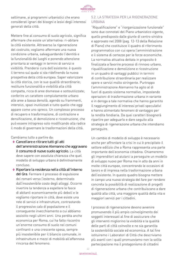

settimane, ai programmi urbanistici che erano considerati ignari dei bisogni e lesivi degli interessi generali della città.

Mettere fine al consumo di suolo agricolo, significa affermare che esiste un'alternativa: ri-abitare la città esistente. Attraverso la rigenerazione del costruito, vogliamo affermare una nuova condizione urbana, salvaguardando l'identità e la funzionalità dei luoghi e ponendo attenzione prioritaria ai vantaggi in termini di servizi e vivibilità. Prendersi cura dell'esistente: è questo il terreno sul quale si sta ridefinendo la nuova prospettiva della città europea. Saper valorizzare la città storica, con le sue qualità straordinarie; restituire funzionalità e vivibilità alla città compatta, ricca di aree dismesse e sottoutilizzate; conferire un carattere compiutamente urbano alle aree a bassa densità, agendo su frammenti, interstizi, spazi inutilizzati e tutto quello che oggi appare come uno spreco. Un complesso processo di recupero e trasformazione, di contrazione e densificazione, di demolizione e ricostruzione, che può essere intrapreso solo modificando alla radice il modo di governare le trasformazioni della città.

Cambiamo tutto a partire da:

- **◊**  Cancellare e ritirare tutti gli atti dell'amministrazione Alemanno che aggravano il consumo di nuovo suolo agricolo. La città deve sapere con assoluta chiarezza che quel modello di sviluppo urbano è definitivamente concluso.
- **◊** Riportare la residenza nella città all'interno del Gra. Fermare il processo di espulsione dei romani verso l'esterno, determinato dall'insostenibile costo degli alloggi. Occorre invertire la tendenza a espellere le fasce di abitanti economicamente più deboli e le vogliamo riportare in città, dove esiste una rete di servizi e infrastrutture, contrastando il progressivo calo di popolazione e il conseguente invecchiamento a cui abbiamo assistito negli ultimi anni. Una perdita anche economica per Roma, cui ha fatto riscontro un'enorme consumo di suolo nei comuni confinanti e una crescente spesa, sempre più insostenibile per il bilancio comunale, in infrastrutture e mezzi di mobilità all'affannosa rincorsa del fenomeno.

#### 5.2. LA STRATEGIA PER LA RIGENERAZIONE URBANA

"Riqualificazione" e "riorganizzazione funzionale" sono due connotati del Piano urbanistico vigente, quello predisposto dalle giunte di centro sinistra e approvato nel 2008 (pag. 12-13 della Relazione di Piano) che costituisce il quadro di riferimento programmatico con cui opera l'amministrazione e il sistema di certezze per le forze economiche. La normativa attuativa dettata in proposito è finalizzata a favorire processi di rinnovo urbano, riqualificazione e demolizione e ricostruzione in un quadro di vantaggi pubblici in termini di contribuzione straordinaria per realizzare opere e servizi molto stringente. Purtroppo l'amministrazione Alemanno ha agito al di fuori di questo sistema normativo, impostando operazioni di trasformazione urbana in variante e in deroga a tale normativa che hanno garantito il raggiungimento di interessi privati speculativi e hanno alimentato fenomeni di vantaggio per la rendita fondiaria. Da quei caratteri bisognerà ripartire per adeguarlo e dare seguito alla strategia di rigenerazione urbana che intendiamo perseguire.

Un cambio di modello di sviluppo è necessario anche per affrontare la crisi in cui è precipitato il settore edilizio che a Roma rappresenta una parte importante dell'economia cittadina. Chiameremo gli imprenditori ad aiutarci a perseguire un modello di sviluppo nuovo per Roma ma in atto da anni in molte città europee, concentrando le occasioni di lavoro e di impresa nella trasformazione urbana dell'esistente. In questo quadro bisogna mettere in campo una nuova strategia del fare per rendere concreta la possibilità di realizzazione di progetti di rigenerazione urbana che contribuiscano a dare qualità alla città, una maggiore qualità della vita e maggiori servizi per i cittadini.

I processi di rigenerazione devono avvenire promuovendo il più ampio coinvolgimento dei soggetti interessati al fine di assicurare che gli interventi migliorino la vivibilità e la qualità delle parti di città coinvolte e ne sia garantita la sostenibilità sociale ed economica. A tal fine istituiremo i Laboratori di Città che descriviamo più avanti con i quali promuoviamo non la solita partecipazione ma il protagonismo di cittadini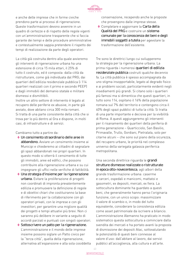

e anche delle imprese che in forme civiche prendono parte ai processi di rigenerazione. Queste trasformazioni devono avvenire in un quadro di certezze e di rispetto delle regole vigenti con un'amministrazione trasparente che si faccia garante dei tempi e delle procedure amministrative e contestualmente sappia pretendere il rispetto dei tempi di realizzazione da parte degli operatori.

La città già costruita dentro alla quale avvieremo gli interventi di rigenerazione urbana ha una estensione di circa 15 mila ettari, il 25% di tutto il costruito, ed è composta: dalla città da ristrutturare, come già individuata dal PRG; dai quartieri dell'edilizia residenziale pubblica (i 114 quartieri realizzati con il primo e secondo PEEP) e dagli immobili del demanio statale e militare dismessi e dismittibili.

Inoltre un altro settore di intervento è legato al recupero delle periferie ex abusive, in parte già avviato, dove abitano circa 300 mila romani. Si tratta di una parte consistente della città che si trova per lo più dentro al Gra e dispone, in molti casi, di infrastrutture e di servizi.

Cambiamo tutto a partire da:

- **◊** Un censimento straordinario delle aree in abbandono. Avviare un censimento insieme ai Municipi e chiederemo ai cittadini di segnalare gli spazi abbandonati nei propri quartieri. In questo modo si otterrà il censimento di tutte gli immobili, aree ed edifici, che possono contribuire alla rigenerazione urbana e su cui impegnare gli uffici nelle verifiche di fattibilità.
- **◊** Una strategia d'insieme per la rigenerazione urbana. Evitare la proliferazione di progetti non coordinati di impronta prevalentemente edilizia e promuovere la definizione di regole e di obiettivi chiari che costituiranno la base di riferimento per la collaborazione con gli operatori privati, con le imprese e con gli investitori, per garantire una migliore qualità dei progetti e tempi attuativi più brevi. Non ci saranno più delibere in variante a seguito di accordi parziali e puntuali con singoli operatori.
- ◆ Sottoscrivere un patto per la rigenerazione. L'amministrazione e il mondo delle imprese insieme possono siglare un Patto civico per la "terza città", quella della rigenerazione, alternativa all'espansione e alla sola cosiddetta

conservazione, recependo anche le proposte che provengono dalle imprese stesse.

**◊**  Completare e aggiornare la Carta della Qualità del PRG e costruire un sistema comunale per la conoscenza dei beni e degli immobili soggetti a tutela per agevolare la trasformazione dell'esistente.

Tre sono le direttrici lungo cui svilupperemo la strategia per la rigenerazione urbana. La prima riguarda i numerosi quartieri di edilizia residenziale pubblica costruiti qualche decennio fa. La città pubblica è spesso accompagnata da uno stigma insopportabile, legato al degrado fisico e ai problemi sociali, particolarmente evidenti negli insediamenti più grandi. Si citano solo i quartieri più famosi ma si dimentica che questi quartieri, in tutto sono 114, ospitano il 16% della popolazione romana sul 7% del territorio e contengono circa il 40% degli spazi pubblici di tutta la città. Si tratta di una parte importante e decisiva per la vivibilità di Roma. A questi aggiungeremo gli interventi per il risanamento dei quartieri della periferia di prima generazione – Quarticciolo, San Basilio, Primavalle, Trullo, Gordiani, Pietralata, solo per citarne alcuni – che sono sul piano della sicurezza, del recupero urbano, le priorità nel complesso universo della variegata galassia periferica metropolitana.

Una seconda direttrice riguarda le grandi strutture dismesse realizzate o ristrutturate in epoca otto-novecentesca, agli albori della grande trasformazione urbana: caserme e carceri, ospedali e manicomi, mattatoi e gasometri, ex depositi, mercati, ex fiera. La sottocultura dominante ha guardato a questi beni, che generalmente hanno perso l'originaria funzione, con un unico scopo: massimizzare il valore di scambio o, in modo del tutto equivalente, considerare la consistenza edilizia come asset patrimoniale da iscrivere a bilancio. L'amministrazione Alemanno ha praticato in modo sistematico questa sottocultura a cominciare dalla svendita dei mercati e ha portato avanti la proposta di dismissione dei depositi Atac, sottovalutando le potenzialità di questi beni connesse al valore d'uso: dall'abitare al lavoro, dai servizi pubblici all'accoglienza, alla cultura e all'arte.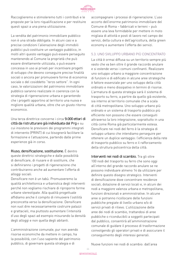

Raccoglieremo e stimoleremo tutti i contributi e le proposte per la loro riqualificazione e per restituire questi spazi a una piena utilizzazione.

La vendita del patrimonio immobiliare pubblico non è una strada obbligata. In alcuni casi e a precise condizioni l'alienazione degli immobili pubblici può costituire un vantaggio pubblico, in molti altri questo vantaggio può essere perseguito mantenendo al Comune la proprietà che può essere direttamente utilizzata, o può essere concessa in uso ai privati per incentivare progetti di sviluppo che devono conseguire precise finalità sociali o ancora per promuovere forme di economia sociale o del cosiddetto "terzo settore". In ogni caso, le valorizzazioni del patrimonio immobiliare pubblico saranno realizzate in coerenza con la strategia di rigenerazione urbana e garantendo che i progetti apportino al territorio una nuova e migliore qualità urbana, oltre che un giusto ritorno economico.

Una terza direttrice concerne i circa 9.000 ettari di città da ristrutturare già individuata dal Prg e su cui insistono le previsioni dei programmi integrati di intervento (PRINT) di cui bisognerà facilitare la formazione e l'attuazione, partendo dalle prime esperienze già in corso.

Riuso, densificazione, sostituzione. È dentro queste direttrici strategiche e dalle possibilità di densificare, di riusare e di sostituire, che si definiranno i progetti di rigenerazione che contribuiranno anche ad aumentare l'offerta di alloggi sociali.

Densificare non è un tabù. Promuoveremo la qualità architettonica e urbanistica degli interventi perché non vogliamo rischiare di riproporre forme urbane stereotipate. Alla qualità progettuale affidiamo anche il compito di rimuovere l'ostilità preconcetta verso la densificazione. Densificare non vuol dire necessariamente costruire palazzi e grattacieli, ma piuttosto aumentare l'intensità d'uso degli spazi ad esempio misurando la densità degli alloggi e non quella degli abitanti.

L'amministrazione comunale, pur non avendo risorse economiche da mettere in campo, ha la possibilità, con l'uso sapiente del patrimonio pubblico, di governare questa strategia e di

accompagnare i processi di rigenerazione. L'uso accorto dell'enorme patrimonio immobiliare del Comune di Roma – fabbricati e terreni – può essere una leva formidabile per mettere in moto migliaia di attività e posti di lavoro nel campo dei servizi, della cultura e dell'agricoltura, della green economy e aumentare l'offerta dei servizi.

#### 5.3. UNO SVILUPPO URBANO PIÙ CONCENTRATO

La città è ormai diffusa su un territorio sempre più vasto che va ben oltre il grande raccordo anulare e si estende verso i comuni confinanti. Realizzare uno sviluppo urbano a maggiore concentrazione di funzioni e di edificato in alcune aree strategiche è fattore essenziale per uno sviluppo della città ordinato e meno dissipativo in termini di risorse. L'armatura di questa strategia sarà il sistema di trasporto su ferro, a partire da quello già esistente, sia interno al territorio comunale che a scala di città metropolitana. Uno sviluppo urbano più ordinato e un sistema di trasporto pubblico più efficiente non possono che essere conseguiti attraverso la loro integrazione, soprattutto in una città come Roma già particolarmente estesa. Densificare nei nodi del ferro è la strategia di sviluppo urbano che intendiamo perseguire per ottenere un duplice vantaggio: l'efficienza della rete di trasporto pubblico su ferro e il rafforzamento della struttura policentrica della città.

Interventi nei nodi di scambio. Tra gli oltre 100 nodi del trasporto su ferro che sono oggi all'interno del grande raccordo anulare se ne possono individuare almeno 14 da utilizzare per definire questo disegno strategico. Interventi di densificazione dove concentrare residenze sociali, dotazione di servizi locali e, in alcuni dei nodi a maggiore valenza urbana e metropolitana, funzioni direzionali e amministrative. In alcune aree si potranno ricollocare delle funzioni pubbliche pregiate di livello urbano e/o di servizi privati di rilievo. L'utilizzazione delle aree dei nodi di scambio, trattandosi di aree pubbliche o riconducibili a soggetti partecipati dal pubblico, consentirà all'amministrazione comunale di guidare il processo di trasformazione coinvolgendo gli operatori privati e di assicurare il conseguimento degli interessi generali.

Nuove funzioni nei nodi di scambio: dall'area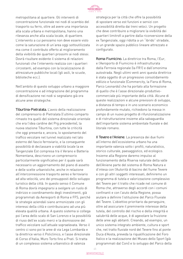

metropolitana al quartiere. Gli interventi di concentrazione funzionale nei nodi di scambio del trasporto su ferro, oltre ad avere una importanza alla scala urbana e metropolitana, hanno una rilevanza anche alla scala locale, di quartiere. L'intervento a cui pensiamo non deve essere visto come la saturazione di un'area oggi sottoutilizzata ma come il contributo offerto al miglioramento della vivibilità dei quartieri prossimi ai nodi stessi. Dovrà risultare evidente il sistema di relazioni funzionali che l'intervento realizza con i quartieri circostanti, ad esempio con la localizzazione di attrezzature pubbliche locali (gli asili, le scuole, biblioteche ecc.).

Nell'ambito di questo sviluppo urbano a maggiore concentrazione e ad integrazione del programma di densificazione nei nodi si segnalano già ora alcune aree strategiche.

Tiburtina-Pietralata. L'avvio della realizzazione del comprensorio di Pietralata (l'ultimo comparto rimasto tra quelli del sistema direzionale orientale che era l'idea cardine del Prg precedente), la nuova stazione Tiburtina, con tutte le criticità che oggi presenta e, ancora, lo spostamento del traffico veicolare nel tunnel realizzato nel lato esterno del fascio ferroviario, e la conseguente possibilità di declassare a viabilità locale la ex Tangenziale Est compresa tra il Verano e Batteria Nomentana, descrivono un comprensorio particolarmente significativo per il quale sarà necessario un aggiornamento del piano di assetto e delle scelte urbanistiche, anche in relazione all'interconnessione trasporto aereo e ferroviario ad alta velocità, uno dei presupposti dello sviluppo turistico della città. In questo senso il Comune di Roma dovrà impegnarsi a svolgere un ruolo di indirizzo e coordinamento degli investimenti, già programmati da Aereoporti di Roma e FFS, perché le strategie aziendali siano armonizzate con gli interessi della città e contribuiscano ad una più elevata qualità urbana. A questo sistema si collega poi l'area dello scalo di San Lorenzo e la possibilità di riuso dell'ex scalo merci e la dismissione del traffico veicolare sull'attuale sopraelevata. Verso il centro ci sono poi le aree di via Lega Lombarda e la direttrice verso il Policlinico, e l'asse direzionale di Corso d'Italia, Muro Torto fino a Prati. Si tratta di un complesso sistema urbanistico di valenza

strategica per la città che offre la possibilità di spostare verso est funzioni e servizi con accessibilità diretta dai treni veloci. Un progetto che deve contribuire a migliorare la vivibilità dei quartieri limitrofi a partire dalla riconversione della ex Tangenziale, oggi ridotta a un "ibrido" stradale, in un grande spazio pubblico lineare attrezzato e configurato.

Roma-Fiumicino. La direttrice tra Roma, l'Eur, e l'Aeroporto di Fiumicino è infrastrutturata dalla Ferrovia regionale (la FR1) e dall'omonima autostrada. Negli ultimi venti anni questa direttrice è stata oggetto di un progressivo consolidamento edilizio e funzionale (Commercity, la Fiera di Roma, Parco Leonardo) che ha portato alla formazione di quello che è l'asse direzionale-produttivocommerciale più importante della città. Alcune di queste realizzazioni e alcune previsioni di sviluppo, a distanza di tempo e in uno scenario economico profondamente mutato, richiedono la messa in campo di un nuovo progetto di rifunzionalizzazione e di ristrutturazione insieme alla salvaguardia dell'importante sistema ambientale fluviale e del litorale romano.

Il Tevere e l'Aniene. La presenza dei due fiumi all'interno dell'ecosistema urbano ha una importante valenza sotto i profili, naturalistico, storico culturale, paesaggistico, ed ecologico. Insieme alla Regione daremo impulso al funzionamento della Riserva naturale della valle dell'Aniene parte del sistema di Roma Natura e d'intesa con l'Autorità di bacino del fiume Tevere e con gli altri soggetti interessati, definiremo un programma di tutela e valorizzazione complessivo del Tevere per il tratto che ricade nel comune di Roma che, attraverso degli accordi con i comuni confinanti e con l'aiuto della Regione, possa aiutare a definire l'istituzione del Parco Fluviale del Tevere. L'obiettivo prioritario da perseguire, oltre ad assicurare il preminente interesse della tutela, del controllo del rischio e della integrità e salubrità delle acque, è di agevolare la fruizione delle aree agli abitanti. Creando, ad esempio, un unico sistema integrato ambiente, cultura e sport che, nel tratto fluviale nord del Tevere fino al ponte Duca d'Aosta, preveda la riqualificazione del Foro Italico e la realizzazione del Museo dello Sport (già programmati dal Coni) e lo sviluppo del Parco della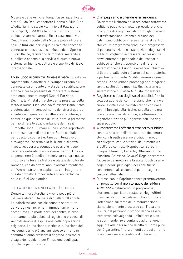

Musica e delle Arti che, lungo l'asse riqualificato di via Guido Reni, connetterà il parco di Villa Glori, l'Auditorium, lo stadio Flaminio e il Palazzetto dello Sport, il MAXXI e le nuove funzioni culturali da localizzare nell'area delle ex caserme di via Guido Reni. Il ponte della Musica potrà ritrovare, così, la funzione per la quale era stato concepito: connettere questo asse col Museo dello Sport e il Foro Italico, facilitando la mobilità sostenibile, pubblica e pedonale, a servizio di questo nuovo sistema ambientale, culturale e sportivo di rilievo internazionale.

Lo sviluppo urbano tra Roma e il mare. Quest'area rappresenta la direttrice di sviluppo urbano più connotata da un punto di vista della stratificazione storica e per la presenza di importanti sistemi ambientali ancora integri (Castel Porziano, Decima, la Pineta) oltre che per la presenza della ferrovia Roma-Lido, che dovrà essere riqualificata e potenziata. Il riconoscimento dei diversi quartieri all'interno di questa città diffusa sul territorio, a partire da quello storico di Ostia, sarà la premessa per riordinare lo spazio urbano e definire il "Progetto Ostia". Il mare è una risorsa importante per questa parte di città e per Roma capitale, per questo bisognerà evitare ogni tentativo di stravolgerne l'assetto e la fruizione e si dovrà, invece, recuperare, ovunque è possibile il suo carattere naturale di ecosistema marino. Una via da percorrere è quella di valorizzare e dare nuovo impulso alla Riserva Naturale Statale del Litorale Romano, che da diversi anni è ormai dimenticata dall'Amministrazione capitolina, e di integrare in questo progetto l'importante sito archeologico della città di Ostia antica.

#### 5.4. LA RESIDENZA NELLA CITTÀ STORICA

Dentro le mura Aureliane vivono poco più di 120 mila abitanti, la metà di quelli di 50 anni fa. La polarizzazione sociale causata soprattutto dai vertiginosi incrementi immobiliari è molto accentuata e in molte parti del centro, le aree storicamente più deboli, si registrano processi di gentrification e di espulsione della popolazione originaria. La fruizione turistica e la fruizione dei residenti, per lo più anziani, spesso entrano in conflitto e fanno crescere il degrado insieme al disagio dei residenti per l'invasione degli spazi pubblici e per il rumore.

#### **◊**  Ci impegniamo a difendere la residenza.

Favoriremo il ritorno della residenza attraverso politiche pubbliche rivolte a prevedere anche una quota di alloggi sociali in tutti gli interventi di trasformazione urbana e di riuso del patrimonio pubblico in aree interne al centro storico.Un programma graduale e progressivo di pedonalizzazione e sistemazione degli spazi pubblici. Vogliamo accrescere l'accessibilità prevalentemente pedonale e del trasporto pubblico (anche attraverso una differente sistemazione dei Lungo Tevere) con l'obiettivo di liberare dalle auto più aree del centro storico a partire dal tridente. Modificheremo a questo scopo il Piano urbano parcheggi per integrarlo con le scelte della mobilità. Realizzeremo la sistemazione di Piazza Augusto Imperatore.

- **◊** Regoleremo l'uso degli spazi pubblici. Con la collaborazione dei commercianti che hanno a cuore la città e che contribuiranno con noi e con il Municipio alla ricchezza della città ma non alla sua mercificazione, adotteremo una regolamentazione più rigorosa dell'uso degli spazi pubblici.
- **◊**  Aumenteremo l'offerta di trasporto pubblico con bus navetta nell'area centrale del centro storico, i tragitti saranno studiati in modo da collegarsi con le stazioni della metro A e B dell'area centrale (Repubblica, Barberini, Spagna, Flaminio, Lepanto, Ottaviano, Circo Massimo, Colosseo, Cavour).Regolarizzeremo l'accesso dei motorini e la sosta. Costruiremo degli itinerari privilegiati per i soli turisti consentendo ai residenti di poter scegliere percorsi alternativi.
- **◊** D'intesa con la Soprintendenza promuoveremo un progetto per il monitoraggio delle Mura Aureliane e definiremo un programma pluriennale per il loro restauro. Negli ultimi mesi casi di crolli e cedimenti hanno riportato l'attenzione sul tema della manutenzione: siamo pienamente d'accordo con l'idea che la cura del patrimonio storico debba essere intrapresa coinvolgendo il Ministero e tutte le soprintendenze e puntando ad ottenere, in aggiunta alle risorse che la città di Roma pure dovrà garantire, finanziamenti europei a fronte di un piano serio e credibile di intervento.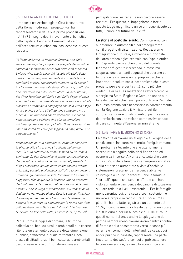

#### 5.5. L'APPIA ANTICA E IL PROGETTO FORI

Il rapporto tra Archeologia e Città è costitutivo della Roma moderna, il progetto Fori ha rappresentato fin dalla sua prima proposizione nel 1979 l'insegna del rinnovamento urbanistico della capitale. Leonardo Benevolo, storico dell'architettura e urbanista, così descrive questo rapporto:

"A Roma abbiamo un'immensa fortuna: una delle zone archeologiche, più grandi e pregiate del mondo è collocata esattamente nel centro della città moderna. Un'area viva, che fa parte del tessuto più vitale della città e che contemporaneamente documenta la sua continuità storica, che procede ininterrotta da secoli " (…) Il centro monumentale della città antica, quello dei Fori, del Colosseo e del Teatro Marcello, del Palatino, del Circo Massimo, del Celio e del Colle Oppio, si trova al limite fra la zona costruita nei secoli successivi all'età classica e il verde della campagna che sfila verso l'Appia Antica e che, è a tutti gli effetti, una campagna intra moenia. È un immenso spazio libero che si incunea nella compagine edificata fino alla sistemazione michelangiolesca del Campidoglio. Quest'area funziona come raccordo fra i due paesaggi della città, quello vivo e quello morto."

Rispondendo poi alla domanda su come far convivere le diverse città che si sono stratificate nel tempo dice: "Il mito culturale di Roma si fonda su un doppio confronto. Di tipo diacronico, il primo: la magnificenza del passato si confronta con la rovina del presente. E di tipo sincronico: da una parte la dimensione urbana colossale, perduta e silenziosa, dall'altra la dimensione ordinaria, quotidiana e vissuta. Il confronto ha sempre suggerito l'idea di quanto le imprese umane avessero dei limiti. Roma da questo punto di vista non è la città eterna. È anzi il luogo di meditazione sull'impossibilità dell'eterno nel mondo di qua. Queste sono le riflessioni di Goethe, di Stendhal e di Mommsen; le ritroviamo persino in quel rispetto popolare per le rovine che viene colto da Gioacchino Belli e da Trilussa". (da: Leonardo Benevolo, La fine della Città, Laterza 2011, pp.97-98)

Per la Roma di oggi e di domani, la fruizione collettiva dei beni culturali e ambientali può essere ritenuta un elemento peculiare della dimensione pubblica, attraverso la quale rafforzare l'idea stessa di cittadinanza: i beni culturali e ambientali devono essere "vissuti" non devono essere

percepiti come "estranei" e non devono essere recintati. Per questo, ci impegniamo a fare di questo luogo magnifico e unico un luogo vissuto da tutti, il cuore del futuro della città.

La storia al posto delle auto. Cominceremo con allontanare le automobili e poi proseguiremo con il progetto di sistemazione. Realizzeremo l'integrazione culturale, simbolica e funzionale dell'area archeologica centrale con l'Appia Antica. Il più grande parco archeologico del pianeta. Il parco sarà gestito ricercando la massima cooperazione tra i tanti soggetti che operano per la tutela e la conservazione, proprio perché le importanti ricadute socio-economiche che questo progetto può avere per la città, sono più che evidenti. Per la sua realizzazione rafforzeremo le sinergie tra Stato, Regione e Comune anche alla luce del decreto che fissa i poteri di Roma Capitale. In questo ambito sarà necessario in coordinamento con la Regione Lazio e il Ministero dei Beni culturali rafforzare gli strumenti di pianificazione del territorio con una visione complessiva capace di dare continuità all'azione amministrativa.

#### 5.6. L'ABITARE E IL BISOGNO DI CASA

La difficoltà di trovare un alloggio è all'origine della condizione di insicurezza di molte famiglie romane. Un problema rilevante che si è ulteriormente accentuato a seguito della crisi finanziaria ed economica in corso. A Roma si calcola che sono circa 40-50 mila le famiglie in emergenza abitativa. Nella città sono aumentate a vista d'occhio le sistemazioni precarie. L'emergenza abitativa coinvolge sia i nuovi "baraccati" che le famiglie "normali", quelle che sono in affitto e che hanno visto aumentare l'incidenza del canone di locazione sul loro reddito a livelli insostenibili. Per le famiglie monoparentali poi, una casa a costi sostenibili è un vero e proprio miraggio. Tra il 1999 e il 2008 gli affitti hanno fatto registrare un aumento del 145%, il canone medio richiesto per un monolocale è di 805 euro e per un bilocale è di 1.010 euro. In questi numeri si trova anche la spiegazione del perché sempre meno giovani vivono dentro i confini di Roma e dello spostamento verso le fasce più esterne e i comuni dell'hinterland. La casa, oggi ancor più che in passato, rappresenta una parte importante del welfare con cui si può sostenere la coesione sociale, la crescita economica e lo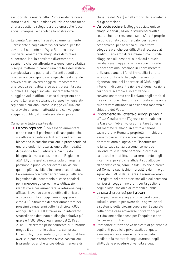

sviluppo della nostra città. Com'è evidente non si tratta solo di una questione edilizia e ancora meno di una questione relegata a problema delle fasce sociali marginali e deboli della nostra città.

La giunta Alemanno ha usato strumentalmente il crescente disagio abitativo dei romani per far lievitare il cemento nell'Agro Romano senza risolvere l'emergenza alloggiativa di migliaia di persone. Noi la pensiamo diversamente, sappiamo che per affrontare la questione abitativa bisogna mettere in campo una politica dell'abitare complessiva che guardi ai differenti aspetti del problema e corrisponda alle specifiche domande provenienti dai diversi soggetti. Imposteremo una politica per l'abitare su quattro assi: la casa pubblica, l'alloggio sociale, l'incremento degli alloggi privati in affitto, la casa di proprietà per i giovani. Lo faremo attivando i dispositivi legislativi regionali e nazionali come la legge 21/2009 che ha previsto strumenti attuativi che coinvolgono i soggetti pubblici, il privato sociale e i privati.

Cambiamo tutto a partire da:

**◊**  La casa popolare. È necessario aumentare e non ridurre il patrimonio di case pubbliche sia attraverso interventi diretti e indiretti, sia bloccando la cartolarizzazione e procedendo ad una profonda ristrutturazione delle modalità di gestione fin qui utilizzate. Su questo bisognerà lavorare assieme alla Regione e all'ATER, che gestisce nella città un ingente patrimonio pubblico per avere una visione quanto più possibile d'insieme e coordinata. Lavoreremo con tutti per rendere più efficace la gestione del patrimonio di case popolari, per rimuovere gli sprechi e le utilizzazioni illegittime e per aumentare la rotazione degli affittuari, avendo come obiettivo di arrivare a circa 2-3 mila alloggi l'anno (oggi sono circa 300). Stimiamo di poter aumentare nei prossimi cinque anni l'offerta di circa 9.000 alloggi. Di cui 3.000 attraverso un intervento straordinario destinato al disagio abitativo più grave e 1.500 alloggi ogni anno dal 2015 al 2018. Li otterremo principalmente riutilizzando meglio il patrimonio esistente, compreso l'invenduto, incrementando, come detto, il turn over, e in parte attraverso nuove costruzioni (riprendendo anche la cosiddetta manovra di

chiusura del Peep) e nell'ambito della strategia di rigenerazione.

- **◊**  L'alloggio sociale. L'alloggio sociale unisce alloggi e servizi, azioni e strumenti rivolti a coloro che non riescono a soddisfare il proprio bisogno abitativo sul mercato, per ragioni economiche, per assenza di una offerta adeguata o anche per difficoltà di accesso al credito. Pensiamo di realizzare circa 15 mila alloggi sociali, destinati a individui e nuclei familiari svantaggiati che non sono in grado di accedere alla locazione in libero mercato, utilizzando anche i fondi immobiliari e tutte le opportunità offerte dagli interventi di rigenerazione, nei Laboratori di Città, negli interventi di concentrazione e di densificazione dei nodi di scambio e incentivando il convenzionamento con il privato negli ambiti di trasformazione. Una prima concreta attuazione può arrivare attuando la cosiddetta manovra di chiusura del Peep.
- **◊**  L'incremento dell'offerta di alloggi privati in affitto. Costituiremo l'Agenzia comunale per la Casa con l'obiettivo di aumentare l'offerta sul mercato di alloggi in affitto a canone calmierato. A Roma la proprietà immobiliare è molto parcellizzata e con l'agenzia ci ripromettiamo di agevolare l'incontro tra le tante case senza persone (compreso l'invenduto) e le tante persone in cerca di case, anche in affitto. Lo faremo dando degli incentivi al privato che affida il suo alloggio all'agenzia casa, come la fidejussione a carico del Comune sul rischio morosità e danni, o gli sgravi dell'IMU o della Tares. Promuoveremo un registro dei proprietari sociali a cui potranno iscriversi i soggetti no profit per la gestione degli alloggi sociali o di immobili pubblici.
- **◊**  La casa di proprietà per i giovani. Ci impegneremo a siglare un accordo con gli istituti di credito per avere delle agevolazioni a sostegno delle giovani coppie per l'acquisto della prima casa attraverso convenzioni per la riduzione delle spese per l'acquisto e per l'accesso al mutuo.
- **◊**  Particolare attenzione va dedicata al patrimonio degli enti pubblici e privatizzati, sul quale è necessario intervenire nell'immediato mediante la moratoria degli aumenti degli affitti, delle procedure di vendita e degli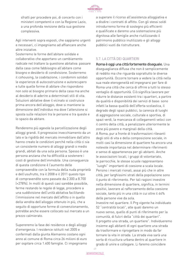

sfratti per procedere poi, di concerto con i ministeri competenti e con la Regione Lazio, a una profonda revisione della sua gestione complessiva.

Agli interventi sopra esposti, che sappiamo urgenti e necessari, ci impegniamo ad affiancare anche altre iniziative.

Sosterremo le forme dell'abitare solidale e collaborativo che apportano un cambiamento radicale nel trattare la questione abitativa: passare dalla casa come fabbisogno all'abitare come bisogno e desiderio di condivisione. Sosterremo il cohousing, la coabitazione, i condomini solidali le esperienze di autocostruzione e autorecupero e tutte quelle forme di abitare che rispondono non solo al bisogno primario della casa ma anche al desiderio di aderire a determinati stili di vita. Soluzioni abitative dove il vicinato si costruisce prima ancora dell'alloggio, dove si mantiene la dimensione dell'individuo ma dove l'attenzione si sposta sulle relazioni tra le persone e tra queste e lo spazio da abitare.

Renderemo più agevole la parcellizzazione degli alloggi grandi. Il progressivo invecchiamento da un lato e la rigidità del mercato immobiliare dall'altro hanno creato le condizioni perché nella città ci sia un consistente numero di alloggi grandi o medio grandi, abitati da una sola persona. Spesso è una persona anziana che ha difficoltà a sostenere i costi di gestione dell'immobile. Una conseguenza di questa condizione è l'aumento delle compravendite con la formula della nuda proprietà e dell'usufrutto, tra il 2008 e il 2011 questo tipo di compravendite sono passate da 2.300 a 8.700 (+278%). In molti di questi casi sarebbe possibile, ferme restando le regole di legge, procedere a una suddivisione dell'unità abitativa facilitando l'immissione nel mercato dell'affitto o in quello della vendita dell'alloggio ottenuto in più, che a seguito di opportune forme di convenzionamento, potrebbe anche essere collocato sul mercato a un prezzo calmierato.

Supereremo la fase dei residence e degli alloggi d'emergenza. I residence istituiti nel 2005 e confermati dalla giunta Alemanno costano ogni anno al comune di Roma circa 26 milioni di euro per ospitare circa 1.400 famiglie. Ci impegniamo a superare il ricorso all'assistenza alloggiativa e a disdire i contratti di affitto. Con gli stessi soldi introdurremo forme di sostegno più efficienti e qualificate e daremo una sistemazione più dignitosa alle famiglie anche riutilizzando il patrimonio pubblico inutilizzato e gli alloggi pubblici vuoti da ristrutturare.

#### 5.7. LA CITTÀ DEI QUARTIERI

Roma è oggi una città fortemente diseguale. Una diseguaglianza diffusa che non è semplicemente di reddito ma che riguarda soprattutto le diverse opportunità. Occorre tornare a vedere la città nella sua reale eterogeneità ed impegnarsi per fare di Roma una città che cerca di offrire a tutti lo stesso ventaglio di opportunità. Ciò significa lavorare per ridurre le distanze esistenti tra i quartieri, a partire da qualità e disponibilità dei servizi di base: sono infatti la bassa qualità dell'offerta scolastica, il degrado degli spazi pubblici, la carenza di luoghi di aggregazione sociale, culturale e sportiva, di spazi verdi, la mancanza di collegamenti veloci con il centro della città, a penalizzare ulteriormente le zone più povere e marginali della città. A Roma, pur a fronte di trasformazioni rilevanti degli stili di vita e della composizione sociale, in molti casi la dimensione di quartiere ha ancora una notevole importanza nel determinare riferimenti e senso di appartenenza per gli abitanti. Anche le associazioni locali, i gruppi di volontariato, le parrocchie, le stesse scuole rappresentano "luoghi" importanti di coesione a scala locale. Persino i mercati rionali, assai più che in altre città, per larghissimi strati della popolazione sono il punto di riferimento. Per tali ragioni investire nella dimensione di quartiere, significa, in termini positivi, lavorare al rafforzamento della coesione sociale, tanto più in una città in cui oltre il 44% delle persone vive da sola.

Investire nel quartiere. Il Prg vigente ha individuato 52 "centralità locali", alle quali daremo un nuovo senso, quello di punti di riferimento per la comunità, di fulcri della "città dei quartieri". Il progetto una strada, un quartiere". Individueremo insieme agli abitanti di ogni quartiere una strada da trasformare e riprogettare in modo da far tornare la vita in strada. La strada viva sarà una sorta di ricucitura urbana dentro al quartiere in grado di unire e collegare. Li faremo coincidere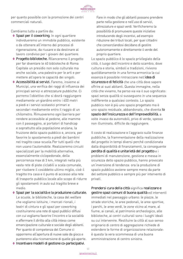

per quanto possibile con la promozione dei centri commerciali naturali.

Cambiamo tutto a partire da:

- **◊**  Spazi per il coworking. In ogni quartiere individueremo un immobile pubblico, esistente o da ottenere all'interno dei processi di rigenerazione, da riusare e da destinare al lavoro condiviso per i giovani del quartiere.
- **◊**  Progetto biblioteche. Rilanceremo il progetto per far diventare le 40 biblioteche di Roma Capitale un presidio non solo culturale ma anche sociale, una palestra per le arti e per mettere all'opera le capacità dei singoli.
- **◊**  Accessibilità ai servizi. Faremo, insieme ai Municipi, una verifica dei raggi di influenza dei principali servizi e attrezzature pubbliche. Ci porremo l'obiettivo che si dovrà raggiungere mediamente un giardino entro i 400 metri a piedi e i servizi scolastici primari e secondari mediamente entro il raggio di un chilometro. Rimuoveremo ogni barriera per rendere accessibile al pedone, alle mamme con il passeggino, ai portatori di handicap e soprattutto alla popolazione anziana, la fruizione dello spazio pubblico e, ancora, per favorire lo spostamento a piedi dei bambini nel tragitto casa-scuola.Per tutti quelli che non usano l'automobile. Realizzeremo circuiti specializzati per la mobilità alternativa, essenzialmente ciclopedonale, della percorrenza max di 3 km, integrati nella più vasta rete di piste ciclabili a scala comunale, per risolvere il cosiddetto ultimo miglio, cioè il tragitto tra casa e il punto di accesso alla rete di trasporto pubblico locale allo scopo di ridurre gli spostamenti in auto sul tragitto breve e medio.
- **◊**  Spazi per la socialità e la produzione culturale. Le scuole, le biblioteche, la casa del welfare che vogliamo istituire, i mercati rionali, i teatri di cintura e gli spazi per coworking costituiranno una rete di spazi pubblici diffusi con cui vogliamo favorire l'incontro e la socialità e affermare il diritto alla città inteso come emancipazione culturale e sociale degli abitanti. Per quanto di competenza del Comune ci opporremo all'apertura di nuove sale da gioco e punteremo alla riconversione di quelle già aperte.

Fare in modo che gli abitanti possano prendere parte nella gestione e nell'uso di servizi, attrezzature e spazi verdi. Verificheremo la possibilità di promuovere queste iniziative introducendo degli incentivi, ad esempio riduzione dei tributi locali, per quei cittadini che consorziandosi decidano di gestire autonomamente e direttamente il verde del proprio quartiere.

Lo spazio pubblico è lo spazio privilegiato della città, il luogo dell'incontro e dello scambio, dove cultura e storia, simboli e tradizioni, rivivono quotidianamente in una forma armonica la cui essenza è possibile rintracciare nell'idea di sicurezza e di felicità che una città deve sapere offrire ai suoi abitanti. Questa immagine, nella città che viviamo, ha perso via via il suo significato: spazi senza qualità si susseguono in una sequenza indifferente a qualsiasi contesto. Lo spazio pubblico non è più uno spazio progettato ma è uno spazio residuale, abbandonato, che diventa lo spazio dell'insicurezza e dell'imprevedibilità, a volte invaso da automobili, privo di verde, spesso non illuminato, difficile da raggiungere.

Il costo di realizzazione e l'aggravio sulle finanze pubbliche, la frammentazione della realizzazione del progetto in tempi diversi perché condizionata dalla disponibilità di finanziamenti, la conseguente perdita di qualità e unitarietà del progetto e i problemi di manutenzione, gestione e messa in sicurezza dello spazio pubblico, hanno provocato un'inversione di tendenza: ora la produzione di spazio pubblico avviene sempre meno da parte del settore pubblico e sempre più per intervento di privati.

Prendersi cura della città significa realizzare e gestire spazi comuni di buona qualità ed interventi immediati nel paesaggio urbano: le piazze, le strade storiche, le aree pedonali, le aree sportive, i parchi, le aree verdi, le zone vicino al mare, al fiume, ai canali, al patrimonio archeologico, alle biblioteche, ai centri culturali sono i luoghi ideali su cui intervenire. Restituire la città al suo senso originario di centro di aggregazione richiede di estendere le forme di organizzazione relazionale: è questa la vera scommessa di una buona amministrazione di centro sinistra.

**◊**  Incentivare modelli di gestione co-partecipativi.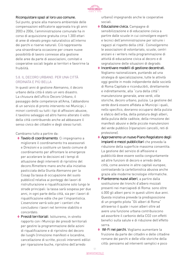

#### Riconquistare spazi al loro uso comune.

Sul punto, grazie alla manovra ambientale delle compensazioni edificatorie approvata tra gli anni 2003 e 2006, l'amministrazione comunale ha in corso di acquisizione gratuita circa 1.300 ettari di aree di elevato pregio naturalistico all'interno dei parchi e riserve naturali. Ciò rappresenta una straordinaria occasione per creare nuove possibilità di lavoro connesse alla gestione delle aree da parte di associazioni, comitati e cooperative sociali legate ai territori e favorirne la fruibilità.

#### 5.8. IL DECORO URBANO. PER UNA CITTÀ ORDINATA E PIÙ BELLA

In questi anni di gestione Alemanno, il decoro urbano della città è stato un vero disastro. La chiusura dell'ufficio Decoro Urbano, il passaggio delle competenze all'Ama, l'abbandono di un servizio di pronto intervento nei Municipi, i minori controlli su tutti i tipi di affissioni abusive, il tavolino selvaggio ed altro hanno alterato il volto della città contribuendo anche ad abbassare il senso civico dei cittadini e degli stessi turisti.

Cambiamo tutto a partire da:

- **◊**  Tavolo di coordinamento. Ci impegniamo a migliorare il coordinamento tra assessorati e Direzioni e a costituire un tavolo comune di coordinamento per affrontare le emergenze per accelerare le decisioni ed i tempi di attuazione degli interventi di ripristino del decoro.Rimettere mano anche alla iniziativa pasticciata della Giunta Alemanno per la Cosap (la tassa di occupazione del suolo pubblico) relativa ai ponteggi dei lavori di ristrutturazione e riqualificazione solo lungo le strade principali: la tassa sarà sospesa per due anni, in ogni parte della città, sia per i lavori di riqualificazione edile che per l'impiantistica. L'esenzione varrà solo per i cantieri che concludono i lavori nel termine stabilito e concordato.
- **◊**  Presidi territoriali. Istituiremo, in stretto rapporto con i Municipi dei presidi territoriali per gestire la programmazione delle azioni di riqualificazione e di ripristino del decoro dei luoghi (rimozione manifesti e locandine, cancellazione di scritte, piccoli interventi edilizi per riparazione buche, ripristino dell'arredo

urbano) impegnando anche le cooperative sociali.

- **◊**  Educazione civica. Campagne di sensibilizzazione e di educazione civica a partire dalle scuole in cui coinvolgere esperti e tecnici dell'amministrazione per istruire i ragazzi al rispetto della città'. Coinvolgeremo le associazioni di volontariato, scuole, centri anziani e i writers nella programmazione di attività di educazione civica al decoro e di segnalazione delle situazioni di degrado.
- **◊**  Incentivare modelli di gestione decentrati. Vogliamo razionalizzare, puntando ad una strategia di specializzazione, tutte le attività oggi gestite in modo indipendente dalle società di Roma Capitale e riconducibili, direttamente e indirettamente, alla "cura della città": manutenzione generale, aree verdi, ville storiche, decoro urbano, pulizia. La gestione del verde dovrà essere affidata ai Municipi i quali, nello specifico, dovranno occuparsi della pulizia e sfalcio dell'erba, della potatura degli alberi, della pulizia delle caditoie, della rimozione dei manifesti abusivi e delle piccole manutenzioni del verde pubblico (riparazioni cancelli, reti di protezione).
- **◊**  Approveremo un nuovo Piano Regolatore degli impianti e mezzi pubblicitari che preveda la riduzione della superficie massima consentita. La gestione del servizio di affissione e pubblicità deve essere svolta congiuntamente ad altre funzioni di decoro e arredo della città, come avviene in altre capitali europee; contrastando la cartellonistica abusiva anche grazie alle moderne tecnologie informatiche.
- **◊**  Pianteremo nuovi alberi, a partire dalla sostituzione dei tronchi d'albero mozzati presenti nei marciapiedi di Roma: sono oltre 4.000 gli alberi persi in questi ultimi due anni. Questa iniziativa prevede la predisposizione di un progetto pilota "Gli alberi di Roma" attraverso il quale i nuovi alberi oltre ad avere una funzione urbana contribuiscono ad assorbire il carbonio della CO2 con effetti benefici sulla salute e di riduzione dell'effetto serra.
- **◊**  Wi-Fi nei parchi. Vogliamo aumentare la fruizione da parte dei cittadini e delle cittadine romane dei parchi e delle ville storiche della città: pensiamo ad interventi semplici e poco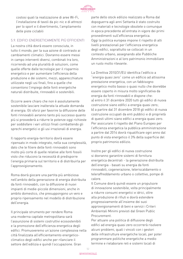

costosi quali la realizzazione di aree Wi-Fi, l'installazione di tavoli da pic-nic e di attrezzi per lo sport e il divertimento, l'ampliamento delle piste ciclabili

# 5.9. EDIFICI ENERGETICAMENTE PIÙ EFFICIENTI

La nostra città dovrà essere conosciuta, in tutto il mondo, per la sua azione di contrasto ai cambiamenti climatici. Dovranno essere messi in campo interventi diversi, combinati tra loro, ricorrendo ad una pluralità di soluzioni, come quelle offerte dalle tecnologie per il risparmio energetico e per aumentare l'efficienza della produzione e dei sistemi, mezzi, apparecchiature utilizzate negli usi finali, fino a quelle che consentono l'impiego delle fonti energetiche naturali distribuite, rinnovabili e sostenibili.

Occorre avere chiaro che non è assolutamente sostenibile lasciare inalterata la attuale domanda di energia. Gli sforzi per favorire la diffusione delle fonti rinnovabili avranno tanto più successo quanto più si provvederà a ridurre le potenze oggi richieste per soddisfare i vari utilizzi finali combattendo gli sprechi energetici e gli usi irrazionali di energia.

Il rapporto energia-territorio dovrà essere ripensato in modo integrato, nella sua complessità, dato che le filiere delle fonti rinnovabili sono molto più corte di quelle relative alle fonti fossili visto che riducono la necessità di predisporre l'energia primaria sul territorio e di distribuirla per l'approvvigionamento.

Roma dovrà giocare una partita più ambiziosa nell'ambito della generazione di energia distribuita da fonti rinnovabili, con la diffusione di nuovi impianti di medie-piccole dimensioni, anche in ambito domestico, che presuppongono un vero e proprio ripensamento nel modello di distribuzione dell'energia.

Il principale strumento per rendere Roma una moderna capitale metropolitana sarà l'assunzione di sistemi costruttivi ecosostenibili e la promozione dell'efficienza energetica degli edifici. Promuoveremo un'azione complessiva nella città finalizzata all'efficientamento energeticoclimatico degli edifici anche per rilanciare il settore dell'edilizia e quindi l'occupazione. Gran

parte dello stock edilizio realizzato a Roma dal dopoguerra agli anni Settanta è stato costruito con materiali e tecnologie obsolete o comunque in epoca precedente all'entrata in vigore dei primi provvedimenti sull'efficienza energetica. Oggi la politica europea impone il rispetto di alti livelli prestazionali per l'efficienza energetica degli edifici, soprattutto se collocati in un contesto urbano, assegnando alle Pubbliche Amministrazioni e al loro patrimonio immobiliare un ruolo molto rilevante.

La Direttiva 2010/31/EU identifica l'edificio a "energia quasi zero" come un edificio ad altissima prestazione energetica, con un fabbisogno energetico molto basso o quasi nullo che dovrebbe essere coperto in misura molto significativa da energia da fonti rinnovabili e dispone che: a) entro il 31 dicembre 2020 tutti gli edifici di nuova costruzione siano edifici a energia quasi zero; b) a partire dal 31 dicembre 2018 gli edifici di nuova costruzione occupati da enti pubblici e di proprietà di questi ultimi siano edifici a energia quasi zero. Per assicurare il rispetto del Piano Europeo per l'efficienza energetica la pubblica amministrazione a partire dal 2014 dovrà riqualificare ogni anno dal punto di vista energetico il 3% della superficie del proprio patrimonio edilizio.

Inoltre per gli edifici di nuova costruzione si dovranno garantire sistemi di fornitura energetica decentrati - la generazione distribuita dell'energia - basati su energia da fonti rinnovabili, cogenerazione, teleriscaldamento o teleraffreddamento urbano o collettivo, pompe di calore.

Il Comune dovrà quindi essere un propulsore di innovazione sostenibile, volta principalmente a ridurre consumi energetici e idrici, oltre alla produzione di rifiuti e dovrà estendere progressivamente all'insieme dei suoi approvvigionamenti di beni e servizi i Criteri Ambientali Minimi previsti dal Green Public Procurement.

Per attuare una politica di diffusione degli edifici ad energia quasi zero occorrerà risolvere alcuni problemi, quali i vincoli con i gestori delle infrastrutture energetiche locali, per poter programmare politiche energetiche a medio termine e rielaborare reti e sistemi locali di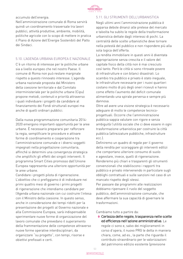

accumulo dell'energia.

Nell'amministrazione comunale di Roma servirà quindi un coordinamento trasversale tra lavori pubblici, attività produttive, ambiente, mobilità, politiche agricole con lo scopo di mettere in pratica il Piano di Azione dell'Energie Sostenibili del Patto dei Sindaci.

#### 5.10. L'AGENDA URBANA EUROPEA E NAZIONALE

C'è un ritorno di interesse per le politiche urbane sia a livello europeo che nel nostro Paese. Il comune di Roma non può restare marginale rispetto a questo rinnovato interesse. L'agenda urbana nazionale proposta dal Ministero della coesione territoriale e dal Comitato interministeriale per le politiche urbane (Cipu) propone metodi, contenuti e priorità attraverso i quali individuare i progetti da candidare al finanziamento dei Fondi strutturali europei ma anche di quelli ordinari pubblici.

Dalla nuova programmazione comunitaria 2014- 2020 emergono importanti opportunità per le aree urbane. È necessario prepararsi per rafforzare la regia, semplificare le procedure e attivare forme di coordinamento e cooperazione tra l'amministrazione comunale e i diversi soggetti impegnati nella progettazione comunitaria, affinché si determini una convergenza strategica che amplifichi gli effetti dei singoli interventi. Il programma Smart Cities promosso dall'Unione Europea rappresenta una ulteriore opportunità per le aree urbane.

Candidare i progetti pilota di rigenerazione. L'obiettivo che ci prefiggiamo è di individuare nei primi quattro mesi di governo i primi progetti di rigenerazione che intendiamo candidare per l'Agenda urbana nazionale con cui costruire l'intesa con il Ministro della coesione. In questo senso, anche in considerazione dei tempi ridotti per la presentazione dei progetti al Governo nazionale e alla Commissione Europea, sarà indispensabile sperimentare nuove forme di organizzazione del lavoro comunale che prevedano il superamento della frammentazione delle competenze attraverso nuove forme operative interdisciplinari, da organizzare "su progetto", con tempi, risorse e obiettivi prefissati e certi.

#### 5.11. GLI STRUMENTI DELL'URBANISTICA

Negli ultimi anni l'amministrazione pubblica è apparsa debole dinanzi alle pretese del mercato e talvolta ha subito le regole della trasformazione urbanistica dettate dagli interessi di pochi. La centralità delle scelte urbanistiche deve tornare nella potestà del pubblico e non rispondere più alla sola logica dell'offerta.

La rendita immobiliare in questi anni è diventata appropriazione senza crescita e il valore del capitale fisico della città non è mai cresciuto così tanto. Però le città si sono ritrovate povere di infrastrutture e con bilanci disastrati. Lo scambio tra pubblico e privato è stato ineguale, le infrastrutture necessarie per i nuovi quartieri costano molto di più degli oneri ricevuti e hanno come effetto l'aumento del deficit comunale alimentando una spirale perversa e sempre più dannosa.

Oltre ad avere una visione strategica è necessario adeguare di molto le competenze tecnicoprogettuali. Occorre che l'amministrazione pubblica sappia valutare con rigore e senza ambiguità l'utilità sociale che ci deve essere in ogni trasformazione urbanistica per costruire la città pubblica (attrezzature pubbliche, infrastrutture ecc.).

Definiremo un quadro di regole per il governo della rendita per scoraggiare gli interventi edilizi che comportano ulteriore consumo di suolo e agevolare, invece, quelli di rigenerazione. Renderemo più chiari e trasparenti gli strumenti convenzionali che stabiliscono i rapporti tra pubblico e privato intervenendo in particolare sugli obblighi contrattuali e sulle sanzioni nel caso di un mancato rispetto degli stessi.

Per passare dai programmi alle realizzazioni dobbiamo ripensare il ruolo del soggetto pubblico, dell'amministrazione comunale, che deve affermare la sua capacità di governare le trasformazioni.

Cambiamo tutto a partire da:

**◊**  Certezza delle regole, trasparenza nelle scelte ed efficienza nell'azione amministrativa. Le regole ci sono e, salvo dei miglioramenti in corso d'opera, il nuovo PRG le detta in maniera chiara, come, ad es., la parte che riguarda il contributo straordinario per le valorizzazioni del patrimonio edilizio esistente (previsione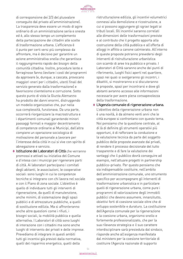

di corresponsione dei 2/3 del plusvalore conseguito dal privato all'amministrazione). La trasparenza deve essere un modo di agire ordinario di un amministrazione seria e onesta ed è, allo stesso tempo un complemento della partecipazione dei cittadini alle scelte di trasformazione urbana. L'efficienza è il punto per certi versi più complesso da affrontare, ma è decisivo per garantire un azione amministrativa snella che garantisca il raggiungimento rapido dei bisogni della comunità cittadina. Inoltre, procedure lente e farraginose fanno lievitare i costi dei programmi da approvare (e, dunque, a cascata, provocano maggiori oneri per i cittadini, utenti finali del servizio generato dalla trasformazione) e favoriscono clientelismo e corruzione. Sotto questo punto di vista la Giunta Alemanno ha prodotto dei danni enormi, distruggendo un modello organizzativo che, pur nella sua complessità, funzionava. Da una parte, occorrerà riorganizzare la macrostruttura e i dipartimenti comunali garantendo minori passaggi formali e maggior decentramento di competenze ordinarie ai Municipi, dall'altra compiere un operazione sociologica di motivazione del personale a lavorare per l'interesse della città in cui si vive con spirito di abnegazione e servizio.

**◊**  Istituzione dei Laboratori di Città che verranno promossi e attivati su iniziativa del Comune e d'intesa con i municipi per rigenerare parti di città. Ai laboratori partecipano i comitati degli abitanti, le associazioni, le cooperative sociali: sono luoghi in cui le competenze tecniche si integrano con chi lavora nel sociale e con il Piano di zona sociale. L'obiettivo è quello di individuare tutti gli interventi di rigenerazione, da quelli di manutenzione, anche minimi, di sistemazione degli spazi pubblici e di attrezzature pubbliche, a quelli di sostituzione edilizia. Ma si affronteranno anche altre questioni come i rifiuti, i bisogni sociali, la mobilità pubblica e quella alternativa. I Laboratori di città sono luoghi di interazione con i cittadini ma sono anche luoghi di intervento dei privati e delle imprese. Prevediamo di integrare in questi ambiti tutti gli incentivi già previsti dalla normativa, quelli del risparmio energetico, quelli della

ristrutturazione edilizia, gli incentivi volumetrici connessi alla demolizione e ricostruzione, a cui si possono aggiungere gli sgravi legati ai tributi locali. Gli incentivi saranno correlati alle dimensioni delle trasformazioni previste e al contributo che il progetto apporta alla costruzione della città pubblica e all'offerta di alloggi in affitto a canone calmierato. All'interno di queste proposte potranno prevedersi degli interventi di ristrutturazione urbanistica con scambi di aree tra pubblico e privato. I Laboratori di Città saranno anche dei punti di riferimento, luoghi fisici aperti nel quartiere, spazi nei quali si svolgeranno gli incontri, i dibattiti, si mostreranno e si discuteranno le proposte, spazi per incontrarsi e dove gli abitanti avranno accesso alle informazioni necessarie per avere piena consapevolezza della trasformazione.

**◊**  L'Agenzia comunale di rigenerazione urbana. L'obiettivo della rigenerazione urbana non è una novità, è da almeno venti anni che le città europee si confrontano con questo tema. Noi pensiamo che la questione centrale, al di là di definire gli strumenti operativi più opportuni, è di rafforzare la conduzione e la valutazione tecnica da parte del soggetto pubblico delle proposte avanzate dai privati, di rendere il processo decisionale del tutto trasparente e di fare la valutazione dei vantaggi che il pubblico dovrà conseguire ad esempio, nell'attuare progetti in partnership pubblico–privato. Per questo pensiamo che sia indispensabile costituire, nell'ambito dell'amministrazione comunale, uno strumento specifico per accompagnare gli interventi di trasformazione urbanistica e in particolare quelli di rigenerazione urbana, come pure i programmi di valorizzazione degli immobili pubblici che devono assumere, innanzitutto, obiettivi forti di coesione sociale oltre che di sviluppo sostenibile e duraturo. La costituzione dell'Agenzia comunale per la rigenerazione e la coesione urbana, organismo snello e fortemente professionalizzato, che per la sua rilevanza strategica e il suo carattere interdisciplinare sarà presieduta dal sindaco, risponde anche all'esigenza manifestata dal ministero per la coesione territoriale di costituire l'Agenzia nazionale di supporto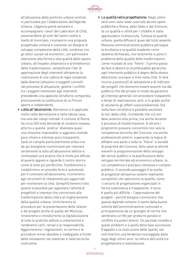

all'attuazione delle politiche urbane centrali, in particolare per l'elaborazione dell'Agenda Urbana. L'Agenzia potrà assistere e accompagnare i lavori dei Laboratori di Città, assumendone gli esiti del lavoro svolto a livello di municipio, ricomporre una proposta progettuale unitaria e coerente col disegno di sviluppo complessivo della città, condiviso con gli attori sociali ed economici, con particolare attenzione alla forma e alla qualità dello spazio urbano, all'impatto urbanistico e architettonico delle trasformazioni, semplificare l'iter di approvazione degli interventi attraverso la costituzione di una cabina di regia composta dalle diverse istituzioni e soggetti coinvolti nel processo di attuazione, gestire i conflitti tra i soggetti interessati agli interventi prevedendo una apposita istruttoria comparata, promuovendo la costituzione di un Forum aperto e indipendente.

◆ Lotta all'abusivismo. Alemanno si è applicato molto nella demolizione e nella tabula rasa, ma solo dei campi nomadi. Il comune di Roma ha circa 260 mila domande di condono inevaso, attorno a questa "pratica" diventata quasi una missione impossibile si aggirano vicende poco chiare e interessi poco trasparenti. Sarà un compito particolarmente arduo ma da qui bisognerà ricominciare per riavviare seriamente la lotta all'abusivismo edilizio e contrastare una pratica che è molto più diffusa di quanto appare e riguarda il centro storico come le aree più periferiche. Cambieremo e ristabiliremo un presidio forte e autorevole per il contrasto all'abusivismo, ricorreremo agli strumenti di rilevamento più aggiornati per monitorare la città. Semplificheremo tutto quanto è possibile per agevolare l'attività di progettisti e imprese che concorrono alla trasformazione della città e al miglioramento della qualità urbana. Unificheremo le procedure per la presentazione delle istanze e dei progetti anche di quelle dei Municipi, innoveremo e introdurremo la digitalizzazione di tutte le pratiche edilizie e urbanistiche e renderemo certi i tempi e le responsabilità. Aggiorneremo i regolamenti, le norme e le procedure ormai obsolete e inadeguate a fronte delle innovazioni nei materiali e nelle tecniche costruttive.

**◊**  La qualità nella progettazione. Negli ultimi venti anni sono state costruite alcune opere pubbliche a Roma, dallo Stato e dal Comune, la cui qualità e utilità per i cittadini è stata apprezzata e riconosciuta. Tuttavia la qualità urbana, quella diffusa è quasi del tutto assente. Nessuna amministrazione pubblica persegue la bruttezza e la qualità scadente come obiettivo dichiarato, ma raramente si pone il problema della qualità delle trasformazioni come risultato di una "filiera". Il primo passo da fare è abolire la inconfessabile gerarchia: ogni intervento pubblico è degno della stessa attenzione, ovunque si trovi nella città. Si farà ricorso a protocolli di valutazione e di indirizzo dei progetti che dovranno essere assunti sia dal pubblico che dal privato in modo da garantire gli interessi generali con procedure trasparenti e tempi di realizzazione certi, e in grado anche di valutarne gli effetti sulla biodiversità. Già nella fase istruttoria è possibile ascoltare le voci della città, ricordando che ciò non deve avvenire solo prima, ma anche durante il processo di trasformazione. A istruire i programmi possono concorrere non solo le competenze tecniche del Comune, ma anche professionisti esterni, superando la logica di affidare una parte o tutta la "filiera" a società di proprietà del Comune, fatto salvo le attività inerenti la programmazione dello sviluppo dei servizi pubblici e la pianificazione dello sviluppo territoriale ed economico urbano, la cui competenza è precipuo interesse e compito pubblico. Il secondo passaggio è la scelta di progettisti attraverso sistemi realmente competitivi che valorizzino la qualità, come i concorsi di progettazione organizzati in forma sistematica e trasparente. Il terzo è quello più difficile – l'approvazione dei progetti - perché bisogna riconoscere che questa dipende soltanto in parte dalla buona volontà dell'amministrazione comunale e principalmente da un groviglio di norme che sembrano scritte per produrre paralisi e conflitto tra poteri diversi. Un parziale rimedio a questi problemi e a quelli della fase successiva (l'appalto e la costruzione delle opere), sta nell'invertire una tendenza incoraggiata dalle leggi degli ultimi anni: la rottura dell'unità tra progettazione e realizzazione.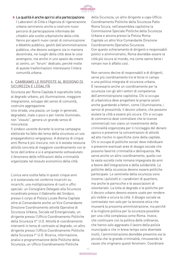

# **◊**  La qualità è anche aprirsi alla partecipazione. I Laboratori di Città e l'Agenzia di rigenerazione urbana serviranno anche a costruire nuovi percorsi di partecipazione informata dei cittadini alle scelte urbanistiche della città. Vanno poi aperti nuovi canali di comunicazione e dibattito pubblico, gestiti dall'amministrazione pubblica, che devono svolgersi sia in maniera decentrata, nei luoghi della città dove le cose

avvengono, ma anche in uno spazio da creare al centro, un "forum" dedicato, perché molte di queste trasformazioni interessano l'intera comunità urbana.

# 6. CAMBIAMO LE RISPOSTE AL BISOGNO DI SICUREZZA E LEGALITÀ

Sicurezza per Roma Capitale è soprattutto lotta al degrado urbano, più illuminazione, maggiore integrazione, sviluppo del senso di comunità, costruire aggregazione.

Una strada, una piazza, un luogo in generale, degradato, male o poco o per niente illuminato, non "vissuto", genera un grande senso di insicurezza.

Il sindaco uscente durante la scorsa campagna elettorale ha fatto del tema della sicurezza un uso propagandistico vergognoso. A distanza di cinque anni Roma è più insicura, non si è avviata nessuna attività concreta di maggiore coordinamento con le forze dell'ordine e si è ampiamente sottovalutato il fenomeno delle infiltrazioni della criminalità organizzata nel tessuto economico della città.

L'unica vera scelta fatta in questi cinque anni si è sostanziata nel conferire incarichi su incarichi, una moltiplicazione di ruoli e uffici speciali: un Consigliere Delegato alla Sicurezza incardinato presso il Gabinetto del Sindaco, presso il corpo di Polizia Locale Roma Capitale oltre al Comandante anche un Vice Comandante Direzione Coordinamento attività Operativa di Sicurezza Urbana, Sociale ed Emergenziale, un dirigente presso l'Ufficio Coordinamento Politiche della Sicurezza II^ U.O. Attività di coordinamento interventi in tema di contrasto al degrado, un altro dirigente presso l'Ufficio Coordinamento Politiche della Sicurezza I^ U.O. Ricerca, informazione, analisi e programmazione delle Politiche della Sicurezza, un Ufficio Coordinamento Politiche

della Sicurezza, un altro dirigente a capo Ufficio Coordinamento Politiche della Sicurezza Patto Roma Sicura, nell'assemblea capitolina la Commissione Speciale Politiche della Sicurezza Urbana e ancora presso la Polizia Roma Capitale un altro Vice Comandante Direzione Coordinamento Operativo Sicurezza. Con questo schieramento di dirigenti e responsabili politici e amministrativi, Roma dovrebbe essere la città più sicura al mondo, ma come sanno bene i romani non è affatto così.

Non servono decine di responsabili e di dirigenti, serve più coordinamento tra le forze in campo e una politica integrata di sicurezza urbana. È necessario anche un coordinamento per la sicurezza con gli altri settori di competenza dell'amministrazione capitolina. Chi si occupa di urbanistica deve progettare le proprie azioni anche guardando a fattori, come l'illuminazione, i servizi di prossimità, il decoro urbano, che possono aiutare la città a essere più sicura. Chi si occupa di commercio deve controllare che le licenze commerciali non siano un investimento della criminalità organizzata per il riciclaggio del denaro sporco e prevenire la concentrazioni di attività ad alto rischio in specifiche zone della capitale. Chi si occupa di politiche sociali deve individuare e prevenire eventuali aree di disagio sociale che possono favorire criminalità e delinquenza. Ma serve anche un altro coordinamento, quello con la vasta società civile romana impegnata da anni a favore dell'integrazione e della solidarietà. Le politiche della sicurezza devono essere politiche partecipate. Le sentinelle della sicurezza sono insieme i poliziotti e i carabinieri di quartiere, ma anche le parrocchie e le associazioni di volontariato. La lotta al degrado e le politiche per il decoro urbano devono essere usate per rendere più vivibile e sicura la città. Il disagio sociale va contrastato non solo per la tensione etica che muoverà la prossima amministrazione, ma perché è la migliore politica per la sicurezza possibile per una città complessa come Roma. Invece, che continuare con la politica delle ordinanze, che hanno solo aggravato il lavoro della polizia municipale e che in breve tempo sono diventate inutili, l'amministrazione dovrebbe prevenire sia la piccola che la grande criminalità, rimuovendo le cause che originano questi fenomeni. Coordinare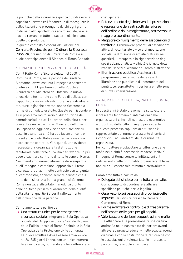

le politiche della sicurezza significa quindi avere la capacità di prevenire i fenomeni e di raccogliere le sollecitazioni che provengono da chi ogni giorno, in divisa o allo sportello di ascolto sociale, vive la società romana in tutte le sue articolazioni, anche quelle più profonde.

In questo contesto è essenziale l'azione del Comitato Provinciale per l'Ordine e la Sicurezza Pubblica, presieduto dal Prefetto di Roma e al quale partecipa anche il Sindaco di Roma Capitale.

#### 6.1. PRESIDI DI SICUREZZA IN TUTTA LA CITTÀ

Con il Patto Roma Sicura siglato nel 2008 il Comune di Roma, nella persona del sindaco Alemanno, aveva assunto l'impegno a sostenere, d'intesa con il Dipartimento della Pubblica Sicurezza del Ministero dell'Interno, la nuova allocazione territoriale delle Forze di polizia, con l'apporto di risorse infrastrutturali e a individuare strutture logistiche diverse, anche ricorrendo a forme di comodato gratuito. Questo per rispondere a un problema molto serio di distribuzione dei commissariati in tutti i quartieri della città e per consentire un risparmio al Ministero dell'Interno. Dall'epoca ad oggi non vi sono stati sostanziali passi in avanti. La città ha due facce: un centro presidiato e controllato e una periferia insicura e con scarso controllo. Vi è, quindi, una evidente necessità di riorganizzare la distribuzione territoriale delle forze di polizia per favorire un più equo e capillare controllo di tutte le zone di Roma. Noi intendiamo immediatamente dare seguito a quell'impegno e cambiare l'approccio sul tema sicurezza urbana. In netto contrasto con la giunta di centrodestra, abbiamo sempre pensato che il tema delle sicurezza in una grande città come Roma non vada affrontato in modo disgiunto dalle politiche per il miglioramento della qualità della vita nei quartieri e per il rafforzamento dell'inclusione delle persone.

Cambiamo tutto a partire da:

**◊** Una struttura unica per le emergenze di sicurezza sociale. Integrare la Sala Operativa Sociale, del Gruppo sicurezza Sociale Urbana della Polizia Locale di Roma Capitale, e la Sala Operativa della Protezione civile comunale. La nuova struttura dovrà essere attiva 24 ore su 24, 365 giorni l'anno, con un unico numero telefonico verde, puntando anche a ottimizzare i

#### costi generali.

- **◊**  Potenziamento degli interventi di prevenzione e repressione dei reati svolti dalle forze dell'ordine e dalla magistratura, attraverso un maggiore coordinamento.
- **◊**  Maggiore coinvolgimento delle associazioni di territorio. Promuovere progetti di cittadinanza attiva, di volontariato civico e di mediazione sociale, la diffusione di attività culturali nei quartieri, il recupero e la rigenerazione degli spazi abbandonati, la visibilità e il ruolo della rete dei servizi di welfare dell'amministrazione.
- **◊**  Illuminazione pubblica. Accelerare il programma di estensione della rete di illuminazione pubblica e di incremento dei punti luce, soprattutto in periferia e nelle zone di nuova urbanizzazione.

# 6.2. ROMA PER LA LEGALITÀ, CAPITALE CONTRO LE MAFIE

In questi anni è stato gravemente sottovalutato il crescente fenomeno di infiltrazioni delle organizzazioni criminali nel tessuto economico e produttivo della città. Il segno più evidente di questo processo capillare di diffusione è rappresentato dal numero crescente di omicidi riconducibili agli ambienti della criminalità organizzata.

Per combattere e ostacolare la diffusione delle mafie nella città è necessario rendere "visibile" l'impegno di Roma contro le infiltrazioni e il radicamento della criminalità organizzata. Il tema non può più essere minimizzato e sottovalutato.

Cambiamo tutto a partire da:

- **◊** Delegato del sindaco per la lotta alle mafie. Con il compito di coordinare e attivare specifiche politiche per la legalità.
- **◊**  Osservatorio sui passaggi di proprietà delle imprese. Da istituire presso la Camera di Commercio di Roma.
- **◊**  Forme avanzate di controllo e di trasparenza nell'ambito delle gare per gli appalti.
- **◊**  Valorizzazione dei beni sequestrati alle mafie. Da affiancare alla promozione di una cultura antimafia nella nostra città da portare avanti attraverso progetti educativi nelle scuole, eventi culturali e con la costruzione di reti civiche con le associazioni di volontariato, le imprese, le parrocchie, le scuole e i sindacati.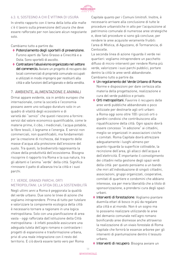

# 6.3. IL SOSTEGNO A CHI È VITTIMA DI USURA

In stretto rapporto con il tema della lotta alle mafie c'è il lavoro sulla prevenzione dell'usura che deve essere rafforzato per non lasciare alcun negoziante solo.

Cambiamo tutto a partire da:

- **◊**  Potenziamento degli sportelli di prevenzione. Furono aperti da Tano Grasso a Cinecittà e a Ostia. Sono sportelli di ascolto.
- **◊**  Contrastare l'abusivismo organizzato nel settore del commercio. Avviare un progetto di recupero dei locali commerciali di proprietà comunale occupati e utilizzati in modo improprio per restituirli alla città e alle funzioni dell'artigianato e della vendita.

#### 7. AMBIENTE, ALIMENTAZIONE E ANIMALI

Ormai appare evidente, sia in ambito europeo che internazionale, come la società e l'economia possano avere uno sviluppo duraturo solo in un quadro di vitalità degli ecosistemi e di varietà dei "servizi" che questi riescono a fornire: servizi dal valore economico quantificabile, come le materie prime, il cibo, i medicinali, l'acqua potabile, le fibre tessili, il legname e l'energia. E servizi non commerciali, non quantificabili, ma fondamentali per la creazione di ricchezza, dal trasporto delle masse d'acqua alla protezione dall'erosione del suolo. Tra questi, la biodiversità rappresenta la chiave della produttività dell'ecosistema. Bisogna riscoprire il rapporto tra Roma e la sua natura, tra gli abitanti e l'anima "verde" della città. Significa rinnovare il patto di alleanza tra la città e i suoi parchi.

# 7.1. VERDE, GRANDI PARCHI, ORTI METROPOLITANI. LA SFIDA DELLA SOSTENIBILITÀ

Negli ultimi anni a Roma è peggiorata la qualità del verde urbano. Due sono le linee di azione che vogliamo intraprendere. Prima di tutto per tutelare e valorizzare la componente ecologica della città è necessario tornare a ragionare in una logica metropolitana. Solo con una pianificazione di area vasta - oggi rafforzata dall'istituzione della Città metropolitana - è infatti possibile assicurare una adeguata tutela dell'agro romano e contrastare i progetti di espansione e trasformazione urbana, privi di una reale integrazione con il resto del territorio. E ciò dovrà essere tanto vero per Roma

Capitale quanto per i Comuni limitrofi. Inoltre, è necessario arrivare alla conclusione di tutte le procedure urbanistiche in atto per l'acquisizione al patrimonio comunale di numerose aree strategiche e, dove tali procedure si sono già concluse, per rendere le aree acquisite veramente fruibili: l'area di Mistica, di Aguzzano, di Tormarancia, di Centocelle.

La seconda linea di azione riguarda il verde nei quartieri: vogliamo intraprendere un pacchetto diffuso di micro-interventi per rendere Roma più verde, valorizzare i suoi parchi pubblici, portare dentro la città le aree verdi abbandonate. Cambiamo tutto a partire da:

- **◊** Un regolamento del Verde Urbano di Roma. Norme e disposizioni per dare certezza alla materia della progettazione, realizzazione e cura del verde pubblico e privato.
- **◊**  Orti metropolitani. Favorire il recupero delle aree verdi pubbliche abbandonate o poco utilizzate per destinarle agli orti urbani: a Roma oggi sono oltre 100 i piccoli orti o giardini condivisi che contribuiscono alla riqualificazione della città. Ogni spazio dovrà essere concesso "in adozione" ai cittadini, meglio se organizzati in associazioni civiche o comitati. Roma Capitale dovrà attrezzare adeguatamente i luoghi almeno per quanto riguarda la superficie coltivabile, la recinzione dell'area, gli allacci dell'acqua e dell'elettricità. È importante il coinvolgimento dei cittadini nella gestione degli spazi verdi della città: per questo pensiamo a un bando che miri all'individuazione di singoli cittadini, associazioni, gruppi organizzati, cooperative, comitati di quartiere e condomini che abbiano interesse, sia per mera liberalità che a titolo di sponsorizzazione, a prendersi cura degli spazi urbani.
- **◊**  Interventi di forestazione. Vogliamo piantare duemila ettari di bosco in più da regalare alla città e al mondo. Non è un sogno ma lo possiamo realizzare utilizzando le aree del demanio comunale nell'agro romano bonificando aree dismesse anche attraverso la realizzazione di un vivaio forestale di Roma Capitale che fornirà le essenze arboree per gli interventi di piantumazione dentro il tessuto urbano.

**◊**  Interventi di recupero. Bisogna avviare un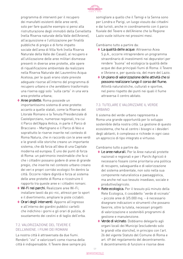

programma di interventi per il recupero dei manufatti esistenti delle aree verdi, solo per fare qualche esempio si pensi alla ristrutturazione degli immobili della Cervelletta (nella Riserva naturale della Valle dell'Aniene), all'acquisizione e l'utilizzazione per finalità pubbliche di pregio e di forte impatto sociale dell'area di Villa York (nella Riserva Naturale della Valle dei Casali), al recupero e all'utilizzazione delle aree militari dismesse presenti in diverse aree protette, alle opere di riqualificazione ambientale da realizzare nella Riserva Naturale del Laurentino Acqua Acetosa, per le quali erano state previste adeguate risorse all'interno del programma di recupero urbano e che avrebbero trasformato una riserva oggi solo "sulla carta" in una vera area protetta urbana;

- ◆ Aree protette. Roma possiede un importantissimo sistema di aree protette: accanto a quelle statali, come la Riserva del Litorale Romano e la Tenuta Presidenziale di Castelporziano, numerose regionali, tra cui il Parco dell'Appia Antica, in parte il Parco di Bracciano – Martignano e il Parco di Veio e soprattutto le riserve inserite nel contesto di Roma Natura, che in raccordo con le aree verdi e le grandi ville storiche creano un importante sistema, che dà forza all'idea di una Capitale moderna ed europea. È uno dei punti di forza di Roma: un patrimonio inestimabile che fa si che i cittadini possano godere di aree di grande pregio, che inserite nel contesto urbano creano dei veri e propri corridoi ecologici fin dentro la città. Occorre ridare dignità e forza al sistema delle aree protette di Roma e ricostruire il rapporto tra queste aree e i cittadini romani.
- **◊**  Wi-Fi nei parchi. Realizzare aree Wi-Fi; installare tavoli da pic-nic, attrezzi per lo sport e il divertimento; ampliare le piste ciclabili.
- **◊**  Orari degli interventi. Apporre all'ingresso e all'interno dei giardini pubblici cartelli che indichino i giorni e gli orari di pulizia, di svuotamento dei cestini e di taglio dell'erba.

#### 7.2. VALORIZZAZIONE DEL TEVERE E DELL'ANIENE. I FIUMI DEI ROMANI

La nostra città è attraversata da due fiumi. Renderli "vivi" e valorizzarli come risorsa della città è indispensabile. Il Tevere deve sempre più somigliare a quello che il Tamigi e la Senna sono per Londra e Parigi, un luogo vissuto dai cittadini e dai turisti, anche in coordinamento con il parco fluviale del Tevere e dell'Aniene che la Regione Lazio vuole istituire nei prossimi mesi.

Cambiamo tutto a partire da:

- **◊**  La qualità delle acque. Attraverso Acea S.p.A., occorre intraprendere un programma straordinario di investimenti nei depuratori per rendere "buona" ed ecologica la qualità delle acque dei due principali fiumi di Roma: il Tevere e l'Aniene e, per questa via, del mare del Lazio.
- **◊** Un piano di valorizzazione delle attività che si possono realizzare lungo il corso del fiume. Attività naturalistiche, culturali e sportive, nel pieno rispetto dei punti nei quali il fiume attraversa il centro abitato.

# 7.3. TUTELARE E VALORIZZARE IL VERDE URBANO

Il sistema del verde urbano rappresenta a Roma una grande opportunità per lo sviluppo sostenibile della nostra città. La gestione di questo ecosistema, che ha al centro i bisogni e i desideri degli abitanti, è complesso e richiede in ogni caso un approccio di tipo integrato e virtuoso.

Cambiamo tutto a partire da:

- **◊**  Le aree naturali. Per le Aree naturali protette nazionali e regionali e per i Parchi Agricoli è necessario fissare come prioritaria una politica di recupero, salvaguardia e di valorizzazione del sistema ambientale, non solo nella sua componente naturalistica e paesaggistica, ma anche nel suo tessuto insediavo, sociale e produttivo/agricolo.
- **◊** Rete ecologica. Per il tessuto più minuto della Rete Ecologica, il cosiddetto "verde di vicinato" – piccole aree di 3/5.000 mq. – è necessario disegnare indicazioni e strumenti che possano favorire, oltre la tutela, necessari progetti di valorizzazione e sostenibili programmi di gestione e manutenzione.
- **◊**  Verde di vicinato. Dobbiamo delegarlo agli organi locali dei Municipi (escludendo solo le grandi ville storiche), in principio con l'art. 26 del vigente Statuto del Comune di Roma e art. 69 del regolamento del decentramento. Il decentramento di funzioni e risorse deve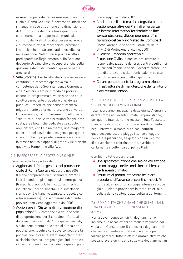

essere compensato dall'assunzione di un nuovo ruolo di Roma Capitale; è necessario infatti che rimanga in capo al Comune una dimensione di Authority che definisca linee quadro, di coordinamento a supporto dei municipi, di controllo dei livelli di qualità dei servizi erogati e di messa in atto di meccanismi premianti i municipi che mostrano tratti di eccellenza nella gestione. Nell'ottica sopra descritta si predisporrà un Regolamento sulla Gestione del Verde Urbano che si occuperà anche della gestione e degli strumenti di governo per le aree verdi.

**◊**  Ville Storiche. Per le ville storiche è necessario costituire un raccordo operativo tra le competenze della Soprintendenza Comunale e del Servizio Giardini in modo da porre in essere un programma di valorizzazione delle strutture mediante procedure di evidenza pubblica. Procedure che consentirebbero il miglioramento della manutenzione del verde, l'incremento e/o il miglioramento dell'offerta "strutturale" per i cittadini fruitori (bagni, aree sosta, aree botaniche dedicate alle scuole, aree ristoro, ecc.) e, finalmente, una maggiore copertura dei costi e delle esigenze per quelle ville storiche di proprietà comunale non aventi lo stesso naturale appeal di grandi ville storiche quali villa Pamphjli e villa Ada.

#### 7.4. RAFFORZARE LA PROTEZIONE CIVILE

Cambiamo tutto a partire da:

- **◊**  Aggiornare il Piano generale di protezione civile di Roma Capitale elaborato nel 2008. Il piano comprende dieci scenari di evento e i corrispondenti piani operativi di emergenza (trasporti, black out, beni culturali, rischio industriale, incendi boschivi e di interfaccia, sismi, cavità e frane, vulcanico, idrogeologico e Tevere–Aniene) che, a differenza di quanto previsto, non viene aggiornato dal 2009.
- **◊**  Aggiornare il "Sistema di informazione alla popolazione". Si compone sia delle schede di autoprotezione per il cittadino, riferite ai dieci maggiori rischi di Roma già evidenziati, sia del censimento delle aree di attesa per la popolazione, luoghi sicuri dove convogliare la popolazione in caso di eventi importanti riferiti al rischio sismico, idrogeologico, industriale e in caso di incendi boschivi. Anche questo piano

non è aggiornato dal 2009.

- **◊** Ripristinare il sistema di cartografia per la gestione operativa dei Piani di emergenza ("Sistema Informativo Territoriale on line www.protezionecivilecomuneroma.it") e ripristino del Servizio Meteo del Comune di Roma. Ambedue sono stati stralciati dalle attività di Protezione Civile nel 2009.
- **◊** Rivedere il modello operativo di Protezione Civile. In particolare, tramite la responsabilizzazione dei presidenti e degli uffici municipali (tecnici e sociali) occorre creare una rete di protezione civile municipale, in stretto coordinamento con quella capitolina.
- **◊**  Curare puntualmente la programmazione infrastrutturale di manutenzione del territorio e del tessuto urbano.

# 7.5. CABINA DI REGIA PER LA PREVISIONE E LA GESTIONE DEGLI EVENTI CLIMATICI

Tutti ricordiamo l'incapacità della giunta Alemanno di fare fronte agli eventi climatici imprevisti che, per quanto intensi, hanno messo in luce l'assoluta mancanza di programmazione e coordinamento negli interventi a fronte di episodi naturali, quali possono essere piogge intense o leggere nevicate. Episodi che, se gestiti con un minimo di prevenzione e coordinamento, avrebbero certamente ridotto i disagi per i cittadini.

Cambiamo tutto a partire da:

- ◆ Una specifica funzione che svolga valutazione e monitoraggio delle condizioni ambientali e degli eventi climatici.
- **◊**  Strutture di pronto intervento nelle ore precedenti all'avvento di eventi climatici. Di fronte all'arrivo di una pioggia intensa sarebbe giù sufficiente provvedere in tempi celeri alla pulizia delle caditoie e allo pulitura dei tombini.

#### 7.6. ROMA CITTÀ CHE AMA ANCHE GLI ANIMALI. UNA CONSULTA PER IL BENESSERE DEGLI ANIMALI

Roma deve riconosce i diritti degli animali e insieme alle associazioni animaliste vogliamo dar vita a una Consulta per il benessere degli animali che sia realmente ascoltata e che agisca per fornire pareri su tutte le attività amministrative che possano avere un impatto sulla vita degli animali in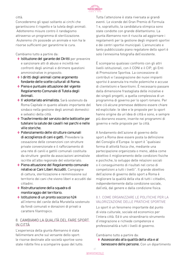

città.

Concederemo gli spazi soltanto ai circhi che garantiscono il rispetto e la tutela degli animali. Adotteremo misure contro il randagismo attraverso un programma di sterilizzazione. Aiuteremo chi possiede un animale e non ha le risorse sufficienti per garantirne le cura.

Cambiamo tutto a partire da:

- **◊**  Istituzione del garante dei Diritti per prevenire e sanzionare atti di abuso e inciviltà nei confronti degli animali e dirimere questioni amministrative in proposito.
- **◊**  I diritti degli animali come argomento fondante delle scelte culturali di Roma.
- **◊**  Piena e puntuale attuazione del vigente Regolamento Comunale di Tutela degli Animali.
- **◊**  Il volontariato animalista. Sarà sostenuto da Roma Capitale in quanto alleato importante del sindaco nella gestione degli animali domestici e selvatici della città.
- **◊**  Trasferimento del servizio delle botticelle per tutelare la salute dei cavalli nei parchi e nelle ville storiche.
- **◊**  Potenziamento delle strutture comunali di accoglienza di cani e gatti. Prevedere la cessazione delle convenzioni con strutture private convenzionate e il rafforzamento di una rete di canili e gattili comunali costituita da strutture gestite da associazioni animaliste iscritte all'albo regionale del volontariato.
- **◊**  Piena attuazione del Regolamento comunale relativo ai Cani Liberi Accuditi. Campagne di cattura, sterilizzazione e reimmissione sul territorio dei cani che vivono liberi e accuditi dai cittadini.
- **◊** Ristrutturazione della squadra di monitoraggio del territorio.
- **◊**  Istituzione di un pronto soccorso h24 all'interno del canile della Muratella sostenuto da fondi comunali e donazioni di privati a carattere filantropico.

#### 8. CAMBIAMO LA QUALITÀ DEL FARE SPORT IN CITTÀ

L'esperienza della giunta Alemanno è stata fallimentare anche sul versante dello sport: le risorse destinate alle società sportive sono state ridotte fino a scomparire quasi del tutto. Tutta l'attenzione è stata riversata ai grandi eventi. Le vicende del Gran Premio di Formula 1 e, soprattutto, la candidatura olimpica sono state condotte con grande dilettantismo. La giunta Alemanno non è riuscita ad aggiornare i regolamenti per la gestione degli impianti sportivi e dei centri sportivi municipali. L'annunciato e tanto pubblicizzato piano regolatore dello sport è solo l'ennesima fotografia dell'esistente.

È scomparso qualsiasi confronto con gli altri livelli istituzionali, con il CONI e il CIP, gli Enti di Promozione Sportiva. La concessione di contributi e l'assegnazione dei nuovi impianti sportivi è avvenuta tra molte polemiche e accuse di clientelismi e favoritismi. È necessario passare dalla dimensione frastagliata delle iniziative e dei singoli progetti, a quella complessiva di un programma di governo per lo sport romano. Per fare ciò alcune premesse debbono essere chiare ed esplicitate: le idee e le proposte per lo sport hanno origine da un'idea di città e sono, e sempre più dovranno essere, inserite nei programmi di governo e nelle proposte per la città.

A fondamento dell'azione di governo dello sport a Roma deve essere posta la definizione del Consiglio d'Europa: lo sport è "qualsiasi forma di attività fisica che, mediante una partecipazione organizzata o meno, abbia come obiettivo il miglioramento delle condizioni fisiche e psichiche, lo sviluppo delle relazioni sociali o il conseguimento di risultati nel corso di competizioni a tutti i livelli". Il grande obiettivo dell'azione di governo dello sport a Roma è migliorare la qualità della vita di tutti i cittadini, indipendentemente dalla condizione sociale, dall'età, dal genere e dalla condizione fisica.

#### 8.1. COME ORGANIZZARE LE POLITICHE PER LA VALORIZZAZIONE DELLE PRATICHE SPORTIVE

Lo sport è un fenomeno importante dal punto di vista culturale, sociale ed economico per l'intera città. Ed è uno straordinario strumento d'integrazione e richiede competenze e professionalità a tutti i livelli di governo.

Cambiamo tutto a partire da:

**◊**  Assessorato alla qualità della vita e al benessere delle persone. Con un dipartimento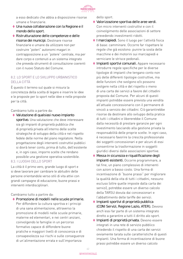

a esso dedicato che abbia a disposizione risorse umane e finanziarie.

- **◊** Una nuova collaborazione con la Regione e il mondo dello sport.
- **◊** Ristrutturazione delle competenze e delle risorse dei municipi. Destinare risorse finanziarie e umane da utilizzare non per costruire "poteri" autonomi magari in contrapposizione a un "potere" centrale, ma per dare corpo e contenuti a un sistema integrato che preveda strumenti di consultazione coerenti con il nuovo Statuto del Comune.

# 8.2. LO SPORT E LO SVILUPPO URBANISTICO DELLA CITTÀ

È questo il terreno sul quale si misura la concretezza della scelta di legare e inserire le idee e le proposte per lo sport nelle idee e nelle proposte per la città.

Cambiamo tutto a partire da:

**◊**  Valutazione di qualsiasi nuovo impianto sportivo. Una valutazione che deve interessare sia gli impianti di proprietà pubblica che di proprietà privata all'interno delle scelte strategiche di sviluppo della città e nel rispetto fedele delle norme del piano regolatore. Nella progettazione degli interventi costruttivi pubblici si dovrà tener conto, prima di tutto, dell'esistente e, in ogni caso, imporre scelte che rendano possibile una gestione operativa sostenibile.

# 8.3. I LUOGHI DELLO SPORT

La città è il primo vero, grande luogo di sport e si deve lavorare per cambiare le abitudini delle persone orientandole verso stili di vita attivi con grandi campagne di educazione, buone prassi e interventi interdisciplinari.

#### Cambiamo tutto a partire da:

**◊**  Promozione di modelli nelle scuole primarie. Per diffondere la cultura sportiva e i principi di una sana alimentazione, attraverso la promozione di modelli nelle scuole primarie, materne ed elementari, e nei centri anziani, coinvolgendo le famiglie in un percorso formativo capace di diffondere buone pratiche e maggiori livelli di conoscenza e di consapevolezza sui rischi e sulle conseguenze di un'alimentazione errata e sull'importanza

dello sport.

- **◊**  Valorizzazione sportiva delle aree verdi. Con micro interventi costruttivi e con il coinvolgimento delle associazioni di settore prevedendo investimenti ridotti.
- **◊**  I marciapiedi. Sono il luogo per l'attività fisica di base: camminare. Occorre far rispettare le regole che già esistono: punire la sosta delle macchine e dei motorini sui marciapiedi e verniciare le strisce pedonali.
- **◊**  Impianti sportivi comunali. Appare necessario introdurre regole specifiche per le diverse tipologie di impianti che tengano conto non più delle differenti tipologie costruttive, ma delle funzioni che svolgono e/o possono svolgere nella città e del rispetto o meno di una carta dei servizi a favore del cittadini proposta dal Comune. Per alcuni di questi impianti potrebbe essere prevista una vendita all'attuale concessionario con il permanere di vincoli a servizio dei cittadini. Ciò garantirebbe risorse da destinare allo sviluppo della pratica di tutti i cittadini e libererebbe il Comune dalla necessità di prestare garanzie per ogni investimento lasciando alla gestione privata la responsabilità delle proprie scelte. In ogni caso, è necessario favorire la crescita professionale dei soggetti concessionari e per alcuni di essi consentirne la trasformazione in soggetti giuridici diversi dalle associazioni sportive.
- **◊**  Messa in sicurezza e riqualificazione degli impianti esistenti. Occorre programmare, a tal fine, un piano complessivo di interventi con azioni a basso costo. Una forma di incentivazione di "buone prassi" per migliorare la qualità della vita di tutti i cittadini, nessuno escluso (oltre quelle imposte dalla carta dei servizi), potrebbe essere un diverso calcolo della TARSU dovuta dai concessionari e l'abbattimento delle tariffe dei servizi.
- **◊**  Impianti sportivi di proprietà pubblica (CONI Servizi, Regione Lazio, ATER). Devono anch'essi far parte di un sistema integrato diretto a garantire a tutti il diritto alo sport.
- **◊**  Impianti di proprietà privata. Devono essere integrati in una rete di servizio pubblico chiedendo il rispetto di una carta dei servizi ovviamente tarata sulle caratteristiche di questi impianti. Una forma di incentivazione di buone prassi potrebbe essere un diverso calcolo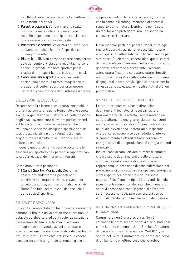

dell'IMU dovuta dai proprietari e l'abbattimento delle tariffe dei servizi.

- **◊**  Palestre popolari. Sono ormai una realtà importante nella città e rappresentano un modello di gestione partecipata e sociale che dovrà essere favorito e valorizzato.
- **◊**  Parrocchie e oratori. Valorizzare e incentivare le buone pratiche e le attività sportive che vi vengono svolte
- **◊**  Piste ciclabili. Non possono essere considerate solo dal punto di vista della mobilità, ma sono anche un grande impianto sportivo per la pratica di altri sport (corsa, bici, pattini ecc.).
- **◊**  Centri anziani e sport. La rete dei centri anziani può essere utilizzata, magari con la creazione di settori sport, per promuovere l'attività fisica e motoria degli ultrasessantenni.

#### 8.4. LO SPORT E LA SCUOLA

Occorre stabilire forme di collaborazione stabili e pluriennali con la Direzione Regionale e le scuole, sia nell'organizzazione di attività sia nella gestione degli spazi, avendo cura di evitare particolarismi e il fai da te. In ogni caso è necessario che lo sviluppo delle diverse discipline sportive non sia lasciata all'iniziativa e alla volontà dei singoli soggetti ma sia il frutto di valutazioni e scelte chiare ed esplicite.

In questo quadro dovranno essere sostenute le associazioni sportive che operano in rapporto con la scuola realizzando interventi integrati.

Cambiamo tutto a partire da:

**◊**  I Centri Sportivi Municipali. Dovranno essere profondamente ripensati negli obiettivi e nell'organizzazione, prevedendo la collaborazione, pur con compiti diversi, di Roma Capitale, dei municipi, delle scuole e delle società sportive.

#### 8.5. SPORT E SPAZI VERDI

Lo sport e l'ambientalismo hanno un denominatore comune: il limite è un valore da rispettare non un ostacolo da abbattere ad ogni costo. La soluzione deve essere declinata in termini di armonia, immaginando interventi e azioni di carattere sportivo per una fruizione sostenibile dell'ambiente naturale. Infatti, l'ambiente naturale può essere considerato come un grande terreno di gioco da

scoprire a piedi, in bicicletta, a cavallo, di corsa, con la canoa o il rafting, mettendo al centro il rapporto uomo-natura. L'ambiente non è solo un territorio da proteggere, ma uno spazio da conoscere e rispettare.

Nella maggior parte dei paesi europei, oltre agli impianti sportivi tradizionali è possibile trovare ampi spazi non attrezzati ma utilizzabili anche per altri sport. Gli elementi essenziali di questi campi da gioco o playing field sono l'erba e le dimensioni generose del campo pianeggiante. Nessuna attrezzatura fissa, ma solo attrezzature rimovibili e strutture in muratura attrezzate con un minimo di spogliatoi, docce, servizi igienici, ricoveri per la rimessa delle attrezzature mobili e, tutt'al più, un punto ristoro.

#### 8.6. SPORT E RISPARMIO ENERGETICO

Le strutture sportive, viste le dimensioni degli impianti tecnologici necessari al loro funzionamento delle attività, rappresentano un settore altamente energivoro, sia per i consumi elettrici che termici e idrici. È questo un settore nel quale elevati sono i potenziali di risparmio energetico ed economico se si adottano interventi di contenimento e ottimizzazione dei consumi energetici e/o di autoproduzione di energia da fonti rinnovabili.

Inoltre, considerato l'elevato numero di cittadini che fruiscono degli impianti e delle strutture sportive, la realizzazione di questi interventi rappresenta un'occasione di sensibilizzazione e di promozione di una cultura del risparmio energetico e del rispetto dell'ambiente e delle risorse naturali. Poiché questo tipo di interventi richiede investimenti economici rilevanti, che gli operatori sportivi spesso non sono in grado di affrontare, sarà necessario realizzare convenzioni con gli istituti di credito per il finanziamento degli stessi.

#### 8.7. UNA GRANDE CAMPAGNA PER PROMUOVERE IL CAMMINARE

Camminare non è una disciplina. Non è catalogabile entro schemi sportivi disciplinari così come il nuoto o il tennis. John Butcher, fondatore dell'associazione internazionale "WALK21", ha scritto nel 1999: "Camminare è il primo desiderio di un bambino e l'ultima cosa che vorrebbe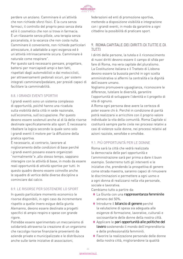

perdere un anziano. Camminare è un'attività che non richiede sforzi fisici. È la cura senza farmaci, il controllo del proprio peso senza dieta ed è il cosmetico che non si trova in farmacia. È un rilassante senza pillole, una terapia senza psicanalista, è la vacanza che non costa nulla. Camminare è conveniente, non richiede particolari attrezzature, è adattabile a ogni esigenza ed è un'attività intrinsecamente sicura. Camminare è naturale come respirare".

Per questo sarà necessario pensare, progettare, battersi per marciapiedi ampi e ben fatti, rispettati dagli automobilisti e dai motociclisti, per attraversamenti pedonali sicuri, per sistemi integrati camminare/pedalare, per presidi capaci di facilitare la camminabilità.

#### 8.8. I GRANDI EVENTI SPORTIVI

I grandi eventi sono un sistema complesso di opportunità, poiché hanno una ricaduta sulla visibilità della città in sede nazionale, sull'economia, sull'occupazione. Per questo devono essere sostenuti anche al di là delle risorse destinate specificatamente allo sport. È necessario ribaltare la logica secondo la quale sono solo i grandi eventi il motore per la diffusione della pratica sportiva.

È necessario, al contrario, lavorare al miglioramento delle condizioni di base perché i grandi eventi possano essere organizzati "normalmente"e ,allo stesso tempo, sappiano interagire con le attività di base, in modo da essere reali opportunità di attività sportive per tutti. In questo quadro devono essere coinvolte anche le squadre di vertice delle diverse discipline a cominciare dal calcio.

#### 8.9. LE RISORSE PER SOSTENERE LO SPORT

In questo particolare momento economico le risorse disponibili, in ogni caso da incrementare rispetto a quelle invero esigue della giunta Alemanno, devono essere destinate a progetti specifici di ampio respiro e spese con grande rigore.

Potrebbe essere sperimentato un meccanismo di solidarietà attraverso la creazione di un organismo che raccolga risorse finanziarie provenienti da aziende private e municipalizzate e le distribuisca anche sulle tante iniziative di associazioni,

federazioni ed enti di promozione sportiva, mettendo a disposizione visibilità e integrazione con i grandi eventi, in modo da garantire a ogni cittadino la possibilità di praticare sport.

# 9. ROMA CAPITALE DEI DIRITTI DI TUTTE E DI TUTTI

I diritti delle persone, la tutela e il riconoscimento di nuovi diritti devono essere il campo di sfida per fare di Roma, ma vera capitale del pluralismo. La Costituzione italiana e il Trattato di Lisbona devono essere la bussola perché in ogni scelta amministrativa si affermi la centralità e la dignità dell'essere umano.

Vogliamo promuovere uguaglianza, riconoscere le differenze, tutelare le diversità, garantire l'opportunità di sviluppare l'identità e il progetto di vita di ognuno.

A Roma ogni persona deve avere la certezza di poter essere chi è. Perché in condizione di parità potrà realizzarsi e arricchire con il proprio valore individuale la vita della comunità. Roma Capitale si costituirà sempre parte civile nei processi relativi a casi di violenze sulle donne, nei processi relativi ad azioni razziste, xenofobe e omofobe.

# 9.1. PIÙ OPPORTUNITÀ PER LE DONNE

Roma sarà la città che vedrà realizzata la democrazia delle pari opportunità e l'amministrazione sarà per prima a dare il buon esempio. Sosterremo tutti gli interventi e le iniziative che, prendendo la prospettiva di genere come strada maestra, saranno capaci di rimuovere le discriminazioni e permettere a ogni uomo e a ogni donna di realizzarsi nella vita personale, sociale e lavorativa.

Cambiamo tutto a partire da:

- **◊**  La Giunta con una rappresentanza femminile almeno del 50%.
- **◊**  Introdurre il bilancio di genere perché la valutazione di spesa sia adeguata alle esigenze di formazione, lavorative, culturali e sociosanitarie delle donne della nostra città.
- **◊**  Applicare le pari opportunità alle politiche del lavoro sostenendo il mondo dell'imprenditoria e delle professionalità femminili.
- **◊**  Favorire la realizzazione personale delle donne della nostra città, migliorandone la qualità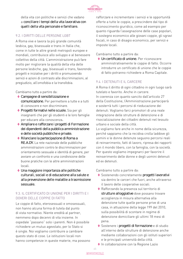

della vita con politiche e servizi che vadano a conciliare i tempi della vita lavorativa con quelli della vita personale e familiare.

# 9.2. I DIRITTI DELLE PERSONE LGBT

A Roma vive e lavora la più grande comunità lesbica, gay, bisessuale e trans in Italia che, come in tutte le altre grandi metropoli europee e mondiali, contribuisce allo sviluppo e al benessere collettivo della città. L'amministrazione può fare molto per migliorare la qualità della vita delle persone lesbiche, gay, bisessuali e trans, favorendo progetti e iniziative per i diritti e promuovendo servizi e azioni di contrasto alle discriminazioni, al pregiudizio, all'omofobia e la transfobia.

Cambiamo tutto a partire da:

- **◊**  Campagne di sensibilizzazione e comunicazione. Per permettere a tutte e a tutti di conoscere e non discriminare.
- ◆ Progetti formativi nelle scuole. Sia per gli insegnanti che per gli studenti e le loro famiglie per educare alla conoscenza.
- **◊**  Ampliare e rafforzare i progetti di Formazione dei dipendenti della pubblica amministrazione e delle società pubbliche e private.
- **◊**  Rilanciare la partecipazione di Roma a RE.A.DY. La rete nazionale delle pubbliche amministrazioni contro le discriminazioni per orientamento sessuale e identità di genere, per avviare un confronto e una condivisione delle buone pratiche con le altre amministrazioni locali.
- **◊** Una maggiore importanza alle politiche culturali, sociali e di educazione alla salute e alla prevenzione delle malattie a trasmissione sessuale.

#### 9.3. IL CERTIFICATO DI UNIONE PER I DIRITTI E I DOVERI DELLE COPPIE DI FATTO

Le coppie di fatto, eterosessuali e omosessuali, non hanno alcuna forma di tutela dal punto di vista normativo. Niente eredità al partner, nemmeno dopo decenni di vita insieme. In ospedale "passano" solo i parenti. Non è possibile richiedere un mutuo agevolato, per lo Stato si è single. Noi vogliamo contribuire a cambiare questo stato di cose. Le istituzioni locali non hanno competenze in queste materie, ma possono

rafforzare e incrementare i servizi e le opportunità offerte a tutte le coppie, a prescindere dal tipo di riconoscimento giuridico, come ad esempio per quanto riguarda l'assegnazione delle case popolari, il sostegno economico alle giovani coppie, gli sgravi fiscali, in caso di disagio economico, per servizi e imposte locali.

Cambiamo tutto a partire da:

**◊** Un certificato di unione. Per riconoscere amministrativamente le coppie di fatto. Occorre introdurre un certificato di unione che le coppie di fatto potranno richiedere a Roma Capitale.

#### 9.4. I DETENUTI E IL CARCERE

A Roma il diritto di ogni cittadino in ogni luogo sarà tutelato e favorito. Anche in carcere. In coerenza con quanto sancito dall'articolo 27 della Costituzione, l'Amministrazione parteciperà e sosterrà tutti i percorsi di rieducazione dei detenuti. Vogliamo farci promotori di una reale integrazione delle strutture di detenzione e di risocializzazione dei cittadini detenuti nel tessuto urbano e sociale della città.

Lo vogliamo fare anche in nome della sicurezza, perché sappiamo che la recidiva crolla laddove gli uomini e le donne detenute seguono percorsi reali di reinserimento, fatti di lavoro, ripresa dei rapporti con il mondo libero, con la famiglia, con la società. Per questo vogliamo impegnarci per favorire il reinserimento delle donne e degli uomini detenuti ed ex detenuti.

Cambiamo tutto a partire da:

- ◆ Sostenendo concretamente progetti lavorativi sia dentro le carceri che fuori, anche attraverso il lavoro delle cooperative sociali.
- **◊** Rafforzando la presenza sul territorio di strutture alloggiative dove possano trovare accoglienza in misura alternativa alla detenzione tutte quelle persone prive di una casa, in attuazione della legge 199 del 2010, sulla possibilità di scontare in regime di detenzione domiciliare gli ultimi 18 mesi di pena.
- **◊**  Sostenere i progetti di formazione e di studio all'interno delle strutture di detenzione anche mediante collaborazioni con gli istituti superiori e le principali università della città.
- **◊**  In collaborazione con la Regione Lazio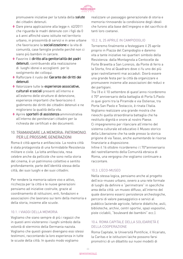

promuovere iniziative per la tutela della salute dei cittadini detenuti.

- **◊** Dare piena applicazione alla legge n. 62/2011 che riguarda le madri detenute con i figli da 0 a 6 anni affinché siano istituite nel territorio urbano, in prossimità di servizi e in aree urbane che favoriscano la socializzazione e la vita di comunità, case famiglie protette perché non ci siano più bambini in carcere.
- **◊**  Favorire il diritto alla genitorialità dei padri detenuti, contribuendo alla realizzazione di luoghi idonei e accoglienti per lo svolgimento dei colloqui.
- **◊** Rafforzare il ruolo del Garante dei diritti dei detenuti.
- **◊**  Valorizzare tutte le esperienze associative, culturali e sociali presenti all'interno e all'esterno delle strutture di detenzione, esperienze importanti che favoriscono il godimento dei diritti dei cittadini detenuti e ne migliorano la qualità della vita.
- **◊**  Aprire sportelli di assistenza amministrativa all'interno dei penitenziari cittadini per la richiesta dei certificati e dei documenti.

#### 10. TRAMANDARE LA MEMORIA: PATRIMONIO PER LE PROSSIME GENERAZIONI

Roma è città aperta e antifascista. La nostra città è stata protagonista di una formidabile Resistenza militare e civile. La lotta antifascista, resa celebre anche da pellicole che sono nella storia del cinema, è un patrimonio collettivo e sentito profondamente, parte dell'identità stessa della città, dei suoi luoghi e dei suoi cittadini.

Per rendere la memoria valore vivo e attivo, ricchezza per la città e le nuove generazioni pensiamo ad iniziative costruite, grazie al coordinamento di istituzioni, enti, fondazioni e associazioni che lavorano sui temi della memoria e della storia, insieme alle scuole.

#### 10.1. I VIAGGI DELLA MEMORIA

Vogliamo che siano sempre di più i ragazzi che in questi anni visiteranno i luoghi simbolo della volontà di sterminio della Germania nazista. Vogliamo che questi giovani divengano essi stessi testimoni, raccontando la loro esperienza in tutte le scuole della città. In questo modo vogliamo

realizzare un passaggio generazionale di storia e memoria rinnovando la condivisione degli ideali che furono alla base dell'impegno e del sacrificio di tanti loro coetanei.

# 10.2. IL 25 APRILE IN CAMPIDOGLIO

Torneremo finalmente a festeggiare il 25 aprile proprio in Piazza del Campidoglio e daremo vita a tante iniziative nei quartieri simbolo della Resistenza: dalla Montagnola a Centocelle da Forte Bravetta a San Lorenzo, da Ponte di ferro a la Storta, fino al Quadraro dove ci fu uno dei più gravi rastrellamenti mai accaduti. Dovrà essere una grande festa per la città da organizzare e promuovere insieme alle associazioni dei reduci e dei partigiani.

Tra l'8 e il 10 settembre di quest'anno ricorderemo il 70° anniversario della battaglia di Porta S.Paolo in quei giorni tra la Piramide e via Ostiense, tra Porta San Paolo e Testaccio, è rinata l'Italia. Vogliamo realizzare una grande mostra che rievochi quella straordinaria battaglia che ha restituito dignità e onore al nostro Paese. Ci impegneremo per rilanciare all'interno del sistema culturale ed educativo il Museo storico della Liberazione che ha sede presso la storica prigione di via Tasso, anche aumentando le risorse finanziarie a disposizione.

Infine il 16 ottobre ricorderemo i l 70°anniversario del rastrellamento della Comunità ebraica di Roma, una vergogna che vogliamo continuare a raccontare.

# 10.3. L'ECO-MUSEO

Nella stessa logica, pensiamo anche al progetto dell'eco-museo urbano, ovvero a una rete formale di luoghi da definire e "perimetrare" in specifiche area della città: un museo diffuso, all'interno del quale dovranno esserci persistenze archeologiche, percorsi di valore paesaggistico e servizi al pubblico (aziende agricole, fattorie didattiche, asili, biblioteche, archivi, centri sportivi, spazi espositivi, piste ciclabili, "boulevard dei bambini" ecc.).

#### 10.4. ROMA CAPITALE DELLA SOLIDARIETÀ E DELLA COOPERAZIONE

Roma Capitale, le Università Pontificie, il Vicariato, la Caritas e le istituzioni laiche possono farsi promotrici di un dibattito sui nuovi modelli di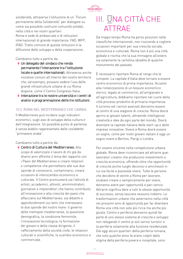

solidarietà, attraverso l'istituzione di un "Forum permanente della Solidarietà" per dialogare su come sia possibile costruire comunità solidali, nella città e nei nostri quartieri. Roma è sede di ambasciate e di istituzioni internazionali di grande importanza: FAO, WFP, IFAD. Tratto comune di queste istituzioni è la diffusione dello sviluppo e della cooperazione.

Cambiamo tutto a partire da:

- **◊** Un delegato del sindaco che renda permanente l'interazione tra l'istituzione locale e quelle internazionali. Attraverso anche iniziative comuni all'interno del nostro territorio che, ad esempio, possano vedere l'uso delle grandi infrastrutture urbane di cui Roma dispone, come il Centro Congressi Italia.
- **◊**  Interazione tra le nostre università e i centri di analisi e programmazione delle tre istituzioni.

#### 10.5. ROMA NEL MEDITERRANEO CHE CAMBIA

Il Mediterraneo può incidere sugli indicatori economici, sugli assi di sviluppo della cultura e dell'integrazione. Un possibile punto di partenza è senza dubbio rappresentato dalle cosiddette "primavere arabe".

Cambiamo tutto a partire da:

**◊**  Centro di Cultura del Mediterraneo. Allo scopo di valorizzare il lavoro di chi già da diversi anni affronta il tema del rapporto con i Paesi del Mediterraneo e creare relazioni e competenze che permettano alle sue due sponde di conoscersi, contaminarsi, creare occasioni di interscambio economico e culturale. Il Centro promuoverà sia l'attività di artisti, accademici, attivisti, amministratori, giornalisti e imprenditori che hanno contribuito all'innovazione e alla crescita dei paesi che affacciano sul Mediterraneo, sia dibattiti e approfondimenti sui temi che interessano le due sponde del nostro mare: il governo delle metropoli mediterranee, la questione demografica, la condizione femminile, l'innovazione tecnologica, la formazione dei giovani e della classe dirigente, il rafforzamento della società civile, le relazioni culturali e scientifiche, lo scambio economico e commerciale.

# III. UNA CITTÀ CHE ATTRAE

Da troppo tempo Roma ha perso posizioni nelle classifiche internazionali, non riuscendo a cogliere occasioni importanti per sua crescita sociale, economica e culturale. Roma non è più una città globale e rischia che la sua immagine all'estero sia solamente la cartolina sbiadita di qualche monumento del passato.

è necessario riportare Roma al rango che le compete. La capitale d'Italia deve tornare a essere centro economico di prima importanza. Accanto alla rivitalizzazione di un tessuto economico storico, legato al commercio, all'artigianato e all'agricoltura, dobbiamo riportare nel cuore della città processi produttivi di primaria importanza. Il turismo ed i servizi avanzati dovranno essere al centro di una stagione di crescita. Roma dovrà aprirsi ai giovani talenti, attraendo intelligenze, creatività e idee da ogni parte del mondo. Dovrà diventare la capitale italiana delle start-up e delle imprese innovative. Vivere a Roma dovrà essere un sogno, come per molti giovani italiani è oggi un sogno vivere a Berlino, Parigi o Londra.

Per essere vincente nella competizione urbana globale. Roma deve ricominciare ad attrarre quei lavoratori creativi che producono investimenti e crescita economica, offrendo oltre che opportunità di crescita anche luoghi decorosi e amichevoli in cui sia facile e piacevole vivere. Tutte le persone che decidono di venire a Roma per lavorare, studiare creare o semplicemente per vivere, dovranno avere pari opportunità e pari servizi. Attrarre significa dare a tutti le stesse opportunità di successo, senza lasciare nessuno indietro. Le trasformazioni urbane che avverranno nella città nei prossimi anni di opportunità per far diventare Roma una città non solo più ricca ma anche più giusta. Centro e periferia dovranno quindi far parte di uno stesso sistema di crescita e sviluppo non relegando il centro ai soli servizi turistici e la periferia solamente alla funzione residenziale. Già oggi alcuni quartieri della periferia romana, che solo qualche anno fa erano colpiti dallo stigma della periferia povera e inospitale, sono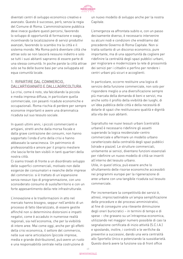

diventati centri di sviluppo economico creativo e avanzato. Questo è successo, però, senza la regia del Comune di Roma. L'amministrazione pubblica deve invece guidare questi percorsi, favorendo lo sviluppo di opportunità di formazione e svago, incentivando la localizzazione di servizi produttivi avanzati, favorendo lo scambio tra la città e il sistema mondo. Ma Roma potrà diventare città che attrae solo se non lascerà nessuno indietro e solo se tutti i suoi abitanti sapranno di essere parte di una stessa comunità. In poche parole la città attrae solo se ha delle buone basi per una sviluppata ed equa comunità locale.

#### 1. RIPARTIRE DAL COMMERCIO, DALL'ARTIGIANATO E DALLL'AGRICOLTURA

La crisi, come è noto, sta falcidiando la piccola e media impresa diffusa, in particolare quella commerciale, con pesanti ricadute economiche e occupazionali. Roma rischia di perdere per sempre economie importanti e avere una drammatica ricaduta sul suo tessuto sociale.

In questi ultimi anni, i piccoli commercianti e artigiani, stretti anche dalla morsa fiscale e dalla grave contrazione dei consumi, non hanno sopportato l'onda d'urto della crisi e hanno abbassato la saracinesca. Un patrimonio di professionalità e amore per il proprio mestiere che lascia ferite ben visibili in tanti quartieri della nostra città.

Ci siamo trovati di fronte a un disordinato sviluppo delle superfici commerciali, motivato non dalle esigenze dei consumatori e neanche delle imprese del commercio: si è trattato di un'espansione senza nessun tipo di programmazione, con uno sconsiderato consumo di suolo/territorio e con un forte appesantimento della rete infrastrutturale.

L'innovazione e le trasformazioni in atto nel mercato hanno bisogno, seppur nell'ambito di un processo di fatto liberalizzato, di essere gestite affinché non si determinino distorsioni e impatti negativi, come è accaduto in numerose realtà regionali, sia nell'economia, che per la vivibilità di intere aree. Mai come oggi, anche per gli effetti della crisi economica, il settore del commercio, nelle sue varie articolazioni (piccole imprese, media e grande distribuzione), può avere un ruolo e una responsabilità centrale nella costruzione di

un nuovo modello di sviluppo anche per la nostra Capitale.

L'emergenza va affrontata subito e, con un passo decisamente diverso, è necessario intervenire su alcuni nodi e condizioni che ereditiamo dal precedente Governo di Roma Capitale. Non si tratta soltanto di un discorso economico, pure importante, ma di una opportunità da cogliere per ridefinire la centralità degli spazi pubblici urbani, per migliorare e modernizzare la rete di prossimità dei servizi per i cittadini e perfino per rendere i centri urbani più sicuri e accoglienti.

In particolare, occorre restituire una logica di servizio della funzione commerciale, non solo per rispondere meglio a una diversificazione sempre più marcata della domanda di beni e servizi, ma anche sotto il profilo della vivibilità dei luoghi, di un'idea pubblica delle città e della necessità di dotarle di spazi che restituiscano qualità e dignità alla vita dei suoi abitanti.

Soprattutto nei nuovi tessuti urbani (centralità urbane) è necessario ridefinire gli assetti superando la logica residenziale-centro commerciale e affermare un modello urbano caratterizzato dalla centralità degli spazi pubblici (strade e piazze). Le strutture commerciali, unitamente ai servizi, diventano funzioni essenziali per ridefinire un nuovo modello di città se inseriti all'interno del tessuto urbano. Utile, in quest'ottica, può essere anche lo sfruttamento delle risorse economiche accessibili nei programmi europei per la rigenerazione di aree urbane con una tangibile ricaduta sul tessuto commerciale.

Per incrementare la competitività dei servizi è, altresì, improcrastinabile un'ampia semplificazione delle procedure e dei processi amministrativi, al fine di conseguire una rilevante diminuzione degli oneri burocratici – in termini di tempo e di spese – che gravano su un'intrapresa economica, utilizzando nel maggior numero possibile di casi la segnalazione certificata di inizio attività (S.C.I.A.) e spostando, inoltre, i controlli e le verifiche da preventivi a successivi, dando una vera centralità allo Sportello Unico e potenziando la sussidiarietà. Questo dovrà avere la funzione sia di front office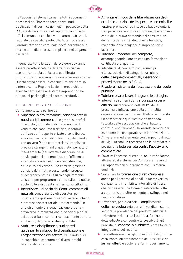

nell'acquisire telematicamente tutti i documenti necessari dall'imprenditore, senza inutili duplicazioni di certificazioni già in possesso della P.A., sia di back office, nel rapporto con gli altri uffici comunali e con le diverse amministrazioni, regolato da specifici protocolli. Al tempo stesso, l'amministrazione comunale dovrà garantire alle piccole e medie imprese tempi certi nel pagamento dei debiti.

In generale tutte le azioni da svolgere dovranno essere caratterizzate da: libertà di iniziativa economica, tutela del lavoro, equilibrata programmazione e semplificazione amministrativa. Questa dovrà essere la consiliatura che apre, in sintonia con la Regione Lazio, in modo chiaro e senza perplessità al sistema imprenditoriale diffuso, al pari degli altri sistemi produttivi.

# 1.1. UN INTERVENTO SU PIÙ FRONTI

Cambiamo tutto a partire da:

- **◊**  Superare la proliferazione indiscriminata di nuovi centri commerciali e grandi superfici di vendita (un modello di commercio e di vendita che consuma territorio, incentiva l'utilizzo del trasporto privato e contribuisce alla crisi dei negozi di prossimità), definendo con un vero Piano commerciale/urbanistico precisi e stringenti indici qualitativi per il loro insediamento (dall'offerta e disponibilità di servizi pubblici alla mobilità, dall'efficienza energetica a una gestione ecosostenibile, dalla cura del verde a una corretta gestione del ciclo dei rifiuti) e sostenendo i progetti di accorpamento e riutilizzo degli immobili esistenti per programmare uno sviluppo nuovo, sostenibile e di qualità nel territorio cittadino.
- **◊**  Incentivare il rilancio dei Centri commerciali naturali, consorziando gli operatori per un'efficiente gestione di servizi, arredo urbano e promozione territoriale, trasformandoli in uno strumento di riqualificazione urbana – attraverso la realizzazione di specifici piani di sviluppo urbani, con un riconoscimento dettato, anche qui, da precisi criteri qualitativi.
- **◊**  Stabilire e disciplinare alcuni criteri guida per lo sviluppo, la diversificazione e l'organizzazione del settore, valutando pure la capacità di consumo nei diversi ambiti territoriali della città.
- **◊**  Affrontare il nodo delle liberalizzazioni degli orari di esercizio e delle aperture domenicali e festive, promuovendo intese su base volontaria tra operatori economici e Comune, che tengano conto delle nuova domanda dei consumatori, dei tempi della città, dell'offerta turistica, ma anche delle esigenze di imprenditori e lavoratori.
- **◊**  Tutelare i lavoratori del comparto, accompagnandoli anche con una formazione certificata e di qualità.
- **◊**  Introdurre, di concerto con i municipi e le associazioni di categoria, un piano delle insegne commerciali, inserendo il procedimento nella S.C.I.A.
- **◊** Rivedere il sistema dell'occupazione del suolo pubblico.
- **◊**  Tutelare e valorizzare i negozi e le botteghe.
- **◊**  Intervenire sui temi della sicurezza urbana diffusa, sul fenomeno dell'usura, della presenza e infiltrazione della criminalità organizzata nell'economia cittadina, istituendo un osservatorio qualificato e sostenendo l'attività delle associazioni che si battono contro questi fenomeni, lavorando sempre per estendere la consapevolezza e la prevenzione.
- **◊**  Attivare immediatamente con l'impegno diretto dei vigili urbani, in raccordo con le altre forze di polizia, una lotta serrata contro l'abusivismo commerciale.
- **◊**  Favorire l'accesso al credito, nelle varie forme, attraverso il sistema dei Confidi e attraverso un rapporto non subordinato con il sistema creditizio.
- **◊**  Sostenere la formazione di reti d'impresa anche per l'accesso ai bandi, in forme verticali e orizzontali, in ambiti territoriali o di filiera, che può essere una forma di intervento volta a caratterizzare ulteriormente lo sviluppo nel nostro territorio.
- **◊**  Prevedere, per le edicole, l'ampliamento delle merceologie da porre in vendita - stante sempre la prevalenza del prodotto editoriale – rivedere, poi, i criteri per i trasferimenti delle edicole e consentire la possibilità, già prevista, di esporre la pubblicità, come fonte di integrazione del reddito.
- **◊** Dare attuazione, per gli impianti di distribuzione carburante, all'ampliamento dei prodotti e dei servizi offerti e sostenere l'ammodernamento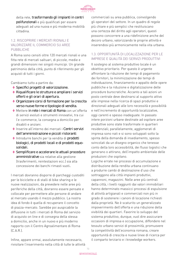

della rete, trasformando gli impianti in centri polifunzionali e più qualificati per essere adeguati ad una nuova e più moderna mobilità cittadina.

# 1.2. RISCOPRIRE I MERCATI RIONALI E VALORIZZARE IL COMMERCIO SU AREE PUBBLICHE

A Roma sono censiti oltre 120 mercati rionali e una fitta rete di mercati saltuari, di piccole, medie e grandi dimensioni nei singoli municipi. Un grande patrimonio della città, punto di riferimento per gli acquisti di tutti i giorni.

Cambiamo tutto a partire da:

- **◊**  Specifici progetti di valorizzazione.
- **◊** Riqualificare le strutture e ampliare i servizi offerti e gli orari di apertura.
- **◊**  Organizzare corsi di formazione per la crescita verso nuove forme e tipologie di vendita.
- **◊**  Mettere in rete i mercati di Roma con un'offerta di servizi evoluti e strumenti innovativi, tra cui l'e-commerce, la consegna a domicilio per disabili e anziani.
- **◊**  Inserire all'interno dei mercati i Centri servizi dell'amministrazione e piccoli ristoranti.
- **◊**  Introdurre banchi per la vendita di prodotti biologici, di prodotti locali e di prodotti equosolidali.
- **◊**  Semplificare e accelerare le attuali procedure amministrative sia relative alla gestione (trasferimenti, reintestazioni ecc.) sia alla concessione dei banchi rimasti vuoti.

I mercati dovranno disporre di parcheggi custoditi per le biciclette e di stalli di bike sharing e le nuove realizzazioni, da prevedere nelle aree più periferiche della città, dovranno essere pensate e collocate per permettere alle persone di andare al mercato usando il mezzo pubblico. La nostra idea di fondo è quella di recuperare il concetto di piazza-mercato. Sarebbe poi auspicabile la diffusione in tutti i mercati di Roma del servizio di acquisto on line e di consegna della stessa a domicilio, anche in un nuovo e più moderno rapporto con il Centro Agroalimentare di Roma (C.A.R.).

Infine, appare ormai, assolutamente necessario, rivisitare l'inserimento nella città di tutte le attività commerciali su area pubblica, coinvolgendo gli operatori del settore. In un quadro di regole più chiare e più semplici che restituiscano una certezza del diritto agli operatori, questi possono concorrere a una ridefinizione anche del decoro urbano, valorizzando le proprie attività e inserendosi più armonicamente nella vita urbana.

#### 1.3. OPPORTUNITÀ DI LOCALIZZAZIONE PER LE IMPRESE E QUALITÀ DEI SERVIZI PRODUTTIVI

Il sostegno al sistema produttivo locale è un obiettivo prioritario. Per questo è urgente affrontare la riduzione dei tempi di pagamento dei fornitori, la minimizzazione dei tempi di individuazione, finanziamento e appalto delle opere pubbliche e la riduzione e digitalizzazione delle procedure burocratiche. Accanto a tali azioni un posto centrale deve destinarsi al supporto attivo alle imprese nella ricerca di spazi produttivi e direzionali adeguati alle loro necessità e possibilità e nell'incremento di opportunità localizzative, oggi carenti e spesso inadeguate. In passato intere porzioni urbane destinate ad ospitare aree produttive sono state trasformate in quartieri residenziali; parallelamente, agglomerati di impresa sono nati e si sono sviluppati sotto la spinta della domanda di insediamento, spesso svincolati da un disegno organico che tenesse conto della loro accessibilità, dei flussi logistici che generano o attirano, dell'impatto ambientale delle produzioni che ospitano.

Logiche errate nei processi di accumulazione e distribuzione della rendita urbana continuano a produrre cambi di destinazione d'uso che sottraggono alla città impianti produttivi, capannoni, magazzini. Nelle aree più centrali della città, i livelli raggiunti dai valori immobiliari hanno determinato massicci processi di espulsione di attività artigianali e commerciali non più in grado di sostenere i canoni di locazione richiesti dalla proprietà. Ne è scaturito un generalizzato impoverimento dell'offerta e una riduzione della vivibilità dei quartieri. Favorire lo sviluppo del sistema produttivo, dunque, vuol dire assicurare occasioni di impresa e occupazione, diffondere nel tessuto urbano servizi di prossimità, promuovere la competitività dell'economia romana, creare opportunità di crescita e nuove linee di ricerca per il comparto terziario e i knowledge workers.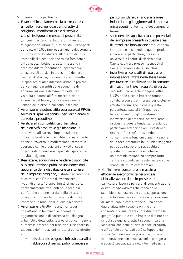

#### Cambiamo tutto a partire da:

- **◊**  Favorire l'insediamento e la permanenza, a livello micro, nei quartieri, di attività artigianali manifatturiere e di servizio che si rivolgono ai mercati di prossimità (officine meccaniche, laboratori di restauro, falegnamerie, idraulici, elettricisti). Larga parte delle oltre 40.000 imprese artigiane del comune di Roma sono localizzate all'interno di unità immobiliari a destinazione mista (residenze, uffici, negozi, botteghe, autorimesse) o in aree cosiddette "spontanee" spesso prive di essenziali servizi, in prossimità dei loro mercati di sbocco; ma non di rado costrette in spazi residuali e interstizi urbani e private dei vantaggi garantiti dalle economie di agglomerazione a detrimento della loro visibilità e potenzialità di mercato, della sicurezza del lavoro, della stessa qualità urbana delle aree in cui sono insediate.
- **◊**  Valorizzare le potenzialità espresse dal PRG in termini di spazi disponibili per l'artigianato di servizio e produttivo.
- **◊**  Verificare la compatibilità urbanistica delle attività produttive già insediate, le loro eventuali carenze impiantistiche e infrastrutturali e le possibilità di risanamento anche attraverso la realizzazione (sempre in coerenza con le previsioni di PRG) di spazi organizzati di quartiere capaci di ospitare più attività artigiane.
- **◊** Realizzare, aggiornare e rendere disponibile alla consultazione pubblica una banca dati geografica della distribuzione territoriale delle imprese artigiane, distinte per categoria di attività, con l'intento di evidenziare "vuoti di offerta" e opportunità di mercato, particolarmente frequenti nelle aree più periferiche e meno servite della città, che possano stimolare la formazione di nuove imprese e la mobilità di quelle già esistenti.
- **◊**  Valorizzare, a livello macro, i vantaggi che offrono in termini di economie di agglomerazione e di coerenza del disegno urbanistico della città, le aree di concentrazione d'impresa presenti nel territorio. Bisognerà in tal senso definire azioni mirate di policy dirette a:
	- **•**  individuare le esigenze infrastrutturali e i fabbisogni di servizi pubblici necessari

per consolidare o rilanciare le aree industriali e gli agglomerati d'impresa già presenti nel territorio del comune di Roma;

- **•**  sostenere le capacità attuali e potenziali delle imprese presenti in queste aree di introdurre innovazione producendola in proprio o accedendo a quella prodotta altrove e, in particolare, presso le università e i centri di ricerca della Capitale, ovvero presso i tecnopoli di Castel Romano e della Tiburtina;
- **•**  incentivare i contratti di rete tra le imprese localizzate nella stessa area per favorire la realizzazione in comune di investimenti e/o l'acquisto di servizi. Secondo una recente indagine, oltre il 44% delle piccole imprese romane collabora con altre imprese per svolgere attività comuni specifiche e questa percentuale sale al 54% quando si ha a che fare con gli investimenti in innovazione di prodotto: noi vogliamo irrobustire questa tendenza, prestando particolare attenzione agli investimenti realizzati "in rete" tra aziende;
- **•**  concentrare le funzioni di pianificazione delle aree produttive in un unico soggetto potrebbe risolvere la residualità di queste problematiche all'interno di un'amministrazione da sempre tutta centrata sull'edilizia residenziale o sulle grandi strutture commerciali.
- **◊**  Nell'insieme, consentire la massima efficienza e economicità nei processi di localizzazione delle imprese, e, in particolare, favorire percorsi di concentrazione di knowledge workers che fanno dello scambio di conoscenze e della cooperazione competitiva una leva centrale nella creazione di valore: con la costituzione di una banca dati digitale interrogabile on line che consenta di visualizzare contestualmente la geografia puntuale delle imprese distinte per singola categoria di attività economica e la localizzazione delle offerte di spazi produttivi e uffici. Tale banca dati sarà sviluppata da Roma Capitale - anche promuovendo una collaborazione con associazioni di categoria e società specializzate nell'intermediazione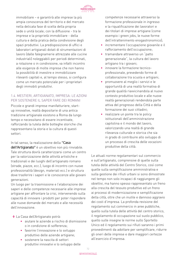

immobiliare – e garantirà alle imprese la più ampia conoscenza del territorio e del mercato nella delicata fase di scelta della propria sede o unità locale; con la diffusione - tra le imprese e la proprietà immobiliare - della cultura e della pratica della condivisione degli spazi produttivi. La predisposizione di uffici e laboratori artigianali dotati di strumentazioni di lavoro (dalle falegnamerie attrezzate alle cucine industriali) noleggiabili per periodi determinati, a rotazione o in condivisione, va infatti incontro alle esigenze di molte imprese che non hanno la possibilità di investire e immobilizzare rilevanti capitali e, al tempo stesso, si configura come un mercato potenziale per i proprietari degli immobili produttivi.

### 1.4. MESTIERI, ARTIGIANATO, IMPRESA: LE AZIONI PER SOSTENERE IL SAPER FARE DEI ROMANI

Piccole e grandi imprese manifatturiere, startup innovative, realtà depositarie di una antica tradizione artigianale esistono a Roma da lungo tempo e necessitano di essere incentivate, rafforzando la tutela delle botteghe storiche che rappresentano la storia e la cultura di questi settori.

In tal senso, la realizzazione della "Casa dell'Artigianato" è un obiettivo non più rinviabile. Tale struttura dovrà caratterizzarsi come un centro per la valorizzazione delle attività artistiche e tradizionali e dei luoghi dell'artigianato romano (strade, piazze, ecc.), luogo di incontro con nuove professionalità (design, materiali ecc.) e struttura dove trasferire i saperi e le conoscenze alle giovani generazioni.

Un luogo per la trasmissione e l'elaborazione dei saperi e delle competenze necessarie alle imprese artigiane per affrontare la crisi, intervenendo sulla capacità di innovare i prodotti per poter rispondere alle nuove domande del mercato e alle necessità dell'innovazione.

**◊**  La Casa dell'Artigianato potrà:

- **•**  aiutare le aziende a rischio di dismissione o in condizione di sofferenza;
- **•**  favorire l'innovazione e lo sviluppo produttivo delle aziende artigiane;
- **•**  sostenere la nascita di settori produttivi innovativi e lo sviluppo delle

competenze necessarie attraverso la formazione professionale in ingresso e la riqualificazione dei lavoratori e dei titolari di imprese artigiane (come esempio i green jobs, le nuove forme dell'intrattenimento enogastronomico);

- **•**  incrementare l'occupazione giovanile e il rafforzamento dell'occupazione;
- **•**  tramandare attraverso un "patto generazionale", la cultura del lavoro artigiano tra i giovani;
- **•**  innovare la formazione tecnicoprofessionale, prevedendo forme di collaborazione tra scuola e artigiani;
- **•**  promuovere al meglio i servizi e le opportunità di una realtà formativa di grande qualità riavvicinandola al nuovo contesto produttivo locale e alle nuove realtà generazionali rendendola parte attiva del progresso della Città e della formazione dei suoi cittadini;
- **•**  realizzare un ponte tra le policy istituzionali dell'amministrazione capitolina e il mondo del lavoro, valorizzando una realtà di grande rilevanza culturale e storica che sia in grado di contribuire allo sviluppo di un processo di crescita delle vocazioni produttive della città.

Le attuali norme regolamentari sul commercio e sull'artigianato, comprensive di quelle sulla tutela delle attività del Centro Storico, così come quelle sulla semplificazione amministrativa e sulla gestione dei rifiuti urbani si sono dimostrate nel tempo non solo incapaci di raggiungere gli obiettivi, ma hanno spesso rappresentato un freno alla crescita del tessuto produttivo ed un freno ai processi di modernizzazione e semplificazione della città, oltre che un inutile e dannoso aggravio dei costi d'impresa. La profonda revisione del regolamento sul commercio in aree pubbliche, quello sulla tutela delle attività del centro storico, il regolamento di occupazione sul suolo pubblico, quello sulle insegne le norme sullo Sportello Unico ed il regolamento sui rifiuti saranno i primi provvedimenti da adottare per semplificare, ridurre gli oneri delle imprese e dare maggiori certezze all'esercizio d'impresa.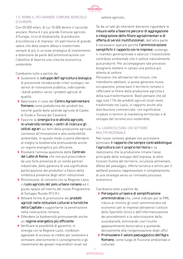

# 1.5. ROMA IL PIÙ GRANDE COMUNE AGRICOLO D'EUROPA

Con 50.000 ettari, di cui 10.000 dentro il raccordo anulare, Roma è il più grande Comune agricolo d'Europa, ricco di biodiversità, di produzioni d'eccellenza e di imprese. Un patrimonio di grande valore che deve essere difeso e trasformato sempre di più in un'area strategica di investimento e attenzione da parte dell'amministrazione con l'obiettivo di favorire una crescita economica sostenibile.

Cambiamo tutto a partire da:

- **◊**  Sostenere lo sviluppo dell'agricoltura biologica di prossimità introducendo criteri ecologici nei servizi di ristorazione pubblica, indirizzando i bandi pubblici verso i prodotti agricoli di qualità.
- **◊**  Valorizzare il ruolo del Centro Agroalimentare Romano come piattaforma dei prodotti bio nonché quello delle aziende agricole di Castel di Guido e Tenuta del Cavaliere.
- **◊**  Favorire la sinergia tra le attività agricole, le università romane, i centri di ricerca e gli istituti agrari sui temi della produzione agricola connessa all'innovazione e alla sostenibilità ambientale. In questo modo si potrà difendere al meglio la biodiversità promuovendo anche un regime energetico più efficiente.
- ◆ Risolvere l'annosa questione della Centrale del Latte di Roma, che non può prescindere da una forte presenza di un solido partner industriale, dalla garanzia di una significativa partecipazione dei produttori a fianco della simbolica presenza degli attori istituzionali.
- **◊** Riconoscere, di concerto con la Regione Lazio, il ruolo agricolo del polo urbano romano ed il giusto spazio all'interno del nuovo Programma di Sviluppo Rurale (P.S.R.).
- **◊**  Attivare forme di promozione dei prodotti agricoli nelle istituzioni culturali e turistiche della Capitale e supportarne la penetrazione nella ristorazione romana.
- **◊** Difendere la biodiversità promuovendo anche un regime energetico più efficiente.
- **◊**  Verificare la possibilità di garantire, in sinergia con la Regione Lazio, condizioni agevolate di accesso al credito per sostenere e stimolare ulteriormente il coinvolgimento e gli investimenti dei giovani imprenditori locali nel

#### settore agricolo.

Se da un lato gli interventi dovranno riguardare le misure volte a favorire percorsi di aggregazione e integrazione delle filiere agroalimentari e di offerta di servizi multifunzionali, dall'altra parte è necessario operare perché l'amministrazione semplifichi il rapporto con le imprese, sostenga il ricambio generazionale e valorizzi l'insostituibile contributo ambientale che il settore naturalmente può produrre. Per accompagnare tale processo bisognerà mettere in campo una politica più attenta al settore.

Pensiamo che attraverso tali misure, che intendiamo adottare, si possa generare nuova occupazione, preservare il territorio romano e rafforzare le filiere della produzione agricola e della sua trasformazione. Basti pensare che ad oggi solo l'1% dei prodotti agricoli locali viene trasformato nel Lazio, in rapporto anche alla distribuzione commerciale, con significative ricadute in termini di marketing territoriale e di sviluppo del turismo eco-sostenibile.

# 1.6. L'AGRICOLTURA: UN SETTORE MULTIFUNZIONALE

Nel nuovo contesto globale non può essere eliminato il rapporto che sempre contraddistingue l'agricoltura con il proprio territorio e se realizziamo che la produzione rimane l'asse principale dello sviluppo dell'impresa, le altre funzioni (tutela del territorio, sicurezza alimentare, difesa del paesaggio, offerta turistica e servizi per il welfare) possono rappresentare il completamento di una strategia verso un rinnovato processo economico.

Cambiamo tutto a partire da:

- **◊**  Perseguire un'opera di semplificazione amministrativa che, come indicato per le PMI, riduca al minimo gli oneri amministrativi ed economici per le imprese attraverso l'utilizzo dello Sportello Unico e dell'informatizzazione dei procedimenti e la valorizzazione della sussidiarietà, eliminando così l'inutile appesantimento burocratico e puntando decisamente alla riorganizzazione degli uffici.
- **◊**  Promuovere il valore paesaggistico dell'Agro Romano, come luogo di fruizione ambientale e culturale.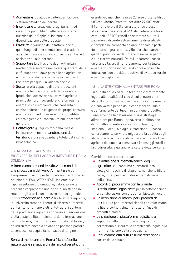

- **◊**  Aumentare il dialogo e l'interscambio con il sistema cittadino dei parchi.
- **◊**  Incentivare la creazione di agriturismi ed inserirli a pieno titolo nella rete di offerta turistica della Capitale, insieme alla diversificazione delle proposte.
- ◆ Favorire lo sviluppo delle fattorie sociali, quali luoghi di sperimentazione di pratiche agricole integrate con servizi socio sanitari ed assistenziali alla persona.
- ◆ Supportare la diffusione degli orti urbani, mettendoli a sistema nei diversi quadranti della città, supportati dove possibile da agricoltori e interpretandoli anche come occasione di recupero per quelli a valenza sociale.
- **◊**  Sostenere la capacità di auto-produzioni energetiche non impattanti delle aziende (produzioni accessorie all'attività agricola principale), promuovendo anche un regime energetico più efficiente, che consenta di corrispondere alle esigenze dei propri consumi energetici, quindi di essere più competitive ed ecologiche e di contribuire alle necessità generali.
- **◊**  Coinvolgere gli agricoltori nella messa in sicurezza e nella manutenzione del territorio e di salvaguardia e tutela dal rischio idrogeologico.

# 1.7. ROMA CAPITALE MONDIALE DELLA BIODIVERSITÀ, DELL'AGRO-ALIMENTARE E DELLA SOLIDARIETÀ

A Roma sono presenti le istituzioni mondiali che si occupano dell'Agro-Alimentare e dei Programmi di aiuto per le popolazioni in difficoltà nel pianeta: FAO, WFP e IFAD, insieme alle rappresentanze diplomatiche; valorizzarne la presenza rappresenta una priorità, mettendo in rete tutti gli attori, con il nostro mondo agricolo, e inoltre favorendo la sinergia tra le attività agricole, le università romane, i centri di ricerca numerosi sul territorio romano e gli istituti agrari sui temi della produzione agricola connessa all'innovazione e alla sostenibilità ambientale, della formazione per chi lavora, o si immette nel mondo del lavoro, ed indirizzata anche a coloro che possono portare la conoscenza acquisita nel paese di origine.

grande vetrina, che ha in sé 20 aree protette (di cui un'Area Marina Protetta) per oltre 27.000 ettari, il fiume Tevere e il Sistema litoraneo e boschi storici, ma che arriva al 64% dell'intero territorio comunale (82.000 ettari) se sommato a tutto il patrimonio di verde estremamente diversificato e complesso, composto da aree agricole e parte della campagna romana, ville storiche, parchi e giardini pubblici, verde urbano insieme ai parchi e alle riserve naturali. Da qui, insomma, passa un grande lavoro di rafforzamento per la tutela e per la fruizione individuando dove è possibile interazioni con attività produttive di sviluppo rurale e per l'accoglienza.

# 1.8. UNA STRATEGIA ALIMENTARE PER ROMA

La qualità della vita di un territorio è direttamente legata alla qualità del cibo di cui si nutre chi vi abita. Il cibo consumato incide sulla salute umana e a sua volta dipende dalle condizioni del suolo e dell'ambiente dei luoghi in cui viene prodotto. Pensiamo che la definizione di una strategia alimentare per Roma - attraverso la diffusione di modelli alimentari sani e di cibi freschi, stagionali, locali, biologici e tradizionali - possa concretamente servire a migliorare la qualità degli alimenti e la sicurezza alimentare, a tutelare l'uso agricolo del suolo, a conservare i paesaggi rurali e la biodiversità, a garantire la salute delle persone.

Cambiamo tutto a partire da:

- **◊**  La diffusione di mercati/banchi degli agricoltori e il consumo di prodotti locali, biologici, freschi e di stagione, nonché le filiere corte, in rapporto agli stessi mercati rionali della città.
- **◊**  Accordi di programma con la Grande Distribuzione Organizzata per la sottoscrizione di collaborazioni con produttori biologici locali.
- **◊**  La definizione di marchi per i prodotti del territorio e per i mercati rionali che valorizzano la filiera corta, il chilometro zero, l'uso di prodotti biologici.
- **◊**  La creazione di piattaforme logistiche a supporto della produzione biologica che permettano di ridurre la complessità legata alla frammentazione della produzione.
- **◊**  L'educazione alla cultura alimentare sana a partire dalla scuole.

Senza dimenticare che Roma è la città della natura quale salvaguardia della biodiversità, una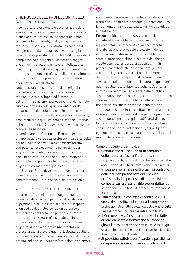

# 2. IL RUOLO DELLE PROFESSIONI NELLO SVILUPPO DELLA CITTÀ

Il comparto professionale è caratterizzato da un elevato grado di eterogeneità a cominciare dalla distinzione tra professioni riconosciute e non riconosciute: differenti, infatti, sono i percorsi formativi, le barriere all'entrata, le modalità di svolgimento delle prestazioni lavorative, gli oneri e le aspettative previdenziali. Si tratta di un universo complesso ed eterogeneo, formato da soggetti che di norma svolgono un lavoro intellettuale, che ogni giorno mettono in gioco sul mercato le proprie competenze professionali, che usualmente forniscono servizi e prestazioni ad alto valore aggiunto per la collettività.

Nella nostra città sono centinaia di migliaia i professionisti che concorrono a creare reddito, lavoro e sviluppo ed è compito dell'amministrazione riconoscere il fondamentale ruolo dei professionisti quali garanti di diritti fondamentali del cittadino e delle imprese. È mancata la coscienza e la conoscenza di cosa sia, cosa realizzi e a quali esigenze risponda il mondo delle professioni. Ciò è avvenuto a livello nazionale come su base locale.

A cominciare dal Comune di Roma è necessario un approccio diverso alle professioni da parte della politica, approccio volto a riconoscere merito, competenze, professionalità permettendo ai soggetti qualificati di fornire il proprio contributo per il bene comune, anche al fine di mettere a sistema le competenze e le professionalità di soggetti estremamente qualificati.

In tal senso, Roma deve diventare un laboratorio da esportare a livello nazionale, riconoscendo concretamente il ruolo sociale dei professionisti.

# 2.1. I LIBERI PROFESSIONISTI ORDINISTICI

Il libero professionista è un soggetto qualificato da un ben determinato percorso di studio, dal superamento di un esame di stato, dal rispetto di un codice deontologico, da un percorso di formazione certificata che persegue durante tutta la sua carriera professionale. Il libero professionista, dunque, si configura come un soggetto idoneo a garantire una prestazione professionale di elevata qualità. L'elevata qualità si rende necessaria con riferimento all'oggetto delle prestazioni che un libero professionista è chiamato a erogare e, conseguentemente, alla tutela di diritti che il nostro ordinamento giuridico qualifica fondamentali: diritto alla salute, diritto alla difesa in giudizio, ecc..

Per una pubblica amministrazione efficiente il confronto con le libere professioni dovrebbe rappresentare un momento di arricchimento e di elaborazione di proposte e soluzioni idonee a migliorare lo stesso rapporto tra pubblica amministrazione e cittadini a tutela dei bisogni e delle concrete esigenze di questi ultimi. Si pensi al contributo che possono dare geologi, architetti, ingegneri e periti tecnici sul tema dei rifiuti, al valore aggiunto di commercialisti, avvocati, notai e consulenti del lavoro su questioni quali fiscalità locale, lavoro, giustizia. O, ancora, al miglioramento nell'efficienza della pubblica amministrazione che potrebbe apportare un idoneo sistema di controlli sull'utilizzo delle risorse finanziarie effettuato da tecnici della materia. Tutte queste competenze costituiscono un enorme valore aggiunto, imprescindibile per una pubblica amministrazione che voglia qualificarsi virtuosa. Occorre iniziare a costruire un rapporto costante con il mondo libero professionale, coinvolgendo in ogni decisione che possa avere effetti sui cittadini il mondo delle libere professioni.

Cambiamo tutto a partire da:

- **◊**  Costituzione di una "Consulta comunale delle libere professioni", composta dai rappresentanti degli ordini professionali e delle associazioni dei liberi professionisti ordinistici.
- **◊**  Impegno a nominare negli organi di controllo delle aziende partecipate dal Comune professionisti in possesso di alti requisiti di competenza, professionalità e onorabilità, da selezionare sulla base di procedure trasparenti e certificate.
- **◊**  Istituzione di un comitato di controllo sulla spesa delle istituzioni comunali composto da professionisti di alto livello, da selezionare sulla base di procedure trasparenti e certificate.
- **◊**  Il Comune dovrà farsi promotore di iniziative di orientamento e formazione al lavoro dei giovani in collaborazione con le Università, gli ordini e le associazioni dei liberi professionisti e il mondo imprenditoriale.
- **◊**  Si potrebbe istituire, verificando la possibilità di reperire risorse sufficienti, una forma di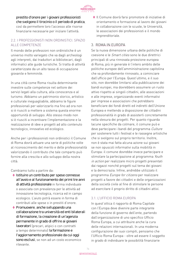

prestito d'onore per i giovani professionisti che svolgono il tirocinio o il periodo di pratica, così da permettere loro l'accesso alle risorse finanziarie necessarie per iniziare l'attività.

# 2.2. I PROFESSIONISTI NON ORDINISTICI. SPAZIO ALLE COMPETENZE

Il mondo delle professioni non ordinistiche è un universo molto variegato che va dagli archeologi agli interpreti, dai traduttori ai bibliotecari, dagli informatici alle guide turistiche. Si tratta di attività caratterizzate da un alto tasso di occupazione giovanile e femminile.

In una città come Roma risulta determinante investire sulle competenze nel settore dei servizi legati alla cultura, alla conoscenza e al turismo. Abbiamo un patrimonio storico, artistico e culturale ineguagliabile, abbiamo le figure professionali per valorizzarlo ma fino ad ora non si è riusciti a mettere a sistema questa enorme opportunità di sviluppo. Allo stesso modo non si è riusciti a incentivare l'implementazione e la realizzazione di idee e progetti ad alto contenuto tecnologico, innovativo ed ecologico.

Anche per i professionisti non ordinistici il Comune di Roma dovrà attuare una serie di politiche volte al riconoscimento del merito e delle professionalità valorizzando il contributo che tale comparto può fornire alla crescita e allo sviluppo della nostra città.

Cambiamo tutto a partire da:

- **◊**  Istituire un contributo per spese connesse all'avvio e al funzionamento dei primi tre anni di attività professionale in forma individuale o associata con prevalenza per le attività ad innovazione tecnologica, ricerca ed in campo ecologico. L'aiuto potrà essere in forma di contributi alle spese o in prestiti d'onore.
- **◊**  Promuovere, anche sviluppando una collaborazione tra università ed enti bilaterali di formazione, la creazione di un'agenzia permanente in grado di offrire ai giovani lavoratori (precari, atipici o con contratti a tempo determinato) la formazione e l'aggiornamento professionale da cui oggi sono esclusi, se non ad un costo economico rilevante.

**◊**  Il Comune dovrà farsi promotore di iniziative di orientamento e formazione al lavoro dei giovani in collaborazione con le scuole, le Università, le associazioni dei professionisti e il mondo imprenditoriale.

### 3. ROMA IN EUROPA

Se la nuova dimensione urbana delle politiche di coesione e le Smart cities sono le due direttrici principali di una rinnovata proiezione europea di Roma, più in generale è l'intero ambito delle politiche europee dell'amministrazione capitolina che va profondamente rinnovato, a cominciare dall'ufficio per l'Europa. Quest'ultimo, e il suo sito, non dovrebbe limitarsi alla pubblicazione dei bandi europei, ma dovrebbero assumere un ruolo attivo rispetto ai singoli cittadini, alle associazioni e alle imprese, organizzando eventi informativi per imprese e associazioni che potrebbero beneficiare dei fondi diretti ed indiretti dell'Unione Europea e mettendo a disposizione dei cittadini professionalità in grado di assisterli concretamente nella stesura dei progetti. Per quanto riguarda lacune specifiche da colmare, il comune può e deve partecipare i bandi del programma Culture per sostenere tutti i festival e le rassegne artistiche che si svolgono sul proprio territorio. Inoltre, non è stata mai fatta alcuna azione sui giovani se non opuscoli informativi sulla mobilità in Europa: il comune dovrebbe invece partecipare e stimolare la partecipazione al programma Youth in action per realizzare micro progetti presentati dai ragazzi nonché progetti sul tema dei giovani e la democrazia. Infine, andrebbe utilizzato il programma Europe for citizens per realizzare progetti a favore dei cittadini e delle organizzazioni della società civile al fine di stimolare le persone ad esercitare il proprio diritto di cittadini attivi.

# 3.1. L'UFFICIO ROMA EUROPA

In quest'ottica il rapporto di Roma Capitale con l'Europa deve divenire parte integrante della funzione di governo dell'ente, partendo dall'organizzazione di uno specifico Ufficio Roma Europa, a cui attribuire anche la cura delle relazioni internazionali. In una moderna configurazione dei suoi compiti, pensiamo che l'Ufficio Roma Europa - oltre ad essere il soggetto in grado di individuare le possibilità finanziarie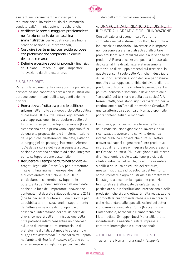

esistenti nell'ordinamento europeo per la realizzazione di investimenti fisici e immateriali condotti dall'Amministrazione - debba anche:

- **◊**  Verificare le aree di maggiore problematicità nel funzionamento della macchina amministrativa, per le quali ricercare buone pratiche nazionali e internazionali;
- **◊**  Costruire i partenariati con le città europee con problematiche comparabili a quelle dell'area romana;
- **◊** Definire e gestire specifici progetti finanziati dall'Unione Europea - sui quali 'importare innovazione da altre esperienze.

#### 3.2. DUE PRIORITÀ

Per sfruttare pienamente i vantaggi che potrebbero derivare da una concreta sinergia con le istituzioni europee sono immaginabili le seguenti azioni e priorità:

- **◊** Roma dovrà sfruttare a pieno le politiche urbane nell'ambito del nuovo ciclo della politica di coesione 2014-2020. I nuovi regolamenti in via di approvazione – in particolare quello sul fondo europeo per lo sviluppo regionale (Fesr) riconoscono per la prima volta l'opportunità di delegare la progettazione e l'implementazione delle politiche direttamente alle città, evitando le lungaggini dei passaggi intermedi. Almeno il 5% delle risorse del Fesr assegnate a livello nazionale saranno destinate ad azioni integrate per lo sviluppo urbano sostenibile.
- **◊** Recuperare il tempo perduto nell'ambito dei progetti legati alle Smart City per intercettare i rilevanti finanziamenti europei destinati a questo ambito nel ciclo 2014-2020. In particolare, occorrerebbe sviluppare le potenzialità dell'open source e dell'open data, anche alla luce dell'importante innovazione contenuta nel decreto sviluppo dell'estate 2012 (che ha deciso di puntare sull'open source per la pubblica amministrazione). Il superamento dell'attuale situazione di monopolio e di assenza di integrazione dei dati da parte dei diversi comparti dell'amministrazione della città potrebbe infatti consentire un poderoso sviluppo di infrastrutture immateriali e di piattaforme digitali, sul modello ad esempio di Apps for Amsterdam (un concorso sviluppato nell'ambito di Amsterdm smart city, che punta a far emergere le migliori apps per l'uso dei

dati dell'amministrazione comunale).

# 4. UNA POLITICA DI RILANCIO DEI DISTRETTI INDUSTRIALI, CREATIVI E DELL'INNOVAZIONE

Con l'attuale crisi economica e l'estrema competizione del sistema produttivo, la struttura industriale e finanziaria, i lavoratori e le imprese non possono essere lasciati soli ad affrontare i problemi legati alla realizzazione e alla vendita dei prodotti. A Roma occorre una politica industriale dedicata, al fine di valorizzare al massimo le potenzialità di sviluppo presenti sul territorio. In questo senso, il ruolo delle Politiche Industriali e di Sviluppo Territoriale sono decisive per definire il modello di sviluppo sostenibile dei diversi distretti produttivi di Roma che si intende perseguire. La politica industriale sostenibile deve partite dalla "centralità del territorio e della sua società". A Roma, infatti, coesistono significativi fattori per la costituzione di un'Area di Innovazione Creativa. È una caratteristica specifica di Roma, disponibile in pochi contesti italiani e mondiali.

Bisognerà, poi, riposizionare Roma nell'ambito della redistribuzione globale del lavoro e della ricchezza, attraverso una convinta domanda interna pubblica e privata che punti su settori trasversali capaci di generare filiere produttive in grado di rafforzare e integrare la cooperazione tra Grande Industria, PMI e Artigianato all'interno di un'economia a ciclo locale (energia ciclo dei rifiuti e industria del riciclo, bioedilizia orientata a edilizia del riuso ed edilizia del restauro, messa in sicurezza idrogeologica del territorio, agroalimentare e agroindustriale a kilometro zero). Il sostegno all'economia legata alle produzioni territoriali sarà affiancato da un'attenzione particolare alla ridistribuzione internazionale delle produzioni che si concretizzerà nella realizzazione di prodotti la cui domanda globale sia in crescita e che rispondano alle specializzazioni dei settori storicamente insediati a Roma (Meccatronica, Biotecnologie, Aerospazio e Nanotecnologie, Multimediale, Sviluppo Nuovi Materiali). Il tutto incentivando la nascita di reti di imprese a carattere interregionale e internazionale.

#### 4.1. IL PROGETTO ROMA INTELLIGENTE

Trasformare Roma in una Città intelligente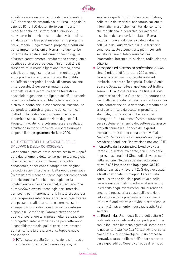

significa varare un programma di investimenti in ICT, ridare spazio produttivo alla filiera lunga delle aziende ICT e TLC del territorio con importanti ricadute anche nel settore dell'audiovisivo. La nuova amministrazione comunale dovrà lanciare, sin dalla prima fase post insediamento progetti a breve, medio, lungo termine, proposte e soluzioni per le implementazioni di Roma intelligente. Le potenzialità legate all'information tecnology, se sfruttate correttamente, produrranno conseguenze positive su diverse aree quali: l'infomobilità e il trasporto multimodale (gestione traffico, parco veicoli, parcheggi, semaforica); il monitoraggio sulla produzione, sul consumo e sulla qualità dell'offerta energetica; i servizi di comunicazione (interoperabilità dei servizi multimediali, architetture di telecomunicazione terrestre e spaziale); la gestione intelligente dei rifiuti urbani; la sicurezza (interoperabilità delle telecamere, sistemi di scansione, biosensoristica, tracciabilità dei prodotti e altro); la gestione dei contatti con i cittadini; la gestione e comprensione delle dinamiche sociali; l'automazione degli edifici. Progetti innovativi che potranno essere realizzati sfruttando in modo efficiente le risorse europee disponibili dal programma Horizon 2020.

### 4.2. DISTRETTI DELL'INNOVAZIONE, DELLO SVILUPPO E DELLA CONOSCENZA

Un aspetto di particolare rilevanza per lo sviluppo è dato dal fenomeno delle convergenze tecnologiche, cioè dall'accentuata complementarietà tra conoscenze, esperienze e competenze originati da settori scientifici diversi. Dalla microelettronica (microsistemi e sensori; tecnologie per componenti optoelettronici e fotonici; tecnologie per la bioelettronica e biosensoristica), al farmaceutico, ai materiali avanzati (tecnologie per i materiali compositi, per i nanomateriali). In tutti si assiste a una progressiva integrazione tra tecnologie diverse che possono realisticamente essere messe in sinergia tra loro, valorizzando le risorse interne disponibili. Compito dell'Amministrazione sarà quello di sostenere le imprese nella realizzazione di progetti di intersettorialità che permetteranno il consolidamento dei poli di eccellenza presenti sul territorio e la creazione di sviluppo e nuova occupazione:

**◊**  ICT. Il settore della Comunicazione s'intreccia con lo sviluppo dell'economia digitale, nei

suoi vari aspetti: fornitori d'apparecchiature, delle reti e dei servizi di telecomunicazione e informatici, ma anche i fornitori dei contenuti che modificano la gerarchia dei valori civili e sociali e dei consumi. La città di Roma si colloca in uno snodo decisivo dell'industria dell'ICT e dell'audiovisivo. Sul suo territorio sono localizzate alcune tra le più importanti società italiane di telecomunicazioni, informatica, Internet, televisione, radio, cinema, editoria.

- ◆ Aerospazio ed elettronica professionale. Con circa 5 miliardi di fatturato e 250 aziende, l'areospazio è il settore più rilevante sul territorio: accanto a Telespazio, Thales Alenia Space e Selex ES (difesa, gestione del traffico aereo, ICT), a Roma ci sono una filiale di Avio (lanciatori spaziali) e Vitrociset. Un settore che più di altri in questo periodo ha sofferto a causa della contrazione della domanda, prodotta dalla crisi economica e da scelte imprenditoriali sbagliate, dovute a specifiche "carenze manageriali". In tal senso l'Amministrazione deve sostenere il rilancio del settore attraverso progetti connessi al rinnovo delle grandi infrastrutture e dando piena operatività al Distretto Tecnologico Aerospaziale anche per accedere a fondi per l'innovazione nazionali/UE.
- **◊**  Il distretto dell'audiovisivo. L'Audiovisivo a Roma è un settore trainante, con il 69% delle imprese nazionali del Cine audiovisivo presenti nella regione. Nell'area del distretto sono attive 2.407 imprese che impiegano 48.910 addetti. pari al e vi lavora il 27% degli occupati a livello nazionale. Purtroppo, l'accentuata parcellizzazione del ciclo produttivo e delle dimensioni aziendali impedisce, al momento, la crescita degli investimenti, che si rendono ancor più necessari a causa dall'evoluzione del settore e della progressiva convergenza tra attività audiovisive e attività informatiche, e tra attività tipicamente industriali e attività di servizio.
- **◊**  La Bioedilizia. Una nuova filiera dell'abitare è realizzabile intensificando i rapporti produttivi con le industrie biotecnologiche di Roma e con la nascente industria biochimica. Attraverso la bioedilizia si può coinvolgere, in un processo innovativo, tutta la filiera dell'abitare a partire dai singoli edifici. Questo vorrebbe dire: riuso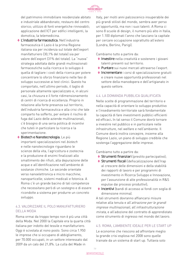

del patrimonio immobiliare residenziale abitato e industriale abbandonato; restauro del centro storico; utilizzo di fonti energetiche rinnovabili; applicazione dell'ICT per edifici intelligenti, la domotica, la telemedicina.

- **◊**  L'industria farmaceutica. Nell'industria farmaceutica il Lazio è la prima Regione italiana sia per incidenza sul totale dell'export manifatturiero (30,1% del totale) sia per valore dell'export (31% del totale). La "nuova" strategia adottata dalle grandi multinazionali farmaceutiche sulla ricerca e lo sviluppo è quella di tagliare i costi della ricerca per potere concentrare lo sforzo finanziario nelle fasi di sviluppo successive ai test clinici. Questo ha comportato, nell'ultimo periodo, il taglio di personale altamente specializzato e, in alcuni casi, la chiusura e il forte ridimensionamento di centri di ricerca di eccellenza. Proprio in relazione alla forte presenza sul territorio, dell'industria farmaceutica e alla crisi che tale comparto ha sofferto, per evitare il rischio di fuga dal Lazio delle aziende multinazionali, c'è bisogno di una seria politica di incentivi che tuteli in particolare la ricerca e la sperimentazione.
- **◊** Biotech e Nanotecnologia. Le più importanti specializzazioni nel biotech e nelle nanotecnologie riguardano le scienze della vita, l'agricoltura e zootecnia e la produzione di enzimi finalizzati allo smaltimento dei rifiuti, alla depurazione delle acque e all'identificazione nell'ambiente di sostanze chimiche. Le seconde orientate verso nanoelettronica e micro macchine; nanoparticelle; sistemi medicali e fotonica. A Roma c'è un grande bacino di tali competenze che necessitano però di un sostegno e di essere ricondotte a sistema per produrre un concreto sviluppo.

### 4.3. VALORIZZARE IL POLO MANUFATTURIERO DELLA MODA

Roma ormai da troppo tempo non è più una città della Moda. Nel 2000 la Capitale era la quarta città italiana per indotto del tessile e manifatturiero. Oggi è scivolata al nono posto. Sono circa 1.950 le imprese che si occupano di abbigliamento, per 70.000 occupati, in un settore interessato dal 2009 da un calo del 21,8%. La culla del Made in

Italy, per molti anni palcoscenico insuperabile dei più grandi stilisti del mondo, sembra aver perso un'opportunità, ma non i suoi talenti. A Roma ci sono 8 scuole di design, il numero più alto in Italia, per 1.100 diplomati l'anno che lasciano la capitale per cercare occupazione soprattutto all'estero (Londra, Berlino, Parigi).

Cambiamo tutto a partire da:

- **◊**  Investire nella creatività e sostenere i giovani talenti presenti sul territorio.
- ◆ Puntare sui nuovi mercati attraverso l'export.
- **◊**  Incrementare i corsi di specializzazione gratuiti e creare nuove opportunità professionali nel settore della manodopera e dell'artigianato in questo settore.

#### 4.4. LA DOMANDA PUBBLICA QUALIFICATA

Nelle scelte di programmazione del territorio e nella capacità di orientare lo sviluppo produttivo e l'insediamento territoriale sarà fondamentale la capacità di fare investimenti pubblici efficienti ed efficaci. In tal senso il Comune dovrà tornare a investire nel pubblico e in particolare nelle infrastrutture, nel welfare e nell'ambiente. Il Comune dovrà inoltra concepire, insieme alla Regione Lazio, un piano di sviluppo credibile che sostenga l'aggregazione delle imprese.

Cambiamo tutto a partire da:

- **◊**  Strumenti finanziari (prestito partecipativo);
- **◊**  Strumenti fiscali (defiscalizzazione dell'Irap al crescere delle dimensioni e della stabilità dei rapporti di lavoro e per programmi di investimento in Ricerca Sviluppo e Innovazione, per l'assunzione di alte professionalità in R&S espulse dai processi produttivi);
- **◊**  Incentivi (bandi di accesso ai fondi con soglia di dimensione minima).

A tali strumenti dovranno affiancarsi misure relative alla tenuta e all'attrazione per le grandi imprese multinazionali, all'infrastrutturazione mirata, e all'adozione del contratto di apprendistato come strumento di ingresso nel mondo del lavoro.

#### 4.5. ROMA, L'AMBIENTE IDEALE PER LE START UP

Le economie che riescono ad affrontare meglio la grande crisi esplosa nel 2008 sono quelle trainate da un sistema di start up. Tuttavia solo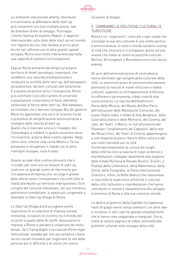

un ambiente istituzionale attento, favorevole e incentivante al diffondersi delle start up può consentire una loro moltiplicazione, tale da diventare driver di sviluppo. Purtroppo l'ultimo Startup Ecosystem Report, il rapporto internazionale sullo stato delle start up nel mondo, non registra alcuna città italiana ai primi posti. Anche nel raffronto con le altre grandi capitali europee, Roma esce molto ridimensionata nella sua capacità di puntare sull'innovazione.

Eppure Roma presenta da tempo sul proprio territorio di stretti tecnologici importanti, che avrebbero una naturale predisposizione a innescare la scintilla delle start up, dall'aerospazio all'audiovisivo, dai beni culturali alle bioscienze. E a questa vocazione verso l'innovazione, Roma può sommare il più alto numero di università e popolazione universitaria d'Italia, elemento essenziale al fiorire delle start up. Non bastasse, va ricordato che il decreto Sviluppo-Bis del governo Monti ha approntato una serie di incentivi fiscali e procedure di semplificazione amministrativa a sostegno della nascita di start up. Quello che è mancato sinora è l'impegno del Campidoglio a credere in questa vocazione verso l'innovazione, propria della nostra capitale. Negli ultimi anni, mentre città come Milano e Torino provavano a recuperare il ritardo con le altre metropoli europee, nulla è stato.

Quanto accade oltre confine dimostra che è cruciale, per costruire un tessuto di start up, costruire un grande centro di riferimento per l'incubazione d'impresa che raccolga il grosso dello sforzo verso l'innovazione e raccordi tutte le realtà distribuite sul territorio metropolitano. Ed è compito del Comune individuare, nel suo immenso patrimonio immobiliare, lo spazio più congeniale a diventare lo Start Up Village di Roma.

Lo Start Up Village potrà accogliere anche esperienze di incubazione di impresa sociale innovativa, occasioni di incontro tra il mondo del no profit e quello delle for profit. Associazioni e imprese a Roma si parlano e cooperano da molto tempo. Se il Campidoglio riuscisse ad offrire regia istituzionale, sarebbe per loro più semplice creare servizi sociali innovativi per migliorare la vita delle persone più in difficoltà e di coloro che vivono

situazioni di disagio.

# 5. CAMBIAMO LE POLITICHE CULTURALI E TURISTICHE

Roma è un "organismo" culturale e ogni scelta che coinvolge la sua vita culturale è una scelta politica e amministrativa. In tutto il mondo esistono esempi di città che crescono e si sviluppano grazie ad una visione che mette al centro le politiche culturali. Berlino, Birmingham o Barcellona sono solo alcuni esempi.

Gli anni dell'amministrazione di centrodestra hanno eliminato ogni progettualità culturale della città. Le amministrazioni di centrosinistra avevano promosso la nascita di nuove istituzioni e realtà culturali, superato la contrapposizione artificiosa tra effimero e permanente, ridato vivacità alla scena artistica. La nascita dell'Auditorium-Parco della Musica, del Museo dell'Ara Pacis, dell'Istituzione delle Biblioteche Comunali, del nuovo Teatro India, il Globe di Villa Borghese, delle Case della Storia e delle Memoria, del Cinema, del Jazz, dei Teatri, il Macro, la ristrutturazione del Palaexpo, l'ampliamento dei Capitolini, della rete dei Musei Civici, dei Teatri di Cintura, appartengono a una stagione di pieno rilancio della cultura e del suo ruolo trainante per la città. Contemporaneamente la cultura dei luoghi della città ha visto la nascita di nuovi contenuti e manifestazioni collegate idealmente alla stagione

delle Estate Romana di Renato Nicolini: Enzimi, il Festival delle Letterature, della Matematica, della Storia, della Fotografia; la Festa Internazionale Cinema e, infine, la Notte Bianca che riassumeva in una notte le esperienze artistiche e culturali della città. Istituzioni e manifestazioni che hanno contribuito in maniera rilevantissima allo sviluppo economico di Roma e alla sua coesione sociale.

La destra al governo della Capitale ha soppresso molti di quegli eventi senza sostituirli con altre idee e iniziative; in altri casi ha operato stravolgimenti che le hanno rese sopportate e marginali. Ora si tratta di voltare pagina e di ridare centralità alle politiche culturali nello sviluppo della città.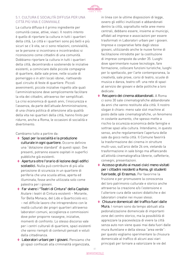

# 5.1. CULTURA E SOCIALITÀ DIFFUSA PER UNA CITTÀ PIÙ VIVA E CONVIVIALE

La cultura diffusa è il primo ingrediente per comunità coese, attive, vivaci. Il nostro intento è quello di riportare la cultura in tutti i quartieri della città, Le città e i quartieri sono più belli e più sicuri se c'è vita, se ci sono relazioni, convivialità, se le persone si incontrano e incontrandosi si riconoscono come cittadini di una comunità. Dobbiamo riportare la cultura in tutti i quartieri della città, decentrando e sostenendo le iniziative esistenti, a cominciare dalle piccole compagnie di quartiere, dalle sale prove, nelle scuole di pomeriggio o in altri locali idonei, riattivando quel circuito di feste di quartiere. Piccoli avvenimenti, piccole iniziative rispetto alle quali l'amministrazione deve semplicemente facilitare la vita dei cittadini, attraverso iter semplificati. La crisi economica di questi anni, l'insicurezza e l'assenza, da parte dell'attuale Amministrazione, di una chiara politica di attenzione alla qualità della vita nei quartieri della città, hanno finito per ridurre, anche a Roma, le occasioni di socialità e divertimento.

Cambiamo tutto a partire da:

- **◊**  Spazi per la socialità e la produzione culturale in ogni quartiere. Occorre definire una "dotazione standard" di questi spazi. Ove presenti, potranno essere ospitati in superfici pubbliche già esistenti.
- **◊**  Apertura oltre l'orario di lezione degli edifici scolastici. Nulla può contribuire di più alla percezione di sicurezza in un quartiere di periferia che una scuola attiva, aperta ed illuminata, fosse anche utilizzata solo come palestra per i giovani.
- **◊**  Far vivere i "Teatri di Cintura" della Capitale. Aiutare i teatri di Cintura esistenti – Morante, Tor Bella Monaca, del Lido e Quarticciolo ecc. – nel difficile lavoro che intraprendono con le realtà culturali dei propri quartieri attraverso laboratori comuni, accoglienza e commissioni dove poter proporre rassegne, iniziative, momenti di confronto. Lo stesso discorso vale per i centri culturali di quartiere, spazi esistenti che vanno riempiti di contenuti pensati e voluti dalla cittadinanza.
- **◊**  Laboratori urbani per i giovani. Pensiamo che gli spazi confiscati alla criminalità organizzata,

in linea con le ultime disposizioni di legge, ovvero gli edifici inutilizzati e abbandonati dentro la città, soprattutto nelle aree meno centrali, debbano essere, insieme ai municipi, affidati ad imprese e associazioni per essere trasformati in Laboratori urbani per i giovani. Imprese e cooperative fatte dagli stessi giovani, utilizzando anche le nuove forme di facilitazione introdotte per la costituzione di imprese composte da under 35. Luoghi dove sperimentare nuove tecnologie, fare formazione, collocare funzioni turistiche, luoghi per lo spettacolo, per l'arte contemporanea, la creatività, sale prove, corsi di teatro, scuole di musica e danza, teatro-off: una rete di spazi al servizio dei giovani e delle politiche a loro dedicate.

- **◊**  Recupero dei cinema abbandonati. A Roma ci sono 30 sale cinematografiche abbandonate da anni che vanno restituite alla città. Il nostro slogan è chiaro: meno sale slot machine al posto delle sale cinematografiche, un fenomeno in costante aumento, che spesso mette a rischio la sicurezza economica delle famiglie e sottrae spazi alla cultura. Intendiamo, in questo senso, anche regolamentare l'apertura delle sale da gioco nella città. Il Comune favorirà la trasformazione dei cinema in strutture multi-uso, sull'arco delle 24 ore, vietando la trasformazione in sale bingo ma affiancando all'attività cinematografica librerie, caffetterie, convegni, presentazioni.
- **◊**  Accesso gratuito ai musei civici meno visitati per i cittadini residenti a Roma, gli studenti fuorisede, ali Erasmus. Per favorirne la fruizione e per promuovere la conoscenza del loro patrimonio culturale e storico anche attraverso la creazione e/o l'estensione e l'ulteriore cura delle sezioni didattiche e dei laboratori creativi nei musei stessi.
- **◊**  Chiusure domenicali del traffico fuori dalle Mura. I romani sono da tempo abituati alla pedonalizzazione domenicale di importanti zone del centro storico, ma la possibilità di apprezzare la piacevolezza di vivere la città senza auto non viene quasi mai data fuori dalle mura Aureliane e della stessa "area verde": per questo vogliamo sperimentare la chiusura domenicale al traffico di alcuni assi viari principali per tornare a valorizzare le vie del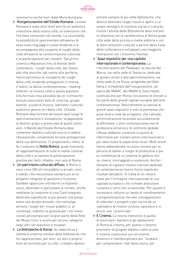

commercio anche fuori dalle Mura Aureliane.

- **◊**  Riorganizzazione dell'Estate Romana. L'estate Romana è stata oltre trent'anni fa un'autentica invenzione della nostra città, un'invenzione che l'ha fatta conoscere nel mondo. La convivialità, la possibilità di sperimentare attraverso di essa nuovi linguaggi e nuove tendenze si è accompagnata alla scoperta di luoghi della città attraverso la contaminazione culturale e la partecipazione dei cittadini. Dal primo cinema a Massenzio fino al festival delle Letterature, i luoghi della città, dal Tevere alle ville storiche, dal centro alla periferia, hanno permesso la riscoperta dei luoghi della città rendendo protagonisti il cinema, il teatro, la danza contemporanea, i reading letterari, la musica colta e quella popolare. Una formula resa possibile da un ricchissimo tessuto associativo fatto di cineclub, gruppi teatrali, scuole di musica, laboratori culturali, autentico *genius loci* della città. L'Estate Romana deve tornare ad essere quel luogo di sperimentazione e innovazione, strappandola al destino grigio e provinciale di questi ultimi anni. Il Bando dell'Estate Romana deve contenere obiettivi culturali precisi e vedere l'Assessorato competente tornare protagonista della sua definizione. Ci proponiamo, infine, di far rinascere la Notte Bianca, quale momento di rappresentazione di tutte le realtà culturali della città e occasione di partecipazione positiva per tanti cittadini, non solo di Roma.
- ◆ Un patrimonio culturale diffuso. A Roma ci sono circa 250 siti tra pubblici e privati, civici e statali, che necessitano sempre più di un progetto integrato di gestione e fruizione. Sarebbe opportuno introdurre un biglietto unico, destinato in particolare ai romani, anche mediante la creazione di una Card integrata destinata soprattutto ai più giovani che possa avere una durata annuale, che coinvolga almeno i luoghi ed i musei pubblici e, al contempo, stabilire la gratuità per i siti meno visitati ad esempio per la gran parte della Rete dei Musei Civici e sconti per alcune categorie negli altri siti espositivi e museali.
- **◊**  Le Biblioteche di Roma. Va ridata forza e vitalità al sistema romano delle biblioteche che ha rappresentato, per anni, un vero e proprio fiore all'occhiello per la città. I cittadini devono

entrare sempre di più nelle biblioteche, che devono diventare luoghi vissuti e aperti a un ampio ventaglio di iniziative sociali e culturali. Inoltre l'attività delle Biblioteche deve entrare in relazione con la caratteristica di Roma quale città sede della piccola e media editoria e con le altre istituzioni culturali a partire dalla Casa delle Letterature e sviluppare una maggiore interazione con l'omonimo Festival.

- **◊**  Spazi espositivi per una capitale internazionale e contemporanea. La ristrutturazione del Palaexpo, la nascita del Macro, sia nella sede di Testaccio, dedicata ai giovani artisti e alla sperimentazione, sia nella sede di via Nizza, progettata da Odile Decq e completata dall'inaugurazione, ad opera del MIBAC, del MAXXI di Zaha Hadid, costituiscono per Roma l'occasione di entrare a far parte delle grandi capitali europee dell'arte contemporanea. Naturalmente la nascita di grandi spazi espositivi è solo la premessa che pone diversi nodi da sciogliere, che l'attuale amministrazione ha evitato accuratamente di affrontare. L'arte contemporanea vive di produzione artistica e di confronto globale. I Musei debbono costituire un punto di riferimento per invitare artisti internazionali e per valorizzare le esperienze locali. Molti artisti hanno abbandonato la scena romana per la penuria di atelier e luoghi di produzione e per la ristrettezza di un sistema di gallerie che va, invece, incoraggiato e sostenuto. Anche i tentativi di ospitare mostre mercato dedicate al contemporaneo hanno finora registrato risultati deludenti. Si tratta di un settore vitale per l'immagine internazionale di una capitale europea e che richiede attenzione costante e certo non occasionale. Per questo è necessario istituire un tavolo di coordinamento e programmazione che eviti sovrapposizioni di calendari e progetti e per uscire da un calendario di mostre confuso, episodico e in alcuni casi "provinciale".
- **◊**  È Cinema. La nostra intenzione è quella di avvicinare i bambini e gli adolescenti di Roma al cinema, per questo ci faremo promotori di progetti didattici nelle scuole. Il cinema costituisce uno strumento dinamico e interdisciplinare per "studiare", per comprendere i fatti della storia, per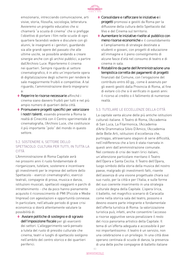

emozionarsi, intrecciando comunicazione, arti visive, storia, filosofia, sociologia, letteratura. Avvieremo un progetto educativo che si chiamerà "a scuola di cinema" che si prefigge l'obiettivo di portare i film nelle scuole di ogni quartiere facendoli vedere e discutere con gli alunni, le insegnanti e i genitori, guardando sia alle grandi opere del passato che alle ultime uscite, se possibile andando a creare sinergie anche con gli archivi pubblici, a partire dall'Archivio Luce. Riporteremo il cinema nei quartieri. Sempre riguardo al settore cinematografico, è in atto un'importante opera di digitalizzazione degli schermi per rendere le sale maggiormente fruibili e competitive. A tal riguardo, l'amministrazione dovrà impegnarsi a:

- **◊** Reperire le risorse necessarie affinché i cinema siano davvero fruibili per tutti e nel più ampio numero di quartieri della città.
- **◊**  Promuovere progetti specifici per valorizzare i nostri talenti, essendo presente a Roma la realtà di Cinecittà con il Centro sperimentale di cinematografia, l'Archivio Luce, che costituisce il più importante "polo" del mondo in questo settore.

# 5.2. SOSTENERE IL SETTORE DELLO SPETTACOLO: CULTURA PER TUTTI, IN TUTTA LA **CITTÀ**

L'Amministrazione di Roma Capitale avrà nei prossimi anni il ruolo fondamentale di riorganizzare, tutelare, sostenere e incentivare gli investimenti per le imprese del settore dello Spettacolo - esercizi cinematografici, esercizi teatrali, compagnie di prosa, musica e danza, istituzioni musicali, spettacoli viaggianti e parchi di intrattenimento - che da poco hanno pienamente acquisito il riconoscimento di PMI (Piccole e Medie Imprese) con agevolazioni e opportunità connesse. In particolare, nell'attuale periodo di grave crisi economica si dovrà attentamente valutare la possibilità di:

**◊**  Avviare politiche di sostegno e di sgravio dell'imposizione fiscale per gli esercenti dei settori. L'alleggerimento sarà pensato a tutela del ruolo di presidio culturale che cinema, teatri e luoghi di spettacolo svolgono nell'ambito del centro storico e dei quartieri periferici.

- **◊**  Consolidare e rafforzare le iniziative e i progetti promossi e gestiti da Roma per la diffusione della cultura dello Spettacolo dal Vivo e del Cinema sul territorio.
- **◊**  Aumentare le iniziative rivolte al pubblico con meno risorse economiche e il consolidamento e l'ampliamento di strategie destinate a studenti e giovani, con progetti di educazione all'immagine e il pieno coinvolgimento di alcune fasce d'età nel consumo di teatro e di cinema in sala.
- **◊** Ristabilire da parte dell'Amministrazione una tempistica corretta dei pagamenti di progetti finanziati dal Comune, con l'erogazione del contributo entro 60 gg., come è avvenuto per gli eventi gestiti dalla Provincia di Roma, al fine di evitare ciò che si è verificato in questi anni: il ricorso al credito o il fallimento di numerose realtà.

# 5.3. TUTELARE LE ECCELLENZE DELLA CITTÀ

La capitale vanta alcune delle più antiche istituzioni culturali italiane. Il Teatro di Roma, l'Accademia di San Luca, La Filarmonica, l'Accademia d'Arte Drammatica Silvio D'Amico, l'Accademia delle Belle Arti, istituzioni d'eccellenza che, purtroppo, attraversano stagioni di serie difficoltà, nell'indifferenza che a loro è stata riservata in questi anni dall'amministrazione comunale. Nel contesto di crisi dei teatri lirici italiani, un'attenzione particolare meritano il Teatro dell'Opera e Santa Cecilia. Il Teatro dell'Opera, luogo simbolo della storia della musica del nostro paese, malgrado gli investimenti fatti, risente dell'assenza di una visione progettuale chiara sul suo ruolo, per la città e per l'Italia, e sulle forme del suo coerente inserimento in una strategia culturale degna della Capitale. L'opera lirica, il balletto, nel magnifico scenario di Caracalla come nella storica sala del teatro, possono e devono essere parte integrante e fondamentale dell'offerta turistica di Roma: la valorizzazione turistica può, infatti, anche consentire l'accesso a risorse aggiuntive senza penalizzare il resto del ricco panorama artistico della Capitale. Il tema di un'offerta adeguata e accessibile è per noi importantissimo: il teatro è un servizio, non una celebrazione o un privilegio. In una città dove operano centinaia di scuole di danza, la presenza di una delle poche compagnie di balletto italiane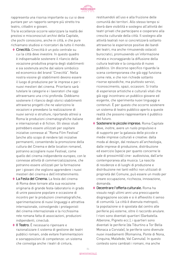

rappresenta una risorsa importante su cui si deve puntare per un rapporto sempre più stretto tra teatro, cittadini e giovani.

Tra le eccellenze occorre valorizzare la realtà dei preziosi e misconosciuti archivi della Capitale, che pochi conoscono, anche in città, e che pure richiamano studiosi e ricercatori da tutto il mondo.

- **◊**  Cinecittà. Cinecittà è un polo centrale su cui la città deve investire. In questo quadro è indispensabile sostenere il rilancio della vocazione produttiva propria degli stabilimenti e sia sostenuta anche dal valore simbolico ed economico del brand "Cinecittà". Nella nostra visione gli stabilimenti devono essere il luogo di produzione per le imprese e per i nuovi mestieri del cinema. Prioritario sarà tutelare le categorie e i lavoratori che oggi attraversano una crisi profonda. Dobbiamo sostenere il rilancio degli storici stabilimenti attraverso progetti che ne valorizzino le vocazioni e prevedano la realizzazione di nuovi servizi e strutture, riportando altresì a Roma le produzioni cinematografiche italiane e internazionali e di fiction. Gli stessi studi potrebbero essere utilizzati per ospitare iniziative connesse al "Roma Film Festival" (anche allo scopo di rendere tali iniziative permanenti, consentendo la promozione della cultura del Cinema e delle location romane), potranno accogliere nuovi Festival, come quello del cinema indipendente europeo, con le connesse attività di commercializzazione, che potranno essere utilizzati per la formazione per i giovani che vogliono apprendere i nuovi mestieri del cinema e dell'intrattenimento.
- **◊**  La Festa del Cinema. La festa del cinema di Roma deve tornare alla sua vocazione originaria di grande festa-laboratorio in grado di unire passione popolare e occasione di incontro per le produzioni cinematografiche, sperimentazione di nuovi linguaggi e attrattiva internazionale, coinvolgendo i protagonisti del cinema internazionale e la ricchissima rete romana fatta di associazioni, produzioni indipendenti, cineclub.
- ◆ **Il Teatro**. È necessario ripensare e razionalizzare il sistema di gestione dei teatri pubblici romani, onde evitare frammentazioni e sovrapposizioni di competenze: un sistema che coinvolga anche i teatri di cintura,

restituendoli all'uso e alla fruizione delle comunità dei territori. Allo stesso tempo si dovrà dare visibilità e sostegno all'attività dei teatri privati che partecipano e cooperano alla crescita culturale della città. Il sostegno alle attività teatrali non si concretizzerà soltanto attraverso le esperienze positive dei bandi dei teatri, ma anche rimuovendo ostacoli burocratici, promuovendo un'informazione mirata e incoraggiando la diffusione della cultura teatrale e la conquista di nuovo pubblico. Un discorso specifico riguarda la scena contemporanea che già oggi funziona come rete, e che non richiede soltanto risorse episodiche, ma piuttosto servizi, riconoscimento, spazi, occasioni. Si tratta di esperienze artistiche e culturali vitali che già oggi incontrano un pubblico giovane ed esigente, che sperimenta nuovi linguaggi e contenuti. È per questo che occorre sostenere un sistema di teatro pubblico aperto a queste realtà che possono rappresentare il pubblico del futuro.

- **◊**  Sostenere le piccole imprese. Roma Capitale deve, inoltre, avere un ruolo propulsivo e di supporto per la galassia delle piccole e medie imprese culturali e creative: dalla moda al design, dal restauro all'archeologia, dalle imprese di produzione, distribuzione ed esercizio (specie per quanto concerne le sale di prossimità) cine- audiovisiva, dall'arte contemporanea alla musica. La nascita di residenze e di luoghi di produzione e distribuzione nei tanti edifici non utilizzati di proprietà del Comune, può essere un modo per creare occupazione, ricchezza, innovazione, domanda.
- **◊** Decentrare l'offerta culturale. Roma ha vissuto negli ultimi anni una preoccupante disgregazione sociale e si è affievolito il senso di comunità. La città è divenuta metropoli, la popolazione si è spostata dal centro alle periferie più esterne, oltre il raccordo anulare. I rioni sono diventati quartieri (Garbatella. Alberone, Pigneto ecc.), i quartieri sono diventati le periferie (da Tiburtino a Tor Bella Monaca a Corviale), le periferie sono divenute nuovi insediamenti (Romanina, Ponte di Nona, Cinquina, Malafede, Val Cannuta). In questo contesto sono cambiati i romani, ma anche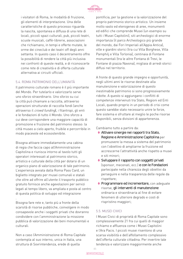

i visitatori di Roma, le modalità di fruizione, gli elementi di interpretazione. Una delle caratteristiche di questo processo riguarda la nascita, spontanea e diffusa di una rete di locali, piccoli spazi culturali, pub, piccoli teatri, scuole musicali, caffè-librerie, associazioni che richiamano, in tempi e offerte mutate, le orme dei cineclub e dei teatri off degli anni settanta. In questo caso il decentramento offre la possibilità di rendere la città più inclusiva nei confronti di queste realtà, e di riconoscerle come rete di creatività e di offerta culturale alternativa ai circuiti ufficiali.

#### 5.4. ROMA PATRIMONIO DELL'UMANITÀ

Il patrimonio culturale romano è il più importante del Mondo. Per tutelarlo e valorizzarlo serve uno sforzo straordinario. Uno sforzo su cui la città può chiamare a raccolta, attraverso operazioni strutturate di raccolta fondi (anche attraverso il crowd funding), i filantropi, gli enti e le fondazioni di tutto il Mondo. Uno sforzo a cui deve corrispondere una maggiore capacità di promozione e fruizione del patrimonio stesso: la città museo a cielo aperto, fruibile e percorribile in modo piacevole ed ecosostenibile.

Bisogna attivare immediatamente una cabina di regia che faccia capo all'Amministrazione Capitolina e riunisca intorno al tavolo tutti gli operatori interessati al patrimonio storico, artistico e culturale della città per dotarsi di un organico piano di valorizzazione di tale patrimonio. L'esperienza avviata dalla Roma Pass Card, un biglietto integrato per musei comunali e statali che oltre ad offrire all'utente il trasporto pubblico gratuito fornisce anche agevolazioni per servizi legati al tempo libero, va ampliata e posta al centro di questa politica di sviluppo ed integrazione

Bisogna fare rete e, tanto più a fronte della scarsità di risorse pubbliche, coinvolgere in modo consapevole anche i soggetti privati che dovranno condividere con l'amministrazione la missione pubblica di valorizzazione dei beni monumentali e culturali.

.

Non a caso l'Amministrazione di Roma Capitale contempla al suo interno, unica in Italia, una struttura di Sovrintendenza, erede di quella

pontificia, per la gestione e la valorizzazione del proprio patrimonio storico artistico. Un insieme molto vasto ed eterogeneo di aree, monumenti ed edifici che comprende Musei (un esempio su tutti i Musei Capitolini), siti archeologici di enorme importanza (il parco Archeologico più grande del mondo, dai Fori Imperiali all'Appia Antica), ville e giardini storici (tra cui Villa Borghese, Villa Pamphilj e Villa Torlonia), centinaia di Fontane monumentali (tra le altre Fontana di Trevi, le Fontane di piazza Navona), migliaia di arredi storici diffusi nel territorio.

A fronte di questo grande impegno e opportunità, negli ultimi anni le risorse destinate alla manutenzione e valorizzazione di questo inestimabile patrimonio si sono progressivamente ridotte. A questo si aggiungano i conflitti di competenze intervenuti tra Stato, Regioni ed Enti Locali, quando proprio in un periodo di crisi come questo sarebbe stato necessario unire le forze, fare sistema e sfruttare al meglio le poche risorse disponibili, senza divisioni di appartenenza.

Cambiamo tutto a partire da:

- **◊**  Attivare sinergie nei rapporti tra Stato, Regione e Amministrazione Capitolina per promuovere la messa a sistema del patrimonio con l'obiettivo di ampliarne la fruizione ed accrescerne l'attrattività anche rispetto a musei e siti minori;
- **◊**  Sviluppare il rapporto con soggetti privati (sponsor, mecenati, ecc.) e con le Fondazioni partecipate nella chiarezza degli obiettivi da perseguire e nella trasparenza delle regole da rispettare;
- **◊**  Programmare ed incrementare, con adeguate risorse, gli interventi di manutenzione ordinaria e straordinaria al fine di evitare fenomeni di ulteriore degrado e costi di rispristino maggiori;

#### 5.5. MUSEI CIVICI

I Musei Civici di proprietà di Roma Capitale sono complessivamente 21 fra cui quelli di maggior richiamo e affluenza come i Musei Capitolini e l'Ara Pacis. I piccoli musei risentono di una scarsa visibilità e dell'affollamento complessivo dell'offerta culturale cittadina. Per invertire tale tendenza e valorizzare maggiormente anche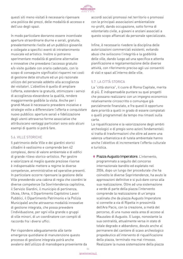

questi siti meno visitati è necessario ripensare una politica dei prezzi, delle modalità di accesso e dell'uso degli spazi.

In modo particolare dovranno essere incentivate aperture straordinarie diurne e serali, gratuite, prevalentemente rivolte ad un pubblico giovanile e collegate a specifici eventi di intrattenimento musicale ed artistico. Inoltre si potranno sperimentare modalità di gestione alternative e innovative che prevedano l'accesso gratuito e/o visite guidate con orario cadenzato, con lo scopo di conseguire significativi risparmi nei costi di gestione delle strutture ed un più razionale utilizzo del personale addetto alla accoglienza dei visitatori. L'obiettivo è quello di ampliare l'offerta, estendere la gratuità, ottimizzare i servizi di accoglienza elevandone la qualità, rendere maggiormente godibile la visita. Anche per i grandi Musei è necessario prevedere iniziative e strategie volte a differenziare l'offerta e conquistare nuovo pubblico: aperture serali e fidelizzazione degli utenti attraverso forme associative che attribuiscano vantaggi particolari sono solo alcuni esempi di quanto si potrà fare.

#### 5.6. VILLE STORICHE

Il patrimonio delle Ville e dei giardini storici cittadini è vastissimo e comprende ben 42 complessi, densi di valore ambientale e di edifici di grande rilievo storico-artistico. Per gestire e valorizzare al meglio queste preziose risorse è indispensabile mettere a regime le diverse competenze, amministrative ed operative presenti. In particolare occorre ripensare la gestione delle Ville prevedendo una cabina di regia che coordini le diverse competenze (la Sovrintendenza capitolina, il Servizio Giardini, il municipio di pertinenza, l'Acea, l'Ama, il Dipartimento Capitolino Lavori Pubblici, il Dipartimento Patrimonio e la Polizia Municipale) anche attraverso modalità innovative di gestione integrata, che possa prevedere l'individuazione, per ogni villa grande o gruppi di ville minori, di un coordinatore con compiti di raccordo fra i diversi uffici.

Per rispondere adeguatamente alle tante emergenze quotidiane di manutenzione questo processo di gestione integrata potrà anche avvalersi dell'utilizzo di manodopera proveniente da

accordi sociali promossi nel territorio o promossi con le principali associazioni ambientaliste no-profit, dando occupazione, sotto forma di volontariato civile, a giovani e anziani associati a questo scopo affiancati da personale specializzato.

Infine, è necessario rivedere la disciplina delle autorizzazioni commerciali esistenti, evitando abusi che sviliscono l'integrità e la godibilità delle ville, dando luogo ad una specifica e attenta pianificazione e regolamentazione delle diverse attività, con riferimento preciso agli usi consentiti di viali e spazi all'interno delle ville.

### 5.7. LA CITTÀ STORICA

La "città storica", il cuore di Roma Capitale, merita di più. È indispensabile puntare su quei progetti che possano realizzarsi con un impegno economico relativamente circoscritto o comunque già parzialmente finanziato, e fra questi è opportuno dare priorità a quelli in grado di essere completati o quelli programmati da tempo ma rimasti sulla carta.

La riqualificazione e la valorizzazione degli ambiti archeologici e di pregio sono azioni fondamentali: si tratta di trasformazioni che oltre ad avere una valenza urbanistica e di tutela ambientale hanno anche l'obiettivo di incrementare l'offerta culturale e turistica.

**◊**  Piazza Augusto Imperatore. L'intervento, programmato a seguito del concorso internazionale bandito ed espletato nel 2006, dopo un lungo iter procedurale che ha coinvolto le diverse Soprintendenze, ha avuto le approvazioni definitive e si può dare corso alla sua realizzazione. Oltre ad una sistemazione a verde di parte della piazza l'intervento comprende la realizzazione di un'ampia scalinata che da piazza Augusto Imperatore si connette a via di Ripetta in prossimità dell'Ara Pacis, con la creazione, a metà del percorso, di una nuova vasta area di acceso al Mausoleo di Augusto. Il luogo, nonostante la sua centralità, attualmente versa in stato di totale degrado e abbandono, dovuto anche al permanere del cantiere di scavo archeologico propedeutico all'intervento di riqualificazione della piazza, terminato ma mai rimosso. Realizzare la nuova sistemazione della piazza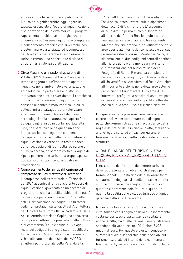

e il restauro e la riapertura al pubblico del Mausoleo, significherebbe aggiungere un tassello essenziale all'opera di riqualificazione e valorizzazione della città storica. Il progetto rappresenta un obiettivo strategico che in cinque anni può essere raggiunto e completato. Il collegamento organico che si verrebbe così a determinare tra la piazza ed il complesso dell'Ara Pacis metterebbe a disposizione di turisti e romani una opportunità di visita di straordinaria valenza ed attrazione.

- **◊**  Circo Massimo e la pedonalizzazione di via dei Cerchi. L'area del Circo Massimo da tempo è oggetto di un'importante opera di riqualificazione ambientale e valorizzazione archeologica. In particolare è in atto un intervento che oltre ad aver dotato il complesso di una nuova recinzione, maggiormente consona al contesto monumentale in cui si colloca, mira a salvaguardare, valorizzare e rendere comprensibili e visitabili i resti archeologici della struttura, mai aperta fino ad oggi dagli anni 30 in cui fu riportata alla luce, che sarà fruibile da qui ad un anno. Il necessario e conseguente compendio dell'opera in corso è quello di completare la riqualificazione a verde della restante area del Circo, posta al di fuori della recinzione e di libero acceso, da sempre meta di svago e di riposo per romani e turisti, ma troppo spesso utilizzata con scopi incongrui quali eventi promozionali.
- **◊**  Completamento della riqualificazione del complesso dell'ex Mattatoio di Testaccio. Il complesso dell'ex Mattatoio di Testaccio è dal 2004 al centro di una consistente opera di riqualificazione, governata da un accordo di programma, che ha stabilito obbiettivi e finalità del suo recupero con il nome di "Città delle arti". L'articolazione dei soggetti utilizzatori vede fra i protagonisti la Facoltà di Architettura dell'Università di Roma III, l'Accademia di Belle Arti e l'Amministrazione Capitolina attraverso le proprie strutture che presiedono alla cultura e al commercio "equo e solidale". Ad oggi molti dei padiglioni sono già stati riqualificati. In particolare, l'Amministrazione comunale vi ha collocato una delle sedi del MACRO, la struttura polifunzionale della Pelanda e la

"Città dell'Altra Economia", l'Università di Roma Tre vi ha collocato, invece, aule e dipartimenti della facoltà di Architettura e l'Accademia di Belle Arti un primo nucleo di laboratori all'interno del Campo Boario. Inoltre sono finanziati ed in fase di appalto tre interventi integrati che riguardano la riqualificazione delle aree aperte all'interno del complesso e del suo perimetro esterno verso il Monte dei Cocci, la sistemazione di due padiglioni centrali destinati alla ristorazione e alla mensa universitaria e la realizzazione del nuovo Museo della Fotografia di Roma. Rimane da completare il recupero di altri padiglioni, anch'essi destinati all'Università e all'Accademia di Belle Arti, oltre all'importante sistemazione delle aree esterne prospicienti il Lungotevere. L'insieme di tali interventi, prefigura la nascita di un nuovo polo urbano strategico sia sotto il profilo culturale che su quello produttivo e turistico-ricettivo.

I cinque anni della prossima consiliatura possono essere decisivi per completare tale disegno, a patto che l'Amministrazione si faccia carico della regia e del traino delle iniziative in atto, stabilendo anche regole certe ed efficaci per garantire il funzionamento e la corretta gestione della nuova struttura.

### 6. DAL RILANCIO DEL TURISMO NUOVA OCCUPAZIONE E SVILUPPO PER TUTTA LA CITTÀ

L'incremento del fatturato del settore turistico deve rappresentare un obiettivo strategico per Roma Capitale. Questo richiede di lavorare tanto sull'aumento degli arrivi e delle presenze quanto sul tipo di turismo che sceglie Roma: non solo quantità e nemmeno solo fatturato, quindi, in quanto la qualità dello sviluppo turistico è l'unica garanzia della sua durevolezza.

Nonostante tante criticità Roma è oggi l'unica città italiana con il segno positivo e un incremento costante dei flussi di *incoming*. La capitale è anche la città, tra quelle italiane, dove gli stranieri spendono più volentieri, nel 2011 circa 5.228 milioni di euro. Per questo è giusto riconoscere a Roma il ruolo di leadership nelle decisioni sul turismo nazionale ed internazionale, in tema di finanziamenti, ma anche e soprattutto di politiche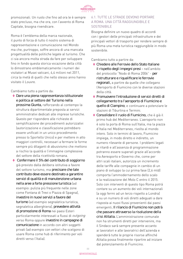

promozionali. Un ruolo che fino ad ora le è sempre stato precluso, ma che ora, con l'avvento di Roma Capitale, bisogna rivendicare.

Roma è l'emblema della marca nazionale, il punto di forza di tutto il nostro sistema di rappresentazione e comunicazione nel Mondo ma che, purtroppo, soffre ancora di una mancata progettualità delle politiche legate al turismo. Che ci sia ancora molta strada da fare per sviluppare fino in fondo questa storica vocazione della città lo dimostrano emblematicamente i numeri dei visitatori ai Musei vaticani, 4,4 milioni nel 2011, circa la metà di quelli che nello stesso anno hanno visitato il Louvre.

#### Cambiamo tutto a partire da:

- **◊** Dare una piena rappresentanza istituzionale e politica al settore del Turismo nella prossima Giunta, rafforzando al contempo la struttura dipartimentale preposta ai servizi amministrativi dedicati alle imprese turistiche. Questo per rispondere alle richieste di semplificazione dei procedimenti autorizzativi (autorizzazione e classificazione potrebbero essere unificati in un unico procedimento presso lo Sportello Unico) e per mettere in atto maggiori controlli, necessari a fermare le forme sempre più dilaganti di abusivismo che mettono a rischio la qualità e l'immagine complessiva del settore della ricettività romana.
- **◊**  Confermare il 5% del contributo di soggiorno già previsto dalla delibera istitutiva a favore del settore turismo, ma precisare che tale contributo deve essere destinato a garantire servizi di qualità e di manutenzione urbana nella aree a forte pressione turistica (ad esempio: pulizia più frequente nelle zone come Fontana di Trevi o Piazza di Spagna), investire in nuovi servizi a favore del turismo (ad esempio segnaletica turistica, segnaletica alberghiera), prevedere attività di promozione di Roma nei paesi Esteri particolarmente interessati a flussi di outgoing verso Roma oppure investire in campagne di comunicazione in accordo con altri soggetti privati (ad esempio con vettori che scelgono di usare Roma come hub di riferimento per voli diretti verso l'Italia).

#### 6.1. TUTTE LE STRADE DEVONO PORTARE A ROMA. UNA CITTÀ RAGGIUNGIBILE E SOSTENIBILE

Bisogna definire un nuovo quadro di accordi con i gestori delle principali infrastrutture e dei principali vettori di trasporto per rendere sempre di più Roma una meta turistica raggiungibile in modo sostenibile.

Cambiamo tutto a partire da:

- **◊**  Chiedere alle Ferrovie dello Stato Italiane il rispetto degli impegni presi - nell'ambito del protocollo "Nodo di Roma 2006" - per ristrutturare e riqualificare le ferrovie regionali, a partire da quelle che collegano l'Aeroporto di Fiumicino con le diverse stazioni della città.
- **◊**  Promuovere l'introduzione di servizi diretti di collegamento tra l'aeroporto di Fiumicino e quello di Ciampino, e continuare a potenziare le stazioni di Tiburtina e Termini.
- **◊**  Consolidare il ruolo di Fiumicino, che è già il primo hub del Mediterraneo. L'aeroporto non è solo la porta di Roma sull'Italia, ma la piazza d'Italia nel Mediterraneo, rivolta al mondo intero. Solo in termini di lavoro, Fiumicino impiega, in modo diretto e indiretto, un numero rilevante di persone. I problemi legati ai ritardi e all'assenza di programmazione potranno essere superati grazie all'accordo tra Aereoporto e Governo che, come per altri scali italiani, autorizza un incremento delle tariffe alle compagnie in cambio di un piano di sviluppo la cui prima fase (2,6 mld) comporta l'ammodernamento dello scalo e la realizzazione del Molo C entro il 2015. Solo con interventi di questo tipo Roma potrá contare su un aumento dei voli internazionali (a oggi fermi ad un terzo rispetto a Londra) e su un numero di voli diretti adeguati a dare risposta ai nuovi flussi provenienti dai paesi emergenti. Il rilancio di Fiumicino non potrà che passare attraverso la risoluzione della crisi Alitalia. L'amministrazione comunale non ha strumenti diretti per intervenire, ma il Sindaco sarà sempre presente accanto ai lavoratori e alle lavoratrici dell'azienda e spenderà tutte le proprie risorse affinché Alitalia possa finalmente ripartire ad iniziare dal potenziamento di Fiumicino.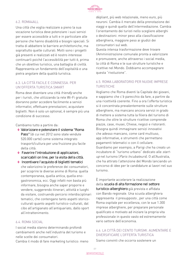

### 6.2. ROMA4ALL

Una città che voglia realizzare a pieno la sua vocazione turistica deve potenziare i suoi servizi per essere accessibile a tutti e in particolare alle persone che hanno disabilità e bisogni speciali. Si tratta di abbattere le barriere architettoniche, ma soprattutto quelle culturali. Molti sono i progetti già presenti e realizzati ed è nostro interesse continuarli poiché l'accessibilità per tutti è, prima che un obiettivo turistico, una battaglia di civiltà. Rappresenta un fondamento dell'ospitalità e una pietra angolare della qualità turistica.

# 6.3. LA CITTÀ FACILE E CONNESSA. PER UN'OFFERTA TURISTICA SMART

Roma deve diventare una città friendly anche per i turisti, che utilizzando la rete Wi-Fi gratuita dovranno poter accedere facilmente a servizi informativi, effettuare prenotazioni, acquistare biglietti. Non è solo un optional, è sempre più una condizione di successo.

Cambiamo tutto a partire da:

- **◊**  Valorizzare e potenziare il sistema "Roma Pass" (di cui nel 2012 sono state vendute 520.000 carte) come sistema integrato trasporti/cultura per una fruizione piu facile della città.
- **◊**  Favorire l'introduzione di applicazioni, scaricabili on line, per la visita della città.
- **◊**  Incentivare l'acquisto di biglietti tematici che valorizzino le preferenze dei consumatori, per scoprire le diverse anime di Roma: quella contemporanea, quella antica, quella enogastronomica, ecc. Oggi infatti non basta più informare, bisogna anche saper proporre e vendere, suggerendo itinerari, attività e luoghi da visitare, costruendo percorsi interdisciplinari tematici, che contengano tanto aspetti storicoculturali quanto aspetti turistico-culturali, dal cibo all'artigianato all'antiquariato, dallo sport all'intrattenimento.

#### 6.4. ROMA SOCIAL

I social media stanno determinando profondi cambiamenti anche nell'industria del turismo e nelle scelte dei consumatori.

Cambia il modo di fare marketing turistico: meno

dépliant, più web relazionale, meno euro, più neuroni. Cambia il mercato della prenotazione dei viaggi e quindi quello dell'intermediazione. Cambia l'orientamento dei turisti nello scegliere alberghi o destinazioni: minor peso alla classificazione alberghiera, maggiore peso ai giudizi dei consumatori sul web.

Questa intensa trasformazione deve trovare l'Amministrazione comunale pronta a valorizzare e promuovere, anche attraverso i social media, la città di Roma e le sue strutture turistiche e ricettive nel Mondo. Dobbiamo accompagnare questa "rivoluzione".

# 6.5. ROMA LABORATORIO PER NUOVE IMPRESE TURISTICHE

Vogliamo che Roma diventi la Capitale dei giovani, e sappiamo che c'è parecchio da fare, a partire da una ricettività coerente. Fino a ora l'offerta turistica si è concentrata prevalentemente sulle strutture alberghiere, ma mancano ancora servizi in grado di mettere a sistema tutta la filiera del turismo di Roma che oltre le strutture ricettive comprende piazze, case, musei, Chiese, negozi e ristoranti. Bisogna quindi immaginare servizi innovativi che adesso mancano, come card multiuso, app informative, e strumenti che permettano pagamenti telematici o con il cellulare. Guardiamo per esempio, a Parigi che ha creato un incubatore di "turismo urbano" dedicato alle startup nel turismo (Paris Incubateurs). O all'Australia, che ha attirato l'attenzione del Mondo lanciando un concorso di idee per le candidature ai lavori nel suo turismo.

È importante accelerare la realizzazione della scuola di alta formazione nel settore turistico-alberghiero già prevista e affidata con Bando regionale. Una scuola alberghiera rappresenta il presupposto , per una città come Roma ospitale per eccellenza, con le sue 1.300 imprese alberghiere, per preparare personale qualificato e motivato ad iniziare la propria vita professionale in questo vasto ed estremamente vario settore dell'economia.

# 6.6. LA CITTÀ DEI CENTO TURISMI. AUMENTARE E DIVERSIFICARE L'OFFERTA TURISTICA

Siamo convinti che occorra sostenere un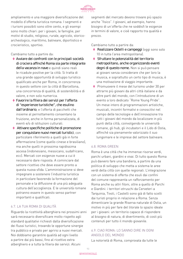

ampliamento e una maggiore diversificazione del modello d'offerta turistica romana. I segmenti e i turismi possibili sono oltre cento, e gli esempi sono molto chiari: per i giovani, le famiglie, per motivi di studio, religioso, rurale, agricolo, storicoarcheologico, marittimo, balneare, diportistico e crocieristico, sportivo.

Cambiamo tutto a partire da:

- **◊**  Avviare dei confronti con le principali società di crociera affinché Roma sia parte integrante della vacanza in nave e quindi siano reali le ricadute positive per la città. Si tratta di una grande opportunità di sviluppo turistico qualificato anche per Roma, in concorrenza in questo settore con la città di Barcellona, una concorrenza di qualità, di sostenibilità e di valore, e non solo numerica.
- **◊**  Favorire la filiera dei servizi per l'offerta di "esperienze turistiche", che esulino dall'ordinario, e l'offerta di pacchetti che insieme al pernottamento consentano la fruizione, anche in forma personalizzata, di eventi e/o di istituzioni culturali.
- **◊**  Attivare specifiche politiche di promozione per conquistare nuovi mercati turistici, con particolare riferimento a quelli già in forte affermazione (come quello cinese e brasiliano), ma anche quelli in prossima rapidissima ascesa (indonesiano, messicano, sudafricano, ecc). Mercati con esigenze nuove a cui è necessario dare risposta. A cominciare dal settore ricettivo che deve essere pronto a questa nuova sfida. L'amministrazione si deve impegnare a sostenere l'industria turistica in particolare favorendo la formazione del personale e la diffusione di una più adeguata cultura dell'accoglienza. E le università romane potranno essere in questo senso partner importanti e qualificati.

#### 6.7. LA TUA ROMA DI QUALITÀ

Riguardo la ricettività alberghiera nei prossimi anni sarà necessario diversificare molto rispetto agli standard qualitativi richiesti dalla diversificazione dei flussi turistici, trovando le opportune sinergie tra pubblico e privato per aprirsi a nuovi mercati. Noi dobbiamo garantire qualità ad ogni livello a partire dai più bassi, fino al ricettivo extra alberghiero e a tutta la filiera dei servizi. Alcuni

segmenti del mercato devono trovare più spazio anche "fisico". I giovani, ad esempio, hanno bisogno di un'offerta che ne soddisfi le esigenze in termini di valore, e cioè rapporto tra qualità e prezzo.

Cambiamo tutto a partire da:

- **◊**  Realizzare Ostelli e campeggi (oggi sono solo 10 in tutta l'area metropolitana).
- **◊**  Sfruttare le potenzialità del territorio metropolitano, anche organizzando eventi degni di questo nome. Non si può pensare ai giovani senza considerare che per loro la musica, e soprattutto un certo tipo di musica, è una motivazione di viaggio importante.
- **◊**  Promuovere il mese del turismo under 30 per attrarre più giovani da altri città italiane e da altre parti del mondo, con l'introduzione di un evento a loro dedicato "Rome Young Pride". Un mese intero di programmazioni artistiche, musicali, incontri formativi e conoscitivi nel campo delle tecnologie e dell'innovazione tra tutti i giovani del mondo da localizzare in più punti della città, coinvolgendo le università romane, gli hub, gli incubatori e il Lido di Ostia, affinché sia pienamente valorizzato il suo lungomare e le imprese del settore balneare.

#### 6.8. ROMA GREEN

Roma è una città che ha immense risorse verdi, parchi urbani, giardini e vivai. Di tutto questo Roma può davvero fare una bandiera, a partire da una politica di sviluppo che metta a sistema le aree verdi della città con quelle regionali. L'integrazione con un sistema di offerta che esuli dai confini del comune rappresenta un rafforzamento per Roma anche su altri filoni, oltre a quello di Parchi e Giardini: i territori etruschi da Cerveteri a Tarquinia, Tivoli, i Castelli sono già di fatto scelti dai turisti proprio in relazione a Roma. Senza dimenticare la grande Riserva naturale di Ostia, un motivo in più per fare del litorale lo spazio ideale per i giovani: un territorio capace di rispondere al bisogno di natura, di divertimento, di costi più contenuti per tutto il mondo giovanile.

### 6.9. CIAO ROMA: LO SANNO DIRE IN OGNI ANGOLO DEL MONDO

La notorietà di Roma, comprovata da tutte le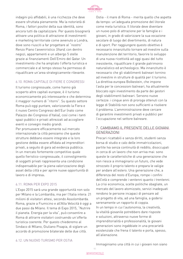

indagini più affidabili, è una ricchezza che deve essere sfruttata pienamente. Ma la notorietà di Roma, i fattori positivi della sua identità, sono ancora tutti da capitalizzare. Per questo bisognerà attivare una politica di attrazione di investimenti e marketing territoriale come avvenuto a Londra, dove sono riusciti a far progettare al "nostro" Renzo Piano l'avveniristico Shard, con dentro negozi, appartamenti e un albergo 5 stelle grazie ai finanziamenti Dell'Emiro del Qatar. Un investimento che ha ampliato l'offerta turistica e commerciale e al tempo stesso ha permesso di riqualificare un'area strategicamente rilevante.

#### 6.10. ROMA CAPITALE DI FIERE E CONGRESSI

Il turismo congressuale, come hanno già scoperto altre capitali europee, è il turismo economicamente più interessante e che determina il maggior numero di "ritorni". Su questo settore Roma può oggi puntare, valorizzando la Fiera e il nuovo Centro Congressi dell'Eur (nato come Palazzo dei Congressi d'Italia), così come i tanti spazi pubblici e privati attrezzati ad accogliere eventi e convegni medio grandi.

Per promuovere efficacemente sul mercato internazionale la città pensiamo che queste strutture debbano essere integrate e la loro gestione debba essere affidata ad imprenditori privati, a seguito di gara ad evidenza pubblica. In un mercato fortemente competitivo quale quello fieristico-congressuale, il coinvolgimento di soggetti privati rappresenta una condizione indispensabile per la piena valorizzazione degli asset della città e per aprire nuove opportunità di lavoro e di impresa.

#### 6.11. ROMA PER EXPO 2015

L'Expo 2015 sarà una grande opportunità non solo per Milano e la Lombardia, ma per l'Italia intera: 21 milioni di visitatori attesi, secondo Assolombarda. Roma, grazie a Fiumicino e all'Alta Velocità è oggi a due passi da Milano. Il tema di Expo 2015, "Nutrire il pianeta. Energia per la vita", può consentire a Roma di attrarre visitatori costruendo un'offerta turistica coerente. Per questo chiederemo al Sindaco di Milano, Giuliano Pisapia, di siglare un accordo di promozione bilaterale delle due città.

Ostia - il mare di Roma - merita quello che aspetta da tempo: un'adeguata promozione del litorale come meta turistica. Il litorale deve diventare un nuovo polo di attrazione per le famiglie e i giovani, in grado di valorizzare la sua vocazione secolare di luogo del divertimento, di natura e di sport. Per raggiungere questo obiettivo è necessario innanzitutto tornare ad investire sulla manutenzione del territorio, favorire lo sviluppo di una nuova ricettività ad oggi quasi del tutto inesistente, riqualificare il grande patrimonio naturalistico ed archeologico. Ma innanzitutto è necessario che gli stabilimenti balneari tornino ad investire in strutture di qualità per il turismo. La direttiva europea Bolkestein, che impone l'asta per le concessioni balneari, ha attualmente bloccato ogni investimento da parte dei gestori degli stabilimenti balneari. Servono nuove certezze: i cinque anni di proroga ottenuti con la legge di Stabilità non sono sufficienti a risolvere il problema. L'amministrazione deve cercare di garantire investimenti privati e pubblici per l'occupazione nel settore balneare.

### 7. CAMBIAMO IL PRESENTE DELLE GIOVANI GENERAZIONI

Precari ricattabili e senza diritti, studenti senza borsa di studio e calo delle immatricolazioni, partite Iva senza continuità di reddito, disoccupati in cerca di un lavoro che non arriva mai: sono queste le caratteristiche di una generazione che non riesce a immaginarsi un futuro, che vede strozzato il proprio talento e prepara le valigie per andare all'estero. Una generazione che, a differenza del resto d'Europa, rompe i confini dell'età e comprende i ventenni quanto i trentenni. La crisi economica, scelte politiche sbagliate, un mercato del lavoro atomizzato, servizi inadeguati rendono le persone incapaci di pensare ad un progetto di vita, ad una famiglia, a godersi serenamente un rapporto di coppia. In un tempo in cui l'autonomia, la creatività, la vitalità giovanile potrebbero dare risposte e soluzioni, attraverso nuove forme di imprenditorialità e professionalità, le giovani generazioni sono ingabbiate in una precarietà esistenziale che frena il talento e porta, spesso, all'alienazione.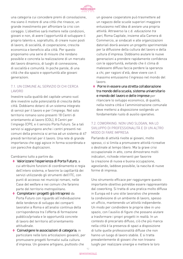

una categoria cui concedere premi di consolazione, ma siano il motore di una città che rinasce, un grande investimento per affrontare la crisi con coraggio. L'obiettivo sarà mettere nelle condizioni, giovani e non, di avere l'opportunità di sviluppare il proprio talento e, soprattutto, di creare nuovi posti di lavoro, di socialità, di cooperazione, crescita economica e beneficio alla città. Per questo proponiamo una serie di misure che rendano possibile e concreta la realizzazione di un mercato del lavoro dinamico, di luoghi di connessione, di socialità e comunità. In poche parole, di una città che dia spazio e opportunità alle giovani generazioni.

# 7.1. UN COMUNE AL SERVIZIO DI CHI CERCA LAVORO

Investire sulla qualità del capitale umano vuol dire investire sulle potenzialità di crescita della città. Dobbiamo dotarci di un sistema integrato di servizi per il lavoro e per l'impiego. Nel solo territorio romano sono presenti 18 Centri di orientamento al lavoro (COL), 8 Centri per l'impiego (CPI), e il servizio Porta Futuro. Se a tali servizi si aggiungono anche i centri presenti nei comuni della provincia si arriva ad un sistema di 67 presidi territoriali per il lavoro. Una rete di grande importanza che oggi agisce in forma scoordinata e con parecchie duplicazioni.

Cambiamo tutto a partire da:

- **◊**  Valorizzare l'esperienza di Porta Futuro, a cui attribuire funzioni di coordinamento e regia dell'intero sistema, e favorire la capillarità dei servizi utilizzando gli strumenti dell'ITC, con punti di accesso nei municipi romani, nelle Case del welfare e nei comuni che faranno parte del territorio metropolitano.
- **◊**  Completare i progetti già intrapresi da Porta Futuro con riguardo all'individuazione delle tendenze di sviluppo dei comparti lavorativi a Roma e all'analisi continua della corrispondenza tra l'offerta di formazione pubblico/privata e le opportunità concrete di lavoro del territorio all'orientamento attitudinale.
- **◊**  Coinvolgere le associazioni di categoria, in particolare nelle loro articolazioni giovanili, per promuovere progetti formativi sulla cultura d'impresa. Un giovane artigiano, piuttosto che

un giovane cooperatore può trasmettere ad un ragazzo delle scuole superiori maggiore entusiasmo nell'idea di avviare una propria attività. Attraverso la c.d. educazione tra pari, Roma Capitale, insieme alla Camera di Commercio, ai sindacati e alle organizzazioni datoriali dovrà avviare un progetto sperimentale per la diffusione della cultura del lavoro e della cultura d'impresa. Dobbiamo aiutare le nuove generazioni a prendere rapidamente confidenza con le opportunità, evitando che il clima di malessere diffuso faccia perdere la speranza a chi, per ragioni d'età, deve vivere con il massimo entusiasmo l'ingresso nel mondo del lavoro.

**◊**  Porre in essere una stretta collaborazione tra mondo della scuola, sistema universitario e mondo del lavoro e delle imprese per rilanciare lo sviluppo economico, di qualità, nella nostra città e l'amministrazione comunale deve mettersi a disposizione svolgendo un fondamentale ruolo di ausilio operativo.

# 7.2. COWORKING. NON UNO SLOGAN, MA LO SVILUPPO DI PROFESSIONALITÀ E DI UN ALTRO MODO DI FARE IMPRESA

Parlando di attività rivolte ai giovani, molto spesso, ci si limita a promuovere attività ricreative o destinate al tempo libero. Ma la grave crisi occupazionale in atto, come dimostrano molti indicatori, richiede interventi per favorire la creazione di nuova e buona occupazione, agevolando, laddove possibile, la nascita di nuove forme di impresa.

Uno strumento efficace per raggiungere questo importante obiettivo potrebbe essere rappresentato dal coworking. Si tratta di una pratica molto diffusa in Europa ed è uno stile lavorativo che prevede la condivisione di un ambiente di lavoro, spesso un ufficio, mantenendo un'attività indipendente. Un modo per condividere le proprie idee in uno spazio, con l'ausilio di figure che possano aiutare a trasformare i propri progetti in realtà. In un contesto di precariato diffuso, ciò che più manca nella città è la presenza di spazi a disposizione di tutte quelle professionalità diffuse che non hanno un luogo di lavoro stabile. E si tratta prevalentemente di giovani che non trovano luoghi per realizzare sinergie e mettere le loro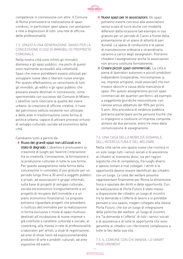

competenze in connessione con altre. Il Comune di Roma promuoverà la realizzazione di spazi condivisi, in particolare open space, con postazioni e rete a disposizioni di tutti: una rete di officine delle professionalità.

# 7.3. SPAZIO A UNA GENERAZIONE. BANDI PER LA CONCESSIONE D'USO DI IMMOBILI DI PROPRIETÀ COMUNALE

Nella nostra città sono infiniti gli immobili dismessi e gli spazi pubblici, ma pochi di questi sono realmente accessibili alla collettività. Spazi che invece potrebbero essere utilizzati per sviluppare nuove idee o liberare nuove energie. Per questo effettueremo un censimento di tutti gli immobili, gli edifici e gli spazi pubblici che possano essere destinati in concessione, come sperimentato con successo dal Comune di Milano. L'obiettivo sarà rilanciare la qualità del vivere urbano, la creazione di officine creative, il riuso del patrimonio edilizio esistente non utilizzato e delle aree in trasformazione come forma di politica urbana, capace di attivare processi virtuosi di sviluppo culturale, sociale ed economico della città.

Cambiamo tutto a partire da:

**◊** Riuso dei grandi spazi non utilizzati e in stato di degrado. L'obiettivo è promuovere la creazione di luoghi per favorire l'interazione tra la creatività, l'innovazione, la formazione e la produzione culturale in tutte le sue forme. Per questo assegneremo nella forma della concessione in comodato d'uso gratuito per un periodo lungo (fino a 30 anni) a soggetti pubblici e privati, ad associazioni e gruppi informali, sulla base di progetti di sviluppo culturale, sociale ed economico (congiuntamente a un progetto di recupero dell'immobile e a un piano economico-finanziario). Le proposte potranno riguardare progetti che prevedano il riutilizzo dell'immobile per la realizzazione in forma esclusiva o mista di spazi multiuso destinati all'incubazione di nuove imprese o già costituite a carattere culturale e sociale, al coworking, alla messa in rete di professionalità, a laboratori per artisti, a studi di registrazione, ad aree di show room ed esposizione/vendita produttori di arte e prodotti culturali, ad aree espositive ed eventi.

- **◊**  Nuovi spazi per le associazioni*.* Gli spazi potranno essere concessi alle associazioni senza scopo di lucro anche con modalità differenti dalla locazione (ad esempio in uso gratuito per un periodo di 3 anni a fronte della presentazione di un piano di attività di pari durata). Le spese di conduzione e le spese di manutenzione ordinaria e straordinaria saranno a carico degli assegnatari. Potranno chiedere l'assegnazione anche le associazioni non ancora costituite formalmente.
- **◊**  Creare piccoli spazi commerciali*.* La città è piena di lavoratori autonomi e piccoli produttori indipendenti (cooperative, microimprese, p. iva, imprese artigiane, studi associati) che non trovano sbocchi a causa della mancanza di spazi. Per questo assegneremo piccoli spazi commerciali dei quartieri periferici, ad esempio a soggettività giuridiche neocostituite, con canone annuo abbattuto del 90% per primi 5 anni. Alla procedura di evidenza pubblica potranno partecipare anche persone fisiche che si impegnino a costituire un'impresa composta almeno da due persone, entro tre mesi dalla comunicazione di assegnazione.

# 7.4. UNA CASA DELLA MOBILITÀ GIOVANILE, DELL'INTERCULTURA E DEL WELFARE

Nella città serve uno spazio nuovo che riunisca in un solo luogo tutti i servizi sociali e di assistenza ai cittadini al momento divisi, sia per ragioni logistiche che di competenza, fra luoghi diversi e spesso lontani e mal collegati. I diritti e le opportunità devono essere identificati dai cittadini con un luogo. Le case del welfare possono rappresentare finalmente per Roma la dimensione fisica e spaziale dei diritti e delle opportunità. Con la realizzazione di Porta Futuro è stato messo a disposizione dei cittadini un luogo di incontro tra la domanda e l'offerta di lavoro e si potrebbe pensare a uno spazio, magari collegato alla stessa Porta Futuro, che sia un luogo di integrazione delle politiche del welfare; un luogo di incontro tra "la domanda e l'offerta" di tutti i servizi sociali e di assistenza e di tutte le opportunità che sono garantite ai cittadini con riferimento complessivo a tutte le fasi della sua vita.

7.5. IL COMUNE CON CHI INNOVA. LO SMART PROCUREMENT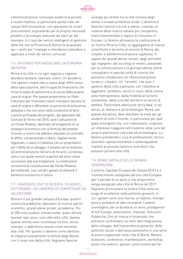

L'Amministrazione comunale sosterrà le piccole e nuove imprese, in particolare quelle nate nel campo dell'innovazione, con operazioni di smart procurement, acquistando per le proprie necessità prodotti e tecnologie realizzati da start up. Ad esempio, è il caso dei servizi intelligenti di gestione delle file che la Provincia di Roma ha acquistato per i centri per l'impiego e intendiamo estendere e applicare a molti dei servizi comunali.

### 7.6. UN FONDO PER AGEVOLARE L'AUTONOMIA ABITATIVA

Roma è la città in cui ogni ragazza o ragazzo desidera studiare, lavorare, vivere. Un desiderio che spesso rimane tale a causa degli affitti esosi, della speculazione, dell'incapacità finanziaria che mina la voglia di autonomia e di uscire dalla propria casa di origine. Per questo proporremo un Patto Fiduciario per finanziare coloro intendano lasciare la casa di origine e affrontare un percorso di autonomia abitativa e che non sono nella condizione di farlo. L'azione principale del progetto, già approvato dal Comune di Torino nel 2010, sarà l'istituzione di un Fondo Rotativo, destinato all'erogazione di un sostegno economico con la formula del prestito d'onore, a coloro che abbiano stipulato un contratto di affitto, convenzionato o libero, regolarmente registrato, o siano in trattativa con un proprietario per l'affitto di un alloggio. Il prestito verrà restituito all'amministrazione nell'arco di tre anni, a interessi zero e con quote mensili a partire dal terzo mese successivo alla sua erogazione. La restituzione consentirà la ricostituzione del Fondo Rotativo permettendo, così, ad altri giovani di ottenere il beneficio economico in futuro.

# 7.7. UNIVERSITÀ, ENTI DI RICERCA, STUDENTI, DOTTORANDI. UN UNIVERSO DI COMPETENZE DA VALORIZZARE

Roma è il più grande campus d'Europa: quattro università pubbliche, laboratori di ricerca, parchi scientifici, grandi atenei privati, accademie. Più di 200 mila studenti immatricolati, quasi 40mila laureati ogni anno, una città nella città. Spesso queste attività sono sconnesse tra loro, senza sinergie, o addirittura vissute come estranee alla città. Per questo ci daremo come obiettivo di integrare pienamente le attività degli Atenei con il corpo vivo della città. Vogliamo favorire

sinergie più strette tra la rete romana degli atenei e la base produttiva locale. L'obiettivo è favorire l'osmosi tra enti e atenei, creando un sistema della ricerca italiano più competitivo, meno frammentato e capace di misurarsi in Europa. Lo faremo attraverso la costituzione di un Centro Ricerca Città, un aggregatore di risorse scientifiche e tecniche al servizio di Roma, dei cittadini e dell'Amministrazione capitolina. Il sapere dei grandi atenei romani, dagli architetti agli ingegneri, dai sociologi ai medici, passando per la comunicazione e la giurisprudenza, potrà convogliarsi in speciali unità di ricerca che potranno collaborare con l'Amministrazione locale e i cittadini. Un "cervello" che aiuti il governo della città a pensare, con l'obiettivo di aggredire i problemi, vecchi e nuovi, della nostra area metropolitana: dalla mobilità al turismo sostenibile, dalla cura del territorio ai servizi di welfare. Particolare attenzione verrà data, in tal senso, al restauro e all'archeologia: Roma, per queste discipline, deve diventare la meta per gli studenti di tutto il mondo, in particolare per quei paesi emergenti che, con il benessere, scoprono un interesse maggiore nell'investire nella cura del proprio patrimonio culturale ed archeologico. Lo faremo prendendoci cura di professionisti, tecnici, lavoratori spesso bistrattati e sottoinquadrati rispetto al prezioso lavoro e contributo che possono portare alla città.

# 7.8. ROMA CAPITALE DELLE GIOVANI GENERAZIONI

Il premio Capitale Europea dei Giovani (EYC) è il riconoscimento assegnato ad una città Europea per il periodo di un anno e che proporremo venga assegnato alla città di Roma nel 2017. Vogliamo promuovere la nostra Città come un luogo di eccellenze nelle politiche giovanili, in cui i giovani sono una risorsa, un talento, energia pura e serbatoio di idee innovative. L'evento coinvolgerà, per la durata di un anno, protagonisti di tutt'Europa: associazioni, imprese, Istituzioni Pubbliche, Enti di ricerca e Università, che potranno confrontarsi sui temi dell'integrazione, dello sviluppo, dell'imprenditoria giovanile, delle politiche sociali e dell'associazionismo in una serie di eventi organizzati nella città di Roma. Mostre, esibizioni, conferenze, manifestazioni, workshop, azioni che vedono i giovani come motore per far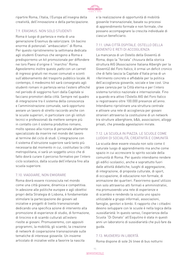

ripartire Roma, l'Italia, l'Europa all'insegna della creatività, dell'innovazione e della partecipazione.

### 7.9. ERASMUS. NON SOLO STUDENTI

Roma è luogo di partenza e meta di una generazione Erasmus da valorizzare. Un bacino enorme di potenziali "ambasciatori" di Roma. Per questo ripristineremo la settimana dedicata agli studenti Erasmus che vengono a Roma e predisporremo un kit promozionale per diffondere nei loro Paesi d'origine il "marchio" Roma. Agevoleremo inoltre questo patto con un carnet di ingressi gratuiti nei musei comunali e sconti sull'abbonamento del trasporto pubblico locale. Al contempo, il medesimo kit sarà consegnato agli studenti romani in partenza verso l'estero affinché nel periodo di soggiorno fuori dalla Capitale si facciano promotori della città. Sempre nel quadro di integrazione tra il sistema della conoscenza e l'amministrazione comunale, sarà opportuno avviare un lavoro di stretto raccordo anche con le scuole superiori, in particolare con gli istituti tecnici e professionali da mettere sempre più in contatto con il sistema produttivo romano, molto spesso alla ricerca di personale altamente specializzato da inserire nel mondo del lavoro al termine del ciclo di studi. L'integrazione con il sistema d'istruzione superiore sarà tanto più necessaria dal momento in cui, costituitasi la città metropolitana, vi sarà un soggetto unico che di fatto dovrà curare il percorso formativo per l'intero ciclo scolastico, dalla scuola dell'infanzia fino alla scuola superiore.

# 7.10. VIAGGIARE, NON EMIGRARE

Roma dovrà essere riconosciuta nel mondo come una città giovane, dinamica e competitiva. In adesione alle politiche europee e agli obiettivi propri della Strategia di Lisbona, è fondamentale stimolare la partecipazione dei giovani ad iniziative e progetti di livello transnazionale dedicando una specifica azione di intervento alla promozione di esperienze di studio, di formazione, di tirocinio e di scambi culturali all'estero rivolte ai giovani. Promuoveremo, con appositi programmi, la mobilità, gli scambi, la creazione di network di cooperazione transnazionale sulle tematiche di interesse giovanile. Un insieme articolato di iniziative volte a favorire la nascita

e la realizzazione di opportunità di mobilità giovanile transnazionale, basate su processi di apprendimento formale e non formale, che possano accompagnare la crescita individuale di ciascun beneficiario.

# 7.11. UNA CITTÀ OSPITALE. OSTELLO DELLA GIOVENTÙ E RETI DI ACCOGLIENZA

La mancanza di un Ostello della Gioventù di Roma, dopo la "forzata" chiusura della storica struttura AIG (Associazione Italiana Alberghi per la Gioventù) del Foro Italico, è ormai un deficit cronico che di fatto lascia la Capitale d'Italia priva di un riferimento concreto e affidabile per la politica dell'accoglienza giovanile, sociale e low cost. Una grave carenza per la Città eterna e per l'intero sistema turistico nazionale e internazionale. Fino a quando era attivo l'Ostello AIG del Foro Italico si registravano oltre 100.000 presenze all'anno. Intendiamo ripristinare una struttura centrale e attivare una rete di accoglienza per giovani stranieri attraverso la costituzione di un network tra strutture alberghiere, b&b, associazioni, alloggi privati, che preveda agevolazioni mirate.

# 7.12. LA SCUOLA IN PIAZZA. LE SCUOLE COME LUOGHI DI SOCIALITÀ, CREATIVITÀ E COMUNITÀ

La scuola deve essere vissuta non solo come il naturale luogo di apprendimento ma anche come spazio in cui accrescere lo spirito sociale della comunità di Roma. Per questo intendiamo rendere gli edifici scolastici, anche e soprattutto fuori dalle attività didattiche, luoghi di aggregazione, di integrazione, di proposta culturale, di sport, di occupazione, di educazione non formale, di animazione dei quartieri. Favoriremo quest'utilizzo non solo attraverso atti formali e amministrativi, ma promuovendo una rete di esperienze e di scambio e rendendo la scuola uno spazio utilizzabile a gruppi informali, associazioni, famiglie, genitori e bimbi. Il rapporto che i cittadini devono sviluppare con le scuole è nella logica della sussidiarietà. In questo senso, l'esperienza della Scuola "Di Donato" all'Esquilino è stata in questi anni un laboratorio di sussidiarietà che può fare da guida.

# 7.13. MUOVERSI IN LIBERTÀ

Roma dispone di sole 24 linee di bus notturni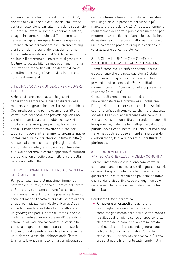

su una superficie territoriale di oltre 1290 km2, rispetto alle 38 linee attive a Madrid, che invece conta un'estensione pari alla metà della superficie di Roma. Muoversi a Roma è sinonimo di attesa, disagio, insicurezza. Inoltre, differentemente dalle altre capitali europee, Roma ha organizzato l'intero sistema dei trasporti esclusivamente sugli orari d'ufficio, tralasciando la fascia notturna. Incrementeremo almeno del 50% le corse notturne dei bus e li doteremo di una rete wi-fi gratuita e facilmente accessibile. La metropolitana rimarrà in funzione almeno fino all'una di notte durante la settimana e svolgerà un servizio ininterrotto durante il week end.

### 7.14. UNA CARTA PER UNDER30 PER MUOVERSI IN CITTÀ

A Roma ci sono troppe auto e le giovani generazioni sembrano le più penalizzate dalla mancanza di agevolazioni per il trasporto pubblico. Così predisporremo per i giovani under 30 una carta unica dei servizi che preveda agevolazioni congiunte per il trasporto pubblico, i servizi di bike e car sharing, car pooling, taxi e nuovi servizi. Predisporremo navette notturne per i luoghi di ritrovo e intrattenimento giovanile, nuove postazioni di bike e car sharing in tutta la città (e non solo al centro) che colleghino gli atenei, le stazioni della metro, le scuole e i capolinea dei bus. Collegheremo la carta a opportunità culturali e artistiche, un circuito sostenibile di cura della persona e della città.

# 7.15. PASSEGGIARE E PRENDERSI CURA DELLA CITTÀ. ANCHE IN RETE

Per poter valorizzare al massimo l'immenso potenziale culturale, storico e turistico del centro di Roma serve un patto comune fra residenti, commercianti e istituzioni che possa restituire agli occhi del mondo l'esatta misura del valore di ogni strada, ogni piazza, ogni vicolo di Roma. L'idea è quella di rendere visitabile la città attraverso un geoblog che porti il nome di Roma e che sia costantemente aggiornato grazie all'opera di tutti coloro i quali vogliono raccontare la storia e la bellezza di ogni metro del nostro centro storico. In questo modo sarebbe possibile favorire anche un turismo diverso che, abbracciando l'intero territorio, favorisca un'economia complessiva del

centro di Roma e limiti gli squilibri oggi esistenti fra i luoghi dove la presenza dei turisti è più marcata e il resto della città. Allo stesso tempo la realizzazione del portale può essere un modo per mettere al lavoro, fianco a fianco, le associazioni di residenti e commercianti nella realizzazione di un unico grande progetto di riqualificazione e di valorizzazione del centro storico.

# 8. LA CITTÀ PLURALE CHE CRESCE E ACCOGLIE I NUOVI CITTADINI STRANIERI

Roma è cambiata. La città che attrae, aperta e accogliente che già nella sua storia è stata un crocevia di migrazioni interne è oggi luogo privilegiato di residenza di 294.571 cittadini stranieri, circa il 12 per cento della popolazione residente (Istat 2011).

Questa realtà rende necessario elaborare nuove risposte tese a promuovere l'inclusione, l'integrazione e a rafforzare la coesione sociale, costruire un'idea di convivenza che ricrei alleanze sociali e il senso di appartenenza alla comunità. Roma deve essere una città che rende protagonisti le esperienze, i talenti e le intelligenze del suo volto plurale, deve riconquistare un ruolo di primo piano tra le metropoli europee e mondiali riscoprendo e valorizzando, la sua ricchezza pluriculturale e plurietnica.

# 8.1. PROMUOVERE I DIRITTI E LA PARTECIPAZIONE ALLA VITA DELLA COMUNITÀ

Perché l'integrazione e la buona convivenza si compiano è anche necessario ridisegnare lo spazio urbano. Bisogna "confondere le differenze" nei quartieri della città scegliendo politiche abitative che rendano disponibili case e alloggi non solo nelle aree urbane, spesso escludenti, ai confini della città.

#### Cambiamo tutto a partire da:

**◊** Rimuovere gli ostacoli che generano disuguaglianze e non permettono un completo godimento dei diritti di cittadinanza e lo sviluppo di un pieno senso di appartenenza all'interno della comunità. A cominciare dai tanti nuovi romani di seconda generazione, figli di cittadini stranieri nati a Roma. In attesa che il Parlamento riconosca lo ius soli, grazie al quale finalmente tutti i bimbi nati in